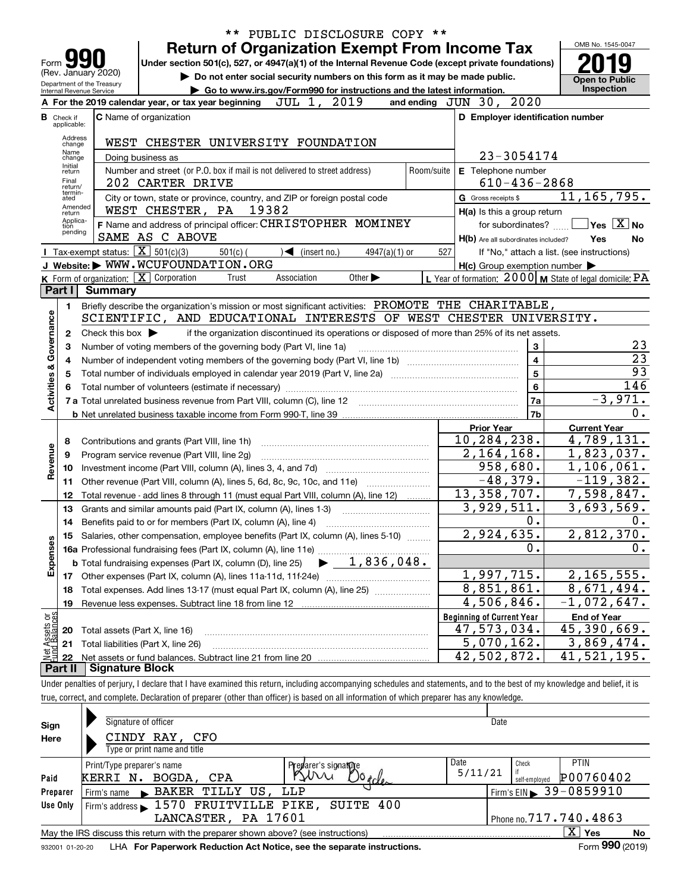|                         |                            | PUBLIC DISCLOSURE COPY **                                                                                                                                                                                |            |                                                           | OMB No. 1545-0047                          |
|-------------------------|----------------------------|----------------------------------------------------------------------------------------------------------------------------------------------------------------------------------------------------------|------------|-----------------------------------------------------------|--------------------------------------------|
|                         |                            | <b>Return of Organization Exempt From Income Tax</b>                                                                                                                                                     |            |                                                           |                                            |
| Form                    |                            | Under section 501(c), 527, or 4947(a)(1) of the Internal Revenue Code (except private foundations)<br>(Rev. January 2020)<br>Do not enter social security numbers on this form as it may be made public. |            |                                                           |                                            |
|                         |                            | Department of the Treasury<br>Go to www.irs.gov/Form990 for instructions and the latest information.                                                                                                     |            |                                                           | <b>Open to Public</b><br>Inspection        |
|                         |                            | Internal Revenue Service<br>A For the 2019 calendar year, or tax year beginning JUL 1, 2019                                                                                                              |            | 2020<br>and ending $JUN$ 30,                              |                                            |
| В                       | Check if<br>applicable:    | <b>C</b> Name of organization                                                                                                                                                                            |            | D Employer identification number                          |                                            |
|                         | Address                    |                                                                                                                                                                                                          |            |                                                           |                                            |
|                         | change<br>Name             | WEST CHESTER UNIVERSITY FOUNDATION                                                                                                                                                                       |            |                                                           |                                            |
|                         | change<br>Initial          | Doing business as                                                                                                                                                                                        |            | 23-3054174                                                |                                            |
|                         | return<br>Final            | Number and street (or P.O. box if mail is not delivered to street address)<br>202 CARTER DRIVE                                                                                                           | Room/suite | E Telephone number<br>$610 - 436 - 2868$                  |                                            |
|                         | return/<br>termin-         | City or town, state or province, country, and ZIP or foreign postal code                                                                                                                                 |            | <b>G</b> Gross receipts \$                                | 11, 165, 795.                              |
|                         | ated<br>Amended            | WEST CHESTER, PA 19382                                                                                                                                                                                   |            | H(a) Is this a group return                               |                                            |
|                         | return<br>Applica-<br>tion | F Name and address of principal officer: CHRISTOPHER MOMINEY                                                                                                                                             |            | for subordinates?                                         | $Yes \quad X$ No                           |
|                         | pending                    | SAME AS C ABOVE                                                                                                                                                                                          |            | H(b) Are all subordinates included?                       | Yes<br>No                                  |
|                         |                            | <b>I</b> Tax-exempt status: $\boxed{\mathbf{X}}$ 501(c)(3)<br>$501(c)$ (<br>$\sqrt{\frac{1}{1}}$ (insert no.)<br>$4947(a)(1)$ or                                                                         | 527        |                                                           | If "No," attach a list. (see instructions) |
|                         |                            | J Website: WWW.WCUFOUNDATION.ORG                                                                                                                                                                         |            | $H(c)$ Group exemption number $\blacktriangleright$       |                                            |
|                         |                            | <b>K</b> Form of organization: $\boxed{\mathbf{X}}$ Corporation<br>Association<br>Other $\blacktriangleright$<br>Trust                                                                                   |            | L Year of formation: $2000$ M State of legal domicile: PA |                                            |
|                         | Part I                     | <b>Summary</b>                                                                                                                                                                                           |            |                                                           |                                            |
|                         | 1.                         | Briefly describe the organization's mission or most significant activities: PROMOTE THE CHARITABLE,                                                                                                      |            |                                                           |                                            |
|                         |                            | SCIENTIFIC, AND EDUCATIONAL INTERESTS OF WEST CHESTER UNIVERSITY.                                                                                                                                        |            |                                                           |                                            |
| Governance              | $\mathbf{2}$               | Check this box $\blacktriangleright$<br>if the organization discontinued its operations or disposed of more than 25% of its net assets.                                                                  |            |                                                           |                                            |
|                         | 3                          | Number of voting members of the governing body (Part VI, line 1a)                                                                                                                                        |            | 3                                                         | 23                                         |
|                         | 4                          |                                                                                                                                                                                                          |            | $\overline{\mathbf{4}}$                                   | $\overline{23}$                            |
|                         | 5                          |                                                                                                                                                                                                          |            | 5                                                         | 93                                         |
| <b>Activities &amp;</b> | 6                          |                                                                                                                                                                                                          |            | 6                                                         | 146                                        |
|                         |                            | 7 a Total unrelated business revenue from Part VIII, column (C), line 12                                                                                                                                 |            | 7a                                                        | $-3,971.$<br>0.                            |
|                         |                            |                                                                                                                                                                                                          |            | 7b<br><b>Prior Year</b>                                   | <b>Current Year</b>                        |
|                         | 8                          | Contributions and grants (Part VIII, line 1h)                                                                                                                                                            |            | 10,284,238.                                               | 4,789,131.                                 |
|                         | 9                          | Program service revenue (Part VIII, line 2g)                                                                                                                                                             |            | 2,164,168.                                                | 1,823,037.                                 |
| Revenue                 | 10                         |                                                                                                                                                                                                          |            | 958,680.                                                  | 1,106,061.                                 |
|                         | 11                         | Other revenue (Part VIII, column (A), lines 5, 6d, 8c, 9c, 10c, and 11e)                                                                                                                                 |            | $-48,379.$                                                | $-119,382.$                                |
|                         | 12                         | Total revenue - add lines 8 through 11 (must equal Part VIII, column (A), line 12)                                                                                                                       |            | 13, 358, 707.                                             | 7,598,847.                                 |
|                         | 13                         | Grants and similar amounts paid (Part IX, column (A), lines 1-3)                                                                                                                                         |            | 3,929,511.                                                | 3,693,569.                                 |
|                         | 14                         | Benefits paid to or for members (Part IX, column (A), line 4)                                                                                                                                            |            | 0.                                                        | 0.                                         |
|                         | 15                         | Salaries, other compensation, employee benefits (Part IX, column (A), lines 5-10)                                                                                                                        |            | 2,924,635.                                                | 2,812,370.                                 |
|                         |                            |                                                                                                                                                                                                          |            | о.                                                        | 0.                                         |
| Expenses                |                            |                                                                                                                                                                                                          |            |                                                           |                                            |
|                         | 17                         | Other expenses (Part IX, column (A), lines 11a-11d, 11f-24e)                                                                                                                                             |            | 1,997,715.                                                | 2,165,555.                                 |
|                         | 18                         | Total expenses. Add lines 13-17 (must equal Part IX, column (A), line 25)                                                                                                                                |            | 8,851,861.                                                | 8,671,494.                                 |
|                         | 19                         |                                                                                                                                                                                                          |            | 4,506,846.                                                | $-1,072,647.$                              |
| Assets or<br>dBalances  |                            |                                                                                                                                                                                                          |            | <b>Beginning of Current Year</b>                          | <b>End of Year</b>                         |
|                         | 20                         | Total assets (Part X, line 16)                                                                                                                                                                           |            | 47,573,034.                                               | 45,390,669.                                |
| 혎                       | 21                         | Total liabilities (Part X, line 26)                                                                                                                                                                      |            | $5,070,162$ .                                             | 3,869,474.                                 |
|                         | 22                         |                                                                                                                                                                                                          |            | 42,502,872.                                               | 41,521,195.                                |
|                         | Part II                    | <b>Signature Block</b>                                                                                                                                                                                   |            |                                                           |                                            |
|                         |                            | Under penalties of perjury, I declare that I have examined this return, including accompanying schedules and statements, and to the best of my knowledge and belief, it is                               |            |                                                           |                                            |
|                         |                            | true, correct, and complete. Declaration of preparer (other than officer) is based on all information of which preparer has any knowledge.                                                               |            |                                                           |                                            |

| Sign<br>Here | Signature of officer<br>CINDY RAY, CFO<br>Type or print name and title                                       | Date                                         |                        |  |  |  |  |  |  |  |
|--------------|--------------------------------------------------------------------------------------------------------------|----------------------------------------------|------------------------|--|--|--|--|--|--|--|
|              |                                                                                                              |                                              |                        |  |  |  |  |  |  |  |
|              | Preparer's signature<br>Print/Type preparer's name                                                           | Date<br>Check                                | <b>PTIN</b>            |  |  |  |  |  |  |  |
| Paid         | CPA<br>BOGDA,<br>Us of cles<br>KERRI N.                                                                      | 5/11/21<br>self-employed                     | P00760402              |  |  |  |  |  |  |  |
| Preparer     | Firm's name > BAKER TILLY US, LLP                                                                            | $1$ Firm's EIN $\triangleright$ 39 - 0859910 |                        |  |  |  |  |  |  |  |
| Use Only     | Firm's address $\blacktriangleright$ 1570 FRUITVILLE PIKE,<br>SUITE 400                                      |                                              |                        |  |  |  |  |  |  |  |
|              | LANCASTER, PA 17601                                                                                          |                                              | Phone no. 717.740.4863 |  |  |  |  |  |  |  |
|              | May the IRS discuss this return with the preparer shown above? (see instructions)                            |                                              | ΧI<br>Yes<br>No        |  |  |  |  |  |  |  |
|              | Form 990 (2019)<br>LHA For Paperwork Reduction Act Notice, see the separate instructions.<br>932001 01-20-20 |                                              |                        |  |  |  |  |  |  |  |

932001 01-20-20 LHA **For Paperwork Reduction Act Notice, see the separate instructions.**<br>932001 01-20-20 LHA **For Paperwork Reduction Act Notice, see the separate instructions.**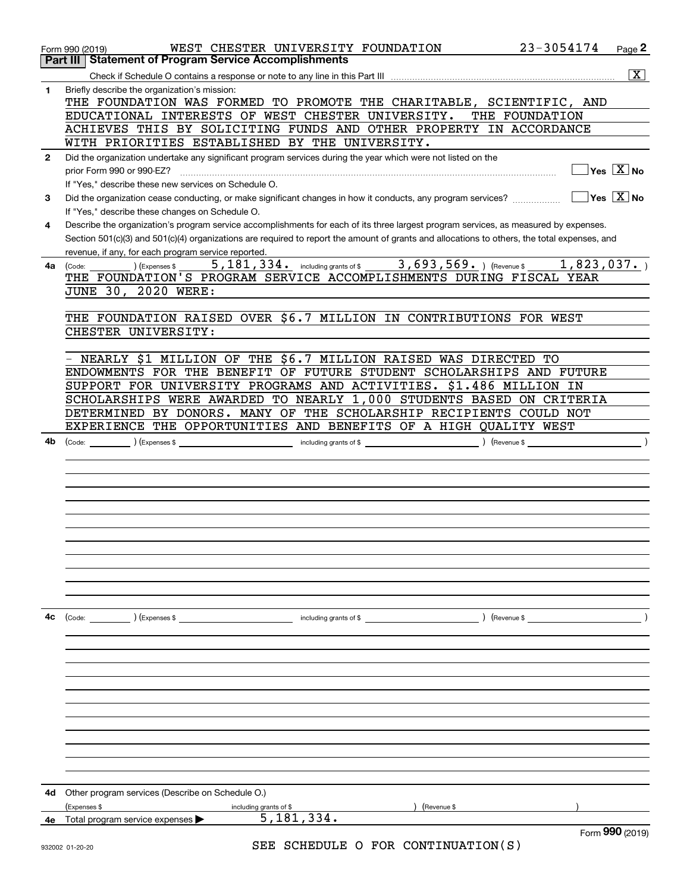|              | WEST CHESTER UNIVERSITY FOUNDATION<br>Form 990 (2019)<br><b>Part III Statement of Program Service Accomplishments</b>                                                                   | 23-3054174                                                                                                                                                                                                                                                                                                                                                                                                                            | Page 2                                 |
|--------------|-----------------------------------------------------------------------------------------------------------------------------------------------------------------------------------------|---------------------------------------------------------------------------------------------------------------------------------------------------------------------------------------------------------------------------------------------------------------------------------------------------------------------------------------------------------------------------------------------------------------------------------------|----------------------------------------|
|              |                                                                                                                                                                                         |                                                                                                                                                                                                                                                                                                                                                                                                                                       | $\overline{\text{X}}$                  |
| 1            | Briefly describe the organization's mission:                                                                                                                                            |                                                                                                                                                                                                                                                                                                                                                                                                                                       |                                        |
|              | THE FOUNDATION WAS FORMED TO PROMOTE THE CHARITABLE, SCIENTIFIC, AND                                                                                                                    |                                                                                                                                                                                                                                                                                                                                                                                                                                       |                                        |
|              | EDUCATIONAL INTERESTS OF WEST CHESTER UNIVERSITY.                                                                                                                                       | THE FOUNDATION                                                                                                                                                                                                                                                                                                                                                                                                                        |                                        |
|              | ACHIEVES THIS BY SOLICITING FUNDS AND OTHER PROPERTY IN ACCORDANCE                                                                                                                      |                                                                                                                                                                                                                                                                                                                                                                                                                                       |                                        |
|              | WITH PRIORITIES ESTABLISHED BY THE UNIVERSITY.                                                                                                                                          |                                                                                                                                                                                                                                                                                                                                                                                                                                       |                                        |
| $\mathbf{2}$ | Did the organization undertake any significant program services during the year which were not listed on the                                                                            |                                                                                                                                                                                                                                                                                                                                                                                                                                       |                                        |
|              | prior Form 990 or 990-EZ?                                                                                                                                                               |                                                                                                                                                                                                                                                                                                                                                                                                                                       | $\sqrt{}$ Yes $\sqrt{X}$ No            |
|              | If "Yes," describe these new services on Schedule O.                                                                                                                                    |                                                                                                                                                                                                                                                                                                                                                                                                                                       |                                        |
| 3            | Did the organization cease conducting, or make significant changes in how it conducts, any program services?                                                                            |                                                                                                                                                                                                                                                                                                                                                                                                                                       | $\sqrt{}$ Yes $\sqrt{}$ X $\sqrt{}$ No |
| 4            | If "Yes," describe these changes on Schedule O.<br>Describe the organization's program service accomplishments for each of its three largest program services, as measured by expenses. |                                                                                                                                                                                                                                                                                                                                                                                                                                       |                                        |
|              | Section 501(c)(3) and 501(c)(4) organizations are required to report the amount of grants and allocations to others, the total expenses, and                                            |                                                                                                                                                                                                                                                                                                                                                                                                                                       |                                        |
|              | revenue, if any, for each program service reported.                                                                                                                                     |                                                                                                                                                                                                                                                                                                                                                                                                                                       |                                        |
| 4a           | $\overline{5,181,334.}$ including grants of \$ 3,693,569. (Revenue \$ 1,823,037.)<br>(Expenses \$<br>(Code:                                                                             |                                                                                                                                                                                                                                                                                                                                                                                                                                       |                                        |
|              | THE FOUNDATION'S PROGRAM SERVICE ACCOMPLISHMENTS DURING FISCAL YEAR                                                                                                                     |                                                                                                                                                                                                                                                                                                                                                                                                                                       |                                        |
|              | JUNE 30, 2020 WERE:                                                                                                                                                                     |                                                                                                                                                                                                                                                                                                                                                                                                                                       |                                        |
|              |                                                                                                                                                                                         |                                                                                                                                                                                                                                                                                                                                                                                                                                       |                                        |
|              | THE FOUNDATION RAISED OVER \$6.7 MILLION IN CONTRIBUTIONS FOR WEST                                                                                                                      |                                                                                                                                                                                                                                                                                                                                                                                                                                       |                                        |
|              | CHESTER UNIVERSITY:                                                                                                                                                                     |                                                                                                                                                                                                                                                                                                                                                                                                                                       |                                        |
|              |                                                                                                                                                                                         |                                                                                                                                                                                                                                                                                                                                                                                                                                       |                                        |
|              | NEARLY \$1 MILLION OF THE \$6.7 MILLION RAISED WAS DIRECTED TO<br>ENDOWMENTS FOR THE BENEFIT OF FUTURE STUDENT SCHOLARSHIPS AND FUTURE                                                  |                                                                                                                                                                                                                                                                                                                                                                                                                                       |                                        |
|              | SUPPORT FOR UNIVERSITY PROGRAMS AND ACTIVITIES. \$1.486 MILLION IN                                                                                                                      |                                                                                                                                                                                                                                                                                                                                                                                                                                       |                                        |
|              | SCHOLARSHIPS WERE AWARDED TO NEARLY 1,000 STUDENTS BASED ON CRITERIA                                                                                                                    |                                                                                                                                                                                                                                                                                                                                                                                                                                       |                                        |
|              | DETERMINED BY DONORS. MANY OF THE SCHOLARSHIP RECIPIENTS COULD NOT                                                                                                                      |                                                                                                                                                                                                                                                                                                                                                                                                                                       |                                        |
|              | EXPERIENCE THE OPPORTUNITIES AND BENEFITS OF A HIGH QUALITY WEST                                                                                                                        |                                                                                                                                                                                                                                                                                                                                                                                                                                       |                                        |
| 4b           |                                                                                                                                                                                         | $\frac{1}{\sqrt{1-\frac{1}{2}}\sqrt{1-\frac{1}{2}}\sqrt{1-\frac{1}{2}}\sqrt{1-\frac{1}{2}}\sqrt{1-\frac{1}{2}}\sqrt{1-\frac{1}{2}}\sqrt{1-\frac{1}{2}}\sqrt{1-\frac{1}{2}}\sqrt{1-\frac{1}{2}}\sqrt{1-\frac{1}{2}}\sqrt{1-\frac{1}{2}}\sqrt{1-\frac{1}{2}}\sqrt{1-\frac{1}{2}}\sqrt{1-\frac{1}{2}}\sqrt{1-\frac{1}{2}}\sqrt{1-\frac{1}{2}}\sqrt{1-\frac{1}{2}}\sqrt{1-\frac{1}{2}}\sqrt{1-\frac{1}{2}}\sqrt{1-\frac$<br>) (Revenue \$ |                                        |
|              |                                                                                                                                                                                         |                                                                                                                                                                                                                                                                                                                                                                                                                                       |                                        |
|              |                                                                                                                                                                                         |                                                                                                                                                                                                                                                                                                                                                                                                                                       |                                        |
|              |                                                                                                                                                                                         |                                                                                                                                                                                                                                                                                                                                                                                                                                       |                                        |
|              |                                                                                                                                                                                         |                                                                                                                                                                                                                                                                                                                                                                                                                                       |                                        |
|              |                                                                                                                                                                                         |                                                                                                                                                                                                                                                                                                                                                                                                                                       |                                        |
|              |                                                                                                                                                                                         |                                                                                                                                                                                                                                                                                                                                                                                                                                       |                                        |
|              |                                                                                                                                                                                         |                                                                                                                                                                                                                                                                                                                                                                                                                                       |                                        |
|              |                                                                                                                                                                                         |                                                                                                                                                                                                                                                                                                                                                                                                                                       |                                        |
|              |                                                                                                                                                                                         |                                                                                                                                                                                                                                                                                                                                                                                                                                       |                                        |
|              |                                                                                                                                                                                         |                                                                                                                                                                                                                                                                                                                                                                                                                                       |                                        |
|              |                                                                                                                                                                                         |                                                                                                                                                                                                                                                                                                                                                                                                                                       |                                        |
| 4c           | $\left(\text{Code:} \right)$ $\left(\text{Expenses $}\right)$<br>including grants of \$<br>) (Revenue \$                                                                                |                                                                                                                                                                                                                                                                                                                                                                                                                                       |                                        |
|              |                                                                                                                                                                                         |                                                                                                                                                                                                                                                                                                                                                                                                                                       |                                        |
|              |                                                                                                                                                                                         |                                                                                                                                                                                                                                                                                                                                                                                                                                       |                                        |
|              |                                                                                                                                                                                         |                                                                                                                                                                                                                                                                                                                                                                                                                                       |                                        |
|              |                                                                                                                                                                                         |                                                                                                                                                                                                                                                                                                                                                                                                                                       |                                        |
|              |                                                                                                                                                                                         |                                                                                                                                                                                                                                                                                                                                                                                                                                       |                                        |
|              |                                                                                                                                                                                         |                                                                                                                                                                                                                                                                                                                                                                                                                                       |                                        |
|              |                                                                                                                                                                                         |                                                                                                                                                                                                                                                                                                                                                                                                                                       |                                        |
|              |                                                                                                                                                                                         |                                                                                                                                                                                                                                                                                                                                                                                                                                       |                                        |
|              |                                                                                                                                                                                         |                                                                                                                                                                                                                                                                                                                                                                                                                                       |                                        |
|              |                                                                                                                                                                                         |                                                                                                                                                                                                                                                                                                                                                                                                                                       |                                        |
|              |                                                                                                                                                                                         |                                                                                                                                                                                                                                                                                                                                                                                                                                       |                                        |
| 4d           | Other program services (Describe on Schedule O.)                                                                                                                                        |                                                                                                                                                                                                                                                                                                                                                                                                                                       |                                        |
|              | (Expenses \$<br>Revenue \$<br>including grants of \$                                                                                                                                    |                                                                                                                                                                                                                                                                                                                                                                                                                                       |                                        |
| 4е           | 5, 181, 334.<br>Total program service expenses                                                                                                                                          |                                                                                                                                                                                                                                                                                                                                                                                                                                       | Form 990 (2019)                        |
|              | SER SCHEDIILE O FOR CONTINUIATION(S)                                                                                                                                                    |                                                                                                                                                                                                                                                                                                                                                                                                                                       |                                        |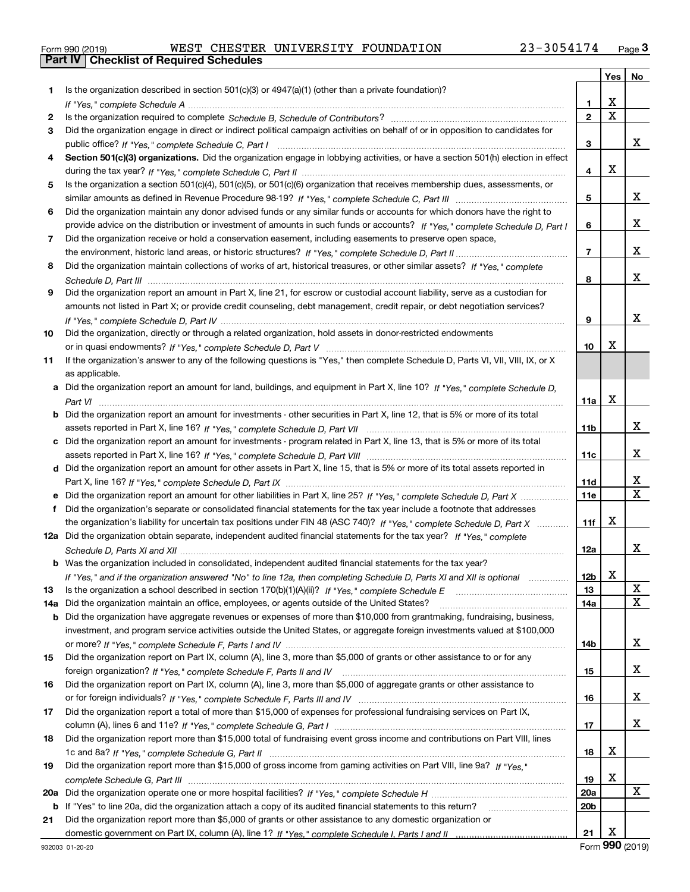| Form 990 (2019) |  |  |
|-----------------|--|--|

|     |                                                                                                                                       |                 |                         | Yes   No                |
|-----|---------------------------------------------------------------------------------------------------------------------------------------|-----------------|-------------------------|-------------------------|
| 1   | Is the organization described in section $501(c)(3)$ or $4947(a)(1)$ (other than a private foundation)?                               |                 |                         |                         |
|     |                                                                                                                                       | 1               | х                       |                         |
| 2   |                                                                                                                                       | $\overline{2}$  | $\overline{\mathbf{x}}$ |                         |
| 3   | Did the organization engage in direct or indirect political campaign activities on behalf of or in opposition to candidates for       |                 |                         |                         |
|     |                                                                                                                                       | 3               |                         | x                       |
| 4   | Section 501(c)(3) organizations. Did the organization engage in lobbying activities, or have a section 501(h) election in effect      |                 |                         |                         |
|     |                                                                                                                                       | 4               | X                       |                         |
| 5   | Is the organization a section 501(c)(4), 501(c)(5), or 501(c)(6) organization that receives membership dues, assessments, or          |                 |                         |                         |
|     |                                                                                                                                       | 5               |                         | x                       |
| 6   | Did the organization maintain any donor advised funds or any similar funds or accounts for which donors have the right to             |                 |                         |                         |
|     | provide advice on the distribution or investment of amounts in such funds or accounts? If "Yes," complete Schedule D, Part I          | 6               |                         | x                       |
| 7   | Did the organization receive or hold a conservation easement, including easements to preserve open space,                             |                 |                         |                         |
|     |                                                                                                                                       | $\overline{7}$  |                         | x                       |
| 8   | Did the organization maintain collections of works of art, historical treasures, or other similar assets? If "Yes," complete          |                 |                         |                         |
|     |                                                                                                                                       | 8               |                         | x                       |
| 9   | Did the organization report an amount in Part X, line 21, for escrow or custodial account liability, serve as a custodian for         |                 |                         |                         |
|     | amounts not listed in Part X; or provide credit counseling, debt management, credit repair, or debt negotiation services?             |                 |                         | x                       |
|     |                                                                                                                                       | 9               |                         |                         |
| 10  | Did the organization, directly or through a related organization, hold assets in donor-restricted endowments                          |                 | х                       |                         |
|     |                                                                                                                                       | 10              |                         |                         |
| 11  | If the organization's answer to any of the following questions is "Yes," then complete Schedule D, Parts VI, VII, VIII, IX, or X      |                 |                         |                         |
|     | as applicable.                                                                                                                        |                 |                         |                         |
|     | a Did the organization report an amount for land, buildings, and equipment in Part X, line 10? If "Yes." complete Schedule D.         |                 | х                       |                         |
|     | <b>b</b> Did the organization report an amount for investments - other securities in Part X, line 12, that is 5% or more of its total | 11a             |                         |                         |
|     |                                                                                                                                       | 11b             |                         | x                       |
|     | c Did the organization report an amount for investments - program related in Part X, line 13, that is 5% or more of its total         |                 |                         |                         |
|     |                                                                                                                                       | 11c             |                         | x                       |
|     | d Did the organization report an amount for other assets in Part X, line 15, that is 5% or more of its total assets reported in       |                 |                         |                         |
|     |                                                                                                                                       | 11d             |                         | X                       |
|     |                                                                                                                                       | <b>11e</b>      |                         | $\overline{\mathtt{x}}$ |
| f.  | Did the organization's separate or consolidated financial statements for the tax year include a footnote that addresses               |                 |                         |                         |
|     | the organization's liability for uncertain tax positions under FIN 48 (ASC 740)? If "Yes," complete Schedule D, Part X                | 11f             | х                       |                         |
|     | 12a Did the organization obtain separate, independent audited financial statements for the tax year? If "Yes," complete               |                 |                         |                         |
|     |                                                                                                                                       | 12a             |                         | X.                      |
|     | <b>b</b> Was the organization included in consolidated, independent audited financial statements for the tax year?                    |                 |                         |                         |
|     | If "Yes," and if the organization answered "No" to line 12a, then completing Schedule D, Parts XI and XII is optional                 | 12 <sub>b</sub> | X                       |                         |
| 13  |                                                                                                                                       | 13              |                         | X                       |
| 14a | Did the organization maintain an office, employees, or agents outside of the United States?                                           | 14a             |                         | $\mathbf X$             |
| b   | Did the organization have aggregate revenues or expenses of more than \$10,000 from grantmaking, fundraising, business,               |                 |                         |                         |
|     | investment, and program service activities outside the United States, or aggregate foreign investments valued at \$100,000            |                 |                         |                         |
|     |                                                                                                                                       | 14b             |                         | X                       |
| 15  | Did the organization report on Part IX, column (A), line 3, more than \$5,000 of grants or other assistance to or for any             |                 |                         |                         |
|     |                                                                                                                                       | 15              |                         | x                       |
| 16  | Did the organization report on Part IX, column (A), line 3, more than \$5,000 of aggregate grants or other assistance to              |                 |                         |                         |
|     |                                                                                                                                       | 16              |                         | x                       |
| 17  | Did the organization report a total of more than \$15,000 of expenses for professional fundraising services on Part IX,               |                 |                         |                         |
|     |                                                                                                                                       | 17              |                         | X                       |
| 18  | Did the organization report more than \$15,000 total of fundraising event gross income and contributions on Part VIII, lines          |                 |                         |                         |
|     |                                                                                                                                       | 18              | X                       |                         |
| 19  | Did the organization report more than \$15,000 of gross income from gaming activities on Part VIII, line 9a? If "Yes."                |                 |                         |                         |
|     |                                                                                                                                       | 19              | X                       |                         |
| 20a |                                                                                                                                       | 20a             |                         | X                       |
|     | b If "Yes" to line 20a, did the organization attach a copy of its audited financial statements to this return?                        | 20b             |                         |                         |
| 21  | Did the organization report more than \$5,000 of grants or other assistance to any domestic organization or                           |                 | х                       |                         |
|     |                                                                                                                                       | 21              |                         |                         |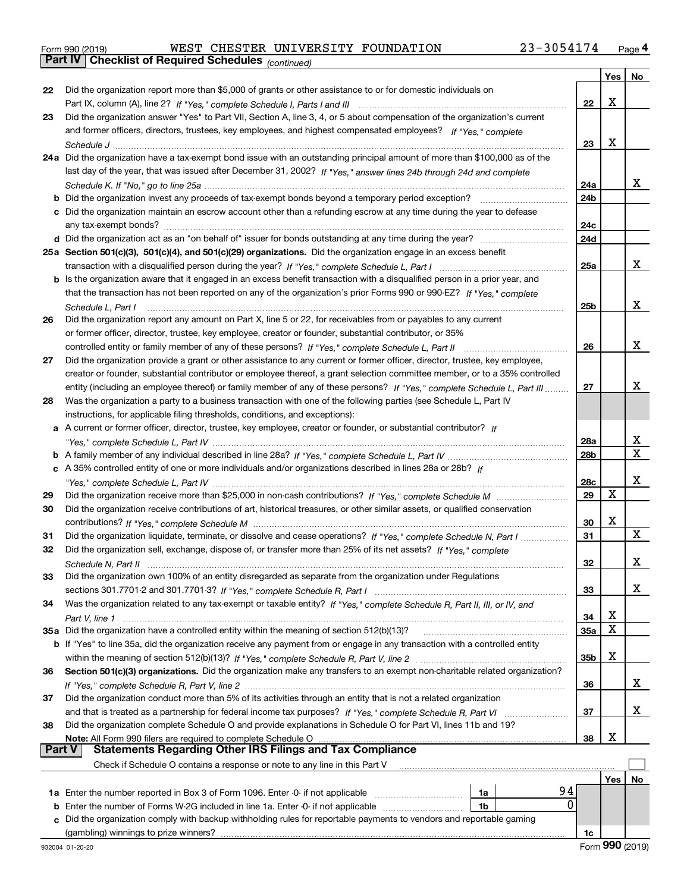*(continued)*

|               |                                                                                                                              |                 | Yes   No |    |
|---------------|------------------------------------------------------------------------------------------------------------------------------|-----------------|----------|----|
| 22            | Did the organization report more than \$5,000 of grants or other assistance to or for domestic individuals on                |                 |          |    |
|               |                                                                                                                              | 22              | х        |    |
| 23            | Did the organization answer "Yes" to Part VII, Section A, line 3, 4, or 5 about compensation of the organization's current   |                 |          |    |
|               | and former officers, directors, trustees, key employees, and highest compensated employees? If "Yes," complete               |                 |          |    |
|               |                                                                                                                              | 23              | х        |    |
|               | 24a Did the organization have a tax-exempt bond issue with an outstanding principal amount of more than \$100,000 as of the  |                 |          |    |
|               | last day of the year, that was issued after December 31, 2002? If "Yes," answer lines 24b through 24d and complete           |                 |          |    |
|               |                                                                                                                              | 24a             |          | x  |
|               |                                                                                                                              |                 |          |    |
|               |                                                                                                                              | 24 <sub>b</sub> |          |    |
|               | c Did the organization maintain an escrow account other than a refunding escrow at any time during the year to defease       |                 |          |    |
|               |                                                                                                                              | 24c             |          |    |
|               |                                                                                                                              | 24d             |          |    |
|               | 25a Section 501(c)(3), 501(c)(4), and 501(c)(29) organizations. Did the organization engage in an excess benefit             |                 |          |    |
|               |                                                                                                                              | 25a             |          | х  |
|               | b Is the organization aware that it engaged in an excess benefit transaction with a disqualified person in a prior year, and |                 |          |    |
|               | that the transaction has not been reported on any of the organization's prior Forms 990 or 990-EZ? If "Yes," complete        |                 |          |    |
|               | Schedule L, Part I                                                                                                           | 25b             |          | х  |
| 26            | Did the organization report any amount on Part X, line 5 or 22, for receivables from or payables to any current              |                 |          |    |
|               | or former officer, director, trustee, key employee, creator or founder, substantial contributor, or 35%                      |                 |          |    |
|               | controlled entity or family member of any of these persons? If "Yes," complete Schedule L, Part II                           | 26              |          | x  |
| 27            | Did the organization provide a grant or other assistance to any current or former officer, director, trustee, key employee,  |                 |          |    |
|               | creator or founder, substantial contributor or employee thereof, a grant selection committee member, or to a 35% controlled  |                 |          |    |
|               | entity (including an employee thereof) or family member of any of these persons? If "Yes," complete Schedule L, Part III     | 27              |          | x  |
| 28            | Was the organization a party to a business transaction with one of the following parties (see Schedule L, Part IV            |                 |          |    |
|               |                                                                                                                              |                 |          |    |
|               | instructions, for applicable filing thresholds, conditions, and exceptions):                                                 |                 |          |    |
|               | a A current or former officer, director, trustee, key employee, creator or founder, or substantial contributor? If           |                 |          |    |
|               |                                                                                                                              | 28a             |          | x  |
|               |                                                                                                                              | 28 <sub>b</sub> |          | X  |
|               | c A 35% controlled entity of one or more individuals and/or organizations described in lines 28a or 28b? If                  |                 |          |    |
|               |                                                                                                                              | 28c             |          | х  |
| 29            |                                                                                                                              | 29              | х        |    |
| 30            | Did the organization receive contributions of art, historical treasures, or other similar assets, or qualified conservation  |                 |          |    |
|               |                                                                                                                              | 30              | х        |    |
| 31            | Did the organization liquidate, terminate, or dissolve and cease operations? If "Yes," complete Schedule N, Part I           | 31              |          | X  |
| 32            | Did the organization sell, exchange, dispose of, or transfer more than 25% of its net assets? If "Yes," complete             |                 |          |    |
|               |                                                                                                                              | 32              |          | х  |
| 33            | Did the organization own 100% of an entity disregarded as separate from the organization under Regulations                   |                 |          |    |
|               |                                                                                                                              | 33              |          | x  |
| 34            | Was the organization related to any tax-exempt or taxable entity? If "Yes," complete Schedule R, Part II, III, or IV, and    |                 |          |    |
|               |                                                                                                                              | 34              | х        |    |
|               | 35a Did the organization have a controlled entity within the meaning of section 512(b)(13)?                                  | <b>35a</b>      | X        |    |
|               | b If "Yes" to line 35a, did the organization receive any payment from or engage in any transaction with a controlled entity  |                 |          |    |
|               |                                                                                                                              | 35b             | х        |    |
| 36            | Section 501(c)(3) organizations. Did the organization make any transfers to an exempt non-charitable related organization?   |                 |          |    |
|               |                                                                                                                              | 36              |          | x  |
|               | Did the organization conduct more than 5% of its activities through an entity that is not a related organization             |                 |          |    |
| 37            |                                                                                                                              |                 |          | x  |
|               |                                                                                                                              | 37              |          |    |
| 38            | Did the organization complete Schedule O and provide explanations in Schedule O for Part VI, lines 11b and 19?               |                 |          |    |
| <b>Part V</b> | Note: All Form 990 filers are required to complete Schedule O                                                                | 38              | х        |    |
|               | <b>Statements Regarding Other IRS Filings and Tax Compliance</b>                                                             |                 |          |    |
|               | Check if Schedule O contains a response or note to any line in this Part V                                                   |                 |          |    |
|               |                                                                                                                              |                 | Yes      | No |
|               | 94<br>1a Enter the number reported in Box 3 of Form 1096. Enter -0- if not applicable<br>1a                                  |                 |          |    |
|               | 0<br><b>b</b> Enter the number of Forms W-2G included in line 1a. Enter -0- if not applicable<br>1b                          |                 |          |    |
| c.            | Did the organization comply with backup withholding rules for reportable payments to vendors and reportable gaming           |                 |          |    |
|               |                                                                                                                              | 1c              |          |    |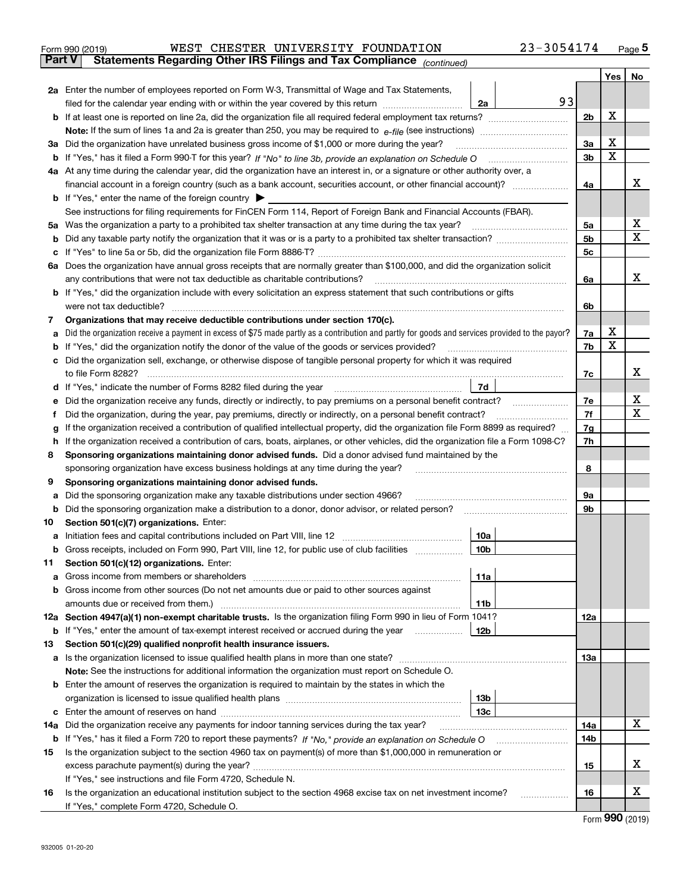| Form 990 (2019) |  | WEST CHESTER UNIVERSITY FOUNDATION |                                                                                                | 23-3054174 | Page $5$ |
|-----------------|--|------------------------------------|------------------------------------------------------------------------------------------------|------------|----------|
|                 |  |                                    | <b>Part V</b> Statements Regarding Other IRS Filings and Tax Compliance <sub>(continued)</sub> |            |          |

| Part V | Statements Regarding Other IRS Fillings and Tax Compilance<br>(continued)                                                                                                                                                                        |    |                |        |             |  |  |  |  |
|--------|--------------------------------------------------------------------------------------------------------------------------------------------------------------------------------------------------------------------------------------------------|----|----------------|--------|-------------|--|--|--|--|
|        |                                                                                                                                                                                                                                                  |    |                | Yes    | No          |  |  |  |  |
|        | 2a Enter the number of employees reported on Form W-3, Transmittal of Wage and Tax Statements,                                                                                                                                                   |    |                |        |             |  |  |  |  |
|        | filed for the calendar year ending with or within the year covered by this return<br>2a                                                                                                                                                          | 93 |                |        |             |  |  |  |  |
|        |                                                                                                                                                                                                                                                  |    | 2 <sub>b</sub> | х      |             |  |  |  |  |
|        |                                                                                                                                                                                                                                                  |    |                |        |             |  |  |  |  |
|        | 3a Did the organization have unrelated business gross income of \$1,000 or more during the year?                                                                                                                                                 |    |                |        |             |  |  |  |  |
|        |                                                                                                                                                                                                                                                  |    | 3b             | х      |             |  |  |  |  |
|        | 4a At any time during the calendar year, did the organization have an interest in, or a signature or other authority over, a                                                                                                                     |    |                |        |             |  |  |  |  |
|        |                                                                                                                                                                                                                                                  |    | 4a             |        | x           |  |  |  |  |
|        | <b>b</b> If "Yes," enter the name of the foreign country                                                                                                                                                                                         |    |                |        |             |  |  |  |  |
|        | See instructions for filing requirements for FinCEN Form 114, Report of Foreign Bank and Financial Accounts (FBAR).                                                                                                                              |    |                |        |             |  |  |  |  |
|        | 5a Was the organization a party to a prohibited tax shelter transaction at any time during the tax year?                                                                                                                                         |    | 5a             |        | х           |  |  |  |  |
|        |                                                                                                                                                                                                                                                  |    | 5 <sub>b</sub> |        | $\mathbf X$ |  |  |  |  |
| c      |                                                                                                                                                                                                                                                  |    | 5 <sub>c</sub> |        |             |  |  |  |  |
|        | 6a Does the organization have annual gross receipts that are normally greater than \$100,000, and did the organization solicit                                                                                                                   |    |                |        |             |  |  |  |  |
|        | any contributions that were not tax deductible as charitable contributions?                                                                                                                                                                      |    | 6a             |        | х           |  |  |  |  |
|        | <b>b</b> If "Yes," did the organization include with every solicitation an express statement that such contributions or gifts                                                                                                                    |    |                |        |             |  |  |  |  |
|        | were not tax deductible?                                                                                                                                                                                                                         |    | 6b             |        |             |  |  |  |  |
| 7      | Organizations that may receive deductible contributions under section 170(c).                                                                                                                                                                    |    |                |        |             |  |  |  |  |
| а      | Did the organization receive a payment in excess of \$75 made partly as a contribution and partly for goods and services provided to the payor?                                                                                                  |    | 7a             | х<br>х |             |  |  |  |  |
|        | <b>b</b> If "Yes," did the organization notify the donor of the value of the goods or services provided?                                                                                                                                         |    | 7b             |        |             |  |  |  |  |
|        | c Did the organization sell, exchange, or otherwise dispose of tangible personal property for which it was required                                                                                                                              |    |                |        | х           |  |  |  |  |
|        | to file Form 8282?<br>7d                                                                                                                                                                                                                         |    | 7с             |        |             |  |  |  |  |
|        | d If "Yes," indicate the number of Forms 8282 filed during the year                                                                                                                                                                              |    |                |        | х           |  |  |  |  |
| е      | Did the organization receive any funds, directly or indirectly, to pay premiums on a personal benefit contract?                                                                                                                                  |    | 7e<br>7f       |        | X           |  |  |  |  |
| f      | Did the organization, during the year, pay premiums, directly or indirectly, on a personal benefit contract?                                                                                                                                     |    | 7g             |        |             |  |  |  |  |
|        | If the organization received a contribution of qualified intellectual property, did the organization file Form 8899 as required?<br>g                                                                                                            |    |                |        |             |  |  |  |  |
| 8      | If the organization received a contribution of cars, boats, airplanes, or other vehicles, did the organization file a Form 1098-C?<br>h.<br>Sponsoring organizations maintaining donor advised funds. Did a donor advised fund maintained by the |    |                |        |             |  |  |  |  |
|        | sponsoring organization have excess business holdings at any time during the year?                                                                                                                                                               |    | 8              |        |             |  |  |  |  |
| 9      | Sponsoring organizations maintaining donor advised funds.                                                                                                                                                                                        |    |                |        |             |  |  |  |  |
| а      | Did the sponsoring organization make any taxable distributions under section 4966?                                                                                                                                                               |    | 9а             |        |             |  |  |  |  |
|        | <b>b</b> Did the sponsoring organization make a distribution to a donor, donor advisor, or related person?                                                                                                                                       |    | 9b             |        |             |  |  |  |  |
| 10     | Section 501(c)(7) organizations. Enter:                                                                                                                                                                                                          |    |                |        |             |  |  |  |  |
| а      | 10a<br>Initiation fees and capital contributions included on Part VIII, line 12 <i>manorana controllering</i>                                                                                                                                    |    |                |        |             |  |  |  |  |
|        | b Gross receipts, included on Form 990, Part VIII, line 12, for public use of club facilities<br>10b                                                                                                                                             |    |                |        |             |  |  |  |  |
| 11.    | Section 501(c)(12) organizations. Enter:                                                                                                                                                                                                         |    |                |        |             |  |  |  |  |
|        | 11a                                                                                                                                                                                                                                              |    |                |        |             |  |  |  |  |
|        | <b>b</b> Gross income from other sources (Do not net amounts due or paid to other sources against                                                                                                                                                |    |                |        |             |  |  |  |  |
|        | 11b                                                                                                                                                                                                                                              |    |                |        |             |  |  |  |  |
|        | 12a Section 4947(a)(1) non-exempt charitable trusts. Is the organization filing Form 990 in lieu of Form 1041?                                                                                                                                   |    | 12a            |        |             |  |  |  |  |
|        | 12b<br><b>b</b> If "Yes," enter the amount of tax-exempt interest received or accrued during the year                                                                                                                                            |    |                |        |             |  |  |  |  |
| 13     | Section 501(c)(29) qualified nonprofit health insurance issuers.                                                                                                                                                                                 |    |                |        |             |  |  |  |  |
|        | a Is the organization licensed to issue qualified health plans in more than one state?                                                                                                                                                           |    | 13а            |        |             |  |  |  |  |
|        | Note: See the instructions for additional information the organization must report on Schedule O.                                                                                                                                                |    |                |        |             |  |  |  |  |
|        | <b>b</b> Enter the amount of reserves the organization is required to maintain by the states in which the                                                                                                                                        |    |                |        |             |  |  |  |  |
|        | 13 <sub>b</sub>                                                                                                                                                                                                                                  |    |                |        |             |  |  |  |  |
|        | 13 <sub>c</sub>                                                                                                                                                                                                                                  |    |                |        |             |  |  |  |  |
|        | <b>14a</b> Did the organization receive any payments for indoor tanning services during the tax year?                                                                                                                                            |    | 14a            |        | х           |  |  |  |  |
|        |                                                                                                                                                                                                                                                  |    | 14b            |        |             |  |  |  |  |
| 15     | Is the organization subject to the section 4960 tax on payment(s) of more than \$1,000,000 in remuneration or                                                                                                                                    |    |                |        |             |  |  |  |  |
|        |                                                                                                                                                                                                                                                  |    | 15             |        | х           |  |  |  |  |
|        | If "Yes," see instructions and file Form 4720, Schedule N.                                                                                                                                                                                       |    |                |        |             |  |  |  |  |
| 16     | Is the organization an educational institution subject to the section 4968 excise tax on net investment income?                                                                                                                                  |    | 16             |        | х           |  |  |  |  |
|        | If "Yes," complete Form 4720, Schedule O.                                                                                                                                                                                                        |    |                |        |             |  |  |  |  |

Form (2019) **990**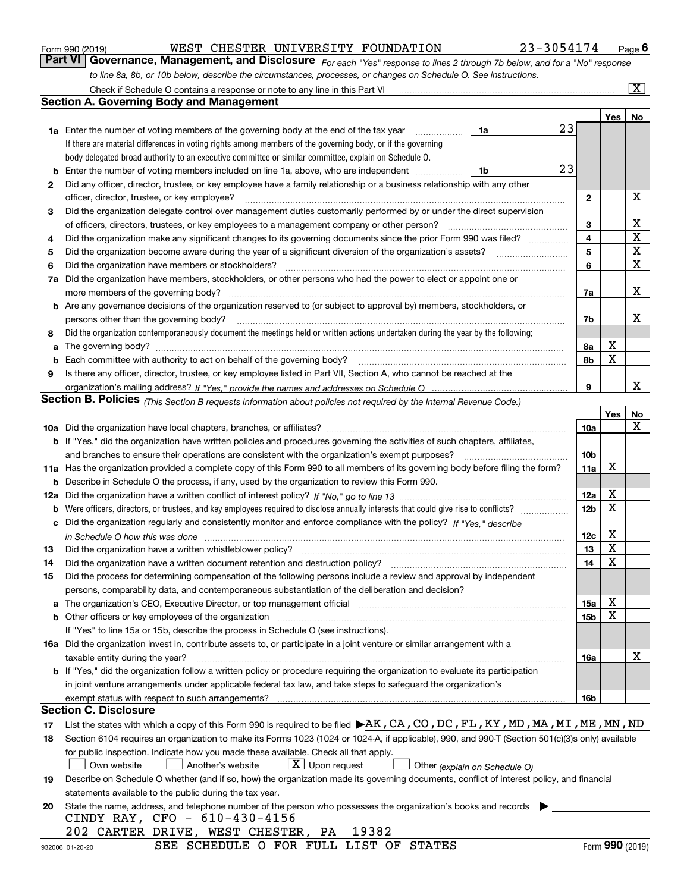|  | Form 990 (2019) |
|--|-----------------|
|  |                 |

| Form 990 (2019) |  | WEST CHESTER UNIVERSITY FOUNDATION                                                                               | 23-3054174                                                                                                                    | $P_{\text{aqe}}$ 6 |
|-----------------|--|------------------------------------------------------------------------------------------------------------------|-------------------------------------------------------------------------------------------------------------------------------|--------------------|
|                 |  |                                                                                                                  | Part VI   Governance, Management, and Disclosure For each "Yes" response to lines 2 through 7b below, and for a "No" response |                    |
|                 |  | to line 8a, 8b, or 10b below, describe the circumstances, processes, or changes on Schedule O. See instructions. |                                                                                                                               |                    |

|    | Check if Schedule O contains a response or note to any line in this Part VI                                                                                                                                                                                                                                                     |    |    |                 |     | $\lceil \text{X} \rceil$ |  |  |
|----|---------------------------------------------------------------------------------------------------------------------------------------------------------------------------------------------------------------------------------------------------------------------------------------------------------------------------------|----|----|-----------------|-----|--------------------------|--|--|
|    | <b>Section A. Governing Body and Management</b>                                                                                                                                                                                                                                                                                 |    |    |                 |     |                          |  |  |
|    |                                                                                                                                                                                                                                                                                                                                 |    |    |                 | Yes | No                       |  |  |
|    | <b>1a</b> Enter the number of voting members of the governing body at the end of the tax year<br>and a complete the complete state of the state of the state of the state of the state of the state of the state of the state of the state of the state of the state of the state of the state of the state of the state of the | 1a | 23 |                 |     |                          |  |  |
|    | If there are material differences in voting rights among members of the governing body, or if the governing                                                                                                                                                                                                                     |    |    |                 |     |                          |  |  |
|    | body delegated broad authority to an executive committee or similar committee, explain on Schedule O.                                                                                                                                                                                                                           |    |    |                 |     |                          |  |  |
| b  | Enter the number of voting members included on line 1a, above, who are independent                                                                                                                                                                                                                                              | 1b | 23 |                 |     |                          |  |  |
| 2  | Did any officer, director, trustee, or key employee have a family relationship or a business relationship with any other                                                                                                                                                                                                        |    |    |                 |     |                          |  |  |
|    | officer, director, trustee, or key employee?                                                                                                                                                                                                                                                                                    |    |    | $\mathbf{2}$    |     | X                        |  |  |
| З  | Did the organization delegate control over management duties customarily performed by or under the direct supervision                                                                                                                                                                                                           |    |    |                 |     |                          |  |  |
|    | of officers, directors, trustees, or key employees to a management company or other person?                                                                                                                                                                                                                                     |    |    | 3               |     | х                        |  |  |
| 4  | Did the organization make any significant changes to its governing documents since the prior Form 990 was filed?                                                                                                                                                                                                                |    |    | 4               |     | $\mathbf X$              |  |  |
| 5  | Did the organization become aware during the year of a significant diversion of the organization's assets?                                                                                                                                                                                                                      |    |    | 5               |     | X                        |  |  |
| 6  | Did the organization have members or stockholders?                                                                                                                                                                                                                                                                              |    |    | 6               |     | $\mathbf X$              |  |  |
|    | 7a Did the organization have members, stockholders, or other persons who had the power to elect or appoint one or                                                                                                                                                                                                               |    |    |                 |     |                          |  |  |
|    |                                                                                                                                                                                                                                                                                                                                 |    |    | 7a              |     | х                        |  |  |
|    | <b>b</b> Are any governance decisions of the organization reserved to (or subject to approval by) members, stockholders, or                                                                                                                                                                                                     |    |    |                 |     |                          |  |  |
|    | persons other than the governing body?                                                                                                                                                                                                                                                                                          |    |    | 7b              |     | х                        |  |  |
| 8  | Did the organization contemporaneously document the meetings held or written actions undertaken during the year by the following:                                                                                                                                                                                               |    |    |                 |     |                          |  |  |
| a  |                                                                                                                                                                                                                                                                                                                                 |    |    | 8a              | х   |                          |  |  |
| b  | Each committee with authority to act on behalf of the governing body?                                                                                                                                                                                                                                                           |    |    | 8b              | X   |                          |  |  |
| 9  | Is there any officer, director, trustee, or key employee listed in Part VII, Section A, who cannot be reached at the                                                                                                                                                                                                            |    |    |                 |     |                          |  |  |
|    |                                                                                                                                                                                                                                                                                                                                 |    |    | 9               |     | x                        |  |  |
|    | Section B. Policies <i>(This Section B requests information about policies not required by the Internal Revenue Code.)</i>                                                                                                                                                                                                      |    |    |                 |     |                          |  |  |
|    |                                                                                                                                                                                                                                                                                                                                 |    |    |                 | Yes | No                       |  |  |
|    |                                                                                                                                                                                                                                                                                                                                 |    |    | 10a             |     | х                        |  |  |
|    | <b>b</b> If "Yes," did the organization have written policies and procedures governing the activities of such chapters, affiliates,                                                                                                                                                                                             |    |    |                 |     |                          |  |  |
|    | and branches to ensure their operations are consistent with the organization's exempt purposes?                                                                                                                                                                                                                                 |    |    | 10 <sub>b</sub> |     |                          |  |  |
|    | 11a Has the organization provided a complete copy of this Form 990 to all members of its governing body before filing the form?                                                                                                                                                                                                 |    |    |                 |     |                          |  |  |
|    | <b>b</b> Describe in Schedule O the process, if any, used by the organization to review this Form 990.                                                                                                                                                                                                                          |    |    |                 | X   |                          |  |  |
|    |                                                                                                                                                                                                                                                                                                                                 |    |    |                 |     |                          |  |  |
|    |                                                                                                                                                                                                                                                                                                                                 |    |    |                 |     |                          |  |  |
|    | c Did the organization regularly and consistently monitor and enforce compliance with the policy? If "Yes." describe                                                                                                                                                                                                            |    |    |                 |     |                          |  |  |
|    | in Schedule O how this was done measured and the control of the control of the state of the control of the control of the control of the control of the control of the control of the control of the control of the control of                                                                                                  |    |    | 12c             | X   |                          |  |  |
| 13 | Did the organization have a written whistleblower policy?                                                                                                                                                                                                                                                                       |    |    | 13              | X   |                          |  |  |
| 14 | Did the organization have a written document retention and destruction policy?                                                                                                                                                                                                                                                  |    |    | 14              | X   |                          |  |  |
| 15 | Did the process for determining compensation of the following persons include a review and approval by independent                                                                                                                                                                                                              |    |    |                 |     |                          |  |  |
|    | persons, comparability data, and contemporaneous substantiation of the deliberation and decision?                                                                                                                                                                                                                               |    |    |                 |     |                          |  |  |
|    | a The organization's CEO, Executive Director, or top management official manufactured content of the organization's CEO, Executive Director, or top management official                                                                                                                                                         |    |    | 15a             | Χ   |                          |  |  |
|    | <b>b</b> Other officers or key employees of the organization                                                                                                                                                                                                                                                                    |    |    | 15 <sub>b</sub> | X   |                          |  |  |
|    | If "Yes" to line 15a or 15b, describe the process in Schedule O (see instructions).                                                                                                                                                                                                                                             |    |    |                 |     |                          |  |  |
|    | 16a Did the organization invest in, contribute assets to, or participate in a joint venture or similar arrangement with a                                                                                                                                                                                                       |    |    |                 |     |                          |  |  |
|    | taxable entity during the year?                                                                                                                                                                                                                                                                                                 |    |    | 16a             |     | X                        |  |  |
|    | b If "Yes," did the organization follow a written policy or procedure requiring the organization to evaluate its participation                                                                                                                                                                                                  |    |    |                 |     |                          |  |  |
|    | in joint venture arrangements under applicable federal tax law, and take steps to safeguard the organization's                                                                                                                                                                                                                  |    |    |                 |     |                          |  |  |
|    | exempt status with respect to such arrangements?                                                                                                                                                                                                                                                                                |    |    | 16b             |     |                          |  |  |
|    | <b>Section C. Disclosure</b>                                                                                                                                                                                                                                                                                                    |    |    |                 |     |                          |  |  |
| 17 | List the states with which a copy of this Form 990 is required to be filed ▶AK, CA, CO, DC, FL, KY, MD, MA, MI, ME, MN, ND                                                                                                                                                                                                      |    |    |                 |     |                          |  |  |
| 18 | Section 6104 requires an organization to make its Forms 1023 (1024 or 1024-A, if applicable), 990, and 990-T (Section 501(c)(3)s only) available                                                                                                                                                                                |    |    |                 |     |                          |  |  |
|    | for public inspection. Indicate how you made these available. Check all that apply.<br>$X$ Upon request                                                                                                                                                                                                                         |    |    |                 |     |                          |  |  |
|    | Own website<br>Another's website<br>Other (explain on Schedule O)                                                                                                                                                                                                                                                               |    |    |                 |     |                          |  |  |
| 19 | Describe on Schedule O whether (and if so, how) the organization made its governing documents, conflict of interest policy, and financial<br>statements available to the public during the tax year.                                                                                                                            |    |    |                 |     |                          |  |  |
| 20 | State the name, address, and telephone number of the person who possesses the organization's books and records                                                                                                                                                                                                                  |    |    |                 |     |                          |  |  |
|    | CINDY RAY, CFO - 610-430-4156                                                                                                                                                                                                                                                                                                   |    |    |                 |     |                          |  |  |
|    | 19382<br>202 CARTER DRIVE, WEST CHESTER, PA                                                                                                                                                                                                                                                                                     |    |    |                 |     |                          |  |  |
|    | SEE SCHEDULE O FOR FULL LIST OF STATES<br>932006 01-20-20                                                                                                                                                                                                                                                                       |    |    |                 |     | Form 990 (2019)          |  |  |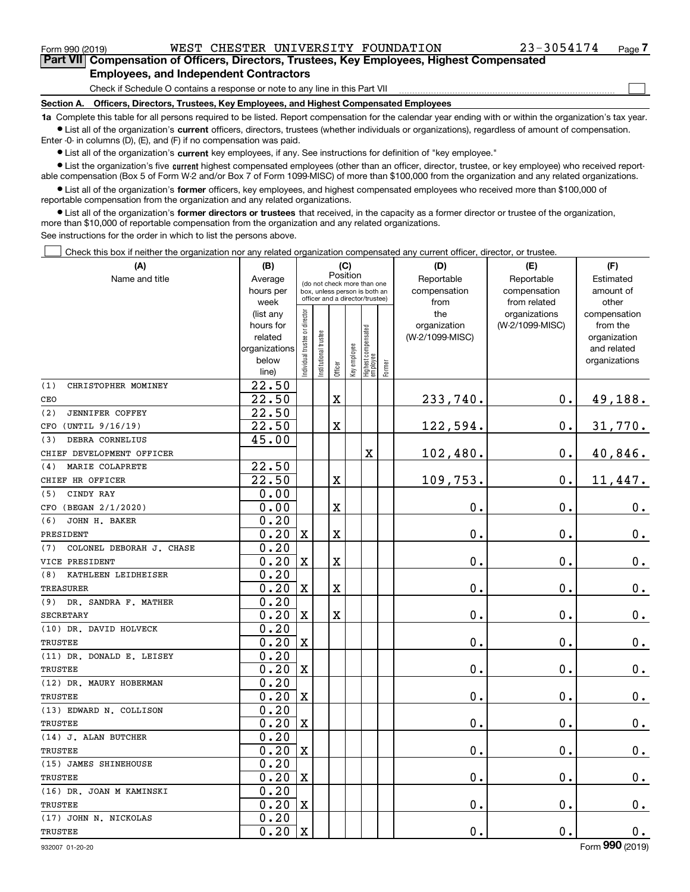$_{\rm Form}$  990 (2019) WEST CHESTER UNIVERSITY FOUNDATION 23-3054174  $_{\rm Page}$ 

 $\mathcal{L}^{\text{max}}$ 

**7Part VII Compensation of Officers, Directors, Trustees, Key Employees, Highest Compensated Employees, and Independent Contractors**

Check if Schedule O contains a response or note to any line in this Part VII

**Section A. Officers, Directors, Trustees, Key Employees, and Highest Compensated Employees**

**1a**  Complete this table for all persons required to be listed. Report compensation for the calendar year ending with or within the organization's tax year. **•** List all of the organization's current officers, directors, trustees (whether individuals or organizations), regardless of amount of compensation.

Enter -0- in columns (D), (E), and (F) if no compensation was paid.

 $\bullet$  List all of the organization's  $\,$ current key employees, if any. See instructions for definition of "key employee."

**•** List the organization's five current highest compensated employees (other than an officer, director, trustee, or key employee) who received reportable compensation (Box 5 of Form W-2 and/or Box 7 of Form 1099-MISC) of more than \$100,000 from the organization and any related organizations.

**•** List all of the organization's former officers, key employees, and highest compensated employees who received more than \$100,000 of reportable compensation from the organization and any related organizations.

**former directors or trustees**  ¥ List all of the organization's that received, in the capacity as a former director or trustee of the organization, more than \$10,000 of reportable compensation from the organization and any related organizations.

See instructions for the order in which to list the persons above.

Check this box if neither the organization nor any related organization compensated any current officer, director, or trustee.  $\mathcal{L}^{\text{max}}$ 

| (A)                             | (B)                    |                                         |                                                                  | (C)                     |              |                                  |        | (D)                 | (E)                              | (F)                      |
|---------------------------------|------------------------|-----------------------------------------|------------------------------------------------------------------|-------------------------|--------------|----------------------------------|--------|---------------------|----------------------------------|--------------------------|
| Name and title                  | Average                | Position<br>(do not check more than one |                                                                  |                         |              |                                  |        | Reportable          | Reportable                       | Estimated                |
|                                 | hours per              |                                         | box, unless person is both an<br>officer and a director/trustee) |                         |              |                                  |        | compensation        | compensation                     | amount of                |
|                                 | week                   |                                         |                                                                  |                         |              |                                  |        | from                | from related                     | other                    |
|                                 | (list any<br>hours for | ndividual trustee or director           |                                                                  |                         |              |                                  |        | the<br>organization | organizations<br>(W-2/1099-MISC) | compensation<br>from the |
|                                 | related                |                                         |                                                                  |                         |              |                                  |        | (W-2/1099-MISC)     |                                  | organization             |
|                                 | organizations          |                                         |                                                                  |                         |              |                                  |        |                     |                                  | and related              |
|                                 | below                  |                                         | nstitutional trustee                                             |                         |              |                                  |        |                     |                                  | organizations            |
|                                 | line)                  |                                         |                                                                  | Officer                 | Key employee | Highest compensated<br> employee | Former |                     |                                  |                          |
| (1)<br>CHRISTOPHER MOMINEY      | $\overline{22.50}$     |                                         |                                                                  |                         |              |                                  |        |                     |                                  |                          |
| CEO                             | 22.50                  |                                         |                                                                  | $\mathbf X$             |              |                                  |        | 233,740.            | 0.                               | 49,188.                  |
| (2)<br><b>JENNIFER COFFEY</b>   | 22.50                  |                                         |                                                                  |                         |              |                                  |        |                     |                                  |                          |
| (UNTIL 9/16/19)<br>CFO          | 22.50                  |                                         |                                                                  | X                       |              |                                  |        | 122,594.            | $\mathbf 0$ .                    | 31,770.                  |
| DEBRA CORNELIUS<br>(3)          | 45.00                  |                                         |                                                                  |                         |              |                                  |        |                     |                                  |                          |
| CHIEF DEVELOPMENT OFFICER       |                        |                                         |                                                                  |                         |              | X                                |        | 102,480.            | 0.                               | 40,846.                  |
| MARIE COLAPRETE<br>(4)          | 22.50                  |                                         |                                                                  |                         |              |                                  |        |                     |                                  |                          |
| CHIEF HR OFFICER                | 22.50                  |                                         |                                                                  | X                       |              |                                  |        | 109,753.            | $\mathbf 0$ .                    | 11,447.                  |
| CINDY RAY<br>(5)                | 0.00                   |                                         |                                                                  |                         |              |                                  |        |                     |                                  |                          |
| CFO (BEGAN 2/1/2020)            | 0.00                   |                                         |                                                                  | X                       |              |                                  |        | $\mathbf 0$ .       | $\mathbf 0$ .                    | 0.                       |
| (6)<br>JOHN H. BAKER            | 0.20                   |                                         |                                                                  |                         |              |                                  |        |                     |                                  |                          |
| PRESIDENT                       | 0.20                   | $\mathbf x$                             |                                                                  | X                       |              |                                  |        | $\mathbf 0$ .       | 0.                               | $\mathbf 0$ .            |
| COLONEL DEBORAH J. CHASE<br>(7) | 0.20                   |                                         |                                                                  |                         |              |                                  |        |                     |                                  |                          |
| VICE PRESIDENT                  | 0.20                   | $\mathbf X$                             |                                                                  | X                       |              |                                  |        | $\mathbf 0$ .       | $\mathbf 0$ .                    | $\mathbf 0$ .            |
| KATHLEEN LEIDHEISER<br>(8)      | 0.20                   |                                         |                                                                  |                         |              |                                  |        |                     |                                  |                          |
| <b>TREASURER</b>                | 0.20                   | $\mathbf X$                             |                                                                  | $\overline{\textbf{X}}$ |              |                                  |        | 0.                  | 0.                               | 0.                       |
| (9) DR. SANDRA F. MATHER        | 0.20                   |                                         |                                                                  |                         |              |                                  |        |                     |                                  |                          |
| <b>SECRETARY</b>                | 0.20                   | $\mathbf X$                             |                                                                  | X                       |              |                                  |        | 0.                  | $\mathbf 0$ .                    | $\mathbf 0$ .            |
| (10) DR. DAVID HOLVECK          | 0.20                   |                                         |                                                                  |                         |              |                                  |        |                     |                                  |                          |
| TRUSTEE                         | 0.20                   | $\mathbf X$                             |                                                                  |                         |              |                                  |        | 0.                  | 0.                               | $\mathbf 0$ .            |
| (11) DR. DONALD E. LEISEY       | 0.20                   |                                         |                                                                  |                         |              |                                  |        |                     |                                  |                          |
| <b>TRUSTEE</b>                  | 0.20                   | $\mathbf X$                             |                                                                  |                         |              |                                  |        | $\mathbf 0$ .       | $\mathbf 0$ .                    | $\mathbf 0$ .            |
| (12) DR. MAURY HOBERMAN         | 0.20                   |                                         |                                                                  |                         |              |                                  |        |                     |                                  |                          |
| TRUSTEE                         | 0.20                   | $\mathbf x$                             |                                                                  |                         |              |                                  |        | 0.                  | $\mathbf 0$ .                    | $0_{.}$                  |
| (13) EDWARD N. COLLISON         | 0.20                   |                                         |                                                                  |                         |              |                                  |        |                     |                                  |                          |
| <b>TRUSTEE</b>                  | 0.20                   | $\mathbf X$                             |                                                                  |                         |              |                                  |        | 0.                  | $\mathbf 0$ .                    | $\mathbf 0$ .            |
| (14) J. ALAN BUTCHER            | 0.20                   |                                         |                                                                  |                         |              |                                  |        |                     |                                  |                          |
| TRUSTEE                         | 0.20                   | $\mathbf x$                             |                                                                  |                         |              |                                  |        | 0.                  | $\mathbf 0$ .                    | $\mathbf 0$ .            |
| (15) JAMES SHINEHOUSE           | 0.20                   |                                         |                                                                  |                         |              |                                  |        |                     |                                  |                          |
| TRUSTEE                         | 0.20                   | $\mathbf X$                             |                                                                  |                         |              |                                  |        | 0.                  | $\mathbf 0$ .                    | 0.                       |
| (16) DR. JOAN M KAMINSKI        | 0.20                   |                                         |                                                                  |                         |              |                                  |        |                     |                                  |                          |
| TRUSTEE                         | 0.20                   | $\mathbf x$                             |                                                                  |                         |              |                                  |        | 0.                  | $\mathbf 0$ .                    | $\mathbf 0$ .            |
| (17) JOHN N. NICKOLAS           | 0.20                   |                                         |                                                                  |                         |              |                                  |        |                     |                                  |                          |
| TRUSTEE                         | 0.20                   | $\rm X$                                 |                                                                  |                         |              |                                  |        | 0.                  | 0.                               | 0.                       |

932007 01-20-20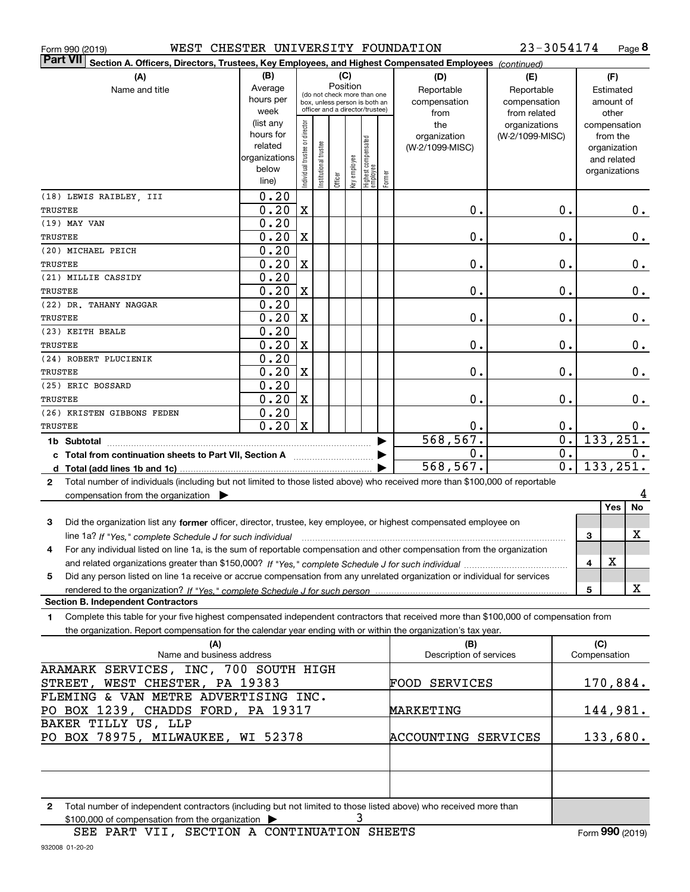| Form 990 (2019) |  |  |
|-----------------|--|--|
|                 |  |  |

Form 990 (2019) WEST CHESTER UNIVERSITY FOUNDATION 23-3054174 Page

**8** 23-3054174

| <b>Part VII</b><br>Section A. Officers, Directors, Trustees, Key Employees, and Highest Compensated Employees (continued)                                                              |                        |                                |                                 |          |              |                                   |        |                            |                                  |                                      |              |                          |               |
|----------------------------------------------------------------------------------------------------------------------------------------------------------------------------------------|------------------------|--------------------------------|---------------------------------|----------|--------------|-----------------------------------|--------|----------------------------|----------------------------------|--------------------------------------|--------------|--------------------------|---------------|
| (A)                                                                                                                                                                                    | (B)                    |                                |                                 | (C)      |              |                                   |        | (D)                        | (E)                              |                                      |              | (F)                      |               |
| Name and title                                                                                                                                                                         | Average                |                                | (do not check more than one     | Position |              |                                   |        | Reportable                 | Reportable                       |                                      |              | Estimated                |               |
|                                                                                                                                                                                        | hours per              |                                | box, unless person is both an   |          |              |                                   |        | compensation               | compensation                     |                                      |              | amount of                |               |
|                                                                                                                                                                                        | week                   |                                | officer and a director/trustee) |          |              |                                   |        | from                       | from related                     |                                      |              | other                    |               |
|                                                                                                                                                                                        | (list any<br>hours for | Individual trustee or director |                                 |          |              |                                   |        | the<br>organization        | organizations<br>(W-2/1099-MISC) |                                      |              | compensation<br>from the |               |
|                                                                                                                                                                                        | related                |                                |                                 |          |              |                                   |        | (W-2/1099-MISC)            |                                  |                                      |              | organization             |               |
|                                                                                                                                                                                        | organizations          |                                | nstitutional trustee            |          |              |                                   |        |                            |                                  |                                      |              | and related              |               |
|                                                                                                                                                                                        | below                  |                                |                                 |          | Key employee |                                   |        |                            |                                  |                                      |              | organizations            |               |
|                                                                                                                                                                                        | line)                  |                                |                                 | Officer  |              | Highest compensated<br>  employee | Former |                            |                                  |                                      |              |                          |               |
| (18) LEWIS RAIBLEY, III                                                                                                                                                                | 0.20                   |                                |                                 |          |              |                                   |        |                            |                                  |                                      |              |                          |               |
| TRUSTEE                                                                                                                                                                                | 0.20                   | $\mathbf X$                    |                                 |          |              |                                   |        | 0.                         |                                  | 0.                                   |              |                          | 0.            |
| (19) MAY VAN                                                                                                                                                                           | 0.20                   |                                |                                 |          |              |                                   |        |                            |                                  |                                      |              |                          |               |
| TRUSTEE                                                                                                                                                                                | 0.20                   | $\mathbf X$                    |                                 |          |              |                                   |        | 0.                         |                                  | $\mathbf 0$ .                        |              |                          | $0_{.}$       |
| (20) MICHAEL PEICH                                                                                                                                                                     | 0.20                   |                                |                                 |          |              |                                   |        |                            |                                  |                                      |              |                          |               |
| TRUSTEE                                                                                                                                                                                | 0.20                   | $\mathbf X$                    |                                 |          |              |                                   |        | 0.                         |                                  | 0.                                   |              |                          | $0_{.}$       |
| (21) MILLIE CASSIDY                                                                                                                                                                    | 0.20                   |                                |                                 |          |              |                                   |        |                            |                                  |                                      |              |                          |               |
| TRUSTEE                                                                                                                                                                                | 0.20                   | $\mathbf X$                    |                                 |          |              |                                   |        | 0.                         |                                  | 0.                                   |              |                          | $0_{.}$       |
| (22) DR. TAHANY NAGGAR                                                                                                                                                                 | 0.20                   |                                |                                 |          |              |                                   |        |                            |                                  |                                      |              |                          |               |
| TRUSTEE                                                                                                                                                                                | 0.20                   | $\mathbf X$                    |                                 |          |              |                                   |        | 0.                         |                                  | 0.                                   |              |                          | $0_{.}$       |
| (23) KEITH BEALE                                                                                                                                                                       | 0.20                   |                                |                                 |          |              |                                   |        |                            |                                  |                                      |              |                          |               |
| TRUSTEE                                                                                                                                                                                | 0.20                   | $\mathbf X$                    |                                 |          |              |                                   |        | 0.                         |                                  | 0.                                   |              |                          | $\mathbf 0$ . |
| (24) ROBERT PLUCIENIK                                                                                                                                                                  | 0.20                   |                                |                                 |          |              |                                   |        |                            |                                  |                                      |              |                          |               |
| TRUSTEE                                                                                                                                                                                | 0.20                   | $\mathbf X$                    |                                 |          |              |                                   |        | 0.                         |                                  | 0.                                   |              |                          | 0.            |
| (25) ERIC BOSSARD                                                                                                                                                                      | 0.20                   |                                |                                 |          |              |                                   |        |                            |                                  |                                      |              |                          |               |
| TRUSTEE                                                                                                                                                                                | 0.20                   | $\mathbf X$                    |                                 |          |              |                                   |        | 0.                         |                                  | $\mathbf 0$ .                        |              |                          | $0$ .         |
| (26) KRISTEN GIBBONS FEDEN                                                                                                                                                             | 0.20                   |                                |                                 |          |              |                                   |        |                            |                                  |                                      |              |                          |               |
| TRUSTEE                                                                                                                                                                                | 0.20                   | $\mathbf x$                    |                                 |          |              |                                   |        | 0.                         |                                  | $\mathbf 0$ .                        |              |                          | 0.            |
| 1b Subtotal                                                                                                                                                                            |                        |                                |                                 |          |              |                                   |        | 568, 567.<br>$\mathbf 0$ . |                                  | $\overline{0}$ .<br>$\overline{0}$ . |              | 133, 251.                |               |
| c Total from continuation sheets to Part VII, Section A                                                                                                                                |                        |                                |                                 |          |              |                                   |        | 568,567.                   |                                  | $\overline{0}$ .                     |              | 133,251.                 | 0.            |
| d                                                                                                                                                                                      |                        |                                |                                 |          |              |                                   |        |                            |                                  |                                      |              |                          |               |
| Total number of individuals (including but not limited to those listed above) who received more than \$100,000 of reportable<br>$\mathbf{2}$                                           |                        |                                |                                 |          |              |                                   |        |                            |                                  |                                      |              |                          | 4             |
| compensation from the organization >                                                                                                                                                   |                        |                                |                                 |          |              |                                   |        |                            |                                  |                                      |              | Yes                      | <b>No</b>     |
|                                                                                                                                                                                        |                        |                                |                                 |          |              |                                   |        |                            |                                  |                                      |              |                          |               |
| Did the organization list any former officer, director, trustee, key employee, or highest compensated employee on<br>3                                                                 |                        |                                |                                 |          |              |                                   |        |                            |                                  |                                      |              |                          | х             |
| line 1a? If "Yes," complete Schedule J for such individual<br>For any individual listed on line 1a, is the sum of reportable compensation and other compensation from the organization |                        |                                |                                 |          |              |                                   |        |                            |                                  |                                      | 3            |                          |               |
| 4                                                                                                                                                                                      |                        |                                |                                 |          |              |                                   |        |                            |                                  |                                      | 4            | X                        |               |
| Did any person listed on line 1a receive or accrue compensation from any unrelated organization or individual for services<br>5                                                        |                        |                                |                                 |          |              |                                   |        |                            |                                  |                                      |              |                          |               |
|                                                                                                                                                                                        |                        |                                |                                 |          |              |                                   |        |                            |                                  |                                      | 5            |                          | х             |
| <b>Section B. Independent Contractors</b>                                                                                                                                              |                        |                                |                                 |          |              |                                   |        |                            |                                  |                                      |              |                          |               |
| Complete this table for your five highest compensated independent contractors that received more than \$100,000 of compensation from<br>1                                              |                        |                                |                                 |          |              |                                   |        |                            |                                  |                                      |              |                          |               |
| the organization. Report compensation for the calendar year ending with or within the organization's tax year.                                                                         |                        |                                |                                 |          |              |                                   |        |                            |                                  |                                      |              |                          |               |
| (A)                                                                                                                                                                                    |                        |                                |                                 |          |              |                                   |        | (B)                        |                                  |                                      | (C)          |                          |               |
| Name and business address                                                                                                                                                              |                        |                                |                                 |          |              |                                   |        | Description of services    |                                  |                                      | Compensation |                          |               |
| ARAMARK SERVICES, INC, 700 SOUTH HIGH                                                                                                                                                  |                        |                                |                                 |          |              |                                   |        |                            |                                  |                                      |              |                          |               |
| STREET, WEST CHESTER, PA 19383                                                                                                                                                         |                        |                                |                                 |          |              |                                   |        | FOOD SERVICES              |                                  |                                      |              | 170,884.                 |               |
| FLEMING & VAN METRE ADVERTISING INC.                                                                                                                                                   |                        |                                |                                 |          |              |                                   |        |                            |                                  |                                      |              |                          |               |
| PO BOX 1239, CHADDS FORD, PA 19317                                                                                                                                                     |                        |                                |                                 |          |              |                                   |        | <b>MARKETING</b>           |                                  |                                      |              | 144,981.                 |               |
| BAKER TILLY US, LLP                                                                                                                                                                    |                        |                                |                                 |          |              |                                   |        |                            |                                  |                                      |              |                          |               |
| PO BOX 78975, MILWAUKEE, WI 52378                                                                                                                                                      |                        |                                |                                 |          |              |                                   |        | ACCOUNTING SERVICES        |                                  |                                      |              | 133,680.                 |               |
|                                                                                                                                                                                        |                        |                                |                                 |          |              |                                   |        |                            |                                  |                                      |              |                          |               |
|                                                                                                                                                                                        |                        |                                |                                 |          |              |                                   |        |                            |                                  |                                      |              |                          |               |
|                                                                                                                                                                                        |                        |                                |                                 |          |              |                                   |        |                            |                                  |                                      |              |                          |               |

**2**Total number of independent contractors (including but not limited to those listed above) who received more than \$100,000 of compensation from the organization 3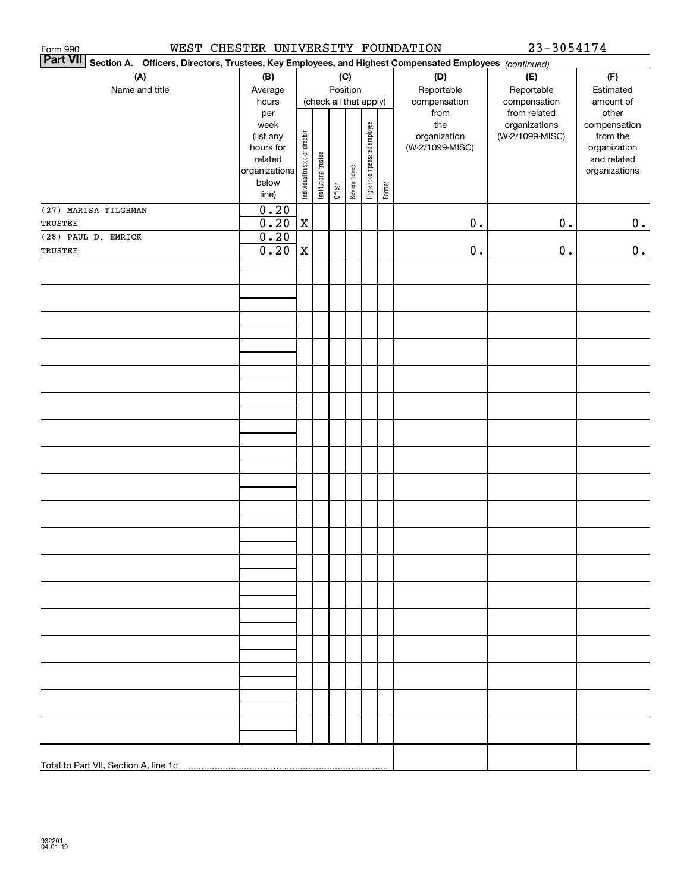| WEST<br>Form 990                                                                                                          | CHESTER UNIVERSITY FOUNDATION |                                |                       |         |              |                              |        |                     | 23-3054174                       |                          |
|---------------------------------------------------------------------------------------------------------------------------|-------------------------------|--------------------------------|-----------------------|---------|--------------|------------------------------|--------|---------------------|----------------------------------|--------------------------|
| <b>Part VII</b><br>Section A. Officers, Directors, Trustees, Key Employees, and Highest Compensated Employees (continued) |                               |                                |                       |         |              |                              |        |                     |                                  |                          |
| (A)                                                                                                                       | (B)                           |                                |                       |         | (C)          |                              |        | (D)                 | (E)                              | (F)                      |
| Name and title                                                                                                            | Average                       |                                |                       |         | Position     |                              |        | Reportable          | Reportable                       | Estimated                |
|                                                                                                                           | hours                         |                                |                       |         |              | (check all that apply)       |        | compensation        | compensation                     | amount of                |
|                                                                                                                           | per                           |                                |                       |         |              |                              |        | from                | from related                     | other                    |
|                                                                                                                           | week<br>(list any             |                                |                       |         |              |                              |        | the<br>organization | organizations<br>(W-2/1099-MISC) | compensation<br>from the |
|                                                                                                                           | hours for                     |                                |                       |         |              |                              |        | (W-2/1099-MISC)     |                                  | organization             |
|                                                                                                                           | related                       |                                |                       |         |              |                              |        |                     |                                  | and related              |
|                                                                                                                           | organizations                 |                                |                       |         |              |                              |        |                     |                                  | organizations            |
|                                                                                                                           | below                         | Individual trustee or director | Institutional trustee | Officer | Key employee | Highest compensated employee | Former |                     |                                  |                          |
|                                                                                                                           | line)                         |                                |                       |         |              |                              |        |                     |                                  |                          |
| (27) MARISA TILGHMAN                                                                                                      | 0.20                          |                                |                       |         |              |                              |        |                     |                                  |                          |
| TRUSTEE                                                                                                                   | 0.20                          | $\mathbf X$                    |                       |         |              |                              |        | $\mathbf 0$ .       | $0$ .                            | 0.                       |
| (28) PAUL D. EMRICK                                                                                                       | 0.20                          |                                |                       |         |              |                              |        |                     |                                  |                          |
| TRUSTEE                                                                                                                   | 0.20                          | $\mathbf X$                    |                       |         |              |                              |        | $\mathbf 0$ .       | $\mathbf 0$ .                    | 0.                       |
|                                                                                                                           |                               |                                |                       |         |              |                              |        |                     |                                  |                          |
|                                                                                                                           |                               |                                |                       |         |              |                              |        |                     |                                  |                          |
|                                                                                                                           |                               |                                |                       |         |              |                              |        |                     |                                  |                          |
|                                                                                                                           |                               |                                |                       |         |              |                              |        |                     |                                  |                          |
|                                                                                                                           |                               |                                |                       |         |              |                              |        |                     |                                  |                          |
|                                                                                                                           |                               |                                |                       |         |              |                              |        |                     |                                  |                          |
|                                                                                                                           |                               |                                |                       |         |              |                              |        |                     |                                  |                          |
|                                                                                                                           |                               |                                |                       |         |              |                              |        |                     |                                  |                          |
|                                                                                                                           |                               |                                |                       |         |              |                              |        |                     |                                  |                          |
|                                                                                                                           |                               |                                |                       |         |              |                              |        |                     |                                  |                          |
|                                                                                                                           |                               |                                |                       |         |              |                              |        |                     |                                  |                          |
|                                                                                                                           |                               |                                |                       |         |              |                              |        |                     |                                  |                          |
|                                                                                                                           |                               |                                |                       |         |              |                              |        |                     |                                  |                          |
|                                                                                                                           |                               |                                |                       |         |              |                              |        |                     |                                  |                          |
|                                                                                                                           |                               |                                |                       |         |              |                              |        |                     |                                  |                          |
|                                                                                                                           |                               |                                |                       |         |              |                              |        |                     |                                  |                          |
|                                                                                                                           |                               |                                |                       |         |              |                              |        |                     |                                  |                          |
|                                                                                                                           |                               |                                |                       |         |              |                              |        |                     |                                  |                          |
|                                                                                                                           |                               |                                |                       |         |              |                              |        |                     |                                  |                          |
|                                                                                                                           |                               |                                |                       |         |              |                              |        |                     |                                  |                          |
|                                                                                                                           |                               |                                |                       |         |              |                              |        |                     |                                  |                          |
|                                                                                                                           |                               |                                |                       |         |              |                              |        |                     |                                  |                          |
|                                                                                                                           |                               |                                |                       |         |              |                              |        |                     |                                  |                          |
|                                                                                                                           |                               |                                |                       |         |              |                              |        |                     |                                  |                          |
|                                                                                                                           |                               |                                |                       |         |              |                              |        |                     |                                  |                          |
|                                                                                                                           |                               |                                |                       |         |              |                              |        |                     |                                  |                          |
|                                                                                                                           |                               |                                |                       |         |              |                              |        |                     |                                  |                          |
|                                                                                                                           |                               |                                |                       |         |              |                              |        |                     |                                  |                          |
|                                                                                                                           |                               |                                |                       |         |              |                              |        |                     |                                  |                          |
|                                                                                                                           |                               |                                |                       |         |              |                              |        |                     |                                  |                          |
|                                                                                                                           |                               |                                |                       |         |              |                              |        |                     |                                  |                          |
|                                                                                                                           |                               |                                |                       |         |              |                              |        |                     |                                  |                          |
|                                                                                                                           |                               |                                |                       |         |              |                              |        |                     |                                  |                          |
|                                                                                                                           |                               |                                |                       |         |              |                              |        |                     |                                  |                          |
|                                                                                                                           |                               |                                |                       |         |              |                              |        |                     |                                  |                          |
|                                                                                                                           |                               |                                |                       |         |              |                              |        |                     |                                  |                          |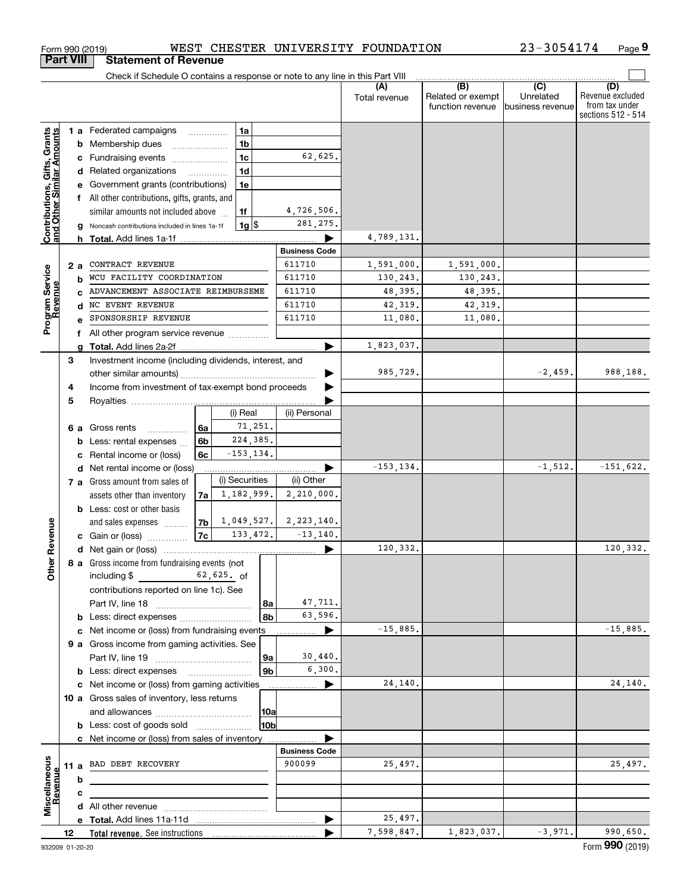|                                                           |                  | Check if Schedule O contains a response or note to any line in this Part VIII |                |                |                      |                           |                      |                                              |                                      |                                                                 |
|-----------------------------------------------------------|------------------|-------------------------------------------------------------------------------|----------------|----------------|----------------------|---------------------------|----------------------|----------------------------------------------|--------------------------------------|-----------------------------------------------------------------|
|                                                           |                  |                                                                               |                |                |                      |                           | (A)<br>Total revenue | (B)<br>Related or exempt<br>function revenue | (C)<br>Unrelated<br>business revenue | (D)<br>Revenue excluded<br>from tax under<br>sections 512 - 514 |
|                                                           |                  | 1 a Federated campaigns                                                       | .              | 1a             |                      |                           |                      |                                              |                                      |                                                                 |
|                                                           |                  | <b>b</b> Membership dues                                                      |                | 1b             |                      |                           |                      |                                              |                                      |                                                                 |
|                                                           |                  | c Fundraising events                                                          |                | 1 <sub>c</sub> |                      | 62,625.                   |                      |                                              |                                      |                                                                 |
| Contributions, Gifts, Grants<br>and Other Similar Amounts |                  | d Related organizations                                                       |                | 1d             |                      |                           |                      |                                              |                                      |                                                                 |
|                                                           |                  | e Government grants (contributions)                                           |                | 1e             |                      |                           |                      |                                              |                                      |                                                                 |
|                                                           |                  | f All other contributions, gifts, grants, and                                 |                |                |                      |                           |                      |                                              |                                      |                                                                 |
|                                                           |                  | similar amounts not included above                                            |                | 1f             |                      | 4,726,506.                |                      |                                              |                                      |                                                                 |
|                                                           |                  | Noncash contributions included in lines 1a-1f                                 |                | $1g$ \$        |                      | 281, 275.                 |                      |                                              |                                      |                                                                 |
|                                                           |                  |                                                                               |                |                |                      |                           | 4,789,131.           |                                              |                                      |                                                                 |
|                                                           |                  |                                                                               |                |                |                      | <b>Business Code</b>      |                      |                                              |                                      |                                                                 |
|                                                           | 2 a              | CONTRACT REVENUE                                                              |                |                |                      | 611710                    | 1,591,000.           | 1,591,000.                                   |                                      |                                                                 |
| Program Service<br>Revenue                                | b                | WCU FACILITY COORDINATION                                                     |                |                |                      | 611710                    | 130,243.             | 130,243.                                     |                                      |                                                                 |
|                                                           |                  | ADVANCEMENT ASSOCIATE REIMBURSEME                                             |                |                |                      | 611710                    | 48,395.              | 48,395.                                      |                                      |                                                                 |
|                                                           |                  | d NC EVENT REVENUE                                                            |                |                |                      | 611710                    | 42,319.              | 42,319.                                      |                                      |                                                                 |
|                                                           |                  | SPONSORSHIP REVENUE                                                           |                |                |                      | 611710                    | 11,080.              | 11,080.                                      |                                      |                                                                 |
|                                                           |                  | f All other program service revenue                                           |                |                |                      |                           |                      |                                              |                                      |                                                                 |
|                                                           | a                |                                                                               |                |                |                      |                           | 1,823,037.           |                                              |                                      |                                                                 |
|                                                           | 3                | Investment income (including dividends, interest, and                         |                |                |                      |                           |                      |                                              |                                      |                                                                 |
|                                                           |                  |                                                                               |                |                |                      |                           | 985,729.             |                                              | $-2,459.$                            | 988,188.                                                        |
|                                                           | 4                | Income from investment of tax-exempt bond proceeds                            |                |                |                      |                           |                      |                                              |                                      |                                                                 |
|                                                           | 5                |                                                                               |                |                |                      |                           |                      |                                              |                                      |                                                                 |
|                                                           |                  |                                                                               |                | (i) Real       |                      | (ii) Personal             |                      |                                              |                                      |                                                                 |
|                                                           |                  | 6 a Gross rents<br>.                                                          | 6а             | 71,251.        |                      |                           |                      |                                              |                                      |                                                                 |
|                                                           | b                | Less: rental expenses                                                         | 6b             | 224,385.       |                      |                           |                      |                                              |                                      |                                                                 |
|                                                           |                  | Rental income or (loss)                                                       | 6c             | $-153, 134.$   |                      |                           |                      |                                              |                                      |                                                                 |
|                                                           |                  | d Net rental income or (loss)                                                 |                |                |                      |                           | $-153, 134.$         |                                              | $-1,512.$                            | $-151,622.$                                                     |
|                                                           |                  | 7 a Gross amount from sales of                                                |                | (i) Securities |                      | (ii) Other                |                      |                                              |                                      |                                                                 |
|                                                           |                  | assets other than inventory                                                   | 7a             | 1,182,999.     |                      | 2,210,000.                |                      |                                              |                                      |                                                                 |
|                                                           |                  | <b>b</b> Less: cost or other basis                                            |                |                |                      |                           |                      |                                              |                                      |                                                                 |
|                                                           |                  | and sales expenses                                                            | 7 <sub>b</sub> |                |                      | $1,049,527.$ $2,223,140.$ |                      |                                              |                                      |                                                                 |
| Revenue                                                   |                  | <b>c</b> Gain or (loss) $\ldots$                                              | 7c             | 133, 472.      |                      | $-13,140.$                |                      |                                              |                                      |                                                                 |
|                                                           |                  |                                                                               |                |                |                      |                           | 120,332.             |                                              |                                      | 120,332.                                                        |
| <b>Othe</b>                                               |                  | 8 a Gross income from fundraising events (not                                 |                |                |                      |                           |                      |                                              |                                      |                                                                 |
|                                                           |                  | including $$$                                                                 |                | 62,625. of     |                      |                           |                      |                                              |                                      |                                                                 |
|                                                           |                  | contributions reported on line 1c). See                                       |                |                |                      |                           |                      |                                              |                                      |                                                                 |
|                                                           |                  |                                                                               |                |                | 8a                   | 47,711.<br>63,596.        |                      |                                              |                                      |                                                                 |
|                                                           |                  |                                                                               |                |                | 8b                   |                           | $-15,885.$           |                                              |                                      | $-15,885.$                                                      |
|                                                           |                  | c Net income or (loss) from fundraising events                                |                |                |                      | ▶                         |                      |                                              |                                      |                                                                 |
|                                                           |                  | 9 a Gross income from gaming activities. See                                  |                |                |                      | 30,440.                   |                      |                                              |                                      |                                                                 |
|                                                           |                  |                                                                               |                |                | 9a<br>9 <sub>b</sub> | 6,300.                    |                      |                                              |                                      |                                                                 |
|                                                           |                  |                                                                               |                |                |                      |                           | 24,140.              |                                              |                                      | 24,140.                                                         |
|                                                           |                  | c Net income or (loss) from gaming activities                                 |                |                |                      | ▶                         |                      |                                              |                                      |                                                                 |
|                                                           |                  | 10 a Gross sales of inventory, less returns                                   |                |                |                      |                           |                      |                                              |                                      |                                                                 |
|                                                           |                  |                                                                               |                |                | 10a                  |                           |                      |                                              |                                      |                                                                 |
|                                                           |                  | <b>b</b> Less: cost of goods sold                                             |                |                | 10b                  |                           |                      |                                              |                                      |                                                                 |
|                                                           |                  | <b>c</b> Net income or (loss) from sales of inventory                         |                |                |                      | <b>Business Code</b>      |                      |                                              |                                      |                                                                 |
|                                                           |                  | 11 a BAD DEBT RECOVERY                                                        |                |                |                      | 900099                    | 25,497.              |                                              |                                      | 25,497.                                                         |
|                                                           |                  |                                                                               |                |                |                      |                           |                      |                                              |                                      |                                                                 |
|                                                           | b                |                                                                               |                |                |                      |                           |                      |                                              |                                      |                                                                 |
| Miscellaneous<br>Revenue                                  | с                |                                                                               |                |                |                      |                           |                      |                                              |                                      |                                                                 |
|                                                           |                  |                                                                               |                |                |                      |                           | 25,497.              |                                              |                                      |                                                                 |
|                                                           |                  |                                                                               |                |                |                      |                           | 7,598,847.           | 1,823,037.                                   | $-3,971.$                            | 990,650.                                                        |
|                                                           | 12 <sup>12</sup> |                                                                               |                |                |                      |                           |                      |                                              |                                      |                                                                 |

Form 990 (2019) WEST CHESTER UNIVERSITY FOUNDATION 23-3054I74 Page

WEST CHESTER UNIVERSITY FOUNDATION

**9**

23-3054174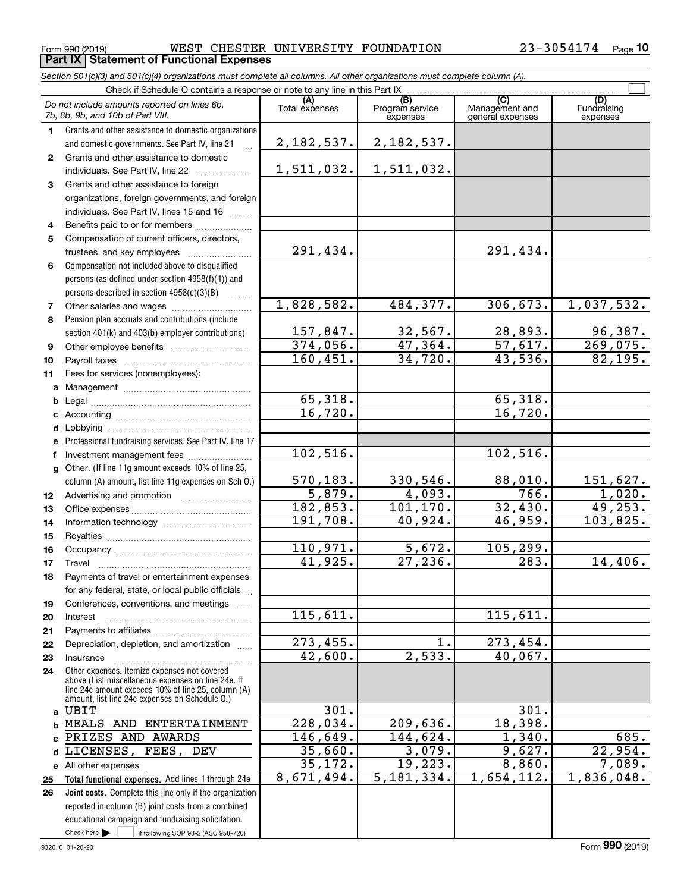Form 990 (2019) WEST CHESTER UNIVERSITY FOUNDATION 23-3054174 Page

330,546. 88,010. 151,627. 4,093. 766. 1,020. 101,170. 32,430. 49,253. 40,924. 46,959. 103,825.

27,236. 283. 14,406.

115,611.

301.

 $144,624.$  1,340. 685.  $3,079.$   $9,627.$   $22,954.$  $19,223.$  8,860. 7,089. 5,181,334. 1,654,112. 1,836,048.

 $1.$  273,454.  $2,533.$  40,067.

209,636. 18,398.

5,672. 105,299.

Fundraising expenses

 $\mathcal{L}^{\text{max}}$ 

#### **(A)**<br>Total expenses **(C)** (C) (C)<br>
penses Program service Management and Fundrai<br>
expenses general expenses expen **123** Grants and other assistance to foreign **4567891011abcdef***Section 501(c)(3) and 501(c)(4) organizations must complete all columns. All other organizations must complete column (A).* Grants and other assistance to domestic organizations and domestic governments. See Part IV, line 21 Compensation not included above to disqualified persons (as defined under section 4958(f)(1)) and persons described in section 4958(c)(3)(B)  $\quad \ldots \ldots \ldots$ Pension plan accruals and contributions (include section 401(k) and 403(b) employer contributions) Professional fundraising services. See Part IV, line 17 Check if Schedule O contains a response or note to any line in this Part IX [CO] [CO] [CO] [CD] [CD] [CD] [CD] Program service expensesGrants and other assistance to domestic individuals. See Part IV, line 22 ~~~~~~~~~~~~~~~~~ organizations, foreign governments, and foreign individuals. See Part IV, lines 15 and 16  $\ldots$ Benefits paid to or for members .................... Compensation of current officers, directors, trustees, and key employees  $\ldots$   $\ldots$   $\ldots$   $\ldots$   $\ldots$ Other salaries and wages ~~~~~~~~~~ Other employee benefits ~~~~~~~~~~ Payroll taxes ~~~~~~~~~~~~~~~~ Fees for services (nonemployees): Management ~~~~~~~~~~~~~~~~ Legal ~~~~~~~~~~~~~~~~~~~~ Accounting ~~~~~~~~~~~~~~~~~ Lobbying ~~~~~~~~~~~~~~~~~~lnvestment management fees ....................... *Do not include amounts reported on lines 6b, 7b, 8b, 9b, and 10b of Part VIII.* **Part IX Statement of Functional Expenses** 2,182,537. 1,511,032. 291,434. 1,828,582. 157,847. 374,056. 160,451. 65,318. 16,720. 102,516. 2,182,537. 1,511,032. 291,434. 484,377. 306,673. 1,037,532.  $32,567.$  28,893. 96,387. 47,364. 57,617. 269,075. 34,720. 43,536. 82,195.  $65,318.$ 16,720. 102,516.

570,183. 5,879. 182,853. 191,708.

110,971. 41,925.

115,611.

273,455. 42,600.

301. 228,034. 146,649. 35,660. 35,172. 8,671,494.

**1213141516**column (A) amount, list line 11g expenses on Sch O.) Advertising and promotion www.communication Office expenses ~~~~~~~~~~~~~~~Information technology ~~~~~~~~~~~ Royalties ~~~~~~~~~~~~~~~~~~ Occupancy ~~~~~~~~~~~~~~~~~

Other. (If line 11g amount exceeds 10% of line 25,

**171819202122**Travel ……………………………………………… Payments of travel or entertainment expenses for any federal, state, or local public officials Conferences, conventions, and meetings Interest ……………………………………………… Payments to affiliates ~~~~~~~~~~~~ Depreciation, depletion, and amortization  $\,\,\ldots\,\,$ 

**2324abc**PRIZES AND AWARDS Other expenses. Itemize expenses not covered above (List miscellaneous expenses on line 24e. If line 24e amount exceeds 10% of line 25, column (A) amount, list line 24e expenses on Schedule O.) InsuranceUBIT MEALS AND ENTERTAINMENT

**Total functional expenses.**  Add lines 1 through 24e **d**LICENSES, FEES, DEV **e** All other expenses **25**

Check here  $\begin{array}{|c|c|c|c|c|}\hline \text{ } & \text{ if following SOP 98-2 (ASC 958-720)} \hline \end{array}$ **Joint costs.** Complete this line only if the organization **26**reported in column (B) joint costs from a combined educational campaign and fundraising solicitation.

**g**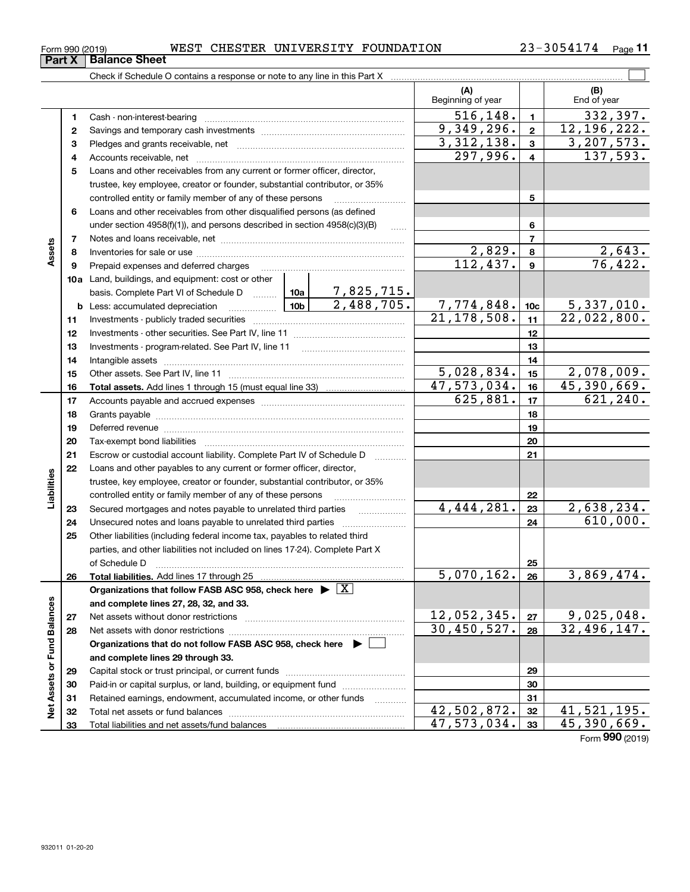| Form 990 (2019) |  | WEST | <b>CHESTER</b> | UNIVERSITY FOUNDATION |  | 3054174<br>ົດ ຊ _<br>ر ہ | Page |
|-----------------|--|------|----------------|-----------------------|--|--------------------------|------|
|-----------------|--|------|----------------|-----------------------|--|--------------------------|------|

|                             |    |                                                                                                                 |                 |                                 | (A)<br>Beginning of year           |                         | (B)<br>End of year |
|-----------------------------|----|-----------------------------------------------------------------------------------------------------------------|-----------------|---------------------------------|------------------------------------|-------------------------|--------------------|
|                             | 1  |                                                                                                                 |                 |                                 | 516, 148.                          | $\mathbf{1}$            | 332,397.           |
|                             | 2  |                                                                                                                 |                 |                                 | 9,349,296.                         | $\overline{\mathbf{2}}$ | 12, 196, 222.      |
|                             | 3  |                                                                                                                 |                 |                                 | 3,312,138.                         | $\mathbf{3}$            | 3, 207, 573.       |
|                             | 4  |                                                                                                                 |                 |                                 | 297,996.                           | $\overline{4}$          | 137,593.           |
|                             | 5  | Loans and other receivables from any current or former officer, director,                                       |                 |                                 |                                    |                         |                    |
|                             |    | trustee, key employee, creator or founder, substantial contributor, or 35%                                      |                 |                                 |                                    |                         |                    |
|                             |    | controlled entity or family member of any of these persons                                                      |                 |                                 |                                    | 5                       |                    |
|                             | 6  | Loans and other receivables from other disqualified persons (as defined                                         |                 |                                 |                                    |                         |                    |
|                             |    | under section $4958(f)(1)$ , and persons described in section $4958(c)(3)(B)$                                   |                 | 6                               |                                    |                         |                    |
|                             | 7  |                                                                                                                 |                 |                                 | $\overline{7}$                     |                         |                    |
| Assets                      | 8  |                                                                                                                 |                 | 2,829.                          | 8                                  | 2,643.                  |                    |
|                             | 9  | Prepaid expenses and deferred charges                                                                           |                 |                                 | $\overline{112}, \overline{437}$ . | $\boldsymbol{9}$        | 76,422.            |
|                             |    | <b>10a</b> Land, buildings, and equipment: cost or other                                                        |                 |                                 |                                    |                         |                    |
|                             |    | basis. Complete Part VI of Schedule D  10a                                                                      |                 | $\frac{7,825,715.}{2,488,705.}$ |                                    |                         |                    |
|                             |    | <b>b</b> Less: accumulated depreciation                                                                         | 10 <sub>b</sub> |                                 | 7,774,848.                         | 10 <sub>c</sub>         | 5,337,010.         |
|                             | 11 |                                                                                                                 |                 |                                 | 21, 178, 508.                      | 11                      | 22,022,800.        |
|                             | 12 |                                                                                                                 |                 |                                 | 12                                 |                         |                    |
|                             | 13 |                                                                                                                 |                 | 13                              |                                    |                         |                    |
|                             | 14 |                                                                                                                 |                 | 14                              |                                    |                         |                    |
|                             | 15 |                                                                                                                 | 5,028,834.      | 15                              | 2,078,009.                         |                         |                    |
|                             | 16 |                                                                                                                 |                 |                                 | 47,573,034.                        | 16                      | 45,390,669.        |
|                             | 17 |                                                                                                                 |                 |                                 | 625,881.                           | 17                      | 621, 240.          |
|                             | 18 |                                                                                                                 |                 | 18                              |                                    |                         |                    |
|                             | 19 | Deferred revenue manual contracts and contracts and contracts are contracted and contracts are contracted and c |                 | 19                              |                                    |                         |                    |
|                             | 20 |                                                                                                                 |                 | 20                              |                                    |                         |                    |
|                             | 21 | Escrow or custodial account liability. Complete Part IV of Schedule D                                           |                 |                                 |                                    | 21                      |                    |
|                             | 22 | Loans and other payables to any current or former officer, director,                                            |                 |                                 |                                    |                         |                    |
| Liabilities                 |    | trustee, key employee, creator or founder, substantial contributor, or 35%                                      |                 |                                 |                                    |                         |                    |
|                             |    | controlled entity or family member of any of these persons                                                      |                 |                                 |                                    | 22                      |                    |
|                             | 23 | Secured mortgages and notes payable to unrelated third parties                                                  |                 | .                               | 4,444,281.                         | 23                      | 2,638,234.         |
|                             | 24 |                                                                                                                 |                 |                                 |                                    | 24                      | 610,000.           |
|                             | 25 | Other liabilities (including federal income tax, payables to related third                                      |                 |                                 |                                    |                         |                    |
|                             |    | parties, and other liabilities not included on lines 17-24). Complete Part X                                    |                 |                                 |                                    |                         |                    |
|                             |    | of Schedule D                                                                                                   |                 |                                 |                                    | 25                      |                    |
|                             | 26 |                                                                                                                 |                 |                                 | $5,070,162.$ 26                    |                         | 3,869,474.         |
|                             |    | Organizations that follow FASB ASC 958, check here $\blacktriangleright \lfloor X \rfloor$                      |                 |                                 |                                    |                         |                    |
|                             |    | and complete lines 27, 28, 32, and 33.                                                                          |                 |                                 |                                    |                         |                    |
|                             | 27 |                                                                                                                 |                 |                                 | 12,052,345.                        | 27                      | 9,025,048.         |
|                             | 28 |                                                                                                                 |                 |                                 | 30,450,527.                        | 28                      | 32,496,147.        |
|                             |    | Organizations that do not follow FASB ASC 958, check here $\blacktriangleright$                                 |                 |                                 |                                    |                         |                    |
| Net Assets or Fund Balances |    | and complete lines 29 through 33.                                                                               |                 |                                 |                                    |                         |                    |
|                             | 29 |                                                                                                                 |                 |                                 |                                    | 29                      |                    |
|                             | 30 | Paid-in or capital surplus, or land, building, or equipment fund                                                |                 |                                 |                                    | 30                      |                    |
|                             | 31 | Retained earnings, endowment, accumulated income, or other funds                                                |                 |                                 |                                    | 31                      |                    |
|                             | 32 |                                                                                                                 |                 |                                 | 42,502,872.                        | 32                      | 41,521,195.        |
|                             | 33 |                                                                                                                 |                 |                                 | $\overline{47,573,034}$ .          | 33                      | 45,390,669.        |

Form (2019) **990**

## **Part X Balance Sheet**

| Form 990 (2019 |  |  |
|----------------|--|--|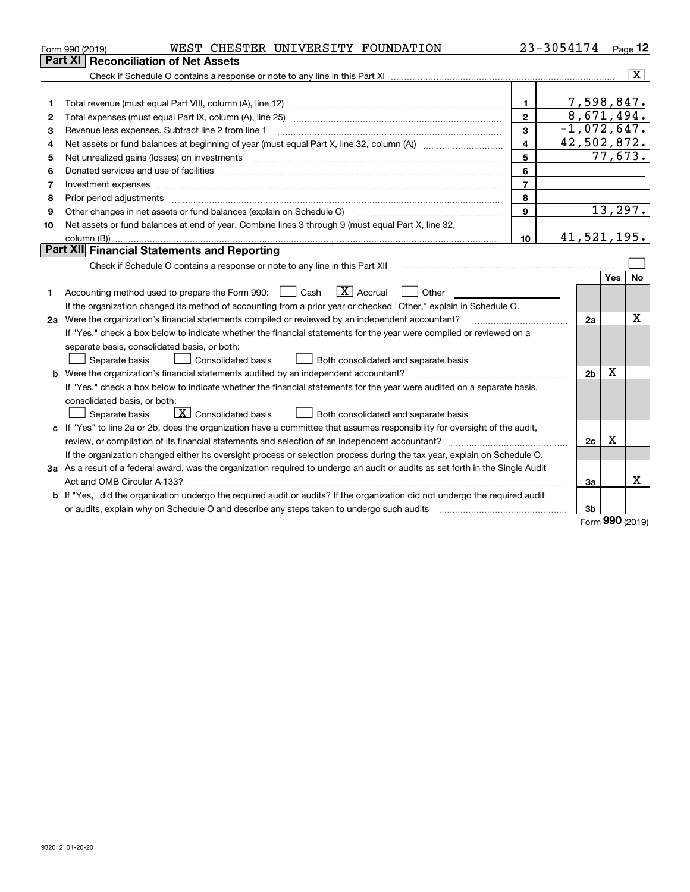| Part XI<br><b>Reconciliation of Net Assets</b><br>7,598,847.<br>$\mathbf 1$<br>1<br>8,671,494.<br>$\overline{2}$<br>Total expenses (must equal Part IX, column (A), line 25)<br>2<br>$-1,072,647.$<br>3<br>Revenue less expenses. Subtract line 2 from line 1<br>3<br>42,502,872.<br>$\overline{\mathbf{4}}$<br>4<br>77,673.<br>5<br>Net unrealized gains (losses) on investments<br>5<br>6<br>6<br>$\overline{7}$<br>Investment expenses<br>7 | Page $12$               |
|------------------------------------------------------------------------------------------------------------------------------------------------------------------------------------------------------------------------------------------------------------------------------------------------------------------------------------------------------------------------------------------------------------------------------------------------|-------------------------|
|                                                                                                                                                                                                                                                                                                                                                                                                                                                |                         |
|                                                                                                                                                                                                                                                                                                                                                                                                                                                | $\overline{\mathbf{x}}$ |
|                                                                                                                                                                                                                                                                                                                                                                                                                                                |                         |
|                                                                                                                                                                                                                                                                                                                                                                                                                                                |                         |
|                                                                                                                                                                                                                                                                                                                                                                                                                                                |                         |
|                                                                                                                                                                                                                                                                                                                                                                                                                                                |                         |
|                                                                                                                                                                                                                                                                                                                                                                                                                                                |                         |
|                                                                                                                                                                                                                                                                                                                                                                                                                                                |                         |
|                                                                                                                                                                                                                                                                                                                                                                                                                                                |                         |
|                                                                                                                                                                                                                                                                                                                                                                                                                                                |                         |
| 8<br>Prior period adjustments<br>8                                                                                                                                                                                                                                                                                                                                                                                                             |                         |
| 13,297.<br>$\mathbf{9}$<br>Other changes in net assets or fund balances (explain on Schedule O)<br>9                                                                                                                                                                                                                                                                                                                                           |                         |
| Net assets or fund balances at end of year. Combine lines 3 through 9 (must equal Part X, line 32,<br>10                                                                                                                                                                                                                                                                                                                                       |                         |
| 41,521,195.<br>10                                                                                                                                                                                                                                                                                                                                                                                                                              |                         |
| <b>Part XII Financial Statements and Reporting</b>                                                                                                                                                                                                                                                                                                                                                                                             |                         |
|                                                                                                                                                                                                                                                                                                                                                                                                                                                |                         |
| Yes                                                                                                                                                                                                                                                                                                                                                                                                                                            | No                      |
| $\boxed{\mathbf{X}}$ Accrual<br>Accounting method used to prepare the Form 990: <u>June</u> Cash<br>Other<br>1                                                                                                                                                                                                                                                                                                                                 |                         |
| If the organization changed its method of accounting from a prior year or checked "Other," explain in Schedule O.                                                                                                                                                                                                                                                                                                                              |                         |
| 2a Were the organization's financial statements compiled or reviewed by an independent accountant?<br>2a                                                                                                                                                                                                                                                                                                                                       | Χ                       |
| If "Yes," check a box below to indicate whether the financial statements for the year were compiled or reviewed on a                                                                                                                                                                                                                                                                                                                           |                         |
| separate basis, consolidated basis, or both:                                                                                                                                                                                                                                                                                                                                                                                                   |                         |
| Separate basis<br>Both consolidated and separate basis<br>Consolidated basis                                                                                                                                                                                                                                                                                                                                                                   |                         |
| X<br><b>b</b> Were the organization's financial statements audited by an independent accountant?<br>2 <sub>b</sub>                                                                                                                                                                                                                                                                                                                             |                         |
| If "Yes," check a box below to indicate whether the financial statements for the year were audited on a separate basis,                                                                                                                                                                                                                                                                                                                        |                         |
| consolidated basis, or both:                                                                                                                                                                                                                                                                                                                                                                                                                   |                         |
| $\boxed{\mathbf{X}}$ Consolidated basis<br>Separate basis<br>Both consolidated and separate basis                                                                                                                                                                                                                                                                                                                                              |                         |
| c If "Yes" to line 2a or 2b, does the organization have a committee that assumes responsibility for oversight of the audit,                                                                                                                                                                                                                                                                                                                    |                         |
| X<br>2c                                                                                                                                                                                                                                                                                                                                                                                                                                        |                         |
| If the organization changed either its oversight process or selection process during the tax year, explain on Schedule O.                                                                                                                                                                                                                                                                                                                      |                         |
| 3a As a result of a federal award, was the organization required to undergo an audit or audits as set forth in the Single Audit                                                                                                                                                                                                                                                                                                                |                         |
| Act and OMB Circular A-133?<br>За                                                                                                                                                                                                                                                                                                                                                                                                              | x                       |
| b If "Yes," did the organization undergo the required audit or audits? If the organization did not undergo the required audit                                                                                                                                                                                                                                                                                                                  |                         |
| 3b<br><b>nnn</b>                                                                                                                                                                                                                                                                                                                                                                                                                               |                         |

Form (2019) **990**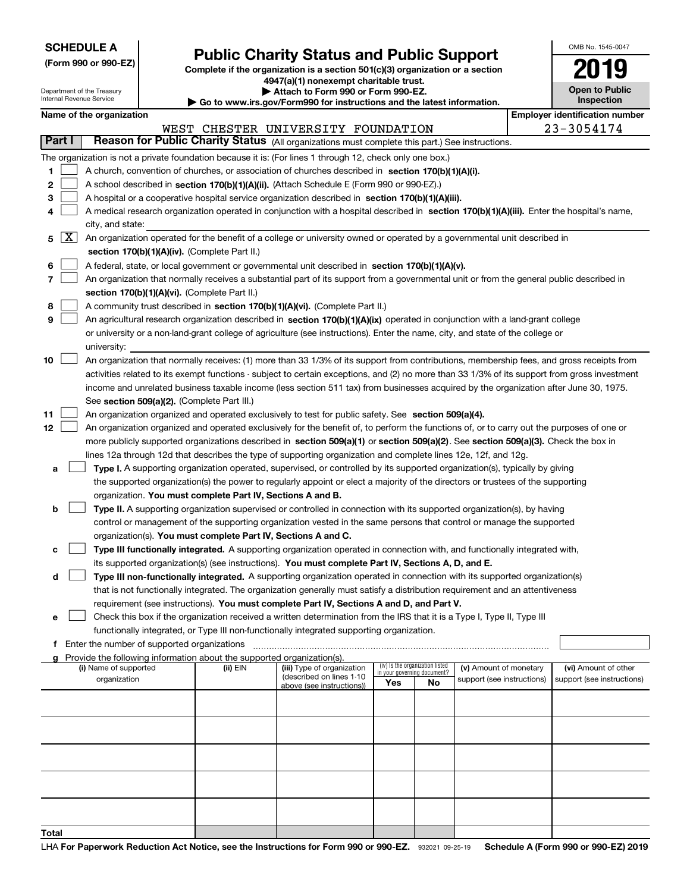| <b>SCHEDULE A</b> |  |  |  |  |  |  |
|-------------------|--|--|--|--|--|--|
|-------------------|--|--|--|--|--|--|

**(Form 990 or 990-EZ)**

## **Public Charity Status and Public Support**

**Complete if the organization is a section 501(c)(3) organization or a section 4947(a)(1) nonexempt charitable trust. | Attach to Form 990 or Form 990-EZ.** 

| OMB No. 1545-0047            |
|------------------------------|
| 2019                         |
| Open to Public<br>Inspection |

| Attach to Form 990 or Form 990-EZ.<br>Department of the Treasury<br>Internal Revenue Service<br>$\blacktriangleright$ Go to www.irs.gov/Form990 for instructions and the latest information. |                 |                                               |  |                                                                        |                                                                                                                                               |                             | <b>Open to Public</b><br><b>Inspection</b> |                            |  |                                       |  |  |
|----------------------------------------------------------------------------------------------------------------------------------------------------------------------------------------------|-----------------|-----------------------------------------------|--|------------------------------------------------------------------------|-----------------------------------------------------------------------------------------------------------------------------------------------|-----------------------------|--------------------------------------------|----------------------------|--|---------------------------------------|--|--|
|                                                                                                                                                                                              |                 | Name of the organization                      |  |                                                                        |                                                                                                                                               |                             |                                            |                            |  | <b>Employer identification number</b> |  |  |
|                                                                                                                                                                                              |                 |                                               |  |                                                                        | WEST CHESTER UNIVERSITY FOUNDATION                                                                                                            |                             |                                            |                            |  | $23 - 3054174$                        |  |  |
|                                                                                                                                                                                              | <b>Part I</b>   |                                               |  |                                                                        | Reason for Public Charity Status (All organizations must complete this part.) See instructions.                                               |                             |                                            |                            |  |                                       |  |  |
|                                                                                                                                                                                              |                 |                                               |  |                                                                        | The organization is not a private foundation because it is: (For lines 1 through 12, check only one box.)                                     |                             |                                            |                            |  |                                       |  |  |
| 1.                                                                                                                                                                                           |                 |                                               |  |                                                                        | A church, convention of churches, or association of churches described in section 170(b)(1)(A)(i).                                            |                             |                                            |                            |  |                                       |  |  |
| 2                                                                                                                                                                                            |                 |                                               |  |                                                                        | A school described in section 170(b)(1)(A)(ii). (Attach Schedule E (Form 990 or 990-EZ).)                                                     |                             |                                            |                            |  |                                       |  |  |
| 3                                                                                                                                                                                            |                 |                                               |  |                                                                        | A hospital or a cooperative hospital service organization described in section 170(b)(1)(A)(iii).                                             |                             |                                            |                            |  |                                       |  |  |
| 4                                                                                                                                                                                            |                 |                                               |  |                                                                        | A medical research organization operated in conjunction with a hospital described in section 170(b)(1)(A)(iii). Enter the hospital's name,    |                             |                                            |                            |  |                                       |  |  |
|                                                                                                                                                                                              |                 | city, and state:                              |  |                                                                        |                                                                                                                                               |                             |                                            |                            |  |                                       |  |  |
| 5                                                                                                                                                                                            | $\mid$ X $\mid$ |                                               |  |                                                                        | An organization operated for the benefit of a college or university owned or operated by a governmental unit described in                     |                             |                                            |                            |  |                                       |  |  |
|                                                                                                                                                                                              |                 |                                               |  | section 170(b)(1)(A)(iv). (Complete Part II.)                          |                                                                                                                                               |                             |                                            |                            |  |                                       |  |  |
| 6                                                                                                                                                                                            |                 |                                               |  |                                                                        | A federal, state, or local government or governmental unit described in section 170(b)(1)(A)(v).                                              |                             |                                            |                            |  |                                       |  |  |
| 7                                                                                                                                                                                            |                 |                                               |  |                                                                        | An organization that normally receives a substantial part of its support from a governmental unit or from the general public described in     |                             |                                            |                            |  |                                       |  |  |
|                                                                                                                                                                                              |                 | section 170(b)(1)(A)(vi). (Complete Part II.) |  |                                                                        |                                                                                                                                               |                             |                                            |                            |  |                                       |  |  |
| 8                                                                                                                                                                                            |                 |                                               |  |                                                                        | A community trust described in section 170(b)(1)(A)(vi). (Complete Part II.)                                                                  |                             |                                            |                            |  |                                       |  |  |
| 9                                                                                                                                                                                            |                 |                                               |  |                                                                        | An agricultural research organization described in section 170(b)(1)(A)(ix) operated in conjunction with a land-grant college                 |                             |                                            |                            |  |                                       |  |  |
|                                                                                                                                                                                              |                 |                                               |  |                                                                        | or university or a non-land-grant college of agriculture (see instructions). Enter the name, city, and state of the college or                |                             |                                            |                            |  |                                       |  |  |
|                                                                                                                                                                                              |                 | university:                                   |  |                                                                        |                                                                                                                                               |                             |                                            |                            |  |                                       |  |  |
| 10                                                                                                                                                                                           |                 |                                               |  |                                                                        | An organization that normally receives: (1) more than 33 1/3% of its support from contributions, membership fees, and gross receipts from     |                             |                                            |                            |  |                                       |  |  |
|                                                                                                                                                                                              |                 |                                               |  |                                                                        | activities related to its exempt functions - subject to certain exceptions, and (2) no more than 33 1/3% of its support from gross investment |                             |                                            |                            |  |                                       |  |  |
|                                                                                                                                                                                              |                 |                                               |  |                                                                        | income and unrelated business taxable income (less section 511 tax) from businesses acquired by the organization after June 30, 1975.         |                             |                                            |                            |  |                                       |  |  |
|                                                                                                                                                                                              |                 |                                               |  | See section 509(a)(2). (Complete Part III.)                            |                                                                                                                                               |                             |                                            |                            |  |                                       |  |  |
| 11                                                                                                                                                                                           |                 |                                               |  |                                                                        | An organization organized and operated exclusively to test for public safety. See section 509(a)(4).                                          |                             |                                            |                            |  |                                       |  |  |
| 12                                                                                                                                                                                           |                 |                                               |  |                                                                        | An organization organized and operated exclusively for the benefit of, to perform the functions of, or to carry out the purposes of one or    |                             |                                            |                            |  |                                       |  |  |
|                                                                                                                                                                                              |                 |                                               |  |                                                                        | more publicly supported organizations described in section 509(a)(1) or section 509(a)(2). See section 509(a)(3). Check the box in            |                             |                                            |                            |  |                                       |  |  |
|                                                                                                                                                                                              |                 |                                               |  |                                                                        | lines 12a through 12d that describes the type of supporting organization and complete lines 12e, 12f, and 12g.                                |                             |                                            |                            |  |                                       |  |  |
| а                                                                                                                                                                                            |                 |                                               |  |                                                                        | Type I. A supporting organization operated, supervised, or controlled by its supported organization(s), typically by giving                   |                             |                                            |                            |  |                                       |  |  |
|                                                                                                                                                                                              |                 |                                               |  |                                                                        | the supported organization(s) the power to regularly appoint or elect a majority of the directors or trustees of the supporting               |                             |                                            |                            |  |                                       |  |  |
|                                                                                                                                                                                              |                 |                                               |  | organization. You must complete Part IV, Sections A and B.             |                                                                                                                                               |                             |                                            |                            |  |                                       |  |  |
| b                                                                                                                                                                                            |                 |                                               |  |                                                                        | Type II. A supporting organization supervised or controlled in connection with its supported organization(s), by having                       |                             |                                            |                            |  |                                       |  |  |
|                                                                                                                                                                                              |                 |                                               |  |                                                                        | control or management of the supporting organization vested in the same persons that control or manage the supported                          |                             |                                            |                            |  |                                       |  |  |
|                                                                                                                                                                                              |                 |                                               |  | organization(s). You must complete Part IV, Sections A and C.          |                                                                                                                                               |                             |                                            |                            |  |                                       |  |  |
| с                                                                                                                                                                                            |                 |                                               |  |                                                                        | Type III functionally integrated. A supporting organization operated in connection with, and functionally integrated with,                    |                             |                                            |                            |  |                                       |  |  |
|                                                                                                                                                                                              |                 |                                               |  |                                                                        | its supported organization(s) (see instructions). You must complete Part IV, Sections A, D, and E.                                            |                             |                                            |                            |  |                                       |  |  |
| d                                                                                                                                                                                            |                 |                                               |  |                                                                        | Type III non-functionally integrated. A supporting organization operated in connection with its supported organization(s)                     |                             |                                            |                            |  |                                       |  |  |
|                                                                                                                                                                                              |                 |                                               |  |                                                                        | that is not functionally integrated. The organization generally must satisfy a distribution requirement and an attentiveness                  |                             |                                            |                            |  |                                       |  |  |
|                                                                                                                                                                                              |                 |                                               |  |                                                                        | requirement (see instructions). You must complete Part IV, Sections A and D, and Part V.                                                      |                             |                                            |                            |  |                                       |  |  |
| е                                                                                                                                                                                            |                 |                                               |  |                                                                        | Check this box if the organization received a written determination from the IRS that it is a Type I, Type II, Type III                       |                             |                                            |                            |  |                                       |  |  |
|                                                                                                                                                                                              |                 |                                               |  |                                                                        | functionally integrated, or Type III non-functionally integrated supporting organization.                                                     |                             |                                            |                            |  |                                       |  |  |
| τ.                                                                                                                                                                                           |                 | Enter the number of supported organizations   |  |                                                                        |                                                                                                                                               |                             |                                            |                            |  |                                       |  |  |
| a                                                                                                                                                                                            |                 |                                               |  | Provide the following information about the supported organization(s). |                                                                                                                                               |                             |                                            |                            |  |                                       |  |  |
|                                                                                                                                                                                              |                 | (i) Name of supported                         |  | (ii) $EIN$                                                             | (iii) Type of organization                                                                                                                    | in your governing document? | (iv) Is the organization listed            | (v) Amount of monetary     |  | (vi) Amount of other                  |  |  |
|                                                                                                                                                                                              |                 | organization                                  |  |                                                                        | (described on lines 1-10<br>above (see instructions))                                                                                         | Yes                         | No                                         | support (see instructions) |  | support (see instructions)            |  |  |
|                                                                                                                                                                                              |                 |                                               |  |                                                                        |                                                                                                                                               |                             |                                            |                            |  |                                       |  |  |
|                                                                                                                                                                                              |                 |                                               |  |                                                                        |                                                                                                                                               |                             |                                            |                            |  |                                       |  |  |
|                                                                                                                                                                                              |                 |                                               |  |                                                                        |                                                                                                                                               |                             |                                            |                            |  |                                       |  |  |
|                                                                                                                                                                                              |                 |                                               |  |                                                                        |                                                                                                                                               |                             |                                            |                            |  |                                       |  |  |
|                                                                                                                                                                                              |                 |                                               |  |                                                                        |                                                                                                                                               |                             |                                            |                            |  |                                       |  |  |
|                                                                                                                                                                                              |                 |                                               |  |                                                                        |                                                                                                                                               |                             |                                            |                            |  |                                       |  |  |
|                                                                                                                                                                                              |                 |                                               |  |                                                                        |                                                                                                                                               |                             |                                            |                            |  |                                       |  |  |
|                                                                                                                                                                                              |                 |                                               |  |                                                                        |                                                                                                                                               |                             |                                            |                            |  |                                       |  |  |
|                                                                                                                                                                                              |                 |                                               |  |                                                                        |                                                                                                                                               |                             |                                            |                            |  |                                       |  |  |
|                                                                                                                                                                                              |                 |                                               |  |                                                                        |                                                                                                                                               |                             |                                            |                            |  |                                       |  |  |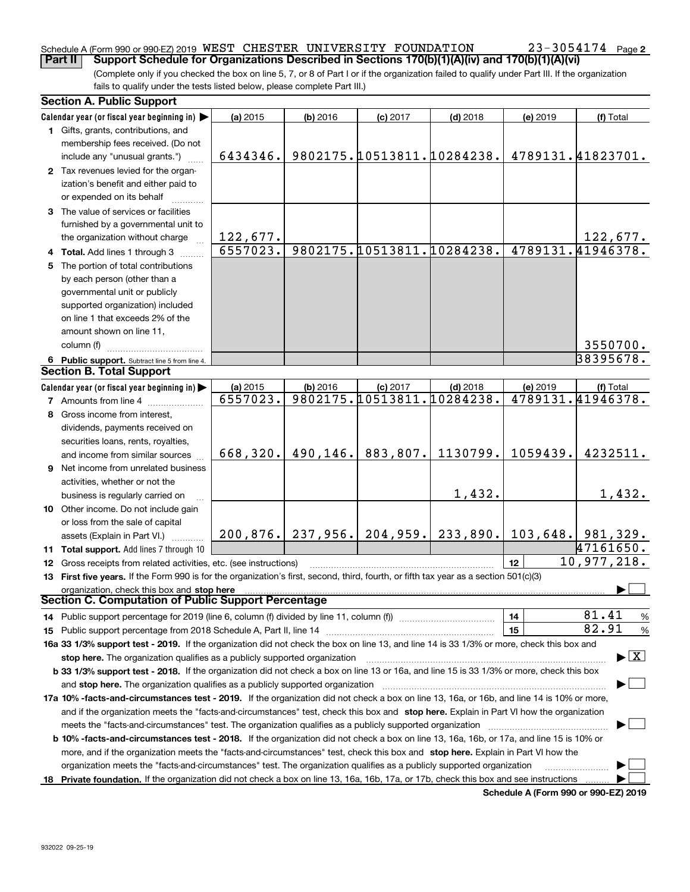### Schedule A (Form 990 or 990-EZ) 2019 <code>WEST CHESTER UNIVERSITY FOUNDATION</code>  $23$  –  $3\,0\,5\,4\,17\,4$   $_{\rm Page}$

(Complete only if you checked the box on line 5, 7, or 8 of Part I or if the organization failed to qualify under Part III. If the organization fails to qualify under the tests listed below, please complete Part III.) **Part II Support Schedule for Organizations Described in Sections 170(b)(1)(A)(iv) and 170(b)(1)(A)(vi)**

| <b>Section A. Public Support</b>                                                                                                               |          |            |                            |                                           |          |                                          |
|------------------------------------------------------------------------------------------------------------------------------------------------|----------|------------|----------------------------|-------------------------------------------|----------|------------------------------------------|
| Calendar year (or fiscal year beginning in)                                                                                                    | (a) 2015 | $(b)$ 2016 | $(c)$ 2017                 | $(d)$ 2018                                | (e) 2019 | (f) Total                                |
| 1 Gifts, grants, contributions, and                                                                                                            |          |            |                            |                                           |          |                                          |
| membership fees received. (Do not                                                                                                              |          |            |                            |                                           |          |                                          |
| include any "unusual grants.")                                                                                                                 | 6434346. |            | 9802175.10513811.10284238. |                                           |          | 4789131.41823701.                        |
| 2 Tax revenues levied for the organ-                                                                                                           |          |            |                            |                                           |          |                                          |
| ization's benefit and either paid to                                                                                                           |          |            |                            |                                           |          |                                          |
| or expended on its behalf                                                                                                                      |          |            |                            |                                           |          |                                          |
| 3 The value of services or facilities                                                                                                          |          |            |                            |                                           |          |                                          |
| furnished by a governmental unit to                                                                                                            |          |            |                            |                                           |          |                                          |
| the organization without charge                                                                                                                | 122,677. |            |                            |                                           |          | 122,677.                                 |
| 4 Total. Add lines 1 through 3                                                                                                                 | 6557023. |            | 9802175.10513811.10284238. |                                           |          | 4789131.41946378.                        |
| 5 The portion of total contributions                                                                                                           |          |            |                            |                                           |          |                                          |
| by each person (other than a                                                                                                                   |          |            |                            |                                           |          |                                          |
| governmental unit or publicly                                                                                                                  |          |            |                            |                                           |          |                                          |
| supported organization) included                                                                                                               |          |            |                            |                                           |          |                                          |
| on line 1 that exceeds 2% of the                                                                                                               |          |            |                            |                                           |          |                                          |
| amount shown on line 11,                                                                                                                       |          |            |                            |                                           |          |                                          |
| column (f)                                                                                                                                     |          |            |                            |                                           |          | 3550700.                                 |
| 6 Public support. Subtract line 5 from line 4.                                                                                                 |          |            |                            |                                           |          | 38395678.                                |
| <b>Section B. Total Support</b>                                                                                                                |          |            |                            |                                           |          |                                          |
| Calendar year (or fiscal year beginning in)                                                                                                    | (a) 2015 | (b) 2016   | $(c)$ 2017                 | $(d)$ 2018                                | (e) 2019 | (f) Total                                |
| <b>7</b> Amounts from line 4                                                                                                                   | 6557023. |            | 9802175.10513811.10284238. |                                           |          | 4789131.41946378.                        |
| 8 Gross income from interest,                                                                                                                  |          |            |                            |                                           |          |                                          |
| dividends, payments received on                                                                                                                |          |            |                            |                                           |          |                                          |
| securities loans, rents, royalties,                                                                                                            |          |            |                            |                                           |          |                                          |
| and income from similar sources                                                                                                                | 668,320. | 490,146.   | 883,807.                   | 1130799.                                  | 1059439. | 4232511.                                 |
| 9 Net income from unrelated business                                                                                                           |          |            |                            |                                           |          |                                          |
| activities, whether or not the                                                                                                                 |          |            |                            |                                           |          |                                          |
| business is regularly carried on                                                                                                               |          |            |                            | 1,432.                                    |          | 1,432.                                   |
| 10 Other income. Do not include gain                                                                                                           |          |            |                            |                                           |          |                                          |
| or loss from the sale of capital                                                                                                               |          |            |                            |                                           |          |                                          |
| assets (Explain in Part VI.)                                                                                                                   |          |            |                            | $200, 876.$ 237, 956. 204, 959. 233, 890. |          | $103,648.$ 981,329.                      |
| 11 Total support. Add lines 7 through 10                                                                                                       |          |            |                            |                                           |          | 47161650.                                |
| <b>12</b> Gross receipts from related activities, etc. (see instructions)                                                                      |          |            |                            |                                           | 12       | 10,977,218.                              |
| 13 First five years. If the Form 990 is for the organization's first, second, third, fourth, or fifth tax year as a section 501(c)(3)          |          |            |                            |                                           |          |                                          |
| organization, check this box and stop here                                                                                                     |          |            |                            |                                           |          |                                          |
| <b>Section C. Computation of Public Support Percentage</b>                                                                                     |          |            |                            |                                           |          |                                          |
| 14 Public support percentage for 2019 (line 6, column (f) divided by line 11, column (f) <i>mummeronom</i>                                     |          |            |                            |                                           | 14       | 81.41<br>%                               |
|                                                                                                                                                |          |            |                            |                                           | 15       | 82.91<br>%                               |
| 16a 33 1/3% support test - 2019. If the organization did not check the box on line 13, and line 14 is 33 1/3% or more, check this box and      |          |            |                            |                                           |          |                                          |
| stop here. The organization qualifies as a publicly supported organization                                                                     |          |            |                            |                                           |          | $\blacktriangleright$ $\boxed{\text{X}}$ |
| b 33 1/3% support test - 2018. If the organization did not check a box on line 13 or 16a, and line 15 is 33 1/3% or more, check this box       |          |            |                            |                                           |          |                                          |
| and stop here. The organization qualifies as a publicly supported organization                                                                 |          |            |                            |                                           |          |                                          |
| 17a 10% -facts-and-circumstances test - 2019. If the organization did not check a box on line 13, 16a, or 16b, and line 14 is 10% or more,     |          |            |                            |                                           |          |                                          |
| and if the organization meets the "facts-and-circumstances" test, check this box and stop here. Explain in Part VI how the organization        |          |            |                            |                                           |          |                                          |
| meets the "facts-and-circumstances" test. The organization qualifies as a publicly supported organization                                      |          |            |                            |                                           |          |                                          |
| <b>b 10% -facts-and-circumstances test - 2018.</b> If the organization did not check a box on line 13, 16a, 16b, or 17a, and line 15 is 10% or |          |            |                            |                                           |          |                                          |
| more, and if the organization meets the "facts-and-circumstances" test, check this box and stop here. Explain in Part VI how the               |          |            |                            |                                           |          |                                          |
| organization meets the "facts-and-circumstances" test. The organization qualifies as a publicly supported organization                         |          |            |                            |                                           |          |                                          |
| 18 Private foundation. If the organization did not check a box on line 13, 16a, 16b, 17a, or 17b, check this box and see instructions          |          |            |                            |                                           |          |                                          |
|                                                                                                                                                |          |            |                            |                                           |          |                                          |

**Schedule A (Form 990 or 990-EZ) 2019**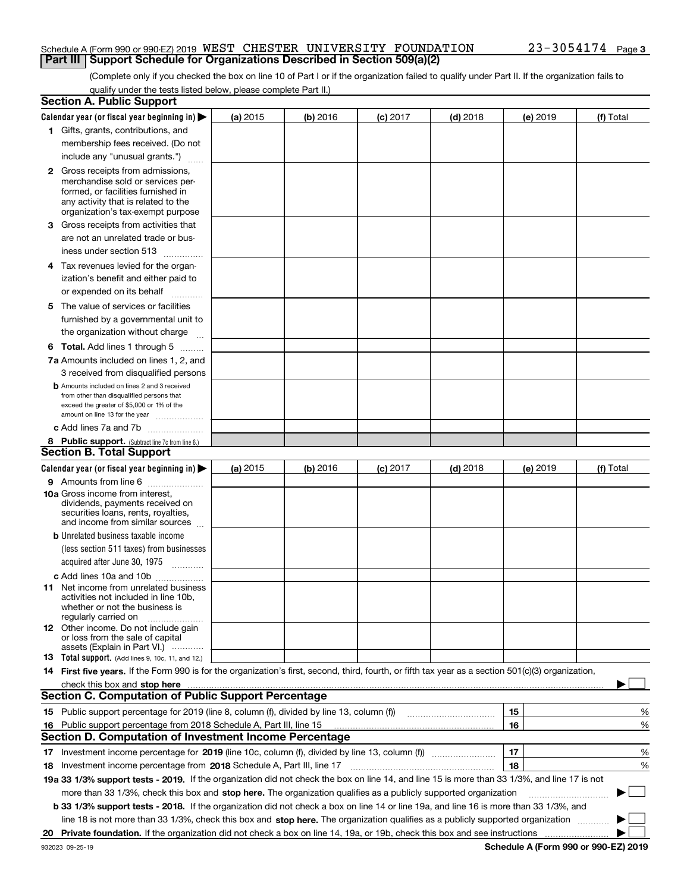#### Schedule A (Form 990 or 990-EZ) 2019 <code>WEST CHESTER UNIVERSITY FOUNDATION</code>  $23$  –  $3\,0\,5\,4\,17\,4$   $_{\rm Page}$ **Part III Support Schedule for Organizations Described in Section 509(a)(2)**

(Complete only if you checked the box on line 10 of Part I or if the organization failed to qualify under Part II. If the organization fails to qualify under the tests listed below, please complete Part II.)

|    | <b>Section A. Public Support</b>                                                                                                                                                                                              |          |          |            |            |          |             |
|----|-------------------------------------------------------------------------------------------------------------------------------------------------------------------------------------------------------------------------------|----------|----------|------------|------------|----------|-------------|
|    | Calendar year (or fiscal year beginning in) $\blacktriangleright$                                                                                                                                                             | (a) 2015 | (b) 2016 | $(c)$ 2017 | $(d)$ 2018 | (e) 2019 | (f) Total   |
|    | 1 Gifts, grants, contributions, and                                                                                                                                                                                           |          |          |            |            |          |             |
|    | membership fees received. (Do not                                                                                                                                                                                             |          |          |            |            |          |             |
|    | include any "unusual grants.")                                                                                                                                                                                                |          |          |            |            |          |             |
|    | <b>2</b> Gross receipts from admissions,                                                                                                                                                                                      |          |          |            |            |          |             |
|    | merchandise sold or services per-                                                                                                                                                                                             |          |          |            |            |          |             |
|    | formed, or facilities furnished in                                                                                                                                                                                            |          |          |            |            |          |             |
|    | any activity that is related to the<br>organization's tax-exempt purpose                                                                                                                                                      |          |          |            |            |          |             |
|    | 3 Gross receipts from activities that                                                                                                                                                                                         |          |          |            |            |          |             |
|    | are not an unrelated trade or bus-                                                                                                                                                                                            |          |          |            |            |          |             |
|    | iness under section 513                                                                                                                                                                                                       |          |          |            |            |          |             |
|    | 4 Tax revenues levied for the organ-                                                                                                                                                                                          |          |          |            |            |          |             |
|    | ization's benefit and either paid to                                                                                                                                                                                          |          |          |            |            |          |             |
|    | or expended on its behalf                                                                                                                                                                                                     |          |          |            |            |          |             |
|    | .<br>5 The value of services or facilities                                                                                                                                                                                    |          |          |            |            |          |             |
|    | furnished by a governmental unit to                                                                                                                                                                                           |          |          |            |            |          |             |
|    | the organization without charge                                                                                                                                                                                               |          |          |            |            |          |             |
|    |                                                                                                                                                                                                                               |          |          |            |            |          |             |
|    | <b>6 Total.</b> Add lines 1 through 5                                                                                                                                                                                         |          |          |            |            |          |             |
|    | 7a Amounts included on lines 1, 2, and                                                                                                                                                                                        |          |          |            |            |          |             |
|    | 3 received from disqualified persons<br><b>b</b> Amounts included on lines 2 and 3 received                                                                                                                                   |          |          |            |            |          |             |
|    | from other than disqualified persons that                                                                                                                                                                                     |          |          |            |            |          |             |
|    | exceed the greater of \$5,000 or 1% of the                                                                                                                                                                                    |          |          |            |            |          |             |
|    | amount on line 13 for the year                                                                                                                                                                                                |          |          |            |            |          |             |
|    | c Add lines 7a and 7b                                                                                                                                                                                                         |          |          |            |            |          |             |
|    | 8 Public support. (Subtract line 7c from line 6.)<br><b>Section B. Total Support</b>                                                                                                                                          |          |          |            |            |          |             |
|    |                                                                                                                                                                                                                               |          |          |            |            |          |             |
|    | Calendar year (or fiscal year beginning in)                                                                                                                                                                                   | (a) 2015 | (b) 2016 | $(c)$ 2017 | $(d)$ 2018 | (e) 2019 | (f) Total   |
|    | 9 Amounts from line 6                                                                                                                                                                                                         |          |          |            |            |          |             |
|    | <b>10a</b> Gross income from interest,<br>dividends, payments received on                                                                                                                                                     |          |          |            |            |          |             |
|    | securities loans, rents, royalties,                                                                                                                                                                                           |          |          |            |            |          |             |
|    | and income from similar sources                                                                                                                                                                                               |          |          |            |            |          |             |
|    | <b>b</b> Unrelated business taxable income                                                                                                                                                                                    |          |          |            |            |          |             |
|    | (less section 511 taxes) from businesses                                                                                                                                                                                      |          |          |            |            |          |             |
|    | acquired after June 30, 1975 [10001]                                                                                                                                                                                          |          |          |            |            |          |             |
|    | c Add lines 10a and 10b                                                                                                                                                                                                       |          |          |            |            |          |             |
|    | 11 Net income from unrelated business                                                                                                                                                                                         |          |          |            |            |          |             |
|    | activities not included in line 10b,<br>whether or not the business is                                                                                                                                                        |          |          |            |            |          |             |
|    | regularly carried on                                                                                                                                                                                                          |          |          |            |            |          |             |
|    | <b>12</b> Other income. Do not include gain                                                                                                                                                                                   |          |          |            |            |          |             |
|    | or loss from the sale of capital<br>assets (Explain in Part VI.)                                                                                                                                                              |          |          |            |            |          |             |
|    | <b>13</b> Total support. (Add lines 9, 10c, 11, and 12.)                                                                                                                                                                      |          |          |            |            |          |             |
|    | 14 First five years. If the Form 990 is for the organization's first, second, third, fourth, or fifth tax year as a section 501(c)(3) organization,                                                                           |          |          |            |            |          |             |
|    | check this box and stop here with the continuum control to the change of the state of the state of the change of the change of the change of the change of the change of the change of the change of the change of the change |          |          |            |            |          |             |
|    | <b>Section C. Computation of Public Support Percentage</b>                                                                                                                                                                    |          |          |            |            |          |             |
|    | 15 Public support percentage for 2019 (line 8, column (f), divided by line 13, column (f))                                                                                                                                    |          |          |            |            | 15       | %           |
|    | 16 Public support percentage from 2018 Schedule A, Part III, line 15                                                                                                                                                          |          |          |            |            | 16       | %           |
|    | Section D. Computation of Investment Income Percentage                                                                                                                                                                        |          |          |            |            |          |             |
|    | 17 Investment income percentage for 2019 (line 10c, column (f), divided by line 13, column (f))                                                                                                                               |          |          |            |            | 17       | %           |
|    | <b>18</b> Investment income percentage from <b>2018</b> Schedule A, Part III, line 17                                                                                                                                         |          |          |            |            | 18       | %           |
|    | 19a 33 1/3% support tests - 2019. If the organization did not check the box on line 14, and line 15 is more than 33 1/3%, and line 17 is not                                                                                  |          |          |            |            |          |             |
|    | more than 33 1/3%, check this box and stop here. The organization qualifies as a publicly supported organization                                                                                                              |          |          |            |            |          | $\sim$<br>▶ |
|    | b 33 1/3% support tests - 2018. If the organization did not check a box on line 14 or line 19a, and line 16 is more than 33 1/3%, and                                                                                         |          |          |            |            |          |             |
|    | line 18 is not more than 33 1/3%, check this box and stop here. The organization qualifies as a publicly supported organization                                                                                               |          |          |            |            |          |             |
| 20 |                                                                                                                                                                                                                               |          |          |            |            |          |             |
|    |                                                                                                                                                                                                                               |          |          |            |            |          |             |

**Schedule A (Form 990 or 990-EZ) 2019**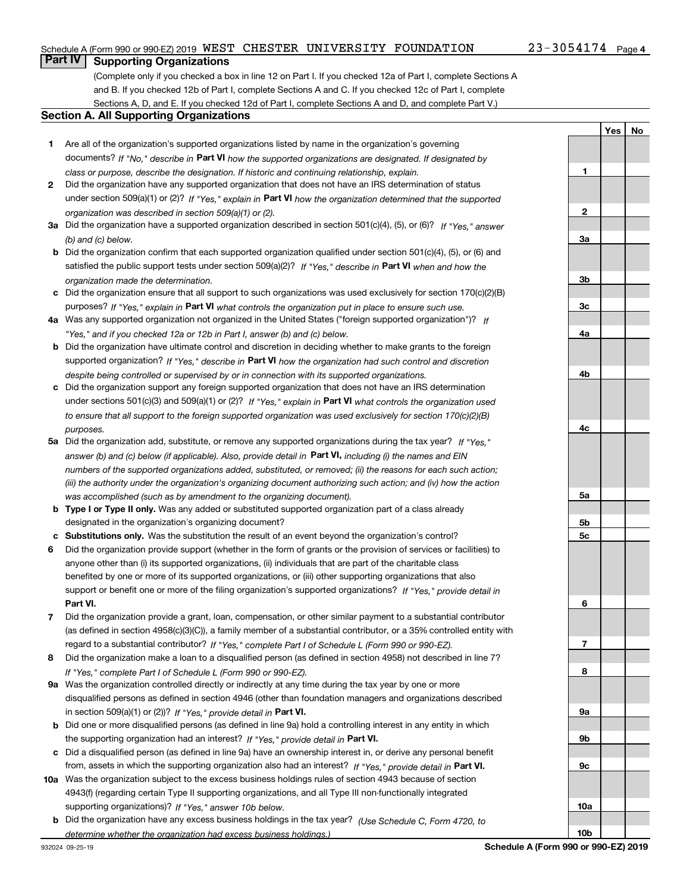#### Schedule A (Form 990 or 990-EZ) 2019 <code>WEST CHESTER UNIVERSITY FOUNDATION</code>  $23$  –  $3\,0\,5\,4\,17\,4$   $_{\rm Page}$

**1**

**2**

**3a**

**YesNo**

## **Part IV Supporting Organizations**

(Complete only if you checked a box in line 12 on Part I. If you checked 12a of Part I, complete Sections A and B. If you checked 12b of Part I, complete Sections A and C. If you checked 12c of Part I, complete Sections A, D, and E. If you checked 12d of Part I, complete Sections A and D, and complete Part V.)

#### **Section A. All Supporting Organizations**

- **1** Are all of the organization's supported organizations listed by name in the organization's governing documents? If "No," describe in **Part VI** how the supported organizations are designated. If designated by *class or purpose, describe the designation. If historic and continuing relationship, explain.*
- **2** Did the organization have any supported organization that does not have an IRS determination of status under section 509(a)(1) or (2)? If "Yes," explain in Part VI how the organization determined that the supported *organization was described in section 509(a)(1) or (2).*
- **3a** Did the organization have a supported organization described in section 501(c)(4), (5), or (6)? If "Yes," answer *(b) and (c) below.*
- **b** Did the organization confirm that each supported organization qualified under section 501(c)(4), (5), or (6) and satisfied the public support tests under section 509(a)(2)? If "Yes," describe in **Part VI** when and how the *organization made the determination.*
- **c**Did the organization ensure that all support to such organizations was used exclusively for section 170(c)(2)(B) purposes? If "Yes," explain in **Part VI** what controls the organization put in place to ensure such use.
- **4a***If* Was any supported organization not organized in the United States ("foreign supported organization")? *"Yes," and if you checked 12a or 12b in Part I, answer (b) and (c) below.*
- **b** Did the organization have ultimate control and discretion in deciding whether to make grants to the foreign supported organization? If "Yes," describe in **Part VI** how the organization had such control and discretion *despite being controlled or supervised by or in connection with its supported organizations.*
- **c** Did the organization support any foreign supported organization that does not have an IRS determination under sections 501(c)(3) and 509(a)(1) or (2)? If "Yes," explain in **Part VI** what controls the organization used *to ensure that all support to the foreign supported organization was used exclusively for section 170(c)(2)(B) purposes.*
- **5a***If "Yes,"* Did the organization add, substitute, or remove any supported organizations during the tax year? answer (b) and (c) below (if applicable). Also, provide detail in **Part VI,** including (i) the names and EIN *numbers of the supported organizations added, substituted, or removed; (ii) the reasons for each such action; (iii) the authority under the organization's organizing document authorizing such action; and (iv) how the action was accomplished (such as by amendment to the organizing document).*
- **b** Type I or Type II only. Was any added or substituted supported organization part of a class already designated in the organization's organizing document?
- **cSubstitutions only.**  Was the substitution the result of an event beyond the organization's control?
- **6** Did the organization provide support (whether in the form of grants or the provision of services or facilities) to **Part VI.** *If "Yes," provide detail in* support or benefit one or more of the filing organization's supported organizations? anyone other than (i) its supported organizations, (ii) individuals that are part of the charitable class benefited by one or more of its supported organizations, or (iii) other supporting organizations that also
- **7**Did the organization provide a grant, loan, compensation, or other similar payment to a substantial contributor *If "Yes," complete Part I of Schedule L (Form 990 or 990-EZ).* regard to a substantial contributor? (as defined in section 4958(c)(3)(C)), a family member of a substantial contributor, or a 35% controlled entity with
- **8** Did the organization make a loan to a disqualified person (as defined in section 4958) not described in line 7? *If "Yes," complete Part I of Schedule L (Form 990 or 990-EZ).*
- **9a** Was the organization controlled directly or indirectly at any time during the tax year by one or more in section 509(a)(1) or (2))? If "Yes," *provide detail in* <code>Part VI.</code> disqualified persons as defined in section 4946 (other than foundation managers and organizations described
- **b** Did one or more disqualified persons (as defined in line 9a) hold a controlling interest in any entity in which the supporting organization had an interest? If "Yes," provide detail in P**art VI**.
- **c**Did a disqualified person (as defined in line 9a) have an ownership interest in, or derive any personal benefit from, assets in which the supporting organization also had an interest? If "Yes," provide detail in P**art VI.**
- **10a** Was the organization subject to the excess business holdings rules of section 4943 because of section supporting organizations)? If "Yes," answer 10b below. 4943(f) (regarding certain Type II supporting organizations, and all Type III non-functionally integrated
- **b** Did the organization have any excess business holdings in the tax year? (Use Schedule C, Form 4720, to *determine whether the organization had excess business holdings.)*

**10b**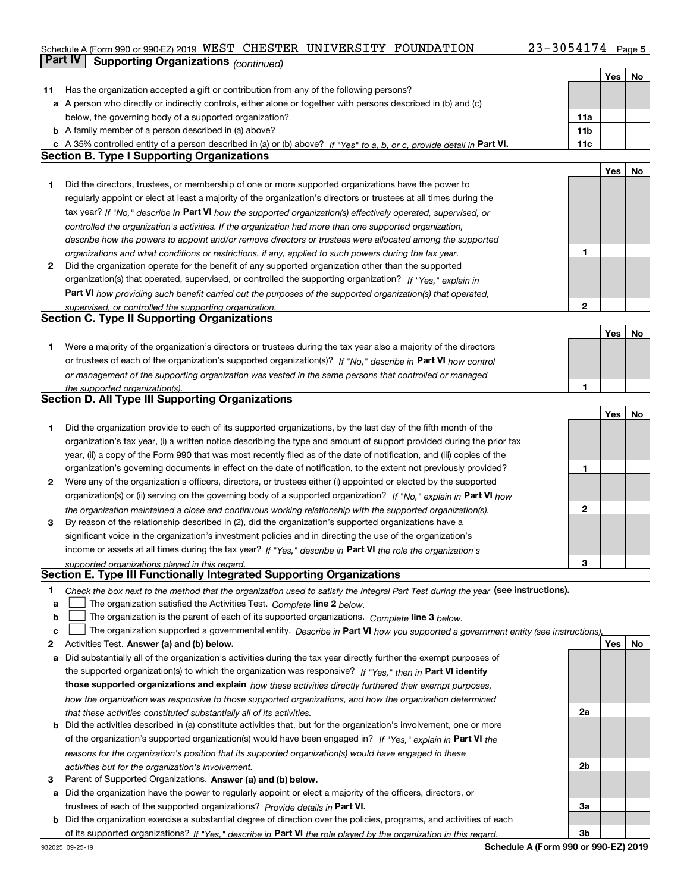## Schedule A (Form 990 or 990-EZ) 2019 <code>WEST CHESTER UNIVERSITY FOUNDATION</code>  $23$  –  $3\,0\,5\,4\,17\,4$   $_{\rm Page}$ **Part IV | Supporting Organizations** *(continued)*

|    |                                                                                                                                   |                 | Yes | No  |
|----|-----------------------------------------------------------------------------------------------------------------------------------|-----------------|-----|-----|
| 11 | Has the organization accepted a gift or contribution from any of the following persons?                                           |                 |     |     |
|    | a A person who directly or indirectly controls, either alone or together with persons described in (b) and (c)                    |                 |     |     |
|    | below, the governing body of a supported organization?                                                                            | 11a             |     |     |
|    | <b>b</b> A family member of a person described in (a) above?                                                                      | 11 <sub>b</sub> |     |     |
|    | c A 35% controlled entity of a person described in (a) or (b) above? If "Yes" to a, b, or c, provide detail in Part VI.           | 11c             |     |     |
|    | <b>Section B. Type I Supporting Organizations</b>                                                                                 |                 |     |     |
|    |                                                                                                                                   |                 |     |     |
|    |                                                                                                                                   |                 | Yes | No  |
| 1  | Did the directors, trustees, or membership of one or more supported organizations have the power to                               |                 |     |     |
|    | regularly appoint or elect at least a majority of the organization's directors or trustees at all times during the                |                 |     |     |
|    | tax year? If "No," describe in Part VI how the supported organization(s) effectively operated, supervised, or                     |                 |     |     |
|    | controlled the organization's activities. If the organization had more than one supported organization,                           |                 |     |     |
|    | describe how the powers to appoint and/or remove directors or trustees were allocated among the supported                         |                 |     |     |
|    | organizations and what conditions or restrictions, if any, applied to such powers during the tax year.                            | 1               |     |     |
| 2  | Did the organization operate for the benefit of any supported organization other than the supported                               |                 |     |     |
|    | organization(s) that operated, supervised, or controlled the supporting organization? If "Yes," explain in                        |                 |     |     |
|    | Part VI how providing such benefit carried out the purposes of the supported organization(s) that operated,                       |                 |     |     |
|    | supervised, or controlled the supporting organization.                                                                            | $\mathbf{2}$    |     |     |
|    | <b>Section C. Type II Supporting Organizations</b>                                                                                |                 |     |     |
|    |                                                                                                                                   |                 | Yes | No  |
| 1  | Were a majority of the organization's directors or trustees during the tax year also a majority of the directors                  |                 |     |     |
|    |                                                                                                                                   |                 |     |     |
|    | or trustees of each of the organization's supported organization(s)? If "No," describe in Part VI how control                     |                 |     |     |
|    | or management of the supporting organization was vested in the same persons that controlled or managed                            |                 |     |     |
|    | the supported organization(s).                                                                                                    | 1               |     |     |
|    | <b>Section D. All Type III Supporting Organizations</b>                                                                           |                 |     |     |
|    |                                                                                                                                   |                 | Yes | No  |
| 1  | Did the organization provide to each of its supported organizations, by the last day of the fifth month of the                    |                 |     |     |
|    | organization's tax year, (i) a written notice describing the type and amount of support provided during the prior tax             |                 |     |     |
|    | year, (ii) a copy of the Form 990 that was most recently filed as of the date of notification, and (iii) copies of the            |                 |     |     |
|    | organization's governing documents in effect on the date of notification, to the extent not previously provided?                  | 1               |     |     |
| 2  | Were any of the organization's officers, directors, or trustees either (i) appointed or elected by the supported                  |                 |     |     |
|    | organization(s) or (ii) serving on the governing body of a supported organization? If "No," explain in Part VI how                |                 |     |     |
|    | the organization maintained a close and continuous working relationship with the supported organization(s).                       | 2               |     |     |
| 3  | By reason of the relationship described in (2), did the organization's supported organizations have a                             |                 |     |     |
|    | significant voice in the organization's investment policies and in directing the use of the organization's                        |                 |     |     |
|    | income or assets at all times during the tax year? If "Yes," describe in Part VI the role the organization's                      |                 |     |     |
|    |                                                                                                                                   | 3               |     |     |
|    | supported organizations played in this regard.<br>Section E. Type III Functionally Integrated Supporting Organizations            |                 |     |     |
|    |                                                                                                                                   |                 |     |     |
| 1. | Check the box next to the method that the organization used to satisfy the Integral Part Test during the year (see instructions). |                 |     |     |
| a  | The organization satisfied the Activities Test. Complete line 2 below.                                                            |                 |     |     |
| b  | The organization is the parent of each of its supported organizations. Complete line 3 below.                                     |                 |     |     |
| c  | The organization supported a governmental entity. Describe in Part VI how you supported a government entity (see instructions),   |                 |     |     |
| 2  | Activities Test. Answer (a) and (b) below.                                                                                        |                 | Yes | No. |
| а  | Did substantially all of the organization's activities during the tax year directly further the exempt purposes of                |                 |     |     |
|    | the supported organization(s) to which the organization was responsive? If "Yes," then in Part VI identify                        |                 |     |     |
|    | those supported organizations and explain how these activities directly furthered their exempt purposes,                          |                 |     |     |
|    | how the organization was responsive to those supported organizations, and how the organization determined                         |                 |     |     |
|    | that these activities constituted substantially all of its activities.                                                            | 2a              |     |     |
|    | <b>b</b> Did the activities described in (a) constitute activities that, but for the organization's involvement, one or more      |                 |     |     |
|    | of the organization's supported organization(s) would have been engaged in? If "Yes," explain in Part VI the                      |                 |     |     |
|    | reasons for the organization's position that its supported organization(s) would have engaged in these                            |                 |     |     |
|    | activities but for the organization's involvement.                                                                                | 2b              |     |     |
| з  | Parent of Supported Organizations. Answer (a) and (b) below.                                                                      |                 |     |     |
|    | a Did the organization have the power to regularly appoint or elect a majority of the officers, directors, or                     |                 |     |     |
|    | trustees of each of the supported organizations? Provide details in Part VI.                                                      | За              |     |     |
|    | <b>b</b> Did the organization exercise a substantial degree of direction over the policies, programs, and activities of each      |                 |     |     |
|    |                                                                                                                                   |                 |     |     |
|    | of its supported organizations? If "Yes," describe in Part VI the role played by the organization in this regard.                 | 3b              |     |     |

**Schedule A (Form 990 or 990-EZ) 2019**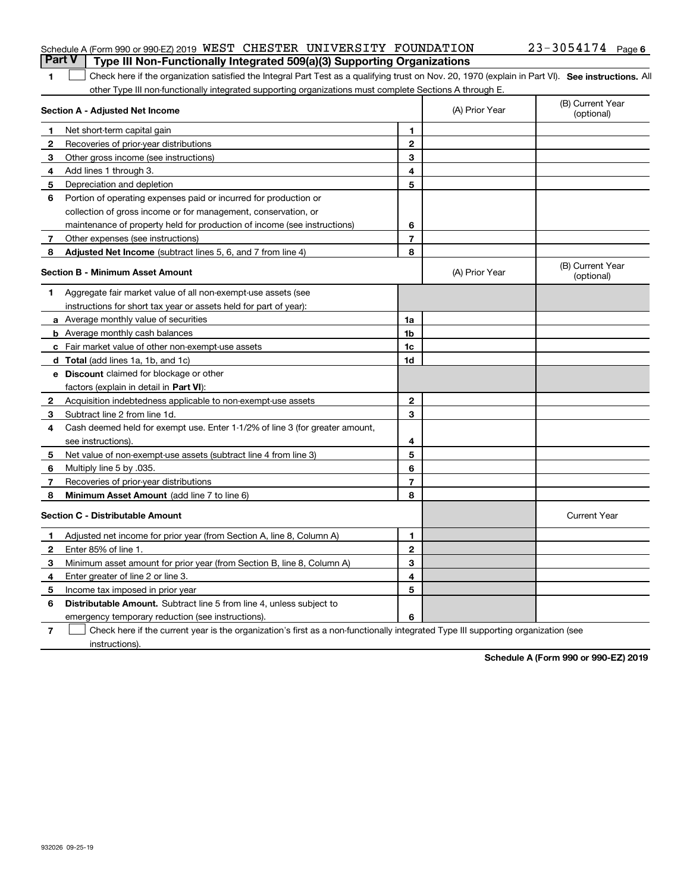| <b>Part V</b> Type III Non-Functionally Integrated 509(a)(3) Supporting Organizations |  |  |                       |  |
|---------------------------------------------------------------------------------------|--|--|-----------------------|--|
| Schedule A (Form 990 or 990-EZ) 2019 WEST CHESTER UNIVERSITY FOUNDATION               |  |  | $23 - 3054174$ Page 6 |  |

#### **SEP 10. See instructions.** All antegral Part Test as a qualifying trust on Nov. 20, 1970 (explain in Part VI). See instructions. All other Type III non-functionally integrated supporting organizations must complete Sections A through E.  $\overline{\phantom{a}}$

|              | Section A - Adjusted Net Income                                              | (A) Prior Year | (B) Current Year<br>(optional) |                                |
|--------------|------------------------------------------------------------------------------|----------------|--------------------------------|--------------------------------|
| 1            | Net short-term capital gain                                                  | 1              |                                |                                |
| 2            | Recoveries of prior-year distributions                                       | $\overline{2}$ |                                |                                |
| 3            | Other gross income (see instructions)                                        | 3              |                                |                                |
| 4            | Add lines 1 through 3.                                                       | 4              |                                |                                |
| 5            | Depreciation and depletion                                                   | 5              |                                |                                |
| 6            | Portion of operating expenses paid or incurred for production or             |                |                                |                                |
|              | collection of gross income or for management, conservation, or               |                |                                |                                |
|              | maintenance of property held for production of income (see instructions)     | 6              |                                |                                |
| 7            | Other expenses (see instructions)                                            | $\overline{7}$ |                                |                                |
| 8            | Adjusted Net Income (subtract lines 5, 6, and 7 from line 4)                 | 8              |                                |                                |
|              | <b>Section B - Minimum Asset Amount</b>                                      |                | (A) Prior Year                 | (B) Current Year<br>(optional) |
| 1            | Aggregate fair market value of all non-exempt-use assets (see                |                |                                |                                |
|              | instructions for short tax year or assets held for part of year):            |                |                                |                                |
|              | a Average monthly value of securities                                        | 1a             |                                |                                |
|              | <b>b</b> Average monthly cash balances                                       | 1 <sub>b</sub> |                                |                                |
|              | c Fair market value of other non-exempt-use assets                           | 1c             |                                |                                |
|              | d Total (add lines 1a, 1b, and 1c)                                           | 1d             |                                |                                |
|              | <b>e</b> Discount claimed for blockage or other                              |                |                                |                                |
|              | factors (explain in detail in Part VI):                                      |                |                                |                                |
| $\mathbf{2}$ | Acquisition indebtedness applicable to non-exempt-use assets                 | $\mathbf{2}$   |                                |                                |
| 3            | Subtract line 2 from line 1d.                                                | 3              |                                |                                |
| 4            | Cash deemed held for exempt use. Enter 1-1/2% of line 3 (for greater amount, |                |                                |                                |
|              | see instructions).                                                           | 4              |                                |                                |
| 5            | Net value of non-exempt-use assets (subtract line 4 from line 3)             | 5              |                                |                                |
| 6            | Multiply line 5 by .035.                                                     | 6              |                                |                                |
| 7            | Recoveries of prior-year distributions                                       | $\overline{7}$ |                                |                                |
| 8            | Minimum Asset Amount (add line 7 to line 6)                                  | 8              |                                |                                |
|              | <b>Section C - Distributable Amount</b>                                      |                |                                | <b>Current Year</b>            |
| 1            | Adjusted net income for prior year (from Section A, line 8, Column A)        | 1              |                                |                                |
| $\mathbf{2}$ | Enter 85% of line 1.                                                         | $\overline{2}$ |                                |                                |
| З            | Minimum asset amount for prior year (from Section B, line 8, Column A)       | 3              |                                |                                |
| 4            | Enter greater of line 2 or line 3.                                           | 4              |                                |                                |
| 5            | Income tax imposed in prior year                                             | 5              |                                |                                |
| 6            | Distributable Amount. Subtract line 5 from line 4, unless subject to         |                |                                |                                |
|              | emergency temporary reduction (see instructions).                            | 6              |                                |                                |

**7**Check here if the current year is the organization's first as a non-functionally integrated Type III supporting organization (see instructions).

**Schedule A (Form 990 or 990-EZ) 2019**

**1**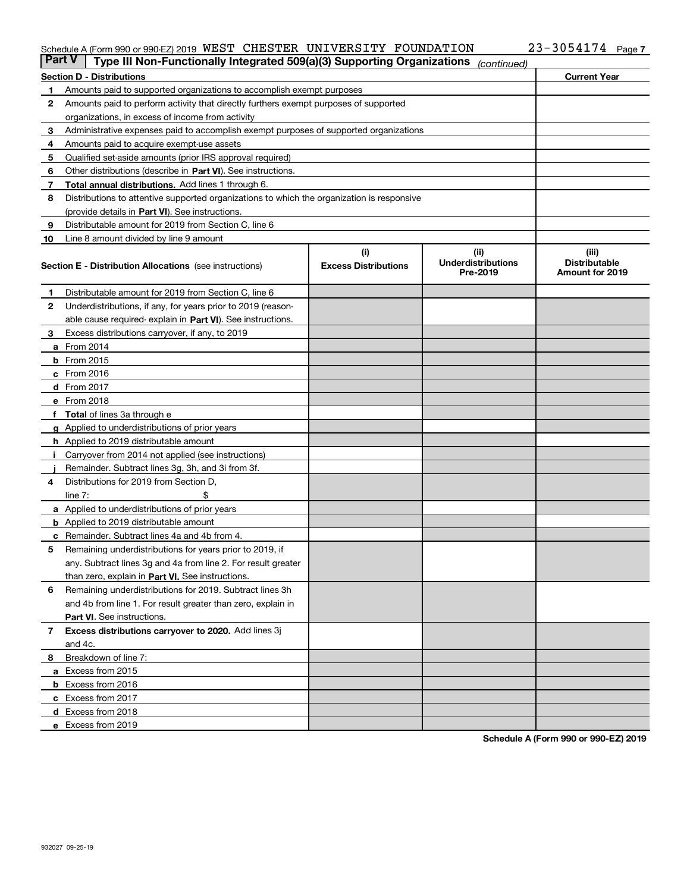#### Schedule A (Form 990 or 990-EZ) 2019 <code>WEST CHESTER UNIVERSITY FOUNDATION</code>  $23$  –  $3\,0\,5\,4\,17\,4$   $_{\rm Page}$

|                                                                            | Part V<br>Type III Non-Functionally Integrated 509(a)(3) Supporting Organizations          |                             | (continued)                           |                                         |  |  |
|----------------------------------------------------------------------------|--------------------------------------------------------------------------------------------|-----------------------------|---------------------------------------|-----------------------------------------|--|--|
|                                                                            | Section D - Distributions                                                                  | <b>Current Year</b>         |                                       |                                         |  |  |
| Amounts paid to supported organizations to accomplish exempt purposes<br>1 |                                                                                            |                             |                                       |                                         |  |  |
| 2                                                                          | Amounts paid to perform activity that directly furthers exempt purposes of supported       |                             |                                       |                                         |  |  |
|                                                                            | organizations, in excess of income from activity                                           |                             |                                       |                                         |  |  |
| 3                                                                          | Administrative expenses paid to accomplish exempt purposes of supported organizations      |                             |                                       |                                         |  |  |
| 4                                                                          | Amounts paid to acquire exempt-use assets                                                  |                             |                                       |                                         |  |  |
| 5                                                                          | Qualified set-aside amounts (prior IRS approval required)                                  |                             |                                       |                                         |  |  |
| 6                                                                          | Other distributions (describe in Part VI). See instructions.                               |                             |                                       |                                         |  |  |
| 7                                                                          | Total annual distributions. Add lines 1 through 6.                                         |                             |                                       |                                         |  |  |
| 8                                                                          | Distributions to attentive supported organizations to which the organization is responsive |                             |                                       |                                         |  |  |
|                                                                            | (provide details in Part VI). See instructions.                                            |                             |                                       |                                         |  |  |
| 9                                                                          | Distributable amount for 2019 from Section C, line 6                                       |                             |                                       |                                         |  |  |
| 10                                                                         | Line 8 amount divided by line 9 amount                                                     |                             |                                       |                                         |  |  |
|                                                                            |                                                                                            | (i)                         | (ii)                                  | (iii)                                   |  |  |
|                                                                            | Section E - Distribution Allocations (see instructions)                                    | <b>Excess Distributions</b> | <b>Underdistributions</b><br>Pre-2019 | <b>Distributable</b><br>Amount for 2019 |  |  |
| 1                                                                          | Distributable amount for 2019 from Section C, line 6                                       |                             |                                       |                                         |  |  |
| 2                                                                          | Underdistributions, if any, for years prior to 2019 (reason-                               |                             |                                       |                                         |  |  |
|                                                                            | able cause required- explain in Part VI). See instructions.                                |                             |                                       |                                         |  |  |
| з                                                                          | Excess distributions carryover, if any, to 2019                                            |                             |                                       |                                         |  |  |
|                                                                            | <b>a</b> From 2014                                                                         |                             |                                       |                                         |  |  |
|                                                                            | <b>b</b> From $2015$                                                                       |                             |                                       |                                         |  |  |
|                                                                            | c From 2016                                                                                |                             |                                       |                                         |  |  |
|                                                                            | <b>d</b> From 2017                                                                         |                             |                                       |                                         |  |  |
|                                                                            | e From 2018                                                                                |                             |                                       |                                         |  |  |
|                                                                            | <b>Total</b> of lines 3a through e                                                         |                             |                                       |                                         |  |  |
|                                                                            | <b>g</b> Applied to underdistributions of prior years                                      |                             |                                       |                                         |  |  |
|                                                                            | <b>h</b> Applied to 2019 distributable amount                                              |                             |                                       |                                         |  |  |
|                                                                            | Carryover from 2014 not applied (see instructions)                                         |                             |                                       |                                         |  |  |
|                                                                            | Remainder. Subtract lines 3g, 3h, and 3i from 3f.                                          |                             |                                       |                                         |  |  |
| 4                                                                          | Distributions for 2019 from Section D,                                                     |                             |                                       |                                         |  |  |
|                                                                            | line $7:$                                                                                  |                             |                                       |                                         |  |  |
|                                                                            | <b>a</b> Applied to underdistributions of prior years                                      |                             |                                       |                                         |  |  |
|                                                                            | <b>b</b> Applied to 2019 distributable amount                                              |                             |                                       |                                         |  |  |
| c                                                                          | Remainder. Subtract lines 4a and 4b from 4.                                                |                             |                                       |                                         |  |  |
| 5                                                                          | Remaining underdistributions for years prior to 2019, if                                   |                             |                                       |                                         |  |  |
|                                                                            | any. Subtract lines 3g and 4a from line 2. For result greater                              |                             |                                       |                                         |  |  |
|                                                                            | than zero, explain in Part VI. See instructions.                                           |                             |                                       |                                         |  |  |
| 6                                                                          | Remaining underdistributions for 2019. Subtract lines 3h                                   |                             |                                       |                                         |  |  |
|                                                                            | and 4b from line 1. For result greater than zero, explain in                               |                             |                                       |                                         |  |  |
|                                                                            | <b>Part VI.</b> See instructions.                                                          |                             |                                       |                                         |  |  |
| 7                                                                          | Excess distributions carryover to 2020. Add lines 3j                                       |                             |                                       |                                         |  |  |
|                                                                            | and 4c.                                                                                    |                             |                                       |                                         |  |  |
| 8                                                                          | Breakdown of line 7:                                                                       |                             |                                       |                                         |  |  |
|                                                                            | a Excess from 2015                                                                         |                             |                                       |                                         |  |  |
|                                                                            | b Excess from 2016                                                                         |                             |                                       |                                         |  |  |
|                                                                            |                                                                                            |                             |                                       |                                         |  |  |
|                                                                            | c Excess from 2017                                                                         |                             |                                       |                                         |  |  |
|                                                                            | d Excess from 2018                                                                         |                             |                                       |                                         |  |  |
|                                                                            | e Excess from 2019                                                                         |                             |                                       |                                         |  |  |

**Schedule A (Form 990 or 990-EZ) 2019**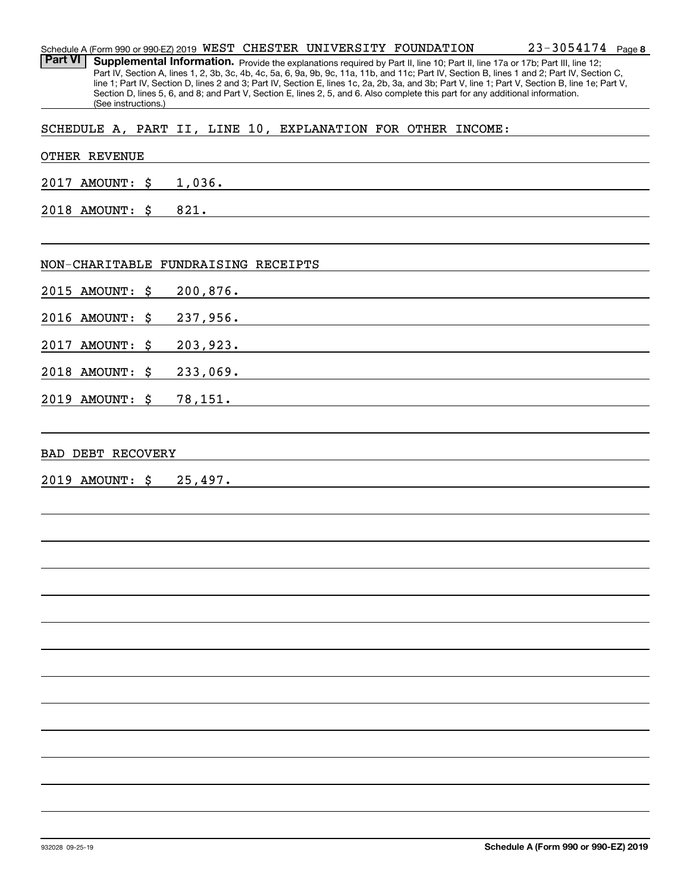**8**23-3054174Schedule A (Form 990 or 990-EZ) 2019 <code>WEST CHESTER UNIVERSITY FOUNDATION</code>  $23$  –  $3\,0\,5\,4\,1\,7\,4$   $\,$  <code>Page</code> Part VI | Supplemental Information. Provide the explanations required by Part II, line 10; Part II, line 17a or 17b; Part III, line 12; Part IV, Section A, lines 1, 2, 3b, 3c, 4b, 4c, 5a, 6, 9a, 9b, 9c, 11a, 11b, and 11c; Part IV, Section B, lines 1 and 2; Part IV, Section C, line 1; Part IV, Section D, lines 2 and 3; Part IV, Section E, lines 1c, 2a, 2b, 3a, and 3b; Part V, line 1; Part V, Section B, line 1e; Part V, Section D, lines 5, 6, and 8; and Part V, Section E, lines 2, 5, and 6. Also complete this part for any additional information. (See instructions.)

SCHEDULE A, PART II, LINE 10, EXPLANATION FOR OTHER INCOME:

#### OTHER REVENUE

2017 AMOUNT: \$ 1,036.

2018 AMOUNT: \$ 821.

#### NON-CHARITABLE FUNDRAISING RECEIPTS

2015 AMOUNT: \$ 200,876.

2016 AMOUNT: \$ 237,956.

2017 AMOUNT: \$ 203,923.

2018 AMOUNT: \$ 233,069.

2019 AMOUNT: \$ 78,151.

#### BAD DEBT RECOVERY

2019 AMOUNT: \$ 25,497.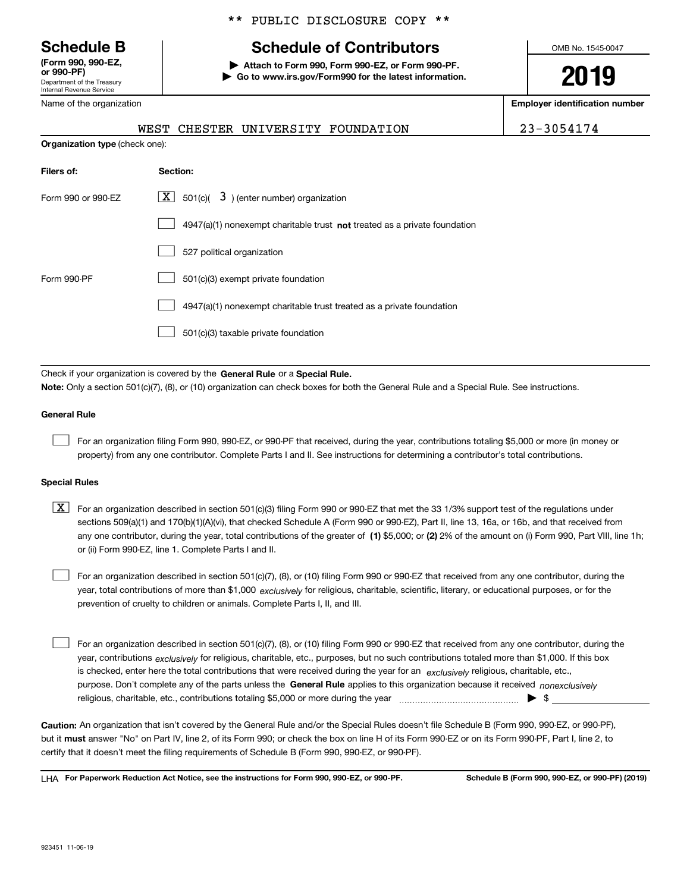Department of the Treasury Internal Revenue Service **(Form 990, 990-EZ, or 990-PF)**

Name of the organization

#### \*\* PUBLIC DISCLOSURE COPY \*\*

# **Schedule B Schedule of Contributors**

**| Attach to Form 990, Form 990-EZ, or Form 990-PF. | Go to www.irs.gov/Form990 for the latest information.** OMB No. 1545-0047

**2019**

**Employer identification number**

|  | WEST CHESTER UNIVERSITY FOUNDATION | 23-3054174 |
|--|------------------------------------|------------|
|  |                                    |            |

**Organization type** (check one):

| Filers of:         | Section:                                                                    |
|--------------------|-----------------------------------------------------------------------------|
| Form 990 or 990-FZ | $ \mathbf{X} $ 501(c)( 3) (enter number) organization                       |
|                    | $4947(a)(1)$ nonexempt charitable trust not treated as a private foundation |
|                    | 527 political organization                                                  |
| Form 990-PF        | 501(c)(3) exempt private foundation                                         |
|                    | 4947(a)(1) nonexempt charitable trust treated as a private foundation       |
|                    | 501(c)(3) taxable private foundation                                        |

Check if your organization is covered by the **General Rule** or a **Special Rule. Note:**  Only a section 501(c)(7), (8), or (10) organization can check boxes for both the General Rule and a Special Rule. See instructions.

#### **General Rule**

 $\mathcal{L}^{\text{max}}$ 

For an organization filing Form 990, 990-EZ, or 990-PF that received, during the year, contributions totaling \$5,000 or more (in money or property) from any one contributor. Complete Parts I and II. See instructions for determining a contributor's total contributions.

#### **Special Rules**

any one contributor, during the year, total contributions of the greater of  $\,$  (1) \$5,000; or **(2)** 2% of the amount on (i) Form 990, Part VIII, line 1h;  $\boxed{\textbf{X}}$  For an organization described in section 501(c)(3) filing Form 990 or 990-EZ that met the 33 1/3% support test of the regulations under sections 509(a)(1) and 170(b)(1)(A)(vi), that checked Schedule A (Form 990 or 990-EZ), Part II, line 13, 16a, or 16b, and that received from or (ii) Form 990-EZ, line 1. Complete Parts I and II.

year, total contributions of more than \$1,000 *exclusively* for religious, charitable, scientific, literary, or educational purposes, or for the For an organization described in section 501(c)(7), (8), or (10) filing Form 990 or 990-EZ that received from any one contributor, during the prevention of cruelty to children or animals. Complete Parts I, II, and III.  $\mathcal{L}^{\text{max}}$ 

purpose. Don't complete any of the parts unless the **General Rule** applies to this organization because it received *nonexclusively* year, contributions <sub>exclusively</sub> for religious, charitable, etc., purposes, but no such contributions totaled more than \$1,000. If this box is checked, enter here the total contributions that were received during the year for an  $\;$ exclusively religious, charitable, etc., For an organization described in section 501(c)(7), (8), or (10) filing Form 990 or 990-EZ that received from any one contributor, during the religious, charitable, etc., contributions totaling \$5,000 or more during the year  $\Box$ — $\Box$   $\Box$  $\mathcal{L}^{\text{max}}$ 

**Caution:**  An organization that isn't covered by the General Rule and/or the Special Rules doesn't file Schedule B (Form 990, 990-EZ, or 990-PF),  **must** but it answer "No" on Part IV, line 2, of its Form 990; or check the box on line H of its Form 990-EZ or on its Form 990-PF, Part I, line 2, to certify that it doesn't meet the filing requirements of Schedule B (Form 990, 990-EZ, or 990-PF).

**For Paperwork Reduction Act Notice, see the instructions for Form 990, 990-EZ, or 990-PF. Schedule B (Form 990, 990-EZ, or 990-PF) (2019)** LHA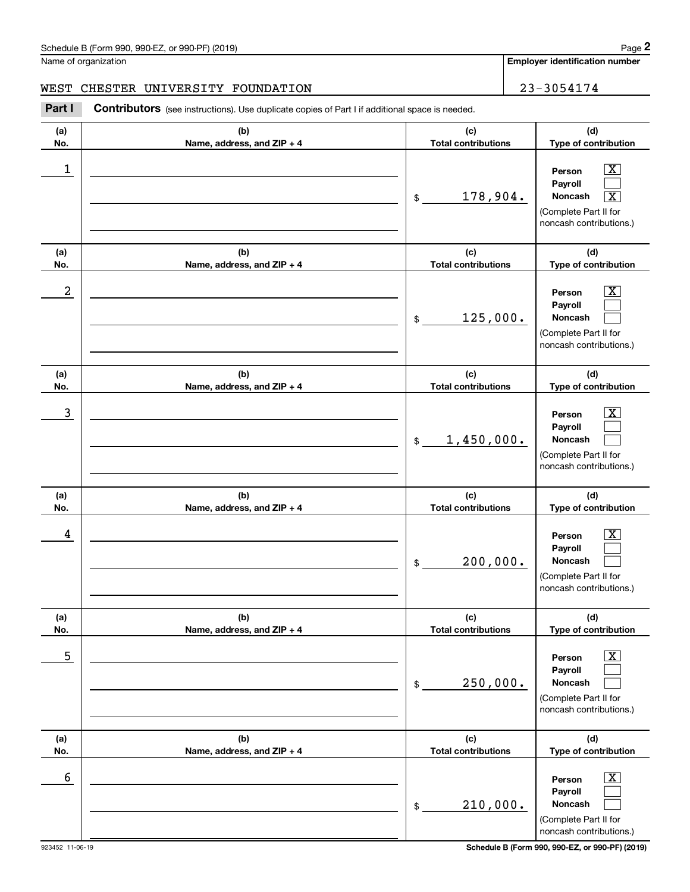Name of organization

**Employer identification number**

### WEST CHESTER UNIVERSITY FOUNDATION | 23-3054174

(see instructions). Use duplicate copies of Part I if additional space is needed.<br> **23-3054174**<br> **23-3054174**<br> **23-3054174**<br> **Part I Contributors** (see instructions). Use duplicate copies of Part I if additional space is

| (a)<br>No. | (b)<br>Name, address, and ZIP + 4 | (c)<br><b>Total contributions</b> | (d)<br>Type of contribution                                                                                                          |
|------------|-----------------------------------|-----------------------------------|--------------------------------------------------------------------------------------------------------------------------------------|
| 1          |                                   | 178,904.<br>\$                    | $\overline{\mathbf{x}}$<br>Person<br>Pavroll<br>Noncash<br>$\overline{\text{X}}$<br>(Complete Part II for<br>noncash contributions.) |
| (a)<br>No. | (b)<br>Name, address, and ZIP + 4 | (c)<br><b>Total contributions</b> | (d)<br>Type of contribution                                                                                                          |
| 2          |                                   | 125,000.<br>\$                    | $\overline{\texttt{X}}$<br>Person<br>Payroll<br>Noncash<br>(Complete Part II for<br>noncash contributions.)                          |
| (a)<br>No. | (b)<br>Name, address, and ZIP + 4 | (c)<br><b>Total contributions</b> | (d)<br>Type of contribution                                                                                                          |
| 3          |                                   | 1,450,000.<br>$\mathfrak{S}$      | $\overline{\text{X}}$<br>Person<br>Payroll<br>Noncash<br>(Complete Part II for<br>noncash contributions.)                            |
| (a)<br>No. | (b)<br>Name, address, and ZIP + 4 | (c)<br><b>Total contributions</b> | (d)<br>Type of contribution                                                                                                          |
| 4          |                                   | 200,000.<br>\$                    | $\overline{\texttt{X}}$<br>Person<br>Payroll<br><b>Noncash</b><br>(Complete Part II for<br>noncash contributions.)                   |
| (a)<br>No. | (b)<br>Name, address, and ZIP + 4 | (c)<br><b>Total contributions</b> | (d)<br>Type of contribution                                                                                                          |
| 5          |                                   | 250,000.<br>\$                    | $\overline{\mathbf{X}}$<br>Person<br>Payroll<br>Noncash<br>(Complete Part II for<br>noncash contributions.)                          |
| (a)<br>No. | (b)<br>Name, address, and ZIP + 4 | (c)<br><b>Total contributions</b> | (d)<br>Type of contribution                                                                                                          |
| 6          |                                   | 210,000.<br>\$                    | $\boxed{\text{X}}$<br>Person<br>Payroll<br>Noncash<br>(Complete Part II for<br>noncash contributions.)                               |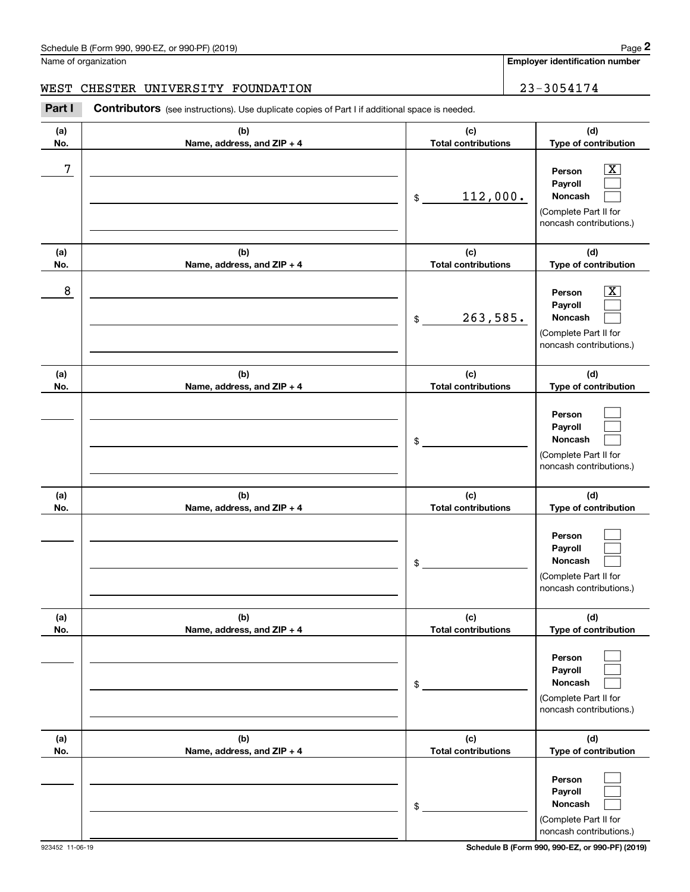Name of organization

**Employer identification number**

**(d)**

 $\boxed{\text{X}}$  $\mathcal{L}^{\text{max}}$  $\mathcal{L}^{\text{max}}$ 

**(d)**

**(a) No.(b) Name, address, and ZIP + 4 (c) Total contributions Type of contribution Person PayrollNoncash (a) No.(b) Name, address, and ZIP + 4 (c) Total contributions Type of contribution (a)No.(b)Name, address, and ZIP + 4 (c)Total contributions** (see instructions). Use duplicate copies of Part I if additional space is needed.<br> **23-3054174**<br> **23-3054174**<br> **23-3054174**<br> **Part I Contributors** (see instructions). Use duplicate copies of Part I if additional space is \$(Complete Part II for noncash contributions.) \$7 X 112,000. 263,585. WEST CHESTER UNIVERSITY FOUNDATION **FOUNDATION** 23-3054174

| 8               |                                   | 263,585.<br>\$                    | x<br>Person<br>Payroll<br>Noncash<br>(Complete Part II for<br>noncash contributions.)                                               |
|-----------------|-----------------------------------|-----------------------------------|-------------------------------------------------------------------------------------------------------------------------------------|
| (a)<br>No.      | (b)<br>Name, address, and ZIP + 4 | (c)<br><b>Total contributions</b> | (d)<br>Type of contribution                                                                                                         |
|                 |                                   | \$                                | Person<br>Payroll<br>Noncash<br>(Complete Part II for<br>noncash contributions.)                                                    |
| (a)<br>No.      | (b)<br>Name, address, and ZIP + 4 | (c)<br><b>Total contributions</b> | (d)<br>Type of contribution                                                                                                         |
|                 |                                   | \$                                | Person<br>Payroll<br>Noncash<br>(Complete Part II for<br>noncash contributions.)                                                    |
| (a)<br>No.      | (b)<br>Name, address, and ZIP + 4 | (c)<br><b>Total contributions</b> | (d)<br>Type of contribution                                                                                                         |
|                 |                                   | \$                                | Person<br>Payroll<br><b>Noncash</b><br>(Complete Part II for<br>noncash contributions.)                                             |
| (a)<br>No.      | (b)<br>Name, address, and ZIP + 4 | (c)<br><b>Total contributions</b> | (d)<br>Type of contribution                                                                                                         |
| 923452 11-06-19 |                                   | \$                                | Person<br>Payroll<br>Noncash<br>(Complete Part II for<br>noncash contributions.)<br>Schedule B (Form 990, 990-EZ, or 990-PF) (2019) |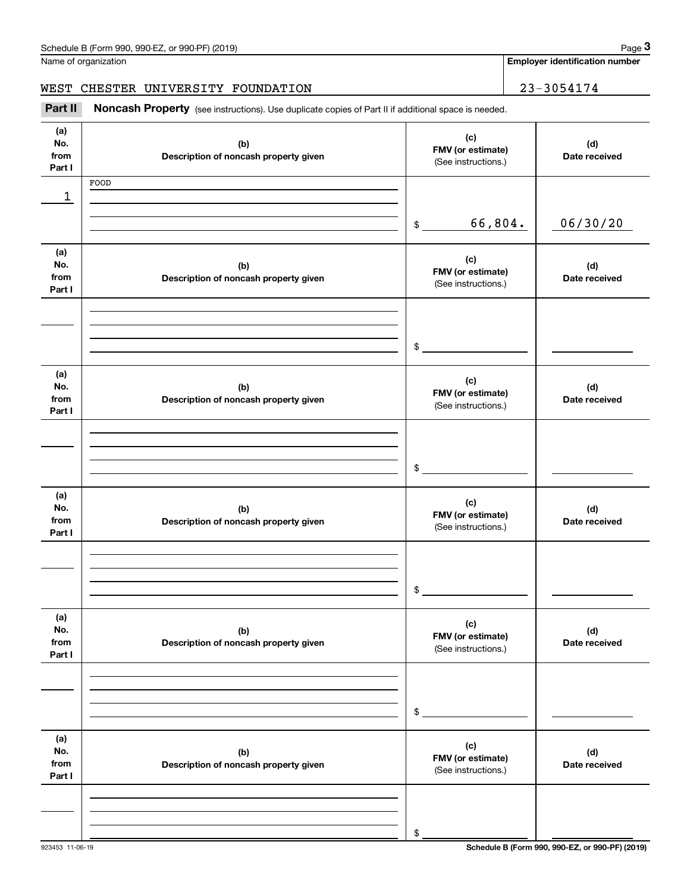**Employer identification number**

### WEST CHESTER UNIVERSITY FOUNDATION | 23-3054174

(see instructions). Use duplicate copies of Part II if additional space is needed.<br> **23-3054174**<br> **Part II if Additional space is needed.** All **Noncash Property** (see instructions). Use duplicate copies of Part II if addit

| (a)<br>No.<br>from<br>Part I | (b)<br>Description of noncash property given | (c)<br>FMV (or estimate)<br>(See instructions.) | (d)<br>Date received |
|------------------------------|----------------------------------------------|-------------------------------------------------|----------------------|
| 1                            | FOOD                                         |                                                 |                      |
|                              |                                              | 66,804.<br>$\frac{1}{2}$                        | 06/30/20             |
| (a)<br>No.<br>from<br>Part I | (b)<br>Description of noncash property given | (c)<br>FMV (or estimate)<br>(See instructions.) | (d)<br>Date received |
|                              |                                              | \$                                              |                      |
| (a)<br>No.<br>from<br>Part I | (b)<br>Description of noncash property given | (c)<br>FMV (or estimate)<br>(See instructions.) | (d)<br>Date received |
|                              |                                              | \$                                              |                      |
| (a)<br>No.<br>from<br>Part I | (b)<br>Description of noncash property given | (c)<br>FMV (or estimate)<br>(See instructions.) | (d)<br>Date received |
|                              |                                              | \$                                              |                      |
| (a)<br>No.<br>from<br>Part I | (b)<br>Description of noncash property given | (c)<br>FMV (or estimate)<br>(See instructions.) | (d)<br>Date received |
|                              |                                              | \$                                              |                      |
| (a)<br>No.<br>from<br>Part I | (b)<br>Description of noncash property given | (c)<br>FMV (or estimate)<br>(See instructions.) | (d)<br>Date received |
|                              |                                              | \$                                              |                      |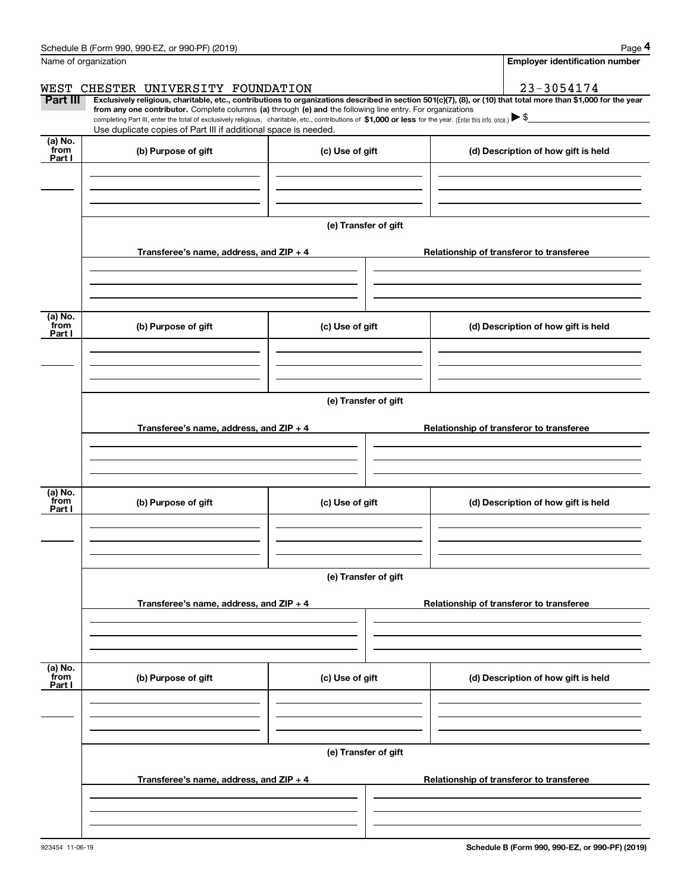|                           | Schedule B (Form 990, 990-EZ, or 990-PF) (2019)                                                                                                                                                                                                                                                 |                      | Page 4                                                                                                                                                         |  |  |  |
|---------------------------|-------------------------------------------------------------------------------------------------------------------------------------------------------------------------------------------------------------------------------------------------------------------------------------------------|----------------------|----------------------------------------------------------------------------------------------------------------------------------------------------------------|--|--|--|
|                           | Name of organization                                                                                                                                                                                                                                                                            |                      | <b>Employer identification number</b>                                                                                                                          |  |  |  |
| WEST                      | CHESTER UNIVERSITY FOUNDATION                                                                                                                                                                                                                                                                   |                      | 23-3054174                                                                                                                                                     |  |  |  |
| Part III                  | from any one contributor. Complete columns (a) through (e) and the following line entry. For organizations<br>completing Part III, enter the total of exclusively religious, charitable, etc., contributions of \$1,000 or less for the year. (Enter this info. once.) $\blacktriangleright$ \$ |                      | Exclusively religious, charitable, etc., contributions to organizations described in section 501(c)(7), (8), or (10) that total more than \$1,000 for the year |  |  |  |
| (a) No.                   | Use duplicate copies of Part III if additional space is needed.                                                                                                                                                                                                                                 |                      |                                                                                                                                                                |  |  |  |
| from<br>Part I            | (b) Purpose of gift                                                                                                                                                                                                                                                                             | (c) Use of gift      | (d) Description of how gift is held                                                                                                                            |  |  |  |
|                           |                                                                                                                                                                                                                                                                                                 | (e) Transfer of gift |                                                                                                                                                                |  |  |  |
|                           | Transferee's name, address, and $ZIP + 4$                                                                                                                                                                                                                                                       |                      | Relationship of transferor to transferee                                                                                                                       |  |  |  |
| (a) No.<br>from<br>Part I | (b) Purpose of gift                                                                                                                                                                                                                                                                             | (c) Use of gift      | (d) Description of how gift is held                                                                                                                            |  |  |  |
|                           |                                                                                                                                                                                                                                                                                                 |                      |                                                                                                                                                                |  |  |  |
|                           | (e) Transfer of gift                                                                                                                                                                                                                                                                            |                      |                                                                                                                                                                |  |  |  |
|                           | Transferee's name, address, and $ZIP + 4$                                                                                                                                                                                                                                                       |                      | Relationship of transferor to transferee                                                                                                                       |  |  |  |
|                           |                                                                                                                                                                                                                                                                                                 |                      |                                                                                                                                                                |  |  |  |
| (a) No.<br>from<br>Part I | (b) Purpose of gift                                                                                                                                                                                                                                                                             | (c) Use of gift      | (d) Description of how gift is held                                                                                                                            |  |  |  |
|                           |                                                                                                                                                                                                                                                                                                 | (e) Transfer of gift |                                                                                                                                                                |  |  |  |
|                           | Transferee's name, address, and $ZIP + 4$                                                                                                                                                                                                                                                       |                      | Relationship of transferor to transferee                                                                                                                       |  |  |  |
|                           |                                                                                                                                                                                                                                                                                                 |                      |                                                                                                                                                                |  |  |  |
| (a) No.<br>from<br>Part I | (b) Purpose of gift                                                                                                                                                                                                                                                                             | (c) Use of gift      | (d) Description of how gift is held                                                                                                                            |  |  |  |
|                           |                                                                                                                                                                                                                                                                                                 |                      |                                                                                                                                                                |  |  |  |
|                           | Transferee's name, address, and ZIP + 4                                                                                                                                                                                                                                                         | (e) Transfer of gift | Relationship of transferor to transferee                                                                                                                       |  |  |  |
|                           |                                                                                                                                                                                                                                                                                                 |                      |                                                                                                                                                                |  |  |  |
|                           |                                                                                                                                                                                                                                                                                                 |                      |                                                                                                                                                                |  |  |  |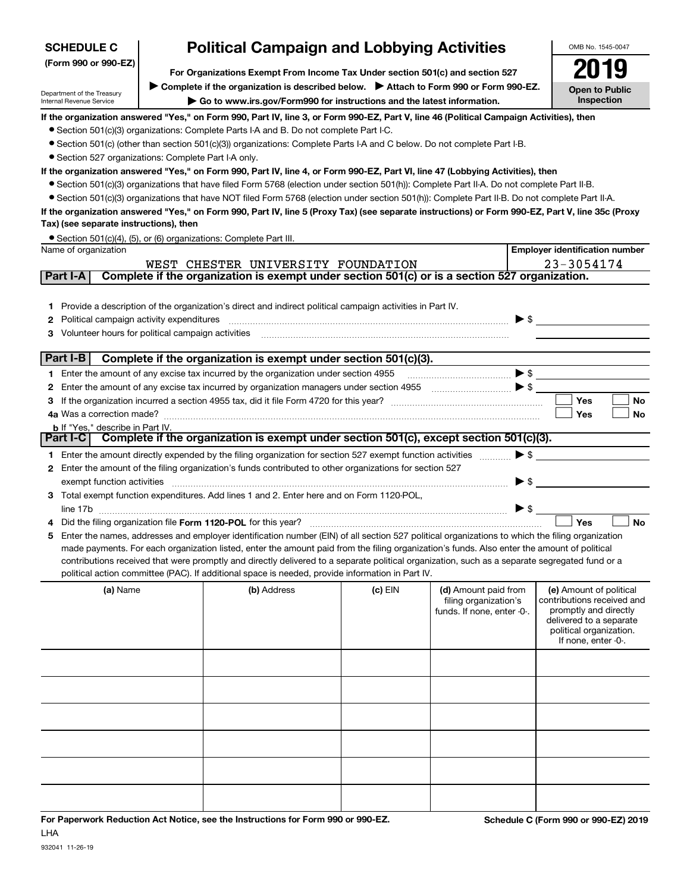| <b>SCHEDULE C</b>                                                                                     | <b>Political Campaign and Lobbying Activities</b>                                                                                                                                      |                                                                                                                                                                                                                                                                                                |           | OMB No. 1545-0047          |                          |                                                  |  |
|-------------------------------------------------------------------------------------------------------|----------------------------------------------------------------------------------------------------------------------------------------------------------------------------------------|------------------------------------------------------------------------------------------------------------------------------------------------------------------------------------------------------------------------------------------------------------------------------------------------|-----------|----------------------------|--------------------------|--------------------------------------------------|--|
| (Form 990 or 990-EZ)<br>For Organizations Exempt From Income Tax Under section 501(c) and section 527 |                                                                                                                                                                                        |                                                                                                                                                                                                                                                                                                |           |                            |                          |                                                  |  |
|                                                                                                       |                                                                                                                                                                                        | ► Complete if the organization is described below. ► Attach to Form 990 or Form 990-EZ.                                                                                                                                                                                                        |           |                            |                          |                                                  |  |
| Department of the Treasury<br>Internal Revenue Service                                                |                                                                                                                                                                                        | Go to www.irs.gov/Form990 for instructions and the latest information.                                                                                                                                                                                                                         |           |                            |                          | <b>Open to Public</b><br>Inspection              |  |
|                                                                                                       |                                                                                                                                                                                        | If the organization answered "Yes," on Form 990, Part IV, line 3, or Form 990-EZ, Part V, line 46 (Political Campaign Activities), then                                                                                                                                                        |           |                            |                          |                                                  |  |
|                                                                                                       |                                                                                                                                                                                        | • Section 501(c)(3) organizations: Complete Parts I-A and B. Do not complete Part I-C.                                                                                                                                                                                                         |           |                            |                          |                                                  |  |
|                                                                                                       |                                                                                                                                                                                        | • Section 501(c) (other than section 501(c)(3)) organizations: Complete Parts I-A and C below. Do not complete Part I-B.                                                                                                                                                                       |           |                            |                          |                                                  |  |
|                                                                                                       | • Section 527 organizations: Complete Part I-A only.<br>If the organization answered "Yes," on Form 990, Part IV, line 4, or Form 990-EZ, Part VI, line 47 (Lobbying Activities), then |                                                                                                                                                                                                                                                                                                |           |                            |                          |                                                  |  |
|                                                                                                       |                                                                                                                                                                                        | • Section 501(c)(3) organizations that have filed Form 5768 (election under section 501(h)): Complete Part II-A. Do not complete Part II-B.                                                                                                                                                    |           |                            |                          |                                                  |  |
|                                                                                                       |                                                                                                                                                                                        | • Section 501(c)(3) organizations that have NOT filed Form 5768 (election under section 501(h)): Complete Part II-B. Do not complete Part II-A.                                                                                                                                                |           |                            |                          |                                                  |  |
|                                                                                                       |                                                                                                                                                                                        | If the organization answered "Yes," on Form 990, Part IV, line 5 (Proxy Tax) (see separate instructions) or Form 990-EZ, Part V, line 35c (Proxy                                                                                                                                               |           |                            |                          |                                                  |  |
| Tax) (see separate instructions), then                                                                |                                                                                                                                                                                        |                                                                                                                                                                                                                                                                                                |           |                            |                          |                                                  |  |
|                                                                                                       |                                                                                                                                                                                        | • Section 501(c)(4), (5), or (6) organizations: Complete Part III.                                                                                                                                                                                                                             |           |                            |                          |                                                  |  |
| Name of organization                                                                                  |                                                                                                                                                                                        |                                                                                                                                                                                                                                                                                                |           |                            |                          | <b>Employer identification number</b>            |  |
|                                                                                                       |                                                                                                                                                                                        | WEST CHESTER UNIVERSITY FOUNDATION                                                                                                                                                                                                                                                             |           |                            |                          | 23-3054174                                       |  |
| Part I-A                                                                                              |                                                                                                                                                                                        | Complete if the organization is exempt under section 501(c) or is a section 527 organization.                                                                                                                                                                                                  |           |                            |                          |                                                  |  |
|                                                                                                       |                                                                                                                                                                                        |                                                                                                                                                                                                                                                                                                |           |                            |                          |                                                  |  |
| 1.                                                                                                    |                                                                                                                                                                                        | Provide a description of the organization's direct and indirect political campaign activities in Part IV.                                                                                                                                                                                      |           |                            |                          |                                                  |  |
| Political campaign activity expenditures<br>2                                                         |                                                                                                                                                                                        |                                                                                                                                                                                                                                                                                                |           |                            | $\blacktriangleright$ \$ |                                                  |  |
| Volunteer hours for political campaign activities<br>3                                                |                                                                                                                                                                                        |                                                                                                                                                                                                                                                                                                |           |                            |                          |                                                  |  |
| Part I-B                                                                                              |                                                                                                                                                                                        | Complete if the organization is exempt under section 501(c)(3).                                                                                                                                                                                                                                |           |                            |                          |                                                  |  |
|                                                                                                       |                                                                                                                                                                                        | 1 Enter the amount of any excise tax incurred by the organization under section 4955                                                                                                                                                                                                           |           |                            |                          |                                                  |  |
| 2                                                                                                     |                                                                                                                                                                                        | Enter the amount of any excise tax incurred by organization managers under section 4955                                                                                                                                                                                                        |           |                            |                          |                                                  |  |
| з                                                                                                     |                                                                                                                                                                                        |                                                                                                                                                                                                                                                                                                |           |                            |                          | <b>Yes</b><br><b>No</b>                          |  |
|                                                                                                       |                                                                                                                                                                                        |                                                                                                                                                                                                                                                                                                |           |                            |                          | Yes<br>No                                        |  |
| <b>b</b> If "Yes," describe in Part IV.                                                               |                                                                                                                                                                                        |                                                                                                                                                                                                                                                                                                |           |                            |                          |                                                  |  |
| Part I-C                                                                                              |                                                                                                                                                                                        | Complete if the organization is exempt under section 501(c), except section 501(c)(3).                                                                                                                                                                                                         |           |                            |                          |                                                  |  |
|                                                                                                       |                                                                                                                                                                                        | 1 Enter the amount directly expended by the filing organization for section 527 exempt function activities                                                                                                                                                                                     |           |                            | $\blacktriangleright$ \$ |                                                  |  |
|                                                                                                       |                                                                                                                                                                                        | 2 Enter the amount of the filing organization's funds contributed to other organizations for section 527                                                                                                                                                                                       |           |                            |                          |                                                  |  |
| exempt function activities                                                                            |                                                                                                                                                                                        |                                                                                                                                                                                                                                                                                                |           |                            | $\blacktriangleright$ \$ |                                                  |  |
|                                                                                                       |                                                                                                                                                                                        | 3 Total exempt function expenditures. Add lines 1 and 2. Enter here and on Form 1120-POL,                                                                                                                                                                                                      |           |                            |                          |                                                  |  |
|                                                                                                       |                                                                                                                                                                                        |                                                                                                                                                                                                                                                                                                |           |                            | $\blacktriangleright$ \$ | Yes<br><b>No</b>                                 |  |
|                                                                                                       |                                                                                                                                                                                        |                                                                                                                                                                                                                                                                                                |           |                            |                          |                                                  |  |
| 5                                                                                                     |                                                                                                                                                                                        | Enter the names, addresses and employer identification number (EIN) of all section 527 political organizations to which the filing organization<br>made payments. For each organization listed, enter the amount paid from the filing organization's funds. Also enter the amount of political |           |                            |                          |                                                  |  |
|                                                                                                       |                                                                                                                                                                                        | contributions received that were promptly and directly delivered to a separate political organization, such as a separate segregated fund or a                                                                                                                                                 |           |                            |                          |                                                  |  |
|                                                                                                       |                                                                                                                                                                                        | political action committee (PAC). If additional space is needed, provide information in Part IV.                                                                                                                                                                                               |           |                            |                          |                                                  |  |
| (a) Name                                                                                              |                                                                                                                                                                                        | (b) Address                                                                                                                                                                                                                                                                                    | $(c)$ EIN | (d) Amount paid from       |                          | (e) Amount of political                          |  |
|                                                                                                       |                                                                                                                                                                                        |                                                                                                                                                                                                                                                                                                |           | filing organization's      |                          | contributions received and                       |  |
|                                                                                                       |                                                                                                                                                                                        |                                                                                                                                                                                                                                                                                                |           | funds. If none, enter -0-. |                          | promptly and directly<br>delivered to a separate |  |
|                                                                                                       |                                                                                                                                                                                        |                                                                                                                                                                                                                                                                                                |           |                            |                          | political organization.                          |  |
|                                                                                                       |                                                                                                                                                                                        |                                                                                                                                                                                                                                                                                                |           |                            |                          | If none, enter -0-.                              |  |
|                                                                                                       |                                                                                                                                                                                        |                                                                                                                                                                                                                                                                                                |           |                            |                          |                                                  |  |
|                                                                                                       |                                                                                                                                                                                        |                                                                                                                                                                                                                                                                                                |           |                            |                          |                                                  |  |
|                                                                                                       |                                                                                                                                                                                        |                                                                                                                                                                                                                                                                                                |           |                            |                          |                                                  |  |
|                                                                                                       |                                                                                                                                                                                        |                                                                                                                                                                                                                                                                                                |           |                            |                          |                                                  |  |
|                                                                                                       |                                                                                                                                                                                        |                                                                                                                                                                                                                                                                                                |           |                            |                          |                                                  |  |
|                                                                                                       |                                                                                                                                                                                        |                                                                                                                                                                                                                                                                                                |           |                            |                          |                                                  |  |
|                                                                                                       |                                                                                                                                                                                        |                                                                                                                                                                                                                                                                                                |           |                            |                          |                                                  |  |
|                                                                                                       |                                                                                                                                                                                        |                                                                                                                                                                                                                                                                                                |           |                            |                          |                                                  |  |
|                                                                                                       |                                                                                                                                                                                        |                                                                                                                                                                                                                                                                                                |           |                            |                          |                                                  |  |
|                                                                                                       |                                                                                                                                                                                        |                                                                                                                                                                                                                                                                                                |           |                            |                          |                                                  |  |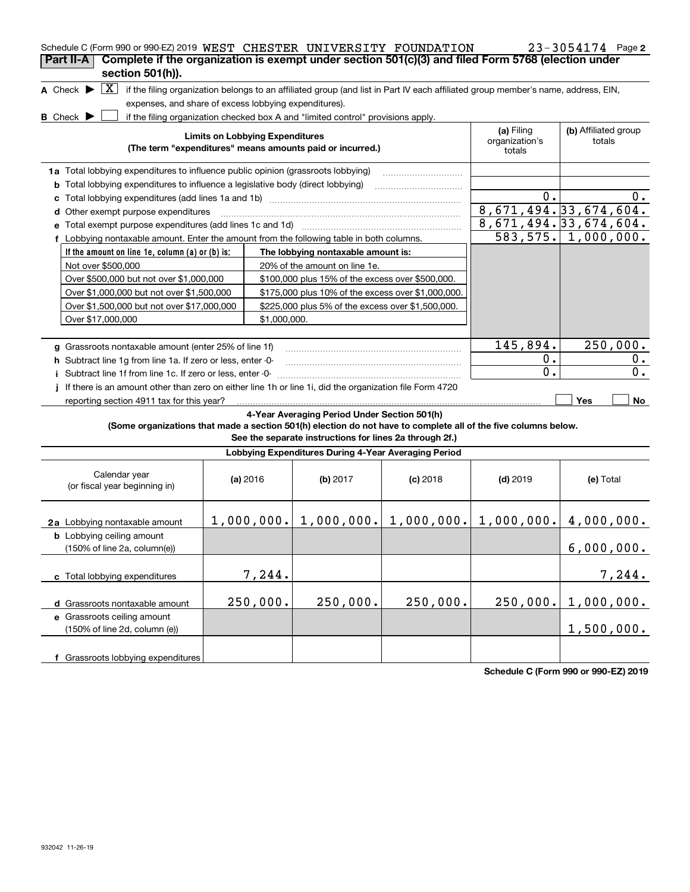| Schedule C (Form 990 or 990-EZ) 2019 WEST CHESTER UNIVERSITY FOUNDATION<br>Complete if the organization is exempt under section 501(c)(3) and filed Form 5768 (election under<br>Part II-A |                                        |              |                                                                                                                                   |            |                                        | 23-3054174 Page 2              |
|--------------------------------------------------------------------------------------------------------------------------------------------------------------------------------------------|----------------------------------------|--------------|-----------------------------------------------------------------------------------------------------------------------------------|------------|----------------------------------------|--------------------------------|
| section 501(h)).                                                                                                                                                                           |                                        |              |                                                                                                                                   |            |                                        |                                |
| X <br>A Check $\blacktriangleright$                                                                                                                                                        |                                        |              | if the filing organization belongs to an affiliated group (and list in Part IV each affiliated group member's name, address, EIN, |            |                                        |                                |
| expenses, and share of excess lobbying expenditures).                                                                                                                                      |                                        |              |                                                                                                                                   |            |                                        |                                |
| $B$ Check $\blacktriangleright$                                                                                                                                                            |                                        |              | if the filing organization checked box A and "limited control" provisions apply.                                                  |            |                                        |                                |
|                                                                                                                                                                                            | <b>Limits on Lobbying Expenditures</b> |              | (The term "expenditures" means amounts paid or incurred.)                                                                         |            | (a) Filing<br>organization's<br>totals | (b) Affiliated group<br>totals |
| 1a Total lobbying expenditures to influence public opinion (grassroots lobbying)                                                                                                           |                                        |              |                                                                                                                                   |            |                                        |                                |
| <b>b</b> Total lobbying expenditures to influence a legislative body (direct lobbying)                                                                                                     |                                        |              |                                                                                                                                   |            |                                        |                                |
|                                                                                                                                                                                            |                                        |              |                                                                                                                                   |            | 0.                                     | υ.                             |
| d Other exempt purpose expenditures                                                                                                                                                        |                                        |              |                                                                                                                                   |            |                                        | 8,671,494.33,674,604.          |
| e Total exempt purpose expenditures (add lines 1c and 1d)                                                                                                                                  |                                        |              |                                                                                                                                   |            |                                        | 8,671,494.33,674,604.          |
| f Lobbying nontaxable amount. Enter the amount from the following table in both columns.                                                                                                   |                                        |              |                                                                                                                                   |            |                                        | $583, 575. \mid 1,000,000.$    |
| If the amount on line 1e, column $(a)$ or $(b)$ is:                                                                                                                                        |                                        |              | The lobbying nontaxable amount is:                                                                                                |            |                                        |                                |
| Not over \$500,000                                                                                                                                                                         |                                        |              | 20% of the amount on line 1e.                                                                                                     |            |                                        |                                |
| Over \$500,000 but not over \$1,000,000                                                                                                                                                    |                                        |              | \$100,000 plus 15% of the excess over \$500,000.                                                                                  |            |                                        |                                |
| Over \$1,000,000 but not over \$1,500,000                                                                                                                                                  |                                        |              | \$175,000 plus 10% of the excess over \$1,000,000.                                                                                |            |                                        |                                |
| Over \$1,500,000 but not over \$17,000,000                                                                                                                                                 |                                        |              | \$225,000 plus 5% of the excess over \$1,500,000.                                                                                 |            |                                        |                                |
| Over \$17,000,000                                                                                                                                                                          |                                        | \$1,000,000. |                                                                                                                                   |            |                                        |                                |
|                                                                                                                                                                                            |                                        |              |                                                                                                                                   |            |                                        |                                |
| g Grassroots nontaxable amount (enter 25% of line 1f)                                                                                                                                      |                                        |              |                                                                                                                                   |            | 145,894.                               | 250,000.                       |
| h Subtract line 1g from line 1a. If zero or less, enter -0-                                                                                                                                |                                        |              |                                                                                                                                   |            | $0$ .                                  | 0.                             |
| i Subtract line 1f from line 1c. If zero or less, enter -0-                                                                                                                                |                                        |              |                                                                                                                                   |            | $\mathbf 0$ .                          | 0.                             |
| If there is an amount other than zero on either line 1h or line 1i, did the organization file Form 4720                                                                                    |                                        |              |                                                                                                                                   |            |                                        |                                |
| reporting section 4911 tax for this year?                                                                                                                                                  |                                        |              |                                                                                                                                   |            |                                        | <b>Yes</b><br>No               |
| (Some organizations that made a section 501(h) election do not have to complete all of the five columns below.                                                                             |                                        |              | 4-Year Averaging Period Under Section 501(h)<br>See the separate instructions for lines 2a through 2f.)                           |            |                                        |                                |
|                                                                                                                                                                                            |                                        |              | Lobbying Expenditures During 4-Year Averaging Period                                                                              |            |                                        |                                |
| Calendar year<br>(or fiscal year beginning in)                                                                                                                                             | (a) 2016                               |              | (b) $2017$                                                                                                                        | $(c)$ 2018 | $(d)$ 2019                             | (e) Total                      |
| 2a Lobbying nontaxable amount                                                                                                                                                              |                                        |              | $1,000,000.$ $  1,000,000.$ $  1,000,000.$                                                                                        |            |                                        | $1,000,000.$ $ 4,000,000.$     |
| <b>b</b> Lobbying ceiling amount<br>(150% of line 2a, column(e))                                                                                                                           |                                        |              |                                                                                                                                   |            |                                        | 6,000,000.                     |
| c Total lobbying expenditures                                                                                                                                                              |                                        | 7,244.       |                                                                                                                                   |            |                                        | 7,244.                         |
| d Grassroots nontaxable amount                                                                                                                                                             |                                        | 250,000.     | 250,000.                                                                                                                          | 250,000.   | 250,000.                               | 1,000,000.                     |
| e Grassroots ceiling amount                                                                                                                                                                |                                        |              |                                                                                                                                   |            |                                        |                                |
| (150% of line 2d, column (e))                                                                                                                                                              |                                        |              |                                                                                                                                   |            |                                        | 1,500,000.                     |
| f Grassroots lobbying expenditures                                                                                                                                                         |                                        |              |                                                                                                                                   |            |                                        |                                |

**Schedule C (Form 990 or 990-EZ) 2019**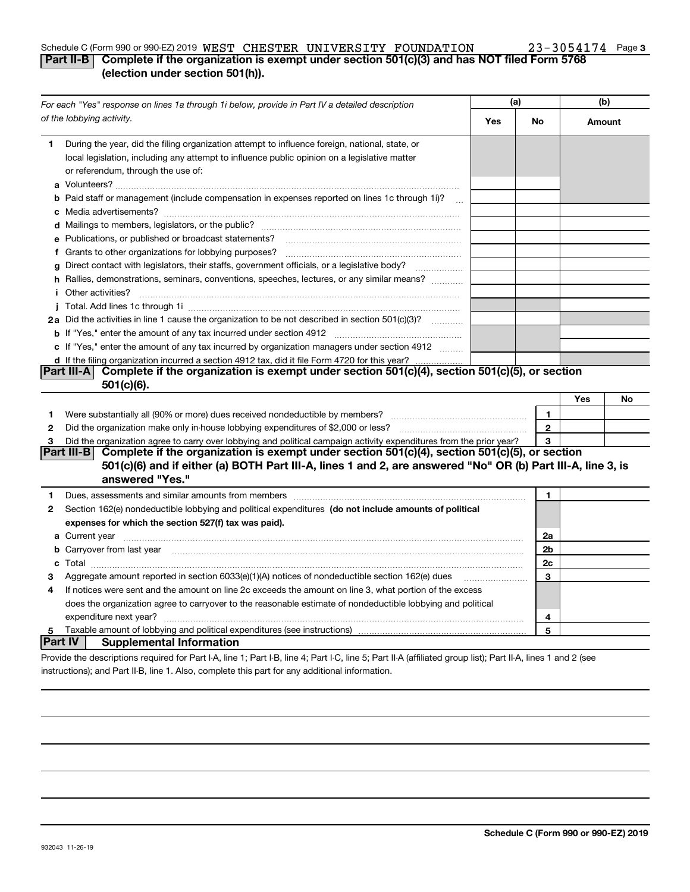#### Schedule C (Form 990 or 990-EZ) 2019  $\,$  WEST  $\,$  CHESTER  $\,$  UNIVERSITY  $\,$  FOUNDATION  $\,$  23 – 3054174  $\,$  Page **Part II-B Complete if the organization is exempt under section 501(c)(3) and has NOT filed Form 5768** WEST CHESTER UNIVERSITY FOUNDATION 23-3054174

#### **(election under section 501(h)).**

|         | For each "Yes" response on lines 1a through 1i below, provide in Part IV a detailed description                                                                                                                                      |     | (a)          |        | (b) |  |
|---------|--------------------------------------------------------------------------------------------------------------------------------------------------------------------------------------------------------------------------------------|-----|--------------|--------|-----|--|
|         | of the lobbying activity.                                                                                                                                                                                                            | Yes | No           | Amount |     |  |
| 1       | During the year, did the filing organization attempt to influence foreign, national, state, or<br>local legislation, including any attempt to influence public opinion on a legislative matter<br>or referendum, through the use of: |     |              |        |     |  |
|         | b Paid staff or management (include compensation in expenses reported on lines 1c through 1i)?                                                                                                                                       |     |              |        |     |  |
|         |                                                                                                                                                                                                                                      |     |              |        |     |  |
|         | e Publications, or published or broadcast statements?                                                                                                                                                                                |     |              |        |     |  |
|         | f Grants to other organizations for lobbying purposes?                                                                                                                                                                               |     |              |        |     |  |
| a       | Direct contact with legislators, their staffs, government officials, or a legislative body?<br>.                                                                                                                                     |     |              |        |     |  |
|         | h Rallies, demonstrations, seminars, conventions, speeches, lectures, or any similar means?<br><i>i</i> Other activities?                                                                                                            |     |              |        |     |  |
|         |                                                                                                                                                                                                                                      |     |              |        |     |  |
|         | 2a Did the activities in line 1 cause the organization to be not described in section 501(c)(3)?                                                                                                                                     |     |              |        |     |  |
|         |                                                                                                                                                                                                                                      |     |              |        |     |  |
|         | c If "Yes," enter the amount of any tax incurred by organization managers under section 4912                                                                                                                                         |     |              |        |     |  |
|         | d If the filing organization incurred a section 4912 tax, did it file Form 4720 for this year?                                                                                                                                       |     |              |        |     |  |
|         | Complete if the organization is exempt under section 501(c)(4), section 501(c)(5), or section<br> Part III-A <br>$501(c)(6)$ .                                                                                                       |     |              |        |     |  |
|         |                                                                                                                                                                                                                                      |     |              | Yes    | No  |  |
| 1       |                                                                                                                                                                                                                                      |     | $\mathbf{1}$ |        |     |  |
| 2       |                                                                                                                                                                                                                                      |     | $\mathbf{2}$ |        |     |  |
| 3       | Did the organization agree to carry over lobbying and political campaign activity expenditures from the prior year?                                                                                                                  |     | 3            |        |     |  |
|         | Part III-B Complete if the organization is exempt under section $501(c)(4)$ , section $501(c)(5)$ , or section                                                                                                                       |     |              |        |     |  |
|         | 501(c)(6) and if either (a) BOTH Part III-A, lines 1 and 2, are answered "No" OR (b) Part III-A, line 3, is                                                                                                                          |     |              |        |     |  |
|         | answered "Yes."                                                                                                                                                                                                                      |     |              |        |     |  |
| 1       | Dues, assessments and similar amounts from members [111] www.communicallyness.communicallyness.communicallyness.communicallyness.communicallyness.communicallyness.communicallyness.communicallyness.communicallyness.communic       |     | 1            |        |     |  |
| 2       | Section 162(e) nondeductible lobbying and political expenditures (do not include amounts of political                                                                                                                                |     |              |        |     |  |
|         | expenses for which the section 527(f) tax was paid).                                                                                                                                                                                 |     |              |        |     |  |
|         |                                                                                                                                                                                                                                      |     | 2a           |        |     |  |
|         | b Carryover from last year manufactured and contract the contract of the carryover from last year manufactured                                                                                                                       |     | 2b           |        |     |  |
|         |                                                                                                                                                                                                                                      |     | 2c           |        |     |  |
| з       | Aggregate amount reported in section $6033(e)(1)(A)$ notices of nondeductible section $162(e)$ dues                                                                                                                                  |     | 3            |        |     |  |
| 4       | If notices were sent and the amount on line 2c exceeds the amount on line 3, what portion of the excess                                                                                                                              |     |              |        |     |  |
|         | does the organization agree to carryover to the reasonable estimate of nondeductible lobbying and political                                                                                                                          |     |              |        |     |  |
|         |                                                                                                                                                                                                                                      |     | 4            |        |     |  |
| 5       |                                                                                                                                                                                                                                      |     | 5            |        |     |  |
| Part IV | <b>Supplemental Information</b>                                                                                                                                                                                                      |     |              |        |     |  |
|         | Provide the descriptions required for Part I-A, line 1; Part I-B, line 4; Part I-C, line 5; Part II-A (affiliated group list); Part II-A, lines 1 and 2 (see                                                                         |     |              |        |     |  |
|         | instructions); and Part II-B, line 1. Also, complete this part for any additional information.                                                                                                                                       |     |              |        |     |  |

**3**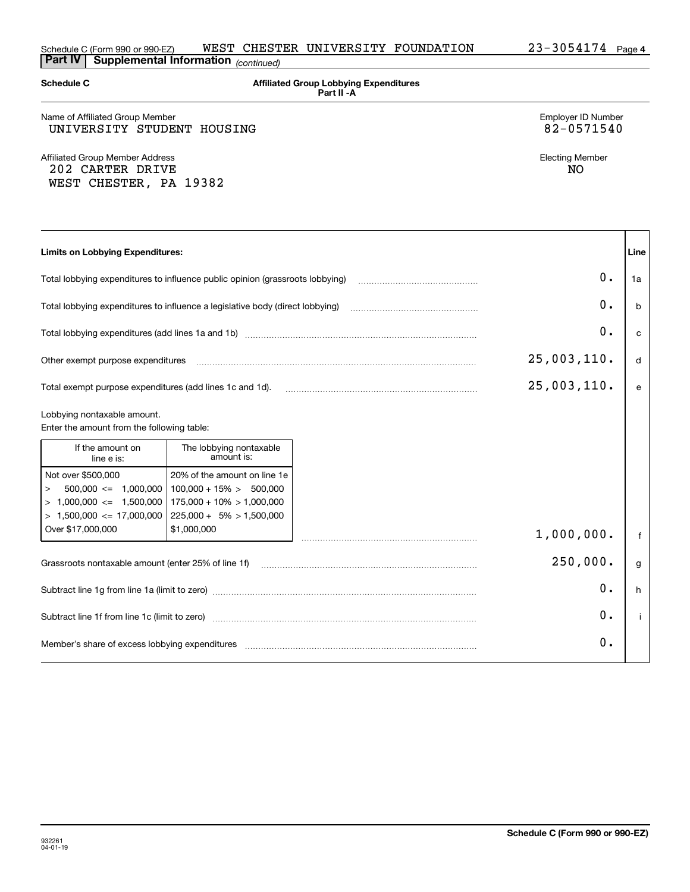| <b>Schedule C</b>                                                                                                          |                                                                                                                           | <b>Affiliated Group Lobbying Expenditures</b><br>Part II - A                                                                                               |                              |              |
|----------------------------------------------------------------------------------------------------------------------------|---------------------------------------------------------------------------------------------------------------------------|------------------------------------------------------------------------------------------------------------------------------------------------------------|------------------------------|--------------|
| Name of Affiliated Group Member<br>UNIVERSITY STUDENT HOUSING                                                              | Employer ID Number<br>82-0571540                                                                                          |                                                                                                                                                            |                              |              |
| <b>Affiliated Group Member Address</b><br>202 CARTER DRIVE<br>WEST CHESTER, PA 19382                                       |                                                                                                                           |                                                                                                                                                            | <b>Electing Member</b><br>NO |              |
| <b>Limits on Lobbying Expenditures:</b>                                                                                    |                                                                                                                           |                                                                                                                                                            |                              | Line         |
| Total lobbying expenditures to influence public opinion (grassroots lobbying)                                              |                                                                                                                           |                                                                                                                                                            | 0.                           | 1a           |
| Total lobbying expenditures to influence a legislative body (direct lobbying)                                              |                                                                                                                           |                                                                                                                                                            | 0.                           | <sub>b</sub> |
|                                                                                                                            |                                                                                                                           |                                                                                                                                                            | 0.                           | C            |
| Other exempt purpose expenditures                                                                                          |                                                                                                                           |                                                                                                                                                            | 25,003,110.                  | d            |
| Total exempt purpose expenditures (add lines 1c and 1d).                                                                   |                                                                                                                           |                                                                                                                                                            | 25,003,110.                  | $\mathbf{e}$ |
| Lobbying nontaxable amount.<br>Enter the amount from the following table:                                                  |                                                                                                                           |                                                                                                                                                            |                              |              |
| If the amount on<br>line e is:                                                                                             | The lobbying nontaxable<br>amount is:                                                                                     |                                                                                                                                                            |                              |              |
| Not over \$500,000<br>$500,000 \leq 1,000,000$<br>$\rm{>}$<br>$> 1,000,000 \leq 1,500,000$<br>$> 1,500,000 \le 17,000,000$ | 20% of the amount on line 1e<br>$100,000 + 15\% > 500,000$<br>$175,000 + 10\% > 1,000,000$<br>$225,000 + 5\% > 1,500,000$ |                                                                                                                                                            |                              |              |
| Over \$17,000,000                                                                                                          | \$1,000,000                                                                                                               |                                                                                                                                                            | 1,000,000.                   | $\mathsf{f}$ |
| Grassroots nontaxable amount (enter 25% of line 1f)                                                                        |                                                                                                                           |                                                                                                                                                            | 250,000.                     | g            |
|                                                                                                                            |                                                                                                                           |                                                                                                                                                            | О.                           | h            |
|                                                                                                                            |                                                                                                                           |                                                                                                                                                            | о.                           | $\mathbf{i}$ |
|                                                                                                                            |                                                                                                                           | Member's share of excess lobbying expenditures [11,111] Members (2009) Member's share of excess lobbying expenditures [11,111] Members (2009) Members 2014 | О.                           |              |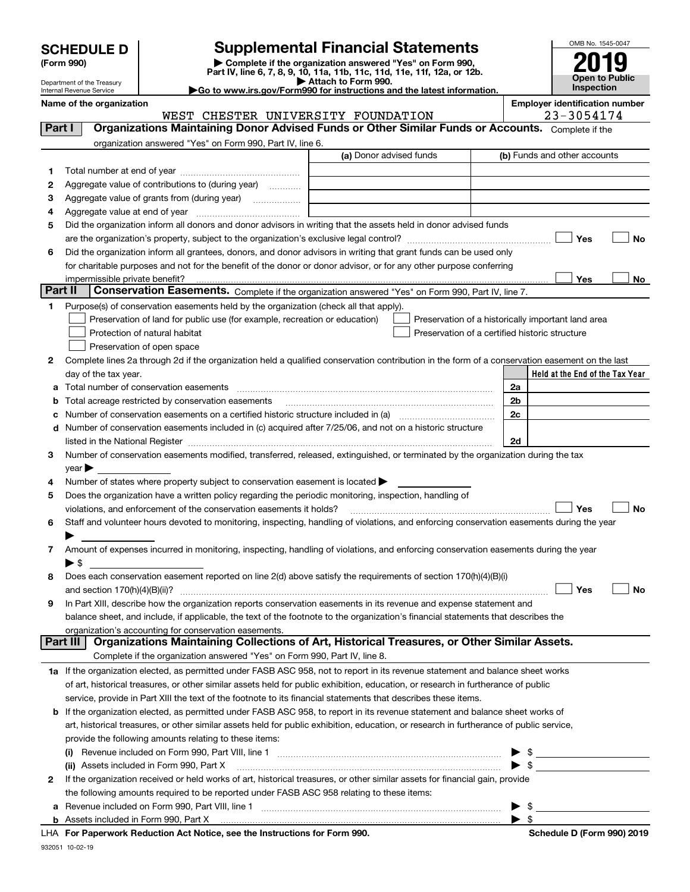|  | <b>SCHEDULE D</b> |  |  |  |
|--|-------------------|--|--|--|
|--|-------------------|--|--|--|

| (Form 990) |  |
|------------|--|
|------------|--|

932051 10-02-19

# **SCHEDULE D Supplemental Financial Statements**

(Form 990)<br>
Pepartment of the Treasury<br>
Department of the Treasury<br>
Department of the Treasury<br>
Department of the Treasury<br> **Co to www.irs.gov/Form990 for instructions and the latest information.**<br> **Co to www.irs.gov/Form9** 



Department of the Treasury Internal Revenue Service

| Name of the organization<br>WEST CHESTER UNIVERSITY FOUNDATION                                                                                      | <b>Employer identification number</b><br>23-3054174 |
|-----------------------------------------------------------------------------------------------------------------------------------------------------|-----------------------------------------------------|
| Organizations Maintaining Donor Advised Funds or Other Similar Funds or Accounts. Complete if the<br>Part I                                         |                                                     |
| organization answered "Yes" on Form 990, Part IV, line 6.                                                                                           |                                                     |
| (a) Donor advised funds                                                                                                                             | (b) Funds and other accounts                        |
| 1.                                                                                                                                                  |                                                     |
| Aggregate value of contributions to (during year)<br>2                                                                                              |                                                     |
| з                                                                                                                                                   |                                                     |
| 4                                                                                                                                                   |                                                     |
| Did the organization inform all donors and donor advisors in writing that the assets held in donor advised funds<br>5                               |                                                     |
|                                                                                                                                                     | Yes<br>No                                           |
| Did the organization inform all grantees, donors, and donor advisors in writing that grant funds can be used only<br>6                              |                                                     |
| for charitable purposes and not for the benefit of the donor or donor advisor, or for any other purpose conferring                                  |                                                     |
| impermissible private benefit?                                                                                                                      | Yes<br>No                                           |
| Part II<br>Conservation Easements. Complete if the organization answered "Yes" on Form 990, Part IV, line 7.                                        |                                                     |
| Purpose(s) of conservation easements held by the organization (check all that apply).<br>1                                                          |                                                     |
| Preservation of land for public use (for example, recreation or education)                                                                          | Preservation of a historically important land area  |
| Protection of natural habitat                                                                                                                       | Preservation of a certified historic structure      |
| Preservation of open space                                                                                                                          |                                                     |
| Complete lines 2a through 2d if the organization held a qualified conservation contribution in the form of a conservation easement on the last<br>2 |                                                     |
| day of the tax year.                                                                                                                                | Held at the End of the Tax Year                     |
| а                                                                                                                                                   | 2a                                                  |
| Total acreage restricted by conservation easements<br>b                                                                                             | 2b                                                  |
| с                                                                                                                                                   | 2c                                                  |
| Number of conservation easements included in (c) acquired after 7/25/06, and not on a historic structure<br>d                                       |                                                     |
|                                                                                                                                                     | 2d                                                  |
| Number of conservation easements modified, transferred, released, extinguished, or terminated by the organization during the tax<br>3               |                                                     |
| $year \blacktriangleright$                                                                                                                          |                                                     |
| Number of states where property subject to conservation easement is located ><br>4                                                                  |                                                     |
| Does the organization have a written policy regarding the periodic monitoring, inspection, handling of<br>5                                         |                                                     |
| violations, and enforcement of the conservation easements it holds?                                                                                 | Yes<br><b>No</b>                                    |
| Staff and volunteer hours devoted to monitoring, inspecting, handling of violations, and enforcing conservation easements during the year<br>6      |                                                     |
|                                                                                                                                                     |                                                     |
| Amount of expenses incurred in monitoring, inspecting, handling of violations, and enforcing conservation easements during the year<br>7            |                                                     |
| $\blacktriangleright$ \$                                                                                                                            |                                                     |
| Does each conservation easement reported on line 2(d) above satisfy the requirements of section 170(h)(4)(B)(i)<br>8                                |                                                     |
|                                                                                                                                                     | Yes<br>No                                           |
| In Part XIII, describe how the organization reports conservation easements in its revenue and expense statement and                                 |                                                     |
| balance sheet, and include, if applicable, the text of the footnote to the organization's financial statements that describes the                   |                                                     |
| organization's accounting for conservation easements.                                                                                               |                                                     |
| Organizations Maintaining Collections of Art, Historical Treasures, or Other Similar Assets.<br>Part III                                            |                                                     |
| Complete if the organization answered "Yes" on Form 990, Part IV, line 8.                                                                           |                                                     |
| 1a If the organization elected, as permitted under FASB ASC 958, not to report in its revenue statement and balance sheet works                     |                                                     |
| of art, historical treasures, or other similar assets held for public exhibition, education, or research in furtherance of public                   |                                                     |
| service, provide in Part XIII the text of the footnote to its financial statements that describes these items.                                      |                                                     |
| If the organization elected, as permitted under FASB ASC 958, to report in its revenue statement and balance sheet works of<br>b                    |                                                     |
| art, historical treasures, or other similar assets held for public exhibition, education, or research in furtherance of public service,             |                                                     |
| provide the following amounts relating to these items:                                                                                              |                                                     |
|                                                                                                                                                     | \$                                                  |
| (ii) Assets included in Form 990, Part X                                                                                                            | $\blacktriangleright$ \$                            |
| If the organization received or held works of art, historical treasures, or other similar assets for financial gain, provide<br>2                   |                                                     |
| the following amounts required to be reported under FASB ASC 958 relating to these items:                                                           |                                                     |
| а                                                                                                                                                   | - \$<br>▶<br>$\blacktriangleright$ \$               |
| LHA For Paperwork Reduction Act Notice, see the Instructions for Form 990.                                                                          | Schedule D (Form 990) 2019                          |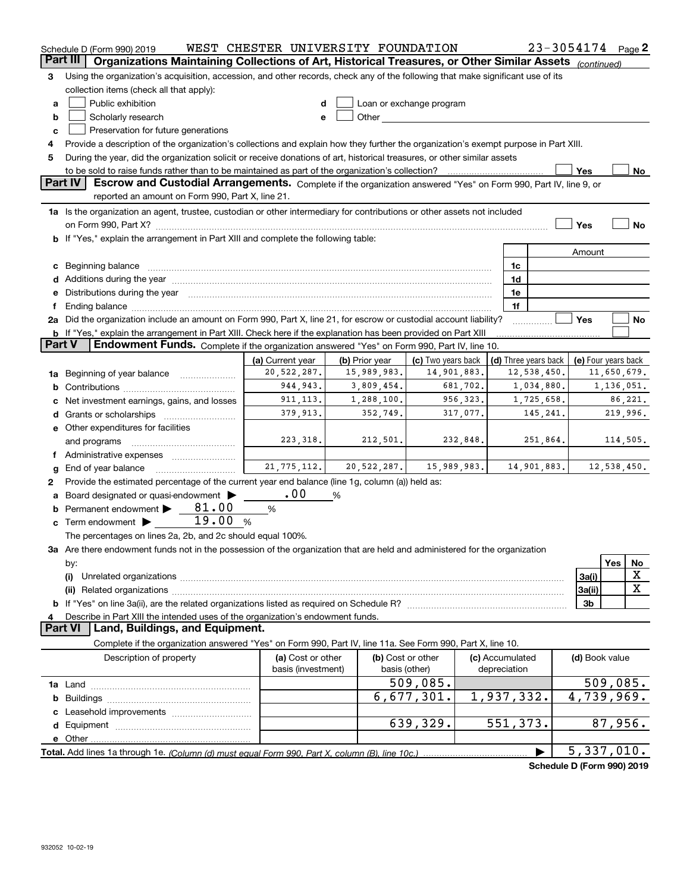|               | Schedule D (Form 990) 2019                                                                                                                                                                                                     | WEST CHESTER UNIVERSITY FOUNDATION |                   |                                                                                                                                                                                                                                |                 |                      | 23-3054174     | Page $2$                   |
|---------------|--------------------------------------------------------------------------------------------------------------------------------------------------------------------------------------------------------------------------------|------------------------------------|-------------------|--------------------------------------------------------------------------------------------------------------------------------------------------------------------------------------------------------------------------------|-----------------|----------------------|----------------|----------------------------|
| Part III      | Organizations Maintaining Collections of Art, Historical Treasures, or Other Similar Assets (continued)                                                                                                                        |                                    |                   |                                                                                                                                                                                                                                |                 |                      |                |                            |
| 3             | Using the organization's acquisition, accession, and other records, check any of the following that make significant use of its                                                                                                |                                    |                   |                                                                                                                                                                                                                                |                 |                      |                |                            |
|               | collection items (check all that apply):                                                                                                                                                                                       |                                    |                   |                                                                                                                                                                                                                                |                 |                      |                |                            |
| а             | Public exhibition                                                                                                                                                                                                              | d                                  |                   | Loan or exchange program                                                                                                                                                                                                       |                 |                      |                |                            |
| b             | Scholarly research                                                                                                                                                                                                             | e                                  |                   | Other the contract of the contract of the contract of the contract of the contract of the contract of the contract of the contract of the contract of the contract of the contract of the contract of the contract of the cont |                 |                      |                |                            |
| C             | Preservation for future generations                                                                                                                                                                                            |                                    |                   |                                                                                                                                                                                                                                |                 |                      |                |                            |
|               | Provide a description of the organization's collections and explain how they further the organization's exempt purpose in Part XIII.                                                                                           |                                    |                   |                                                                                                                                                                                                                                |                 |                      |                |                            |
| 4             |                                                                                                                                                                                                                                |                                    |                   |                                                                                                                                                                                                                                |                 |                      |                |                            |
| 5             | During the year, did the organization solicit or receive donations of art, historical treasures, or other similar assets                                                                                                       |                                    |                   |                                                                                                                                                                                                                                |                 |                      |                |                            |
|               | Part IV<br>Escrow and Custodial Arrangements. Complete if the organization answered "Yes" on Form 990, Part IV, line 9, or                                                                                                     |                                    |                   |                                                                                                                                                                                                                                |                 |                      | Yes            | No                         |
|               | reported an amount on Form 990, Part X, line 21.                                                                                                                                                                               |                                    |                   |                                                                                                                                                                                                                                |                 |                      |                |                            |
|               | 1a Is the organization an agent, trustee, custodian or other intermediary for contributions or other assets not included                                                                                                       |                                    |                   |                                                                                                                                                                                                                                |                 |                      |                |                            |
|               |                                                                                                                                                                                                                                |                                    |                   |                                                                                                                                                                                                                                |                 |                      | Yes            | No                         |
|               | b If "Yes," explain the arrangement in Part XIII and complete the following table:                                                                                                                                             |                                    |                   |                                                                                                                                                                                                                                |                 |                      |                |                            |
|               |                                                                                                                                                                                                                                |                                    |                   |                                                                                                                                                                                                                                |                 |                      | Amount         |                            |
| c             | Beginning balance material contracts and contracts and contracts and contracts and contracts and contracts and                                                                                                                 |                                    |                   |                                                                                                                                                                                                                                |                 | 1c                   |                |                            |
|               |                                                                                                                                                                                                                                |                                    |                   |                                                                                                                                                                                                                                |                 | 1d                   |                |                            |
| е             | Distributions during the year manufactured and an account of the year manufactured and the year manufactured and the year manufactured and the year manufactured and the year manufactured and the year manufactured and the y |                                    |                   |                                                                                                                                                                                                                                |                 | 1e                   |                |                            |
| f             |                                                                                                                                                                                                                                |                                    |                   |                                                                                                                                                                                                                                |                 | 1f                   |                |                            |
|               | 2a Did the organization include an amount on Form 990, Part X, line 21, for escrow or custodial account liability?                                                                                                             |                                    |                   |                                                                                                                                                                                                                                |                 |                      | Yes            | No                         |
|               | b If "Yes," explain the arrangement in Part XIII. Check here if the explanation has been provided on Part XIII                                                                                                                 |                                    |                   |                                                                                                                                                                                                                                |                 |                      |                |                            |
| <b>Part V</b> | Endowment Funds. Complete if the organization answered "Yes" on Form 990, Part IV, line 10.                                                                                                                                    |                                    |                   |                                                                                                                                                                                                                                |                 |                      |                |                            |
|               |                                                                                                                                                                                                                                | (a) Current year                   | (b) Prior year    | (c) Two years back                                                                                                                                                                                                             |                 | (d) Three years back |                | (e) Four years back        |
|               | Beginning of year balance                                                                                                                                                                                                      | 20,522,287.                        | 15,989,983.       | 14,901,883.                                                                                                                                                                                                                    |                 | 12,538,450.          |                | 11,650,679.                |
| 1a            |                                                                                                                                                                                                                                | 944, 943.                          | 3,809,454.        | 681,702.                                                                                                                                                                                                                       |                 | 1,034,880.           |                | 1,136,051.                 |
| b             |                                                                                                                                                                                                                                | 911, 113.                          | 1,288,100.        | 956,323.                                                                                                                                                                                                                       |                 | 1,725,658.           |                | 86,221.                    |
| c             | Net investment earnings, gains, and losses                                                                                                                                                                                     | 379,913.                           | 352,749.          | 317,077.                                                                                                                                                                                                                       |                 |                      |                | 219,996.                   |
| d             | Grants or scholarships                                                                                                                                                                                                         |                                    |                   |                                                                                                                                                                                                                                |                 | 145,241.             |                |                            |
|               | <b>e</b> Other expenditures for facilities                                                                                                                                                                                     |                                    |                   |                                                                                                                                                                                                                                |                 |                      |                |                            |
|               | and programs                                                                                                                                                                                                                   | 223, 318.                          | 212,501.          | 232,848.                                                                                                                                                                                                                       |                 | 251,864.             |                | 114,505.                   |
|               | f Administrative expenses                                                                                                                                                                                                      |                                    |                   |                                                                                                                                                                                                                                |                 |                      |                |                            |
| g             | End of year balance                                                                                                                                                                                                            | 21, 775, 112.                      | 20,522,287.       | 15,989,983.                                                                                                                                                                                                                    |                 | 14,901,883.          |                | 12,538,450.                |
| 2             | Provide the estimated percentage of the current year end balance (line 1g, column (a)) held as:                                                                                                                                |                                    |                   |                                                                                                                                                                                                                                |                 |                      |                |                            |
| а             | Board designated or quasi-endowment >                                                                                                                                                                                          | .00                                | %                 |                                                                                                                                                                                                                                |                 |                      |                |                            |
| b             | 81.00<br>Permanent endowment                                                                                                                                                                                                   | %                                  |                   |                                                                                                                                                                                                                                |                 |                      |                |                            |
| c             | 19.00<br>Term endowment $\blacktriangleright$                                                                                                                                                                                  | %                                  |                   |                                                                                                                                                                                                                                |                 |                      |                |                            |
|               | The percentages on lines 2a, 2b, and 2c should equal 100%.                                                                                                                                                                     |                                    |                   |                                                                                                                                                                                                                                |                 |                      |                |                            |
|               | 3a Are there endowment funds not in the possession of the organization that are held and administered for the organization                                                                                                     |                                    |                   |                                                                                                                                                                                                                                |                 |                      |                |                            |
|               | by:                                                                                                                                                                                                                            |                                    |                   |                                                                                                                                                                                                                                |                 |                      |                | Yes<br>No                  |
|               | (i)                                                                                                                                                                                                                            |                                    |                   |                                                                                                                                                                                                                                |                 |                      | 3a(i)          | х                          |
|               |                                                                                                                                                                                                                                |                                    |                   |                                                                                                                                                                                                                                |                 |                      | 3a(ii)         | $\mathbf X$                |
|               |                                                                                                                                                                                                                                |                                    |                   |                                                                                                                                                                                                                                |                 |                      | 3 <sub>b</sub> |                            |
|               | Describe in Part XIII the intended uses of the organization's endowment funds.                                                                                                                                                 |                                    |                   |                                                                                                                                                                                                                                |                 |                      |                |                            |
|               | <b>Part VI</b><br>Land, Buildings, and Equipment.                                                                                                                                                                              |                                    |                   |                                                                                                                                                                                                                                |                 |                      |                |                            |
|               | Complete if the organization answered "Yes" on Form 990, Part IV, line 11a. See Form 990, Part X, line 10.                                                                                                                     |                                    |                   |                                                                                                                                                                                                                                |                 |                      |                |                            |
|               | Description of property                                                                                                                                                                                                        | (a) Cost or other                  | (b) Cost or other |                                                                                                                                                                                                                                | (c) Accumulated |                      | (d) Book value |                            |
|               |                                                                                                                                                                                                                                | basis (investment)                 | basis (other)     |                                                                                                                                                                                                                                | depreciation    |                      |                |                            |
|               |                                                                                                                                                                                                                                |                                    |                   | 509,085.                                                                                                                                                                                                                       |                 |                      |                | 509,085.                   |
|               |                                                                                                                                                                                                                                |                                    |                   | 6,677,301.                                                                                                                                                                                                                     |                 | 1,937,332.           |                | $\overline{4,739,969}$ .   |
| b             |                                                                                                                                                                                                                                |                                    |                   |                                                                                                                                                                                                                                |                 |                      |                |                            |
|               |                                                                                                                                                                                                                                |                                    |                   | 639,329.                                                                                                                                                                                                                       |                 | 551,373.             |                | 87,956.                    |
|               |                                                                                                                                                                                                                                |                                    |                   |                                                                                                                                                                                                                                |                 |                      |                |                            |
|               |                                                                                                                                                                                                                                |                                    |                   |                                                                                                                                                                                                                                |                 |                      |                | 5,337,010.                 |
|               |                                                                                                                                                                                                                                |                                    |                   |                                                                                                                                                                                                                                |                 |                      |                |                            |
|               |                                                                                                                                                                                                                                |                                    |                   |                                                                                                                                                                                                                                |                 |                      |                | Schedule D (Form 990) 2019 |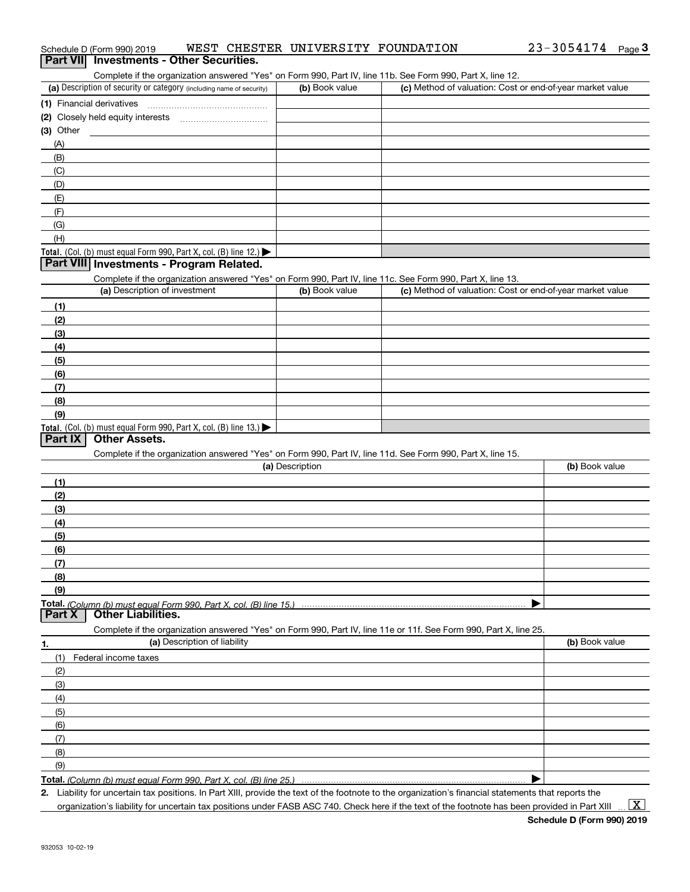|  | Schedule D (Form 990) 2019 |  |  | WEST CHESTER UNIVERSITY FOUNDATION |  | $23 - 3054174$ | Page |  |
|--|----------------------------|--|--|------------------------------------|--|----------------|------|--|
|--|----------------------------|--|--|------------------------------------|--|----------------|------|--|

#### Complete if the organization answered "Yes" on Form 990, Part IV, line 11b. See Form 990, Part X, line 12.

| (a) Description of security or category (including name of security) | (b) Book value | (c) Method of valuation: Cost or end-of-year market value |
|----------------------------------------------------------------------|----------------|-----------------------------------------------------------|
| (1) Financial derivatives                                            |                |                                                           |
| (2) Closely held equity interests                                    |                |                                                           |
| $(3)$ Other                                                          |                |                                                           |
| (A)                                                                  |                |                                                           |
| (B)                                                                  |                |                                                           |
| (C)                                                                  |                |                                                           |
| (D)                                                                  |                |                                                           |
| (E)                                                                  |                |                                                           |
| (F)                                                                  |                |                                                           |
| (G)                                                                  |                |                                                           |
| (H)                                                                  |                |                                                           |
| Total. (Col. (b) must equal Form 990, Part X, col. (B) line $12$ .)  |                |                                                           |

#### **Part VIII Investments - Program Related.**

**Part VII Investments - Other Securities.** 

Complete if the organization answered "Yes" on Form 990, Part IV, line 11c. See Form 990, Part X, line 13.

| (a) Description of investment                                    | (b) Book value | (c) Method of valuation: Cost or end-of-year market value |
|------------------------------------------------------------------|----------------|-----------------------------------------------------------|
| (1)                                                              |                |                                                           |
| (2)                                                              |                |                                                           |
| $\frac{1}{2}$                                                    |                |                                                           |
| (4)                                                              |                |                                                           |
| $\frac{1}{2}$                                                    |                |                                                           |
| (6)                                                              |                |                                                           |
| (7)                                                              |                |                                                           |
| (8)                                                              |                |                                                           |
| (9)                                                              |                |                                                           |
| Total. (Col. (b) must equal Form 990, Part X, col. (B) line 13.) |                |                                                           |

#### **Part IX Other Assets.**

Complete if the organization answered "Yes" on Form 990, Part IV, line 11d. See Form 990, Part X, line 15.

| (a) Description                                                                                                   | (b) Book value |
|-------------------------------------------------------------------------------------------------------------------|----------------|
| (1)                                                                                                               |                |
| (2)                                                                                                               |                |
| (3)                                                                                                               |                |
| (4)                                                                                                               |                |
| (5)                                                                                                               |                |
| (6)                                                                                                               |                |
| (7)                                                                                                               |                |
| (8)                                                                                                               |                |
| (9)                                                                                                               |                |
|                                                                                                                   |                |
| Other Liabilities.<br><b>Part X</b>                                                                               |                |
| Complete if the organization answered "Yes" on Form 990, Part IV, line 11e or 11f. See Form 990, Part X, line 25. |                |
| (a) Description of liability<br>1.                                                                                | (b) Book value |
| Federal income taxes<br>(1)                                                                                       |                |
| (2)                                                                                                               |                |

| (3)            |  |
|----------------|--|
| (4)            |  |
| (5)            |  |
| (6)            |  |
| $\overline{ }$ |  |
| (8)            |  |
| (9)            |  |
|                |  |

**Total.**  *(Column (b) must equal Form 990, Part X, col. (B) line 25.)* 

**2.** Liability for uncertain tax positions. In Part XIII, provide the text of the footnote to the organization's financial statements that reports the

organization's liability for uncertain tax positions under FASB ASC 740. Check here if the text of the footnote has been provided in Part XIII

 $\vert$  X  $\vert$ 

 $\blacktriangleright$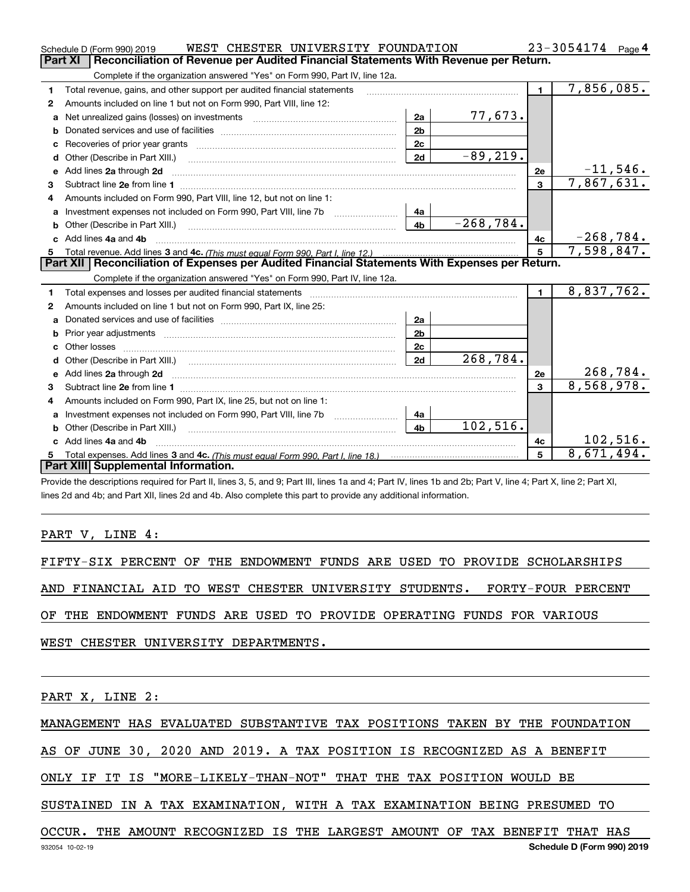|              | WEST CHESTER UNIVERSITY FOUNDATION<br>Schedule D (Form 990) 2019                                                                                                                                                                    |                |             |                | $23 - 3054174$ Page 4         |
|--------------|-------------------------------------------------------------------------------------------------------------------------------------------------------------------------------------------------------------------------------------|----------------|-------------|----------------|-------------------------------|
|              | <b>Part XI</b><br>Reconciliation of Revenue per Audited Financial Statements With Revenue per Return.                                                                                                                               |                |             |                |                               |
|              | Complete if the organization answered "Yes" on Form 990, Part IV, line 12a.                                                                                                                                                         |                |             |                |                               |
| 1            | Total revenue, gains, and other support per audited financial statements                                                                                                                                                            |                |             | $\blacksquare$ | 7,856,085.                    |
| $\mathbf{2}$ | Amounts included on line 1 but not on Form 990, Part VIII, line 12:                                                                                                                                                                 |                |             |                |                               |
| a            |                                                                                                                                                                                                                                     | 2a             | 77,673.     |                |                               |
|              |                                                                                                                                                                                                                                     | 2 <sub>b</sub> |             |                |                               |
|              |                                                                                                                                                                                                                                     | 2 <sub>c</sub> |             |                |                               |
| d            | Other (Describe in Part XIII.)                                                                                                                                                                                                      | 2d             | $-89, 219.$ |                |                               |
| е            | Add lines 2a through 2d                                                                                                                                                                                                             |                |             | 2e             | $\frac{-11,546.}{7,867,631.}$ |
| 3            |                                                                                                                                                                                                                                     |                |             | 3              |                               |
| 4            | Amounts included on Form 990, Part VIII, line 12, but not on line 1:                                                                                                                                                                |                |             |                |                               |
|              |                                                                                                                                                                                                                                     | 4a             |             |                |                               |
| b            | Other (Describe in Part XIII.) <b>2006</b> 2007 2010 2010 2010 2010 2011 2012 2013 2014 2014 2015 2016 2017 2018 2019 2016 2017 2018 2019 2016 2017 2018 2019 2016 2017 2018 2019 2018 2019 2019 2016 2017 2018 2019 2018 2019 2019 | 4 <sub>b</sub> | $-268,784.$ |                |                               |
|              | Add lines 4a and 4b                                                                                                                                                                                                                 |                |             | 4c             | $-268,784.$                   |
|              |                                                                                                                                                                                                                                     | 5 <sup>5</sup> | 7,598,847.  |                |                               |
|              |                                                                                                                                                                                                                                     |                |             |                |                               |
|              | Part XII   Reconciliation of Expenses per Audited Financial Statements With Expenses per Return.                                                                                                                                    |                |             |                |                               |
|              | Complete if the organization answered "Yes" on Form 990, Part IV, line 12a.                                                                                                                                                         |                |             |                |                               |
| 1            | Total expenses and losses per audited financial statements [11] [11] Total expenses and losses per audited financial statements [11] [11] Total expenses and losses per audited financial statements                                |                |             | $\blacksquare$ | 8,837,762.                    |
| 2            | Amounts included on line 1 but not on Form 990, Part IX, line 25:                                                                                                                                                                   |                |             |                |                               |
| a            |                                                                                                                                                                                                                                     | 2a             |             |                |                               |
|              |                                                                                                                                                                                                                                     | 2 <sub>b</sub> |             |                |                               |
|              |                                                                                                                                                                                                                                     | 2c             |             |                |                               |
| d            | Other (Describe in Part XIII.) (2000) (2000) (2000) (2010) (2010) (2010) (2010) (2010) (2010) (2010) (2010) (20                                                                                                                     | 2d             | 268,784.    |                |                               |
|              | Add lines 2a through 2d <b>must be a constructed as the constant of the constant of the constant of the construction</b>                                                                                                            |                |             | 2e             | 268, 784.                     |
| 3            |                                                                                                                                                                                                                                     |                |             | $\mathbf{a}$   | 8,568,978.                    |
| 4            | Amounts included on Form 990, Part IX, line 25, but not on line 1:                                                                                                                                                                  |                |             |                |                               |
| a            |                                                                                                                                                                                                                                     | 4a             |             |                |                               |
| b            |                                                                                                                                                                                                                                     | 4 <sub>b</sub> | 102,516.    |                |                               |
|              | Add lines 4a and 4b                                                                                                                                                                                                                 |                |             | 4c             | 102,516.                      |
|              | Part XIII Supplemental Information.                                                                                                                                                                                                 |                |             | 5              | 8,671,494.                    |

Provide the descriptions required for Part II, lines 3, 5, and 9; Part III, lines 1a and 4; Part IV, lines 1b and 2b; Part V, line 4; Part X, line 2; Part XI, lines 2d and 4b; and Part XII, lines 2d and 4b. Also complete this part to provide any additional information.

PART V, LINE 4:

FIFTY-SIX PERCENT OF THE ENDOWMENT FUNDS ARE USED TO PROVIDE SCHOLARSHIPS AND FINANCIAL AID TO WEST CHESTER UNIVERSITY STUDENTS. FORTY-FOUR PERCENT OF THE ENDOWMENT FUNDS ARE USED TO PROVIDE OPERATING FUNDS FOR VARIOUS WEST CHESTER UNIVERSITY DEPARTMENTS.

PART X, LINE 2:

MANAGEMENT HAS EVALUATED SUBSTANTIVE TAX POSITIONS TAKEN BY THE FOUNDATION

AS OF JUNE 30, 2020 AND 2019. A TAX POSITION IS RECOGNIZED AS A BENEFIT

ONLY IF IT IS "MORE-LIKELY-THAN-NOT" THAT THE TAX POSITION WOULD BE

SUSTAINED IN A TAX EXAMINATION, WITH A TAX EXAMINATION BEING PRESUMED TO

OCCUR. THE AMOUNT RECOGNIZED IS THE LARGEST AMOUNT OF TAX BENEFIT THAT HAS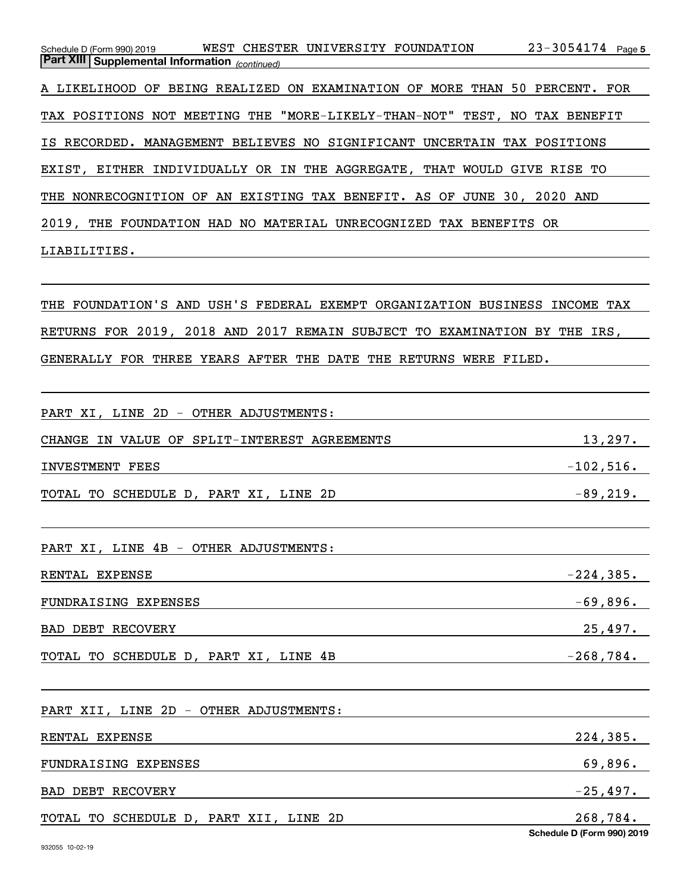$23 - 3054174$  Page 5 *(continued)* **Part XIII Supplemental Information**  Schedule D (Form 990) 2019 WEST CHESTER UNIVERSITY FOUNDATION 23-3054174 page A LIKELIHOOD OF BEING REALIZED ON EXAMINATION OF MORE THAN 50 PERCENT. FOR TAX POSITIONS NOT MEETING THE "MORE-LIKELY-THAN-NOT" TEST, NO TAX BENEFIT IS RECORDED. MANAGEMENT BELIEVES NO SIGNIFICANT UNCERTAIN TAX POSITIONS EXIST, EITHER INDIVIDUALLY OR IN THE AGGREGATE, THAT WOULD GIVE RISE TO THE NONRECOGNITION OF AN EXISTING TAX BENEFIT. AS OF JUNE 30, 2020 AND 2019, THE FOUNDATION HAD NO MATERIAL UNRECOGNIZED TAX BENEFITS OR LIABILITIES.

THE FOUNDATION'S AND USH'S FEDERAL EXEMPT ORGANIZATION BUSINESS INCOME TAX RETURNS FOR 2019, 2018 AND 2017 REMAIN SUBJECT TO EXAMINATION BY THE IRS, GENERALLY FOR THREE YEARS AFTER THE DATE THE RETURNS WERE FILED.

| PART XI, LINE 2D - OTHER ADJUSTMENTS:        |                                        |
|----------------------------------------------|----------------------------------------|
| CHANGE IN VALUE OF SPLIT-INTEREST AGREEMENTS | 13,297.                                |
| <b>INVESTMENT FEES</b>                       | $-102,516$ .                           |
| TOTAL TO SCHEDULE D, PART XI, LINE 2D        | $-89,219.$                             |
| PART XI, LINE 4B - OTHER ADJUSTMENTS:        |                                        |
| RENTAL EXPENSE                               | $-224,385.$                            |
| FUNDRAISING EXPENSES                         | $-69,896.$                             |
| BAD DEBT RECOVERY                            | 25,497.                                |
| TOTAL TO SCHEDULE D, PART XI, LINE 4B        | $-268,784.$                            |
| PART XII, LINE 2D - OTHER ADJUSTMENTS:       |                                        |
| RENTAL EXPENSE                               | 224,385.                               |
| FUNDRAISING EXPENSES                         | 69,896.                                |
| <b>BAD DEBT RECOVERY</b>                     | $-25,497.$                             |
| TOTAL TO SCHEDULE D, PART XII, LINE 2D       | 268,784.<br>Schedule D (Form 990) 2019 |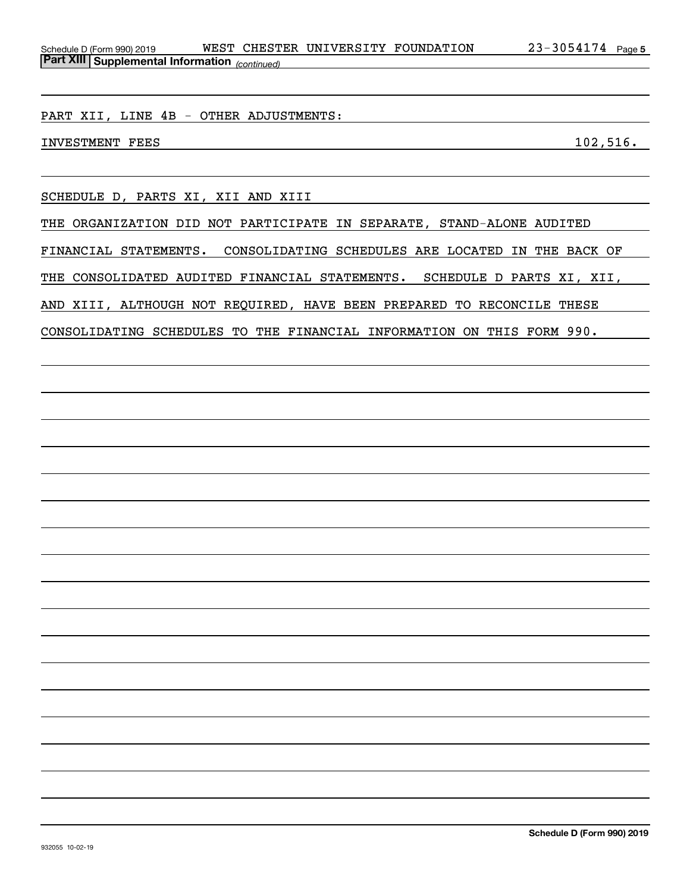PART XII, LINE 4B - OTHER ADJUSTMENTS:

INVESTMENT FEES 102,516.

SCHEDULE D, PARTS XI, XII AND XIII

THE ORGANIZATION DID NOT PARTICIPATE IN SEPARATE, STAND-ALONE AUDITED FINANCIAL STATEMENTS. CONSOLIDATING SCHEDULES ARE LOCATED IN THE BACK OF THE CONSOLIDATED AUDITED FINANCIAL STATEMENTS. SCHEDULE D PARTS XI, XII, AND XIII, ALTHOUGH NOT REQUIRED, HAVE BEEN PREPARED TO RECONCILE THESE

CONSOLIDATING SCHEDULES TO THE FINANCIAL INFORMATION ON THIS FORM 990.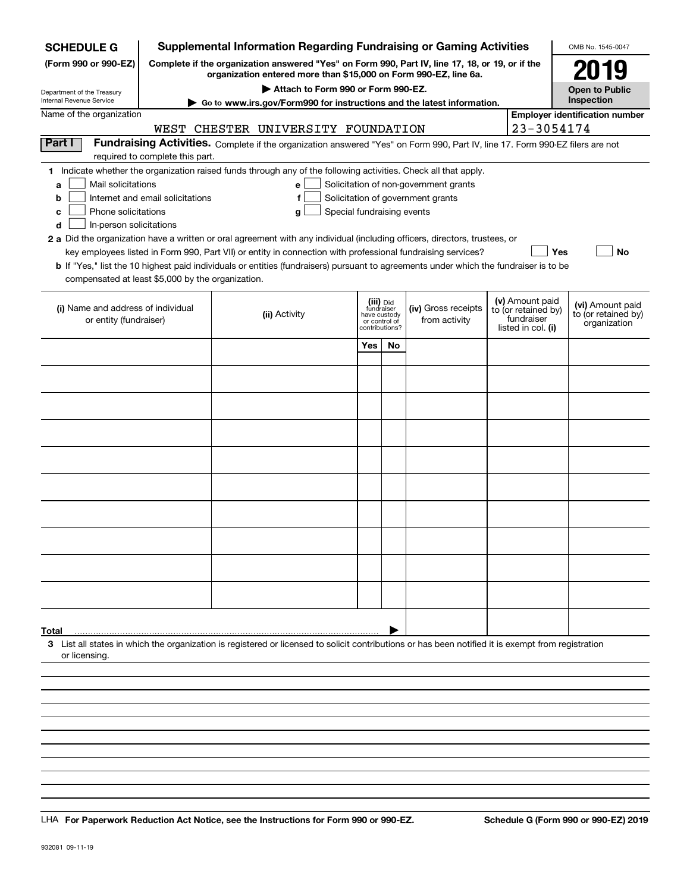| <b>SCHEDULE G</b>                                      |                                  | <b>Supplemental Information Regarding Fundraising or Gaming Activities</b>                                                                                                                                                                                  |                            |                                         |    |                                                                            |                                  | OMB No. 1545-0047                       |
|--------------------------------------------------------|----------------------------------|-------------------------------------------------------------------------------------------------------------------------------------------------------------------------------------------------------------------------------------------------------------|----------------------------|-----------------------------------------|----|----------------------------------------------------------------------------|----------------------------------|-----------------------------------------|
| (Form 990 or 990-EZ)                                   |                                  | Complete if the organization answered "Yes" on Form 990, Part IV, line 17, 18, or 19, or if the<br>organization entered more than \$15,000 on Form 990-EZ, line 6a.                                                                                         |                            |                                         |    |                                                                            |                                  | 2019                                    |
| Department of the Treasury<br>Internal Revenue Service |                                  | Attach to Form 990 or Form 990-EZ.                                                                                                                                                                                                                          |                            |                                         |    |                                                                            |                                  | <b>Open to Public</b><br>Inspection     |
| Name of the organization                               |                                  | Go to www.irs.gov/Form990 for instructions and the latest information.                                                                                                                                                                                      |                            |                                         |    |                                                                            |                                  | <b>Employer identification number</b>   |
|                                                        |                                  | WEST CHESTER UNIVERSITY FOUNDATION                                                                                                                                                                                                                          |                            |                                         |    |                                                                            | 23-3054174                       |                                         |
| Part I                                                 |                                  | Fundraising Activities. Complete if the organization answered "Yes" on Form 990, Part IV, line 17. Form 990-EZ filers are not                                                                                                                               |                            |                                         |    |                                                                            |                                  |                                         |
|                                                        | required to complete this part.  |                                                                                                                                                                                                                                                             |                            |                                         |    |                                                                            |                                  |                                         |
|                                                        |                                  | 1 Indicate whether the organization raised funds through any of the following activities. Check all that apply.                                                                                                                                             |                            |                                         |    |                                                                            |                                  |                                         |
| Mail solicitations<br>a<br>b                           | Internet and email solicitations | e<br>f                                                                                                                                                                                                                                                      |                            |                                         |    | Solicitation of non-government grants<br>Solicitation of government grants |                                  |                                         |
| Phone solicitations<br>с                               |                                  | g                                                                                                                                                                                                                                                           | Special fundraising events |                                         |    |                                                                            |                                  |                                         |
| In-person solicitations<br>d                           |                                  |                                                                                                                                                                                                                                                             |                            |                                         |    |                                                                            |                                  |                                         |
|                                                        |                                  | 2 a Did the organization have a written or oral agreement with any individual (including officers, directors, trustees, or                                                                                                                                  |                            |                                         |    |                                                                            |                                  |                                         |
|                                                        |                                  | key employees listed in Form 990, Part VII) or entity in connection with professional fundraising services?<br><b>b</b> If "Yes," list the 10 highest paid individuals or entities (fundraisers) pursuant to agreements under which the fundraiser is to be |                            |                                         |    |                                                                            | Yes                              | No                                      |
| compensated at least \$5,000 by the organization.      |                                  |                                                                                                                                                                                                                                                             |                            |                                         |    |                                                                            |                                  |                                         |
|                                                        |                                  |                                                                                                                                                                                                                                                             |                            |                                         |    |                                                                            | (v) Amount paid                  |                                         |
| (i) Name and address of individual                     |                                  | (ii) Activity                                                                                                                                                                                                                                               |                            | (iii) Did<br>fundraiser<br>have custody |    | (iv) Gross receipts                                                        | to (or retained by)              | (vi) Amount paid<br>to (or retained by) |
| or entity (fundraiser)                                 |                                  |                                                                                                                                                                                                                                                             |                            | or control of<br>contributions?         |    | from activity                                                              | fundraiser<br>listed in col. (i) | organization                            |
|                                                        |                                  |                                                                                                                                                                                                                                                             |                            | Yes                                     | No |                                                                            |                                  |                                         |
|                                                        |                                  |                                                                                                                                                                                                                                                             |                            |                                         |    |                                                                            |                                  |                                         |
|                                                        |                                  |                                                                                                                                                                                                                                                             |                            |                                         |    |                                                                            |                                  |                                         |
|                                                        |                                  |                                                                                                                                                                                                                                                             |                            |                                         |    |                                                                            |                                  |                                         |
|                                                        |                                  |                                                                                                                                                                                                                                                             |                            |                                         |    |                                                                            |                                  |                                         |
|                                                        |                                  |                                                                                                                                                                                                                                                             |                            |                                         |    |                                                                            |                                  |                                         |
|                                                        |                                  |                                                                                                                                                                                                                                                             |                            |                                         |    |                                                                            |                                  |                                         |
|                                                        |                                  |                                                                                                                                                                                                                                                             |                            |                                         |    |                                                                            |                                  |                                         |
|                                                        |                                  |                                                                                                                                                                                                                                                             |                            |                                         |    |                                                                            |                                  |                                         |
|                                                        |                                  |                                                                                                                                                                                                                                                             |                            |                                         |    |                                                                            |                                  |                                         |
|                                                        |                                  |                                                                                                                                                                                                                                                             |                            |                                         |    |                                                                            |                                  |                                         |
|                                                        |                                  |                                                                                                                                                                                                                                                             |                            |                                         |    |                                                                            |                                  |                                         |
|                                                        |                                  |                                                                                                                                                                                                                                                             |                            |                                         |    |                                                                            |                                  |                                         |
|                                                        |                                  |                                                                                                                                                                                                                                                             |                            |                                         |    |                                                                            |                                  |                                         |
|                                                        |                                  |                                                                                                                                                                                                                                                             |                            |                                         |    |                                                                            |                                  |                                         |
|                                                        |                                  |                                                                                                                                                                                                                                                             |                            |                                         |    |                                                                            |                                  |                                         |
|                                                        |                                  |                                                                                                                                                                                                                                                             |                            |                                         |    |                                                                            |                                  |                                         |
| Total                                                  |                                  |                                                                                                                                                                                                                                                             |                            |                                         |    |                                                                            |                                  |                                         |
|                                                        |                                  | 3 List all states in which the organization is registered or licensed to solicit contributions or has been notified it is exempt from registration                                                                                                          |                            |                                         |    |                                                                            |                                  |                                         |
| or licensing.                                          |                                  |                                                                                                                                                                                                                                                             |                            |                                         |    |                                                                            |                                  |                                         |
|                                                        |                                  |                                                                                                                                                                                                                                                             |                            |                                         |    |                                                                            |                                  |                                         |
|                                                        |                                  |                                                                                                                                                                                                                                                             |                            |                                         |    |                                                                            |                                  |                                         |
|                                                        |                                  |                                                                                                                                                                                                                                                             |                            |                                         |    |                                                                            |                                  |                                         |
|                                                        |                                  |                                                                                                                                                                                                                                                             |                            |                                         |    |                                                                            |                                  |                                         |
|                                                        |                                  |                                                                                                                                                                                                                                                             |                            |                                         |    |                                                                            |                                  |                                         |

LHA For Paperwork Reduction Act Notice, see the Instructions for Form 990 or 990-EZ. Schedule G (Form 990 or 990-EZ) 2019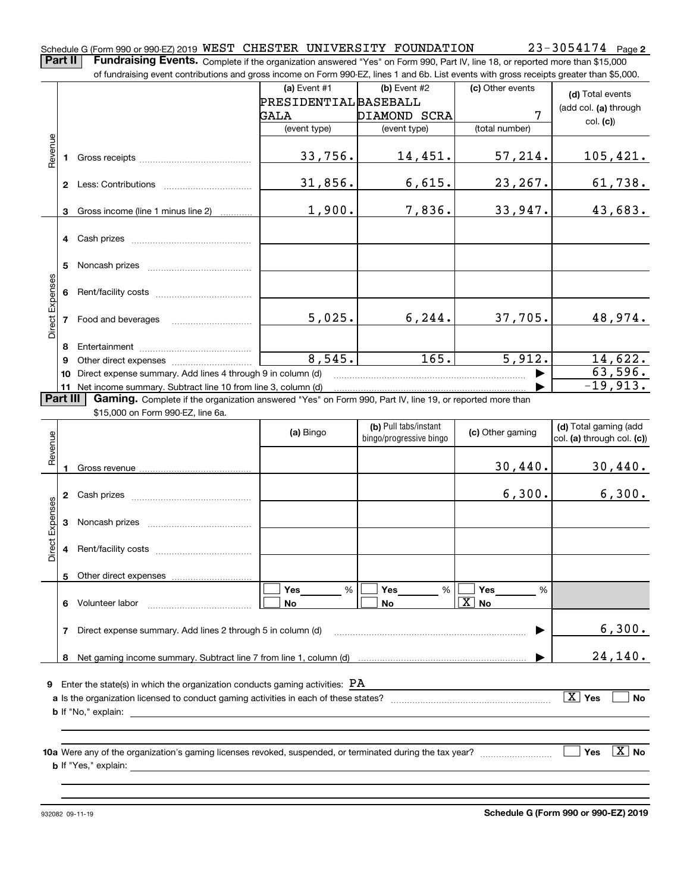**Part II** | Fundraising Events. Complete if the organization answered "Yes" on Form 990, Part IV, line 18, or reported more than \$15,000 of fundraising event contributions and gross income on Form 990-EZ, lines 1 and 6b. List events with gross receipts greater than \$5,000.

|                        |          | וטומוסוואָן כעטות טטותווסמוטווס מווע טוסט וווטטווט טודו טוווו טטט בב, ווווטט דמווט טט. בוסג כעטותט שונוו טוסט וכטטוסט עוכמטר מומודעט,טטט |                              |                                                  |                  |                                                     |
|------------------------|----------|------------------------------------------------------------------------------------------------------------------------------------------|------------------------------|--------------------------------------------------|------------------|-----------------------------------------------------|
|                        |          |                                                                                                                                          | (a) Event $#1$               | (b) Event $#2$                                   | (c) Other events | (d) Total events                                    |
|                        |          |                                                                                                                                          | <b>PRESIDENTIAL BASEBALL</b> |                                                  |                  | (add col. (a) through                               |
|                        |          |                                                                                                                                          | GALA                         | DIAMOND SCRA                                     | 7                |                                                     |
|                        |          |                                                                                                                                          | (event type)                 | (event type)                                     | (total number)   | col. (c)                                            |
| Revenue                |          |                                                                                                                                          |                              |                                                  |                  |                                                     |
|                        |          |                                                                                                                                          | 33,756.                      | 14,451.                                          | 57,214.          | 105,421.                                            |
|                        |          |                                                                                                                                          |                              |                                                  |                  |                                                     |
|                        |          |                                                                                                                                          | 31,856.                      | 6,615.                                           | 23, 267.         | 61,738.                                             |
|                        |          |                                                                                                                                          |                              |                                                  |                  |                                                     |
|                        | 3        | Gross income (line 1 minus line 2)                                                                                                       | 1,900.                       | 7,836.                                           | 33,947.          | 43,683.                                             |
|                        |          |                                                                                                                                          |                              |                                                  |                  |                                                     |
|                        |          |                                                                                                                                          |                              |                                                  |                  |                                                     |
|                        |          |                                                                                                                                          |                              |                                                  |                  |                                                     |
|                        | 5.       |                                                                                                                                          |                              |                                                  |                  |                                                     |
|                        |          |                                                                                                                                          |                              |                                                  |                  |                                                     |
|                        | 6        |                                                                                                                                          |                              |                                                  |                  |                                                     |
| Direct Expenses        |          |                                                                                                                                          |                              |                                                  |                  |                                                     |
|                        |          | 7 Food and beverages                                                                                                                     | 5,025.                       | 6, 244.                                          | 37,705.          | 48,974.                                             |
|                        |          |                                                                                                                                          |                              |                                                  |                  |                                                     |
|                        | 8        |                                                                                                                                          |                              |                                                  |                  |                                                     |
|                        | 9        |                                                                                                                                          | 8,545.                       | 165.                                             | 5,912.           | 14,622.                                             |
|                        | 10       | Direct expense summary. Add lines 4 through 9 in column (d)                                                                              |                              |                                                  |                  | 63,596.                                             |
|                        |          | 11 Net income summary. Subtract line 10 from line 3, column (d)                                                                          |                              |                                                  |                  | $-19,913.$                                          |
|                        | Part III | Gaming. Complete if the organization answered "Yes" on Form 990, Part IV, line 19, or reported more than                                 |                              |                                                  |                  |                                                     |
|                        |          | \$15,000 on Form 990-EZ, line 6a.                                                                                                        |                              |                                                  |                  |                                                     |
|                        |          |                                                                                                                                          | (a) Bingo                    | (b) Pull tabs/instant<br>bingo/progressive bingo | (c) Other gaming | (d) Total gaming (add<br>col. (a) through col. (c)) |
| Revenue                |          |                                                                                                                                          |                              |                                                  |                  |                                                     |
|                        |          |                                                                                                                                          |                              |                                                  | 30,440.          | 30,440.                                             |
|                        |          |                                                                                                                                          |                              |                                                  |                  |                                                     |
|                        |          |                                                                                                                                          |                              |                                                  | 6,300.           | 6,300.                                              |
|                        |          |                                                                                                                                          |                              |                                                  |                  |                                                     |
| <b>Direct Expenses</b> |          |                                                                                                                                          |                              |                                                  |                  |                                                     |
|                        |          |                                                                                                                                          |                              |                                                  |                  |                                                     |
|                        |          |                                                                                                                                          |                              |                                                  |                  |                                                     |
|                        |          |                                                                                                                                          |                              |                                                  |                  |                                                     |
|                        |          |                                                                                                                                          |                              |                                                  |                  |                                                     |
|                        |          |                                                                                                                                          | Yes<br>%                     | Yes<br>%                                         | Yes<br>%         |                                                     |
|                        | 6        | Volunteer labor                                                                                                                          | No                           | No                                               | No               |                                                     |
|                        |          |                                                                                                                                          |                              |                                                  |                  |                                                     |
|                        | 7        | Direct expense summary. Add lines 2 through 5 in column (d)                                                                              |                              |                                                  |                  | 6,300.                                              |
|                        |          |                                                                                                                                          |                              |                                                  |                  |                                                     |
|                        | 8        |                                                                                                                                          |                              |                                                  |                  | 24,140.                                             |
|                        |          |                                                                                                                                          |                              |                                                  |                  |                                                     |
| 9                      |          | Enter the state(s) in which the organization conducts gaming activities: $\rm{PA}$                                                       |                              |                                                  |                  |                                                     |
|                        |          |                                                                                                                                          |                              |                                                  |                  | $\boxed{\text{X}}$ Yes<br>No                        |
|                        |          | <b>b</b> If "No," explain:                                                                                                               |                              |                                                  |                  |                                                     |
|                        |          |                                                                                                                                          |                              |                                                  |                  |                                                     |
|                        |          |                                                                                                                                          |                              |                                                  |                  |                                                     |
|                        |          |                                                                                                                                          |                              |                                                  |                  | $\boxed{\text{X}}$ No<br>Yes                        |
|                        |          | <b>b</b> If "Yes," explain:                                                                                                              |                              |                                                  |                  |                                                     |
|                        |          |                                                                                                                                          |                              |                                                  |                  |                                                     |
|                        |          |                                                                                                                                          |                              |                                                  |                  |                                                     |

**Schedule G (Form 990 or 990-EZ) 2019**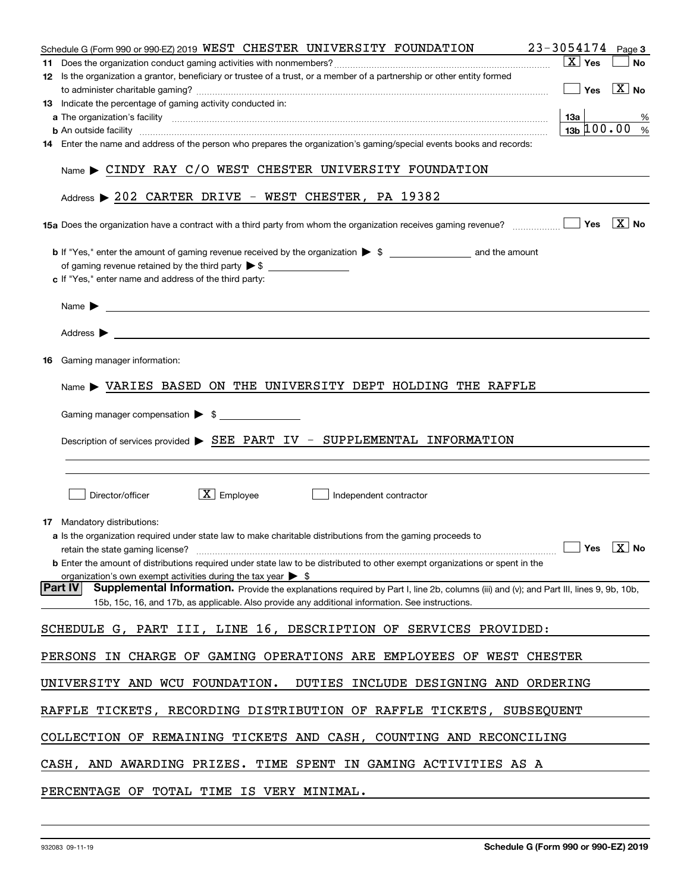| $23 - 3054174$ Page 3<br>Schedule G (Form 990 or 990-EZ) 2019 WEST CHESTER UNIVERSITY FOUNDATION                                                                                                                                                             |           |
|--------------------------------------------------------------------------------------------------------------------------------------------------------------------------------------------------------------------------------------------------------------|-----------|
| $\sqrt{X}$ Yes                                                                                                                                                                                                                                               | <b>No</b> |
| 12 Is the organization a grantor, beneficiary or trustee of a trust, or a member of a partnership or other entity formed                                                                                                                                     |           |
| $\boxed{\phantom{1}}$ Yes $\boxed{\phantom{1}}$ No                                                                                                                                                                                                           |           |
| 13 Indicate the percentage of gaming activity conducted in:                                                                                                                                                                                                  |           |
| 13a                                                                                                                                                                                                                                                          | %         |
| $13b \, 100.00$<br><b>b</b> An outside facility <i>machine and an accordination of the contract of the contract of the contract of the contract of the contract of the contract of the contract of the contract of the contract of the contract of the c</i> | $\%$      |
| 14 Enter the name and address of the person who prepares the organization's gaming/special events books and records:                                                                                                                                         |           |
| Name > CINDY RAY C/O WEST CHESTER UNIVERSITY FOUNDATION                                                                                                                                                                                                      |           |
| Address > 202 CARTER DRIVE - WEST CHESTER, PA 19382                                                                                                                                                                                                          |           |
| $\boxed{\text{X}}$ No                                                                                                                                                                                                                                        |           |
| c If "Yes," enter name and address of the third party:                                                                                                                                                                                                       |           |
|                                                                                                                                                                                                                                                              |           |
| Address $\blacktriangleright$                                                                                                                                                                                                                                |           |
|                                                                                                                                                                                                                                                              |           |
| <b>16</b> Gaming manager information:                                                                                                                                                                                                                        |           |
| $Name$ $\blacktriangleright$ VARIES BASED ON THE UNIVERSITY DEPT HOLDING THE RAFFLE                                                                                                                                                                          |           |
| Gaming manager compensation > \$                                                                                                                                                                                                                             |           |
| Description of services provided ▶ SEE PART IV - SUPPLEMENTAL INFORMATION                                                                                                                                                                                    |           |
|                                                                                                                                                                                                                                                              |           |
|                                                                                                                                                                                                                                                              |           |
| $\boxed{\text{X}}$ Employee<br>Director/officer<br>Independent contractor                                                                                                                                                                                    |           |
| <b>17</b> Mandatory distributions:                                                                                                                                                                                                                           |           |
| a Is the organization required under state law to make charitable distributions from the gaming proceeds to                                                                                                                                                  |           |
| retain the state gaming license? $\Box$ No                                                                                                                                                                                                                   |           |
| <b>b</b> Enter the amount of distributions required under state law to be distributed to other exempt organizations or spent in the<br>organization's own exempt activities during the tax year $\triangleright$ \$                                          |           |
| <b>Part IV</b><br>Supplemental Information. Provide the explanations required by Part I, line 2b, columns (iii) and (v); and Part III, lines 9, 9b, 10b,                                                                                                     |           |
| 15b, 15c, 16, and 17b, as applicable. Also provide any additional information. See instructions.                                                                                                                                                             |           |
| SCHEDULE G, PART III, LINE 16, DESCRIPTION OF SERVICES PROVIDED:                                                                                                                                                                                             |           |
| PERSONS IN CHARGE OF GAMING OPERATIONS ARE EMPLOYEES OF WEST CHESTER                                                                                                                                                                                         |           |
| UNIVERSITY AND WCU FOUNDATION.<br>DUTIES INCLUDE DESIGNING AND ORDERING                                                                                                                                                                                      |           |
| RAFFLE TICKETS, RECORDING DISTRIBUTION OF RAFFLE TICKETS, SUBSEQUENT                                                                                                                                                                                         |           |
| COLLECTION OF REMAINING TICKETS AND CASH, COUNTING AND RECONCILING                                                                                                                                                                                           |           |
| CASH, AND AWARDING PRIZES. TIME SPENT IN GAMING ACTIVITIES AS A                                                                                                                                                                                              |           |
| PERCENTAGE OF TOTAL TIME IS VERY MINIMAL.                                                                                                                                                                                                                    |           |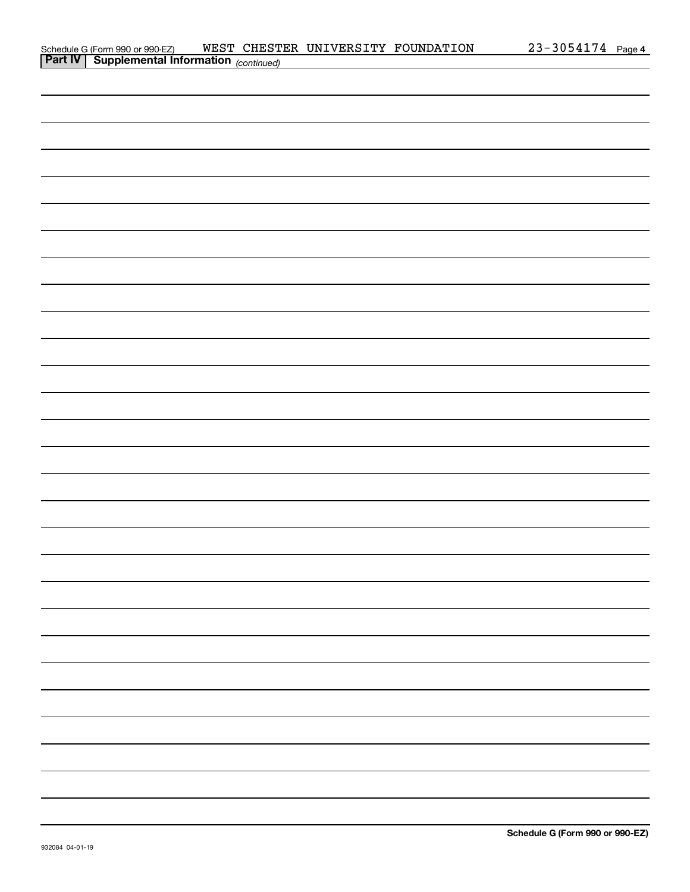|                                                                                                   |  | WEST CHESTER UNIVERSITY FOUNDATION | 23-3054174 Page 4 |
|---------------------------------------------------------------------------------------------------|--|------------------------------------|-------------------|
| Schedule G (Form 990 or 990-EZ) WEST CHEST<br><b>Part IV</b> Supplemental Information (continued) |  |                                    |                   |
|                                                                                                   |  |                                    |                   |
|                                                                                                   |  |                                    |                   |
|                                                                                                   |  |                                    |                   |
|                                                                                                   |  |                                    |                   |
|                                                                                                   |  |                                    |                   |
|                                                                                                   |  |                                    |                   |
|                                                                                                   |  |                                    |                   |
|                                                                                                   |  |                                    |                   |
|                                                                                                   |  |                                    |                   |
|                                                                                                   |  |                                    |                   |
|                                                                                                   |  |                                    |                   |
|                                                                                                   |  |                                    |                   |
|                                                                                                   |  |                                    |                   |
|                                                                                                   |  |                                    |                   |
|                                                                                                   |  |                                    |                   |
|                                                                                                   |  |                                    |                   |
|                                                                                                   |  |                                    |                   |
|                                                                                                   |  |                                    |                   |
|                                                                                                   |  |                                    |                   |
|                                                                                                   |  |                                    |                   |
|                                                                                                   |  |                                    |                   |
|                                                                                                   |  |                                    |                   |
|                                                                                                   |  |                                    |                   |
|                                                                                                   |  |                                    |                   |
|                                                                                                   |  |                                    |                   |
|                                                                                                   |  |                                    |                   |
|                                                                                                   |  |                                    |                   |
|                                                                                                   |  |                                    |                   |
|                                                                                                   |  |                                    |                   |
|                                                                                                   |  |                                    |                   |
|                                                                                                   |  |                                    |                   |
|                                                                                                   |  |                                    |                   |
|                                                                                                   |  |                                    |                   |
|                                                                                                   |  |                                    |                   |
|                                                                                                   |  |                                    |                   |
|                                                                                                   |  |                                    |                   |
|                                                                                                   |  |                                    |                   |
|                                                                                                   |  |                                    |                   |
|                                                                                                   |  |                                    |                   |
|                                                                                                   |  |                                    |                   |
|                                                                                                   |  |                                    |                   |
|                                                                                                   |  |                                    |                   |
|                                                                                                   |  |                                    |                   |
|                                                                                                   |  |                                    |                   |
|                                                                                                   |  |                                    |                   |
|                                                                                                   |  |                                    |                   |
|                                                                                                   |  |                                    |                   |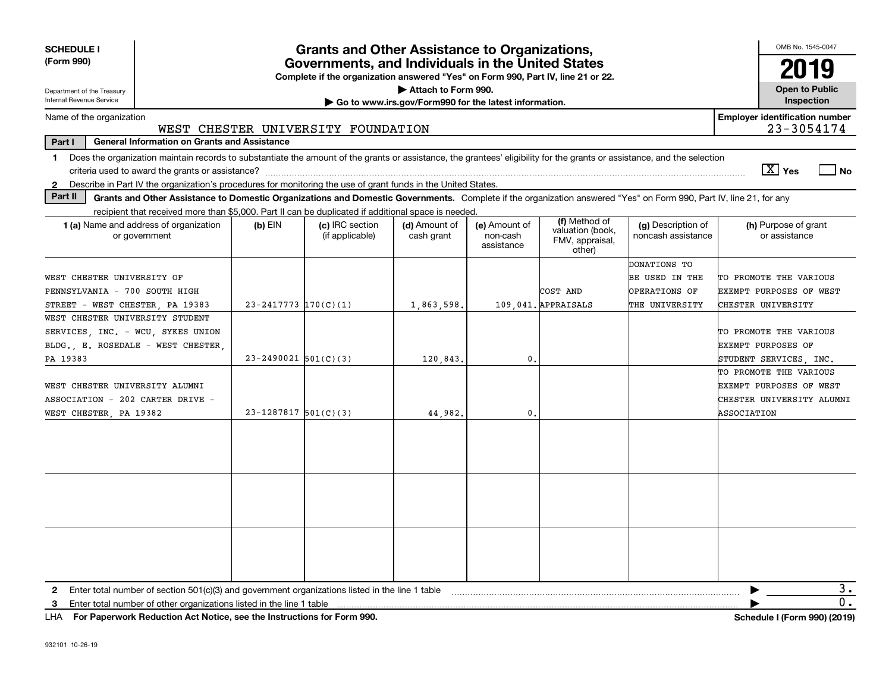| <b>SCHEDULE I</b>                                                                                               |                                                                                                     |                            | <b>Grants and Other Assistance to Organizations,</b>                                                                                  |                                                       |                                         |                                               |                                                                                                                                                                          | OMB No. 1545-0047                                   |
|-----------------------------------------------------------------------------------------------------------------|-----------------------------------------------------------------------------------------------------|----------------------------|---------------------------------------------------------------------------------------------------------------------------------------|-------------------------------------------------------|-----------------------------------------|-----------------------------------------------|--------------------------------------------------------------------------------------------------------------------------------------------------------------------------|-----------------------------------------------------|
| (Form 990)                                                                                                      |                                                                                                     |                            | Governments, and Individuals in the United States<br>Complete if the organization answered "Yes" on Form 990, Part IV, line 21 or 22. |                                                       |                                         |                                               |                                                                                                                                                                          | 2019                                                |
| Department of the Treasury                                                                                      |                                                                                                     |                            |                                                                                                                                       | Attach to Form 990.                                   |                                         |                                               |                                                                                                                                                                          | <b>Open to Public</b>                               |
| Internal Revenue Service                                                                                        |                                                                                                     |                            |                                                                                                                                       | Go to www.irs.gov/Form990 for the latest information. |                                         |                                               |                                                                                                                                                                          | Inspection                                          |
| Name of the organization                                                                                        |                                                                                                     |                            | WEST CHESTER UNIVERSITY FOUNDATION                                                                                                    |                                                       |                                         |                                               |                                                                                                                                                                          | <b>Employer identification number</b><br>23-3054174 |
| Part I                                                                                                          | <b>General Information on Grants and Assistance</b>                                                 |                            |                                                                                                                                       |                                                       |                                         |                                               |                                                                                                                                                                          |                                                     |
| $\mathbf 1$                                                                                                     |                                                                                                     |                            |                                                                                                                                       |                                                       |                                         |                                               | Does the organization maintain records to substantiate the amount of the grants or assistance, the grantees' eligibility for the grants or assistance, and the selection |                                                     |
|                                                                                                                 |                                                                                                     |                            |                                                                                                                                       |                                                       |                                         |                                               |                                                                                                                                                                          | $\sqrt{X}$ Yes<br>l No                              |
| 2 Describe in Part IV the organization's procedures for monitoring the use of grant funds in the United States. |                                                                                                     |                            |                                                                                                                                       |                                                       |                                         |                                               |                                                                                                                                                                          |                                                     |
| Part II                                                                                                         |                                                                                                     |                            |                                                                                                                                       |                                                       |                                         |                                               | Grants and Other Assistance to Domestic Organizations and Domestic Governments. Complete if the organization answered "Yes" on Form 990, Part IV, line 21, for any       |                                                     |
|                                                                                                                 | recipient that received more than \$5,000. Part II can be duplicated if additional space is needed. |                            |                                                                                                                                       |                                                       |                                         | (f) Method of                                 |                                                                                                                                                                          |                                                     |
| 1 (a) Name and address of organization<br>or government                                                         |                                                                                                     | (b) EIN                    | (c) IRC section<br>(if applicable)                                                                                                    | (d) Amount of<br>cash grant                           | (e) Amount of<br>non-cash<br>assistance | valuation (book,<br>FMV, appraisal,<br>other) | (g) Description of<br>noncash assistance                                                                                                                                 | (h) Purpose of grant<br>or assistance               |
|                                                                                                                 |                                                                                                     |                            |                                                                                                                                       |                                                       |                                         |                                               | DONATIONS TO                                                                                                                                                             |                                                     |
| WEST CHESTER UNIVERSITY OF                                                                                      |                                                                                                     |                            |                                                                                                                                       |                                                       |                                         |                                               | BE USED IN THE                                                                                                                                                           | TO PROMOTE THE VARIOUS                              |
| PENNSYLVANIA - 700 SOUTH HIGH                                                                                   |                                                                                                     |                            |                                                                                                                                       |                                                       |                                         | COST AND                                      | OPERATIONS OF                                                                                                                                                            | EXEMPT PURPOSES OF WEST                             |
| STREET - WEST CHESTER, PA 19383                                                                                 |                                                                                                     | $23 - 2417773$ $170(C)(1)$ |                                                                                                                                       | 1,863,598.                                            |                                         | 109.041. APPRAISALS                           | THE UNIVERSITY                                                                                                                                                           | CHESTER UNIVERSITY                                  |
| WEST CHESTER UNIVERSITY STUDENT                                                                                 |                                                                                                     |                            |                                                                                                                                       |                                                       |                                         |                                               |                                                                                                                                                                          |                                                     |
| SERVICES, INC. - WCU, SYKES UNION                                                                               |                                                                                                     |                            |                                                                                                                                       |                                                       |                                         |                                               |                                                                                                                                                                          | TO PROMOTE THE VARIOUS                              |
| BLDG., E. ROSEDALE - WEST CHESTER,                                                                              |                                                                                                     |                            |                                                                                                                                       |                                                       |                                         |                                               |                                                                                                                                                                          | EXEMPT PURPOSES OF                                  |
| PA 19383                                                                                                        |                                                                                                     | $23 - 2490021$ 501(C)(3)   |                                                                                                                                       | 120,843,                                              | $\mathbf{0}$                            |                                               |                                                                                                                                                                          | STUDENT SERVICES, INC.                              |
|                                                                                                                 |                                                                                                     |                            |                                                                                                                                       |                                                       |                                         |                                               |                                                                                                                                                                          | TO PROMOTE THE VARIOUS                              |
| WEST CHESTER UNIVERSITY ALUMNI                                                                                  |                                                                                                     |                            |                                                                                                                                       |                                                       |                                         |                                               |                                                                                                                                                                          | EXEMPT PURPOSES OF WEST                             |
| ASSOCIATION - 202 CARTER DRIVE -                                                                                |                                                                                                     |                            |                                                                                                                                       |                                                       |                                         |                                               |                                                                                                                                                                          | CHESTER UNIVERSITY ALUMNI                           |
| WEST CHESTER, PA 19382                                                                                          |                                                                                                     | $23 - 1287817$ 501(C)(3)   |                                                                                                                                       | 44,982.                                               | $\mathbf{0}$                            |                                               |                                                                                                                                                                          | ASSOCIATION                                         |
|                                                                                                                 |                                                                                                     |                            |                                                                                                                                       |                                                       |                                         |                                               |                                                                                                                                                                          |                                                     |
|                                                                                                                 |                                                                                                     |                            |                                                                                                                                       |                                                       |                                         |                                               |                                                                                                                                                                          |                                                     |
|                                                                                                                 |                                                                                                     |                            |                                                                                                                                       |                                                       |                                         |                                               |                                                                                                                                                                          |                                                     |
|                                                                                                                 |                                                                                                     |                            |                                                                                                                                       |                                                       |                                         |                                               |                                                                                                                                                                          |                                                     |
| 2.                                                                                                              | Enter total number of section 501(c)(3) and government organizations listed in the line 1 table     |                            |                                                                                                                                       |                                                       |                                         |                                               |                                                                                                                                                                          | з.                                                  |
| 3.                                                                                                              | Enter total number of other organizations listed in the line 1 table                                |                            |                                                                                                                                       |                                                       |                                         |                                               |                                                                                                                                                                          | $\overline{0}$ .                                    |

**For Paperwork Reduction Act Notice, see the Instructions for Form 990. Schedule I (Form 990) (2019)** LHA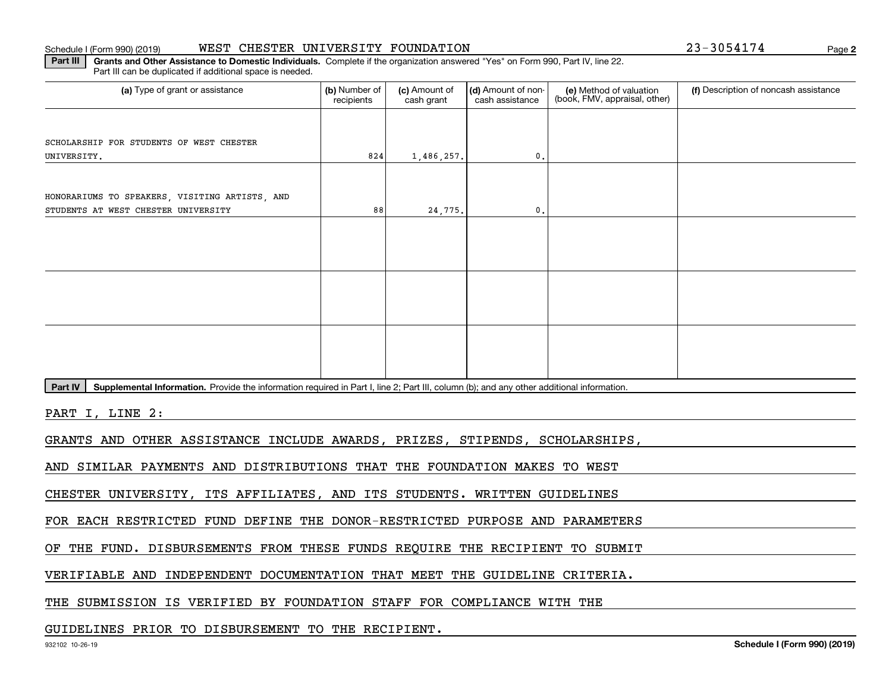#### Schedule I (Form 990) (2019) WEST CHESTER UNIVERSITY FOUNDATION 2 3-3 0 5 4 1 7 4 Page

Part III can be duplicated if additional space is needed.

(a) Type of grant or assistance **Audity Commet Audio Commet Commet Commet Commet Commet Commet Commet Commet Comme** (e) Method of valuation (book, FMV, appraisal, other) recipients(c) Amount of cash grant (d) Amount of noncash assistance **(f)** Description of noncash assistance SCHOLARSHIP FOR STUDENTS OF WEST CHESTER UNIVERSITY.**EXECUTE:** The state of the state of the state of the state of the state of the state of the state of the state of the state of the state of the state of the state of the state of the state of the state of the state of the 88HONORARIUMS TO SPEAKERS, VISITING ARTISTS, AND STUDENTS AT WEST CHESTER UNIVERSITY 1,486,257. 24,775. 0.0.

Part IV | Supplemental Information. Provide the information required in Part I, line 2; Part III, column (b); and any other additional information.

**Part III | Grants and Other Assistance to Domestic Individuals. Complete if the organization answered "Yes" on Form 990, Part IV, line 22.** 

PART I, LINE 2:

GRANTS AND OTHER ASSISTANCE INCLUDE AWARDS, PRIZES, STIPENDS, SCHOLARSHIPS,

AND SIMILAR PAYMENTS AND DISTRIBUTIONS THAT THE FOUNDATION MAKES TO WEST

CHESTER UNIVERSITY, ITS AFFILIATES, AND ITS STUDENTS. WRITTEN GUIDELINES

FOR EACH RESTRICTED FUND DEFINE THE DONOR-RESTRICTED PURPOSE AND PARAMETERS

OF THE FUND. DISBURSEMENTS FROM THESE FUNDS REQUIRE THE RECIPIENT TO SUBMIT

VERIFIABLE AND INDEPENDENT DOCUMENTATION THAT MEET THE GUIDELINE CRITERIA.

THE SUBMISSION IS VERIFIED BY FOUNDATION STAFF FOR COMPLIANCE WITH THE

GUIDELINES PRIOR TO DISBURSEMENT TO THE RECIPIENT.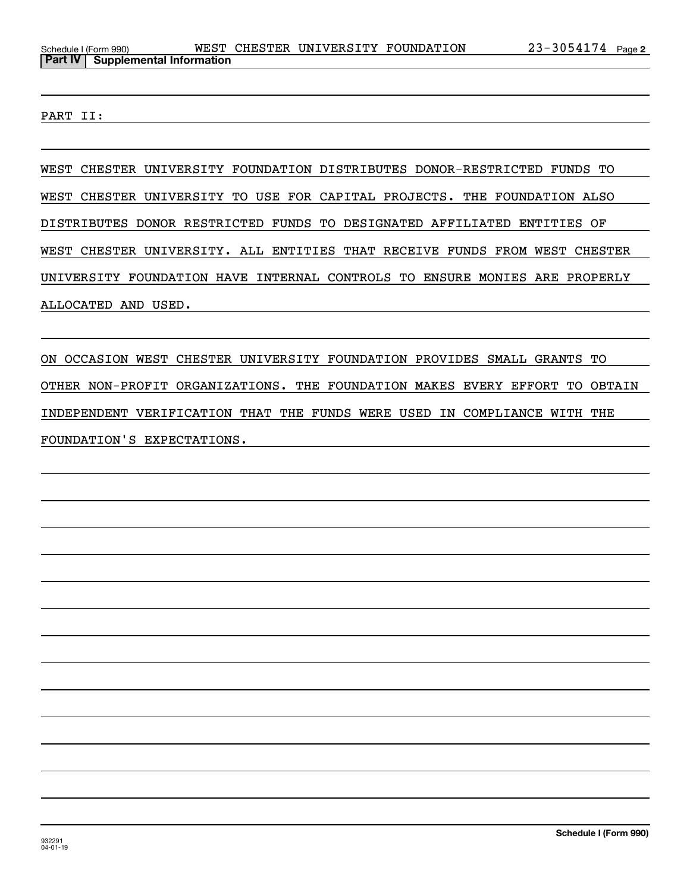PART II:

WEST CHESTER UNIVERSITY FOUNDATION DISTRIBUTES DONOR-RESTRICTED FUNDS TO WEST CHESTER UNIVERSITY TO USE FOR CAPITAL PROJECTS. THE FOUNDATION ALSO DISTRIBUTES DONOR RESTRICTED FUNDS TO DESIGNATED AFFILIATED ENTITIES OF WEST CHESTER UNIVERSITY. ALL ENTITIES THAT RECEIVE FUNDS FROM WEST CHESTER UNIVERSITY FOUNDATION HAVE INTERNAL CONTROLS TO ENSURE MONIES ARE PROPERLY ALLOCATED AND USED.

ON OCCASION WEST CHESTER UNIVERSITY FOUNDATION PROVIDES SMALL GRANTS TO OTHER NON-PROFIT ORGANIZATIONS. THE FOUNDATION MAKES EVERY EFFORT TO OBTAIN INDEPENDENT VERIFICATION THAT THE FUNDS WERE USED IN COMPLIANCE WITH THE FOUNDATION'S EXPECTATIONS.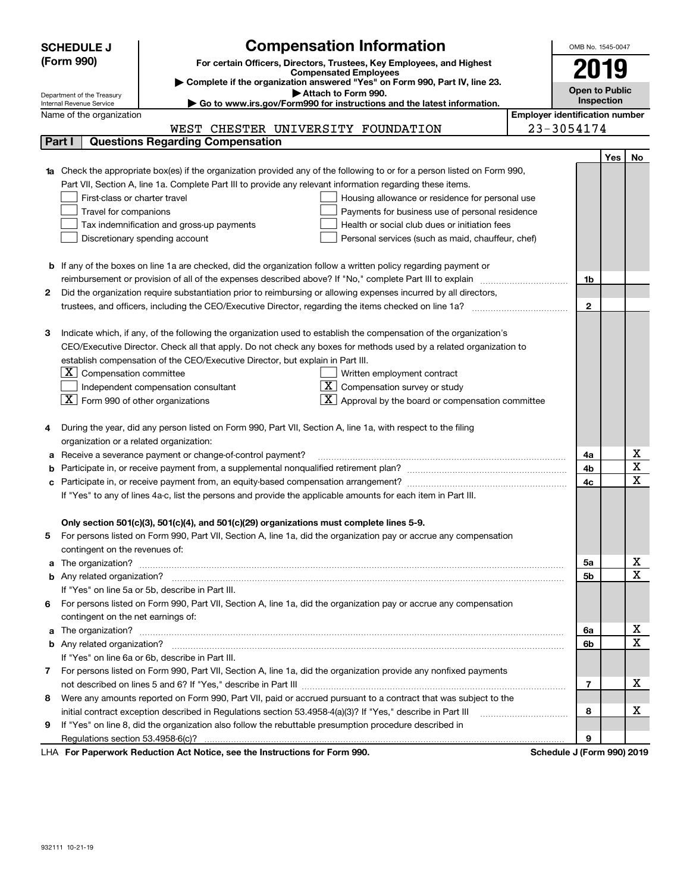|   | <b>SCHEDULE J</b>                                      | <b>Compensation Information</b>                                                                                        | OMB No. 1545-0047     |                                       |             |  |  |
|---|--------------------------------------------------------|------------------------------------------------------------------------------------------------------------------------|-----------------------|---------------------------------------|-------------|--|--|
|   | (Form 990)                                             | For certain Officers, Directors, Trustees, Key Employees, and Highest                                                  |                       |                                       |             |  |  |
|   |                                                        | <b>Compensated Employees</b>                                                                                           | 2019                  |                                       |             |  |  |
|   |                                                        | Complete if the organization answered "Yes" on Form 990, Part IV, line 23.                                             | <b>Open to Public</b> |                                       |             |  |  |
|   | Department of the Treasury<br>Internal Revenue Service | Attach to Form 990.<br>► Go to www.irs.gov/Form990 for instructions and the latest information.                        |                       | Inspection                            |             |  |  |
|   | Name of the organization                               |                                                                                                                        |                       | <b>Employer identification number</b> |             |  |  |
|   |                                                        | WEST CHESTER UNIVERSITY FOUNDATION                                                                                     | 23-3054174            |                                       |             |  |  |
|   | Part I                                                 | <b>Questions Regarding Compensation</b>                                                                                |                       |                                       |             |  |  |
|   |                                                        |                                                                                                                        |                       | Yes                                   | No          |  |  |
|   |                                                        | Check the appropriate box(es) if the organization provided any of the following to or for a person listed on Form 990, |                       |                                       |             |  |  |
|   |                                                        | Part VII, Section A, line 1a. Complete Part III to provide any relevant information regarding these items.             |                       |                                       |             |  |  |
|   | First-class or charter travel                          | Housing allowance or residence for personal use                                                                        |                       |                                       |             |  |  |
|   | Travel for companions                                  | Payments for business use of personal residence                                                                        |                       |                                       |             |  |  |
|   |                                                        | Tax indemnification and gross-up payments<br>Health or social club dues or initiation fees                             |                       |                                       |             |  |  |
|   |                                                        | Discretionary spending account<br>Personal services (such as maid, chauffeur, chef)                                    |                       |                                       |             |  |  |
|   |                                                        |                                                                                                                        |                       |                                       |             |  |  |
|   |                                                        | <b>b</b> If any of the boxes on line 1a are checked, did the organization follow a written policy regarding payment or |                       |                                       |             |  |  |
|   |                                                        |                                                                                                                        | 1b                    |                                       |             |  |  |
| 2 |                                                        | Did the organization require substantiation prior to reimbursing or allowing expenses incurred by all directors,       |                       |                                       |             |  |  |
|   |                                                        |                                                                                                                        | $\mathbf{2}$          |                                       |             |  |  |
|   |                                                        |                                                                                                                        |                       |                                       |             |  |  |
| з |                                                        | Indicate which, if any, of the following the organization used to establish the compensation of the organization's     |                       |                                       |             |  |  |
|   |                                                        | CEO/Executive Director. Check all that apply. Do not check any boxes for methods used by a related organization to     |                       |                                       |             |  |  |
|   |                                                        | establish compensation of the CEO/Executive Director, but explain in Part III.                                         |                       |                                       |             |  |  |
|   | $\boxed{\textbf{X}}$ Compensation committee            | Written employment contract                                                                                            |                       |                                       |             |  |  |
|   |                                                        | $\overline{X}$ Compensation survey or study<br>Independent compensation consultant                                     |                       |                                       |             |  |  |
|   | $\boxed{\textbf{X}}$ Form 990 of other organizations   | $X$ Approval by the board or compensation committee                                                                    |                       |                                       |             |  |  |
|   |                                                        |                                                                                                                        |                       |                                       |             |  |  |
| 4 |                                                        | During the year, did any person listed on Form 990, Part VII, Section A, line 1a, with respect to the filing           |                       |                                       |             |  |  |
|   | organization or a related organization:                |                                                                                                                        |                       |                                       |             |  |  |
| а |                                                        | Receive a severance payment or change-of-control payment?                                                              | 4a                    |                                       | х           |  |  |
| b |                                                        |                                                                                                                        | 4b                    |                                       | X           |  |  |
|   |                                                        |                                                                                                                        | 4c                    |                                       | $\mathbf X$ |  |  |
|   |                                                        | If "Yes" to any of lines 4a-c, list the persons and provide the applicable amounts for each item in Part III.          |                       |                                       |             |  |  |
|   |                                                        |                                                                                                                        |                       |                                       |             |  |  |
|   |                                                        | Only section 501(c)(3), 501(c)(4), and 501(c)(29) organizations must complete lines 5-9.                               |                       |                                       |             |  |  |
| 5 |                                                        | For persons listed on Form 990, Part VII, Section A, line 1a, did the organization pay or accrue any compensation      |                       |                                       |             |  |  |
|   | contingent on the revenues of:                         |                                                                                                                        |                       |                                       |             |  |  |
| a |                                                        |                                                                                                                        | 5a                    |                                       | х           |  |  |
|   |                                                        |                                                                                                                        | 5b                    |                                       | X           |  |  |
|   |                                                        | If "Yes" on line 5a or 5b, describe in Part III.                                                                       |                       |                                       |             |  |  |
| 6 |                                                        | For persons listed on Form 990, Part VII, Section A, line 1a, did the organization pay or accrue any compensation      |                       |                                       |             |  |  |
|   | contingent on the net earnings of:                     |                                                                                                                        |                       |                                       |             |  |  |
| a |                                                        | The organization? <b>With the organization? With the organization?</b>                                                 | 6a                    |                                       | х           |  |  |
|   |                                                        |                                                                                                                        | 6b                    |                                       | $\mathbf X$ |  |  |
|   |                                                        | If "Yes" on line 6a or 6b, describe in Part III.                                                                       |                       |                                       |             |  |  |
| 7 |                                                        | For persons listed on Form 990, Part VII, Section A, line 1a, did the organization provide any nonfixed payments       |                       |                                       |             |  |  |
|   |                                                        |                                                                                                                        | 7                     |                                       | х           |  |  |
| 8 |                                                        | Were any amounts reported on Form 990, Part VII, paid or accrued pursuant to a contract that was subject to the        |                       |                                       |             |  |  |
|   |                                                        | initial contract exception described in Regulations section 53.4958-4(a)(3)? If "Yes," describe in Part III            | 8                     |                                       | х           |  |  |
| 9 |                                                        | If "Yes" on line 8, did the organization also follow the rebuttable presumption procedure described in                 |                       |                                       |             |  |  |
|   |                                                        |                                                                                                                        | 9                     |                                       |             |  |  |

LHA For Paperwork Reduction Act Notice, see the Instructions for Form 990. Schedule J (Form 990) 2019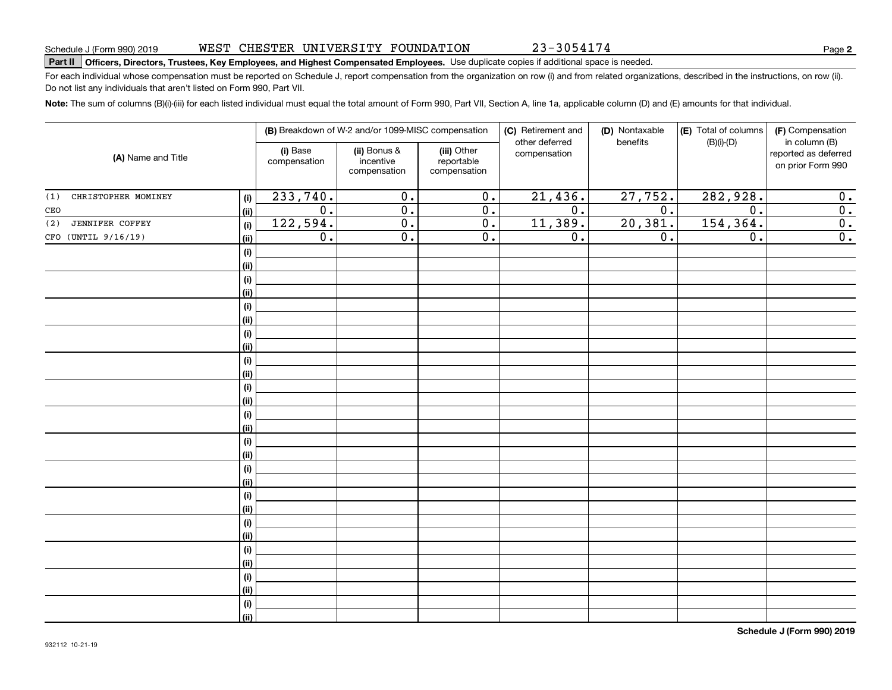# **Part II Officers, Directors, Trustees, Key Employees, and Highest Compensated Employees.**  Schedule J (Form 990) 2019 Page Use duplicate copies if additional space is needed.

For each individual whose compensation must be reported on Schedule J, report compensation from the organization on row (i) and from related organizations, described in the instructions, on row (ii). Do not list any individuals that aren't listed on Form 990, Part VII.

**Note:**  The sum of columns (B)(i)-(iii) for each listed individual must equal the total amount of Form 990, Part VII, Section A, line 1a, applicable column (D) and (E) amounts for that individual.

|                                      |                          | (B) Breakdown of W-2 and/or 1099-MISC compensation |                                           | (C) Retirement and<br>other deferred | (D) Nontaxable<br>benefits | (E) Total of columns<br>$(B)(i)-(D)$ | (F) Compensation<br>in column (B)         |  |
|--------------------------------------|--------------------------|----------------------------------------------------|-------------------------------------------|--------------------------------------|----------------------------|--------------------------------------|-------------------------------------------|--|
| (A) Name and Title                   | (i) Base<br>compensation | (ii) Bonus &<br>incentive<br>compensation          | (iii) Other<br>reportable<br>compensation | compensation                         |                            |                                      | reported as deferred<br>on prior Form 990 |  |
| CHRISTOPHER MOMINEY<br>(1)<br>(i)    | 233,740.                 | $\overline{0}$ .                                   | 0.                                        | 21,436.                              | 27,752.                    | 282,928.                             | 0.                                        |  |
| (ii)<br>CEO                          | $\overline{0}$ .         | $\overline{0}$ .                                   | $\overline{0}$ .                          | $\overline{0}$ .                     | $\overline{0}$ .           | $\overline{0}$ .                     | $\overline{0}$ .                          |  |
| <b>JENNIFER COFFEY</b><br>(2)<br>(i) | 122,594.                 | $\overline{0}$ .                                   | $\overline{0}$ .                          | 11,389.                              | 20,381.                    | 154,364.                             | $\overline{0}$ .                          |  |
| CFO (UNTIL 9/16/19)<br>(ii)          | $\overline{0}$ .         | $\overline{0}$ .                                   | $\overline{0}$ .                          | $\overline{0}$ .                     | 0.                         | $\overline{0}$ .                     | $\overline{0}$ .                          |  |
| $(\sf{i})$                           |                          |                                                    |                                           |                                      |                            |                                      |                                           |  |
| (ii)                                 |                          |                                                    |                                           |                                      |                            |                                      |                                           |  |
| $(\sf{i})$                           |                          |                                                    |                                           |                                      |                            |                                      |                                           |  |
| (ii)                                 |                          |                                                    |                                           |                                      |                            |                                      |                                           |  |
| $\qquad \qquad \textbf{(i)}$         |                          |                                                    |                                           |                                      |                            |                                      |                                           |  |
| (ii)                                 |                          |                                                    |                                           |                                      |                            |                                      |                                           |  |
| $(\sf{i})$                           |                          |                                                    |                                           |                                      |                            |                                      |                                           |  |
| (ii)                                 |                          |                                                    |                                           |                                      |                            |                                      |                                           |  |
| $\qquad \qquad \textbf{(i)}$         |                          |                                                    |                                           |                                      |                            |                                      |                                           |  |
| (ii)                                 |                          |                                                    |                                           |                                      |                            |                                      |                                           |  |
| $\qquad \qquad \textbf{(i)}$         |                          |                                                    |                                           |                                      |                            |                                      |                                           |  |
| (ii)                                 |                          |                                                    |                                           |                                      |                            |                                      |                                           |  |
| $(\sf{i})$                           |                          |                                                    |                                           |                                      |                            |                                      |                                           |  |
| (ii)                                 |                          |                                                    |                                           |                                      |                            |                                      |                                           |  |
| $(\sf{i})$<br>(ii)                   |                          |                                                    |                                           |                                      |                            |                                      |                                           |  |
| $\qquad \qquad \textbf{(i)}$         |                          |                                                    |                                           |                                      |                            |                                      |                                           |  |
| (ii)                                 |                          |                                                    |                                           |                                      |                            |                                      |                                           |  |
| (i)                                  |                          |                                                    |                                           |                                      |                            |                                      |                                           |  |
| (i)                                  |                          |                                                    |                                           |                                      |                            |                                      |                                           |  |
| (i)                                  |                          |                                                    |                                           |                                      |                            |                                      |                                           |  |
| (i)                                  |                          |                                                    |                                           |                                      |                            |                                      |                                           |  |
| (i)                                  |                          |                                                    |                                           |                                      |                            |                                      |                                           |  |
| (ii)                                 |                          |                                                    |                                           |                                      |                            |                                      |                                           |  |
| $(\sf{i})$                           |                          |                                                    |                                           |                                      |                            |                                      |                                           |  |
| (ii)                                 |                          |                                                    |                                           |                                      |                            |                                      |                                           |  |
| $(\sf{i})$                           |                          |                                                    |                                           |                                      |                            |                                      |                                           |  |
| (ii)                                 |                          |                                                    |                                           |                                      |                            |                                      |                                           |  |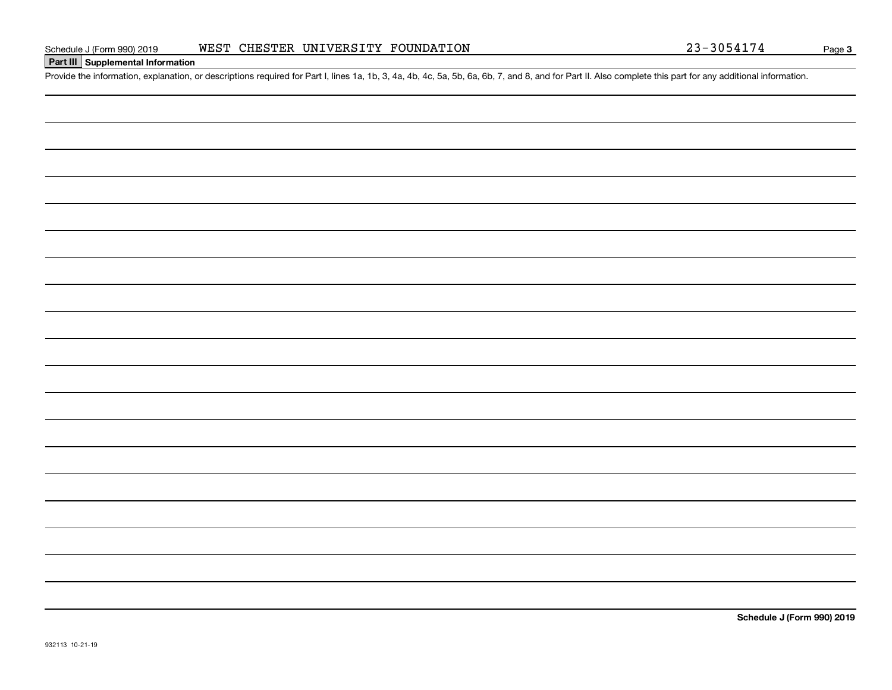### **Part III Supplemental Information**

Schedule J (Form 990) 2019 WEST CHESTER UNIVERSITY FOUNDATION 23-3054174<br>Part III Supplemental Information<br>Provide the information, explanation, or descriptions required for Part I, lines 1a, 1b, 3, 4a, 4b, 4c, 5a, 5b, 6a,

**Schedule J (Form 990) 2019**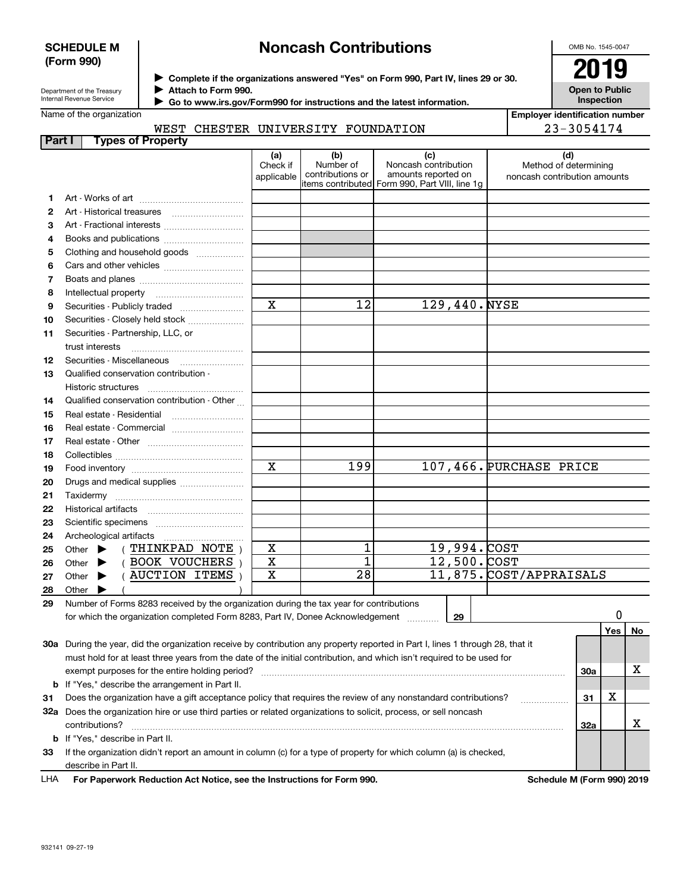#### **SCHEDULE M (Form 990)**

# **Noncash Contributions**

OMB No. 1545-0047

**Open to Public Inspection**

Department of the Treasury Internal Revenue Service

**Complete if the organizations answered "Yes" on Form 990, Part IV, lines 29 or 30.** <sup>J</sup>**2019**

**Attach to Form 990.** J

 **Go to www.irs.gov/Form990 for instructions and the latest information.** J

Name of the organization

|  | ימי ריבים וואדומדים משלאות המייחד של הסיי |  |
|--|-------------------------------------------|--|

**Employer identification number** 23-3054174

|        |                          | WEST CHESTER UNIVERSITY FOUNDATION |  |
|--------|--------------------------|------------------------------------|--|
| Part I | <b>Types of Property</b> |                                    |  |

|    |                                                                                                                                | (a)<br>Check if<br>applicable | (b)<br>Number of<br>contributions or | (c)<br>Noncash contribution<br>amounts reported on<br>items contributed Form 990, Part VIII, line 1g | (d)<br>Method of determining<br>noncash contribution amounts |     |        |    |
|----|--------------------------------------------------------------------------------------------------------------------------------|-------------------------------|--------------------------------------|------------------------------------------------------------------------------------------------------|--------------------------------------------------------------|-----|--------|----|
| 1. |                                                                                                                                |                               |                                      |                                                                                                      |                                                              |     |        |    |
| 2  | Art - Historical treasures                                                                                                     |                               |                                      |                                                                                                      |                                                              |     |        |    |
| З  | Art - Fractional interests                                                                                                     |                               |                                      |                                                                                                      |                                                              |     |        |    |
| 4  | Books and publications                                                                                                         |                               |                                      |                                                                                                      |                                                              |     |        |    |
| 5  | Clothing and household goods                                                                                                   |                               |                                      |                                                                                                      |                                                              |     |        |    |
| 6  |                                                                                                                                |                               |                                      |                                                                                                      |                                                              |     |        |    |
| 7  |                                                                                                                                |                               |                                      |                                                                                                      |                                                              |     |        |    |
| 8  | Intellectual property                                                                                                          |                               |                                      |                                                                                                      |                                                              |     |        |    |
| 9  | Securities - Publicly traded                                                                                                   | X                             | 12                                   | 129,440.NYSE                                                                                         |                                                              |     |        |    |
| 10 | Securities - Closely held stock                                                                                                |                               |                                      |                                                                                                      |                                                              |     |        |    |
| 11 | Securities - Partnership, LLC, or                                                                                              |                               |                                      |                                                                                                      |                                                              |     |        |    |
|    | trust interests                                                                                                                |                               |                                      |                                                                                                      |                                                              |     |        |    |
| 12 |                                                                                                                                |                               |                                      |                                                                                                      |                                                              |     |        |    |
| 13 | Qualified conservation contribution -                                                                                          |                               |                                      |                                                                                                      |                                                              |     |        |    |
|    | Historic structures                                                                                                            |                               |                                      |                                                                                                      |                                                              |     |        |    |
| 14 | Qualified conservation contribution - Other                                                                                    |                               |                                      |                                                                                                      |                                                              |     |        |    |
| 15 |                                                                                                                                |                               |                                      |                                                                                                      |                                                              |     |        |    |
| 16 | Real estate - Commercial                                                                                                       |                               |                                      |                                                                                                      |                                                              |     |        |    |
| 17 |                                                                                                                                |                               |                                      |                                                                                                      |                                                              |     |        |    |
| 18 |                                                                                                                                |                               |                                      |                                                                                                      |                                                              |     |        |    |
| 19 |                                                                                                                                | X                             | 199                                  |                                                                                                      | 107,466. PURCHASE PRICE                                      |     |        |    |
| 20 | Drugs and medical supplies                                                                                                     |                               |                                      |                                                                                                      |                                                              |     |        |    |
| 21 | Taxidermy                                                                                                                      |                               |                                      |                                                                                                      |                                                              |     |        |    |
| 22 | Historical artifacts                                                                                                           |                               |                                      |                                                                                                      |                                                              |     |        |    |
| 23 |                                                                                                                                |                               |                                      |                                                                                                      |                                                              |     |        |    |
| 24 | Archeological artifacts                                                                                                        |                               |                                      |                                                                                                      |                                                              |     |        |    |
| 25 | (THINKPAD NOTE)<br>Other $\blacktriangleright$                                                                                 | X                             |                                      | 19,994.COST                                                                                          |                                                              |     |        |    |
| 26 | (BOOK VOUCHERS)<br>Other $\blacktriangleright$                                                                                 | X                             | $\overline{1}$                       | $\overline{12,500}$ . COST                                                                           |                                                              |     |        |    |
| 27 | (AUCTION ITEMS)<br>Other $\blacktriangleright$                                                                                 | $\mathbf x$                   | $\overline{28}$                      |                                                                                                      | 11,875. COST/APPRAISALS                                      |     |        |    |
| 28 | Other                                                                                                                          |                               |                                      |                                                                                                      |                                                              |     |        |    |
| 29 | Number of Forms 8283 received by the organization during the tax year for contributions                                        |                               |                                      |                                                                                                      |                                                              |     |        |    |
|    | for which the organization completed Form 8283, Part IV, Donee Acknowledgement                                                 |                               |                                      | 29                                                                                                   |                                                              |     | 0      |    |
|    |                                                                                                                                |                               |                                      |                                                                                                      |                                                              |     | $Yes_$ | No |
|    | 30a During the year, did the organization receive by contribution any property reported in Part I, lines 1 through 28, that it |                               |                                      |                                                                                                      |                                                              |     |        |    |
|    | must hold for at least three years from the date of the initial contribution, and which isn't required to be used for          |                               |                                      |                                                                                                      |                                                              |     |        |    |
|    | exempt purposes for the entire holding period?                                                                                 |                               |                                      |                                                                                                      |                                                              | 30a |        | X  |
| b  | If "Yes," describe the arrangement in Part II.                                                                                 |                               |                                      |                                                                                                      |                                                              |     |        |    |
| 31 | Does the organization have a gift acceptance policy that requires the review of any nonstandard contributions?                 |                               |                                      |                                                                                                      | .                                                            | 31  | X      |    |
|    | 32a Does the organization hire or use third parties or related organizations to solicit, process, or sell noncash              |                               |                                      |                                                                                                      |                                                              |     |        |    |
|    | contributions?                                                                                                                 |                               |                                      |                                                                                                      |                                                              | 32a |        | х  |
| b  | If "Yes," describe in Part II.                                                                                                 |                               |                                      |                                                                                                      |                                                              |     |        |    |
| 33 | If the organization didn't report an amount in column (c) for a type of property for which column (a) is checked,              |                               |                                      |                                                                                                      |                                                              |     |        |    |
|    | describe in Part II.                                                                                                           |                               |                                      |                                                                                                      |                                                              |     |        |    |

**For Paperwork Reduction Act Notice, see the Instructions for Form 990. Schedule M (Form 990) 2019** LHA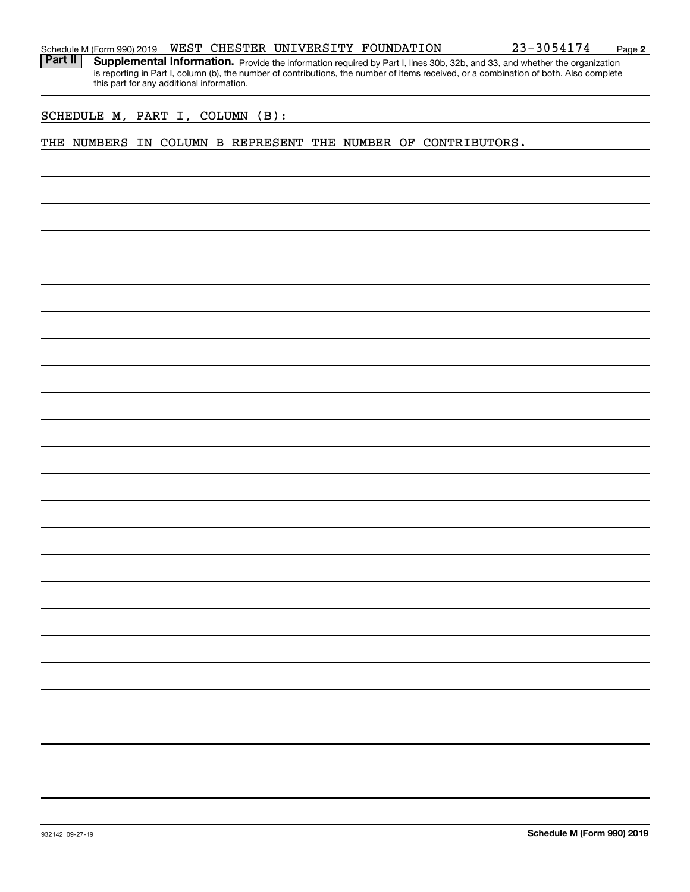Part II | Supplemental Information. Provide the information required by Part I, lines 30b, 32b, and 33, and whether the organization is reporting in Part I, column (b), the number of contributions, the number of items received, or a combination of both. Also complete this part for any additional information.

SCHEDULE M, PART I, COLUMN (B):

#### THE NUMBERS IN COLUMN B REPRESENT THE NUMBER OF CONTRIBUTORS.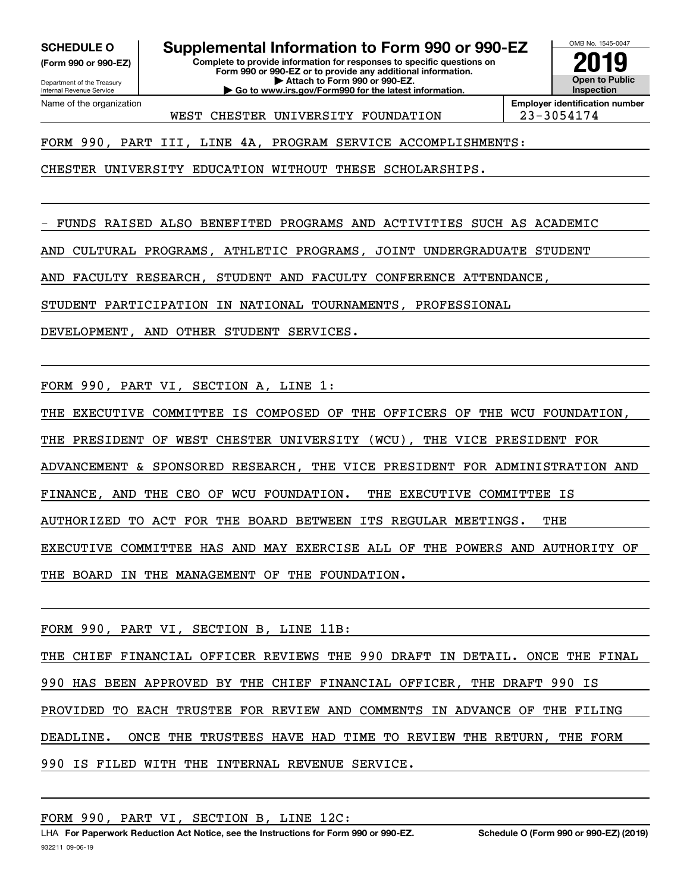**(Form 990 or 990-EZ)**

Name of the organization

Department of the Treasury Internal Revenue Service

**SCHEDULE O Supplemental Information to Form 990 or 990-EZ**

**Complete to provide information for responses to specific questions on Form 990 or 990-EZ or to provide any additional information. | Attach to Form 990 or 990-EZ. | Go to www.irs.gov/Form990 for the latest information.**

OMB No. 1545-0047 **Open to Public InspectionEmployer identification number 2019**

WEST CHESTER UNIVERSITY FOUNDATION | 23-3054174

FORM 990, PART III, LINE 4A, PROGRAM SERVICE ACCOMPLISHMENTS:

CHESTER UNIVERSITY EDUCATION WITHOUT THESE SCHOLARSHIPS.

- FUNDS RAISED ALSO BENEFITED PROGRAMS AND ACTIVITIES SUCH AS ACADEMIC

AND CULTURAL PROGRAMS, ATHLETIC PROGRAMS, JOINT UNDERGRADUATE STUDENT

AND FACULTY RESEARCH, STUDENT AND FACULTY CONFERENCE ATTENDANCE,

STUDENT PARTICIPATION IN NATIONAL TOURNAMENTS, PROFESSIONAL

DEVELOPMENT, AND OTHER STUDENT SERVICES.

FORM 990, PART VI, SECTION A, LINE 1:

THE EXECUTIVE COMMITTEE IS COMPOSED OF THE OFFICERS OF THE WCU FOUNDATION,

THE PRESIDENT OF WEST CHESTER UNIVERSITY (WCU), THE VICE PRESIDENT FOR

ADVANCEMENT & SPONSORED RESEARCH, THE VICE PRESIDENT FOR ADMINISTRATION AND

FINANCE, AND THE CEO OF WCU FOUNDATION. THE EXECUTIVE COMMITTEE IS

AUTHORIZED TO ACT FOR THE BOARD BETWEEN ITS REGULAR MEETINGS. THE

EXECUTIVE COMMITTEE HAS AND MAY EXERCISE ALL OF THE POWERS AND AUTHORITY OF

THE BOARD IN THE MANAGEMENT OF THE FOUNDATION.

FORM 990, PART VI, SECTION B, LINE 11B:

THE CHIEF FINANCIAL OFFICER REVIEWS THE 990 DRAFT IN DETAIL. ONCE THE FINAL 990 HAS BEEN APPROVED BY THE CHIEF FINANCIAL OFFICER, THE DRAFT 990 IS PROVIDED TO EACH TRUSTEE FOR REVIEW AND COMMENTS IN ADVANCE OF THE FILING DEADLINE. ONCE THE TRUSTEES HAVE HAD TIME TO REVIEW THE RETURN, THE FORM 990 IS FILED WITH THE INTERNAL REVENUE SERVICE.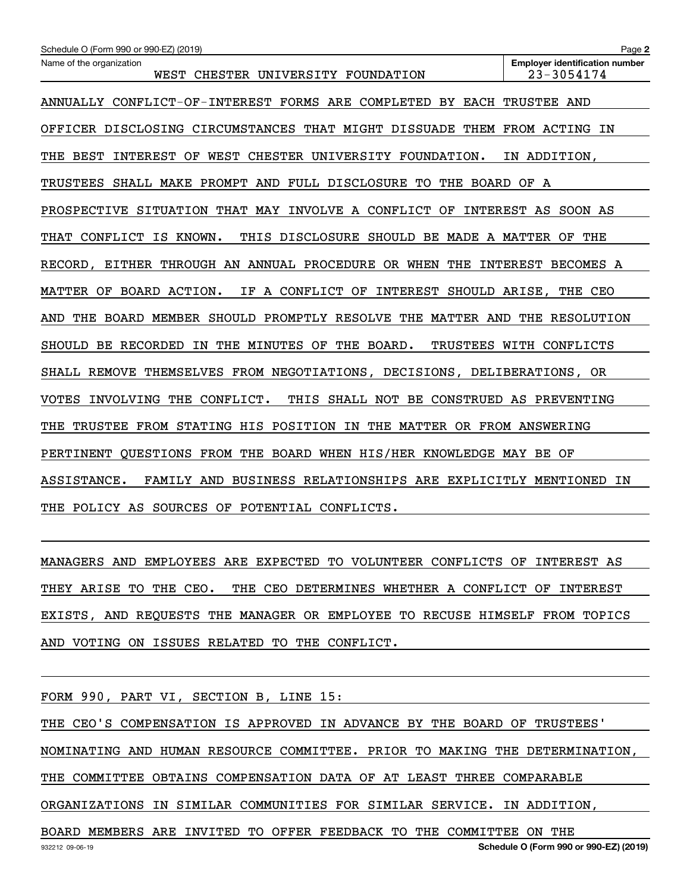| Schedule O (Form 990 or 990-EZ) (2019)                                               | Page 2                                              |
|--------------------------------------------------------------------------------------|-----------------------------------------------------|
| Name of the organization<br>WEST CHESTER UNIVERSITY FOUNDATION                       | <b>Employer identification number</b><br>23-3054174 |
| ANNUALLY CONFLICT-OF-INTEREST FORMS ARE COMPLETED BY EACH TRUSTEE AND                |                                                     |
| OFFICER DISCLOSING CIRCUMSTANCES THAT MIGHT DISSUADE THEM FROM ACTING IN             |                                                     |
| THE BEST INTEREST OF WEST CHESTER UNIVERSITY FOUNDATION.                             | IN ADDITION,                                        |
| TRUSTEES SHALL MAKE PROMPT AND FULL DISCLOSURE TO THE BOARD OF A                     |                                                     |
| PROSPECTIVE SITUATION THAT MAY INVOLVE A CONFLICT OF                                 | INTEREST AS SOON AS                                 |
| THAT<br>CONFLICT IS KNOWN.<br>THIS DISCLOSURE SHOULD BE MADE A MATTER OF             | THE                                                 |
| RECORD, EITHER THROUGH AN ANNUAL PROCEDURE OR WHEN THE                               | INTEREST BECOMES A                                  |
| IF A CONFLICT OF INTEREST SHOULD ARISE, THE CEO<br>MATTER OF BOARD ACTION.           |                                                     |
| THE BOARD MEMBER SHOULD PROMPTLY RESOLVE THE MATTER AND THE RESOLUTION<br>AND        |                                                     |
| SHOULD BE RECORDED IN THE MINUTES OF<br>THE BOARD.                                   | TRUSTEES WITH CONFLICTS                             |
| SHALL REMOVE THEMSELVES FROM NEGOTIATIONS, DECISIONS, DELIBERATIONS, OR              |                                                     |
| <b>VOTES</b><br>INVOLVING THE CONFLICT.<br>THIS SHALL NOT BE CONSTRUED AS PREVENTING |                                                     |
| TRUSTEE FROM STATING HIS POSITION IN THE MATTER OR FROM ANSWERING<br>THE             |                                                     |
| PERTINENT QUESTIONS FROM THE BOARD WHEN HIS/HER KNOWLEDGE MAY BE OF                  |                                                     |
| ASSISTANCE.<br>BUSINESS RELATIONSHIPS ARE EXPLICITLY MENTIONED<br>FAMILY AND         | IN                                                  |
| THE POLICY AS SOURCES OF POTENTIAL CONFLICTS.                                        |                                                     |

MANAGERS AND EMPLOYEES ARE EXPECTED TO VOLUNTEER CONFLICTS OF INTEREST AS THEY ARISE TO THE CEO. THE CEO DETERMINES WHETHER A CONFLICT OF INTEREST EXISTS, AND REQUESTS THE MANAGER OR EMPLOYEE TO RECUSE HIMSELF FROM TOPICS AND VOTING ON ISSUES RELATED TO THE CONFLICT.

FORM 990, PART VI, SECTION B, LINE 15:

THE CEO'S COMPENSATION IS APPROVED IN ADVANCE BY THE BOARD OF TRUSTEES' NOMINATING AND HUMAN RESOURCE COMMITTEE. PRIOR TO MAKING THE DETERMINATION, THE COMMITTEE OBTAINS COMPENSATION DATA OF AT LEAST THREE COMPARABLE ORGANIZATIONS IN SIMILAR COMMUNITIES FOR SIMILAR SERVICE. IN ADDITION, BOARD MEMBERS ARE INVITED TO OFFER FEEDBACK TO THE COMMITTEE ON THE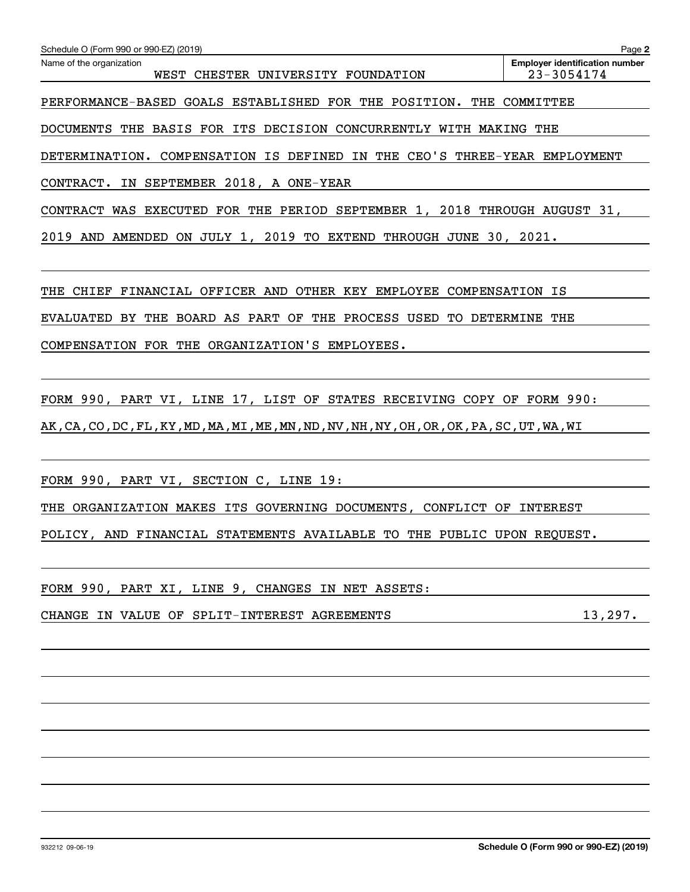| Schedule O (Form 990 or 990-EZ) (2019)                                                                           | Page 2                                              |
|------------------------------------------------------------------------------------------------------------------|-----------------------------------------------------|
| Name of the organization<br>WEST CHESTER UNIVERSITY FOUNDATION                                                   | <b>Employer identification number</b><br>23-3054174 |
| PERFORMANCE-BASED GOALS ESTABLISHED FOR THE POSITION. THE COMMITTEE                                              |                                                     |
| DOCUMENTS THE BASIS FOR ITS DECISION CONCURRENTLY WITH MAKING THE                                                |                                                     |
| DETERMINATION. COMPENSATION IS DEFINED IN THE CEO'S THREE-YEAR EMPLOYMENT                                        |                                                     |
| CONTRACT. IN SEPTEMBER 2018, A ONE-YEAR                                                                          |                                                     |
| CONTRACT WAS EXECUTED FOR THE PERIOD SEPTEMBER 1, 2018 THROUGH AUGUST 31,                                        |                                                     |
| 2019 AND AMENDED ON JULY 1, 2019 TO EXTEND THROUGH JUNE 30, 2021.                                                |                                                     |
|                                                                                                                  |                                                     |
| THE CHIEF FINANCIAL OFFICER AND OTHER KEY EMPLOYEE COMPENSATION IS                                               |                                                     |
| EVALUATED BY THE BOARD AS PART OF THE PROCESS USED TO DETERMINE THE                                              |                                                     |
| COMPENSATION FOR THE ORGANIZATION'S EMPLOYEES.                                                                   |                                                     |
|                                                                                                                  |                                                     |
| FORM 990, PART VI, LINE 17, LIST OF STATES RECEIVING COPY OF FORM 990:                                           |                                                     |
| AK , CA , CO , DC , FL , KY , MD , MA , MI , ME , MN , ND , NV , NH , NY , OH , OR , OK , PA , SC , UT , WA , WI |                                                     |
|                                                                                                                  |                                                     |
| FORM 990, PART VI, SECTION C, LINE 19:                                                                           |                                                     |
| THE ORGANIZATION MAKES ITS GOVERNING DOCUMENTS, CONFLICT OF INTEREST                                             |                                                     |
| POLICY, AND FINANCIAL STATEMENTS AVAILABLE TO THE PUBLIC UPON REQUEST.                                           |                                                     |
|                                                                                                                  |                                                     |
| FORM 990, PART XI, LINE 9, CHANGES IN NET ASSETS:                                                                |                                                     |
| CHANGE IN VALUE OF SPLIT-INTEREST AGREEMENTS                                                                     | 13,297.                                             |
|                                                                                                                  |                                                     |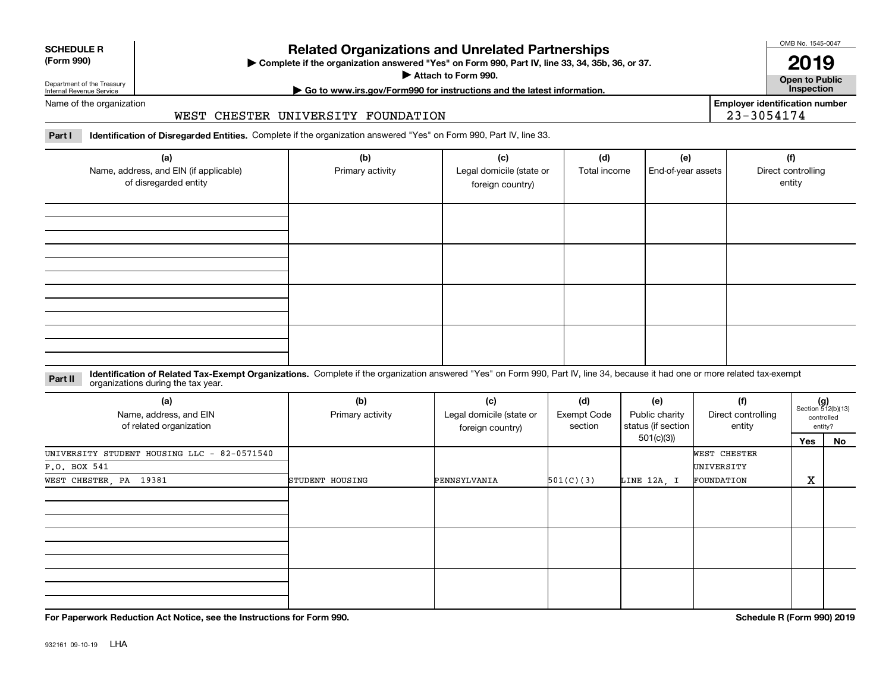| <b>SCHEDULE R</b>         |  |
|---------------------------|--|
| $\sim$ 0.00<br>$\sqrt{2}$ |  |

#### **(Form 990)**

## **Related Organizations and Unrelated Partnerships**

**Complete if the organization answered "Yes" on Form 990, Part IV, line 33, 34, 35b, 36, or 37.** |

**Attach to Form 990.**  |

OMB No. 1545-0047

**Open to Public 2019**

**Employer identification number**

23-3054174

Department of the Treasury Internal Revenue Service

## **| Go to www.irs.gov/Form990 for instructions and the latest information. Inspection**

#### Name of the organization

#### WEST CHESTER UNIVERSITY FOUNDATION

**Part I Identification of Disregarded Entities.**  Complete if the organization answered "Yes" on Form 990, Part IV, line 33.

| (a)<br>Name, address, and EIN (if applicable)<br>of disregarded entity | (b)<br>Primary activity | (c)<br>Legal domicile (state or<br>foreign country) | (d)<br>Total income | (e)<br>End-of-year assets | (f)<br>Direct controlling<br>entity |
|------------------------------------------------------------------------|-------------------------|-----------------------------------------------------|---------------------|---------------------------|-------------------------------------|
|                                                                        |                         |                                                     |                     |                           |                                     |
|                                                                        |                         |                                                     |                     |                           |                                     |
|                                                                        |                         |                                                     |                     |                           |                                     |
|                                                                        |                         |                                                     |                     |                           |                                     |

#### **Identification of Related Tax-Exempt Organizations.** Complete if the organization answered "Yes" on Form 990, Part IV, line 34, because it had one or more related tax-exempt **Part II** organizations during the tax year.

| (a)<br>Name, address, and EIN<br>of related organization | (b)<br>Primary activity | (c)<br>Legal domicile (state or<br>foreign country) | (d)<br>Exempt Code<br>section | (e)<br>Public charity<br>status (if section | (f)<br>Direct controlling<br>entity |                   | $(g)$<br>Section 512(b)(13)<br>controlled<br>entity? |
|----------------------------------------------------------|-------------------------|-----------------------------------------------------|-------------------------------|---------------------------------------------|-------------------------------------|-------------------|------------------------------------------------------|
|                                                          |                         |                                                     |                               | 501(c)(3))                                  |                                     | Yes               | No                                                   |
| UNIVERSITY STUDENT HOUSING LLC - 82-0571540              |                         |                                                     |                               |                                             | WEST CHESTER                        |                   |                                                      |
| P.O. BOX 541                                             |                         |                                                     |                               |                                             | UNIVERSITY                          |                   |                                                      |
| WEST CHESTER, PA 19381                                   | STUDENT HOUSING         | PENNSYLVANIA                                        | 501(C)(3)                     | LINE 12A, I                                 | FOUNDATION                          | $\mathbf{v}$<br>△ |                                                      |
|                                                          |                         |                                                     |                               |                                             |                                     |                   |                                                      |
|                                                          |                         |                                                     |                               |                                             |                                     |                   |                                                      |
|                                                          |                         |                                                     |                               |                                             |                                     |                   |                                                      |

**For Paperwork Reduction Act Notice, see the Instructions for Form 990. Schedule R (Form 990) 2019**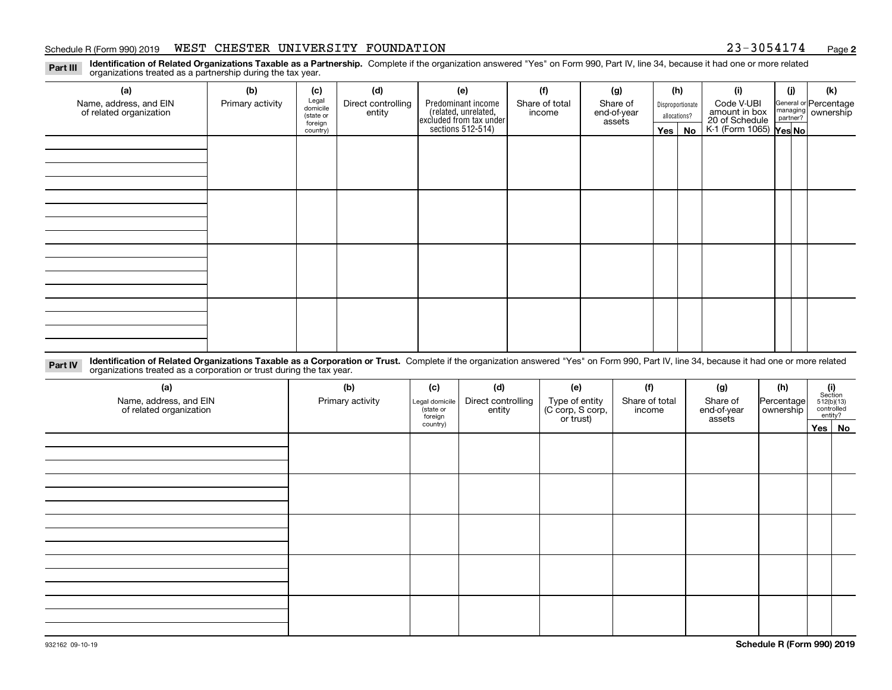#### Schedule R (Form 990) 2019 WEST CHESTER UNIVERSITY FOUNDATION 23-3054174 <sub>Page</sub>

**2**

**Identification of Related Organizations Taxable as a Partnership.** Complete if the organization answered "Yes" on Form 990, Part IV, line 34, because it had one or more related **Part III** organizations treated as a partnership during the tax year.

| (a)                                               | (b)              | (c)                  | (d)                          | (e)                                                                 | (f)                      | (g)                     |         | (h)              | (i)                                      | (j) | (k)                                                       |
|---------------------------------------------------|------------------|----------------------|------------------------------|---------------------------------------------------------------------|--------------------------|-------------------------|---------|------------------|------------------------------------------|-----|-----------------------------------------------------------|
| Name, address, and EIN<br>of related organization | Primary activity | Legal<br>domicile    | Direct controlling<br>entity | Predominant income                                                  | Share of total<br>income | Share of<br>end-of-year |         | Disproportionate | Code V-UBI<br>amount in box              |     | General or Percentage<br>managing<br>partner?<br>partner? |
|                                                   |                  | (state or<br>foreign |                              |                                                                     |                          | assets                  |         | allocations?     |                                          |     |                                                           |
|                                                   |                  | country)             |                              | related, unrelated,<br>excluded from tax under<br>sections 512-514) |                          |                         | Yes $ $ | No               | 20 of Schedule<br>K-1 (Form 1065) Yes No |     |                                                           |
|                                                   |                  |                      |                              |                                                                     |                          |                         |         |                  |                                          |     |                                                           |
|                                                   |                  |                      |                              |                                                                     |                          |                         |         |                  |                                          |     |                                                           |
|                                                   |                  |                      |                              |                                                                     |                          |                         |         |                  |                                          |     |                                                           |
|                                                   |                  |                      |                              |                                                                     |                          |                         |         |                  |                                          |     |                                                           |
|                                                   |                  |                      |                              |                                                                     |                          |                         |         |                  |                                          |     |                                                           |
|                                                   |                  |                      |                              |                                                                     |                          |                         |         |                  |                                          |     |                                                           |
|                                                   |                  |                      |                              |                                                                     |                          |                         |         |                  |                                          |     |                                                           |
|                                                   |                  |                      |                              |                                                                     |                          |                         |         |                  |                                          |     |                                                           |
|                                                   |                  |                      |                              |                                                                     |                          |                         |         |                  |                                          |     |                                                           |
|                                                   |                  |                      |                              |                                                                     |                          |                         |         |                  |                                          |     |                                                           |
|                                                   |                  |                      |                              |                                                                     |                          |                         |         |                  |                                          |     |                                                           |
|                                                   |                  |                      |                              |                                                                     |                          |                         |         |                  |                                          |     |                                                           |
|                                                   |                  |                      |                              |                                                                     |                          |                         |         |                  |                                          |     |                                                           |
|                                                   |                  |                      |                              |                                                                     |                          |                         |         |                  |                                          |     |                                                           |
|                                                   |                  |                      |                              |                                                                     |                          |                         |         |                  |                                          |     |                                                           |
|                                                   |                  |                      |                              |                                                                     |                          |                         |         |                  |                                          |     |                                                           |
|                                                   |                  |                      |                              |                                                                     |                          |                         |         |                  |                                          |     |                                                           |

**Identification of Related Organizations Taxable as a Corporation or Trust.** Complete if the organization answered "Yes" on Form 990, Part IV, line 34, because it had one or more related **Part IV** organizations treated as a corporation or trust during the tax year.

| (a)<br>Name, address, and EIN<br>of related organization | (b)<br>Primary activity | (c)<br>Legal domicile<br>(state or<br>foreign | (d)<br>Direct controlling<br>entity | (e)<br>Type of entity<br>(C corp, S corp,<br>or trust) | (f)<br>Share of total<br>income | (g)<br>Share of<br>end-of-year<br>assets | (h)<br>Percentage<br>ownership | $(i)$ Section<br>512(b)(13)<br>controlled<br>entity? |
|----------------------------------------------------------|-------------------------|-----------------------------------------------|-------------------------------------|--------------------------------------------------------|---------------------------------|------------------------------------------|--------------------------------|------------------------------------------------------|
|                                                          |                         | country)                                      |                                     |                                                        |                                 |                                          |                                | Yes   No                                             |
|                                                          |                         |                                               |                                     |                                                        |                                 |                                          |                                |                                                      |
|                                                          |                         |                                               |                                     |                                                        |                                 |                                          |                                |                                                      |
|                                                          |                         |                                               |                                     |                                                        |                                 |                                          |                                |                                                      |
|                                                          |                         |                                               |                                     |                                                        |                                 |                                          |                                |                                                      |
|                                                          |                         |                                               |                                     |                                                        |                                 |                                          |                                |                                                      |
|                                                          |                         |                                               |                                     |                                                        |                                 |                                          |                                |                                                      |
|                                                          |                         |                                               |                                     |                                                        |                                 |                                          |                                |                                                      |
|                                                          |                         |                                               |                                     |                                                        |                                 |                                          |                                |                                                      |
|                                                          |                         |                                               |                                     |                                                        |                                 |                                          |                                |                                                      |
|                                                          |                         |                                               |                                     |                                                        |                                 |                                          |                                |                                                      |
|                                                          |                         |                                               |                                     |                                                        |                                 |                                          |                                |                                                      |
|                                                          |                         |                                               |                                     |                                                        |                                 |                                          |                                |                                                      |
|                                                          |                         |                                               |                                     |                                                        |                                 |                                          |                                |                                                      |
|                                                          |                         |                                               |                                     |                                                        |                                 |                                          |                                |                                                      |
|                                                          |                         |                                               |                                     |                                                        |                                 |                                          |                                |                                                      |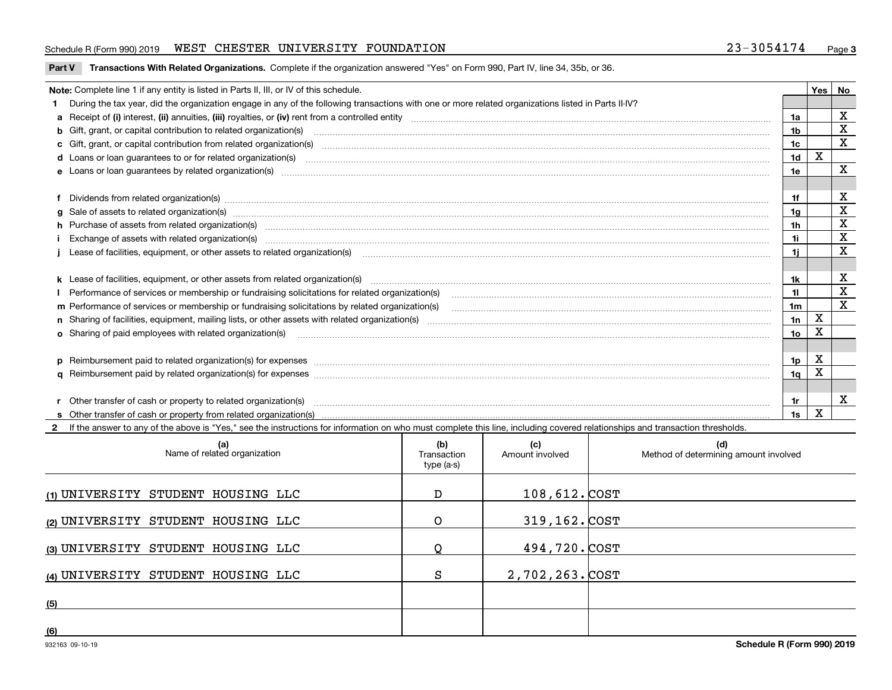#### Schedule R (Form 990) 2019 WEST CHESTER UNIVERSITY FOUNDATION 23-3054174 <sub>Page</sub>

**Part V** T**ransactions With Related Organizations.** Complete if the organization answered "Yes" on Form 990, Part IV, line 34, 35b, or 36.

| Note: Complete line 1 if any entity is listed in Parts II, III, or IV of this schedule.                                                                                                                                        |     | <b>Yes</b> | No          |
|--------------------------------------------------------------------------------------------------------------------------------------------------------------------------------------------------------------------------------|-----|------------|-------------|
| 1 During the tax year, did the organization engage in any of the following transactions with one or more related organizations listed in Parts II-IV?                                                                          |     |            |             |
|                                                                                                                                                                                                                                | 1a  |            | х           |
| <b>b</b> Gift, grant, or capital contribution to related organization(s)                                                                                                                                                       | 1b  |            | X           |
| c Gift, grant, or capital contribution from related organization(s)                                                                                                                                                            | 1c  |            | X           |
|                                                                                                                                                                                                                                | 1d  | X          |             |
| e Loans or loan quarantees by related organization(s)                                                                                                                                                                          | 1e  |            | X           |
|                                                                                                                                                                                                                                |     |            |             |
| f Dividends from related organization(s) www.communicallycommunicallycommunicallycommunicallycommunicallycommunicallycommunicallycommunicallycommunicallycommunicallycommunicallycommunicallycommunicallycommunicallycommunica |     |            | х           |
|                                                                                                                                                                                                                                | 1a  |            | X           |
| h Purchase of assets from related organization(s) manufactured content to content the content of the content of the content of the content of the content of the content of the content of the content of the content of the c | 1h  |            | X           |
| Exchange of assets with related organization(s) www.assettion.com/www.assettion.com/www.assettion.com/www.assettion.com/www.assettion.com/www.assettion.com/www.assettion.com/www.assettion.com/www.assettion.com/www.assettio | 1i. |            | X           |
|                                                                                                                                                                                                                                | 1i. |            | X           |
|                                                                                                                                                                                                                                |     |            |             |
| k Lease of facilities, equipment, or other assets from related organization(s) manufaction content and content to the content of facilities, equipment, or other assets from related organization(s) manufaction content and c | 1k  |            | X           |
| Performance of services or membership or fundraising solicitations for related organization(s)                                                                                                                                 | 11. |            | X           |
| m Performance of services or membership or fundraising solicitations by related organization(s)                                                                                                                                | 1m  |            | $\mathbf X$ |
|                                                                                                                                                                                                                                | 1n  | X          |             |
| <b>o</b> Sharing of paid employees with related organization(s)                                                                                                                                                                | 1o  | X          |             |
|                                                                                                                                                                                                                                |     |            |             |
| p Reimbursement paid to related organization(s) for expenses [11111] [12] manufacture manufacture manufacture manufacture manufacture manufacture manufacture manufacture manufacture manufacture manufacture manufacture manu | 1p. | X          |             |
|                                                                                                                                                                                                                                | 1q  | x          |             |
|                                                                                                                                                                                                                                |     |            |             |
| r Other transfer of cash or property to related organization(s)                                                                                                                                                                | 1r  |            | x           |
|                                                                                                                                                                                                                                | 1s  | x          |             |

**2**If the answer to any of the above is "Yes," see the instructions for information on who must complete this line, including covered relationships and transaction thresholds.

| (a)<br>Name of related organization | (b)<br>Transaction<br>type (a-s) | (c)<br>Amount involved | (d)<br>Method of determining amount involved |
|-------------------------------------|----------------------------------|------------------------|----------------------------------------------|
| (1) UNIVERSITY STUDENT HOUSING LLC  | D                                | $108,612.$ COST        |                                              |
| (2) UNIVERSITY STUDENT HOUSING LLC  | O                                | 319,162. COST          |                                              |
| (3) UNIVERSITY STUDENT HOUSING LLC  | O                                | 494,720.COST           |                                              |
| (4) UNIVERSITY STUDENT HOUSING LLC  | S                                | 2,702,263. COST        |                                              |
| (5)                                 |                                  |                        |                                              |
| (6)                                 |                                  |                        |                                              |

 $\overline{\phantom{a}}$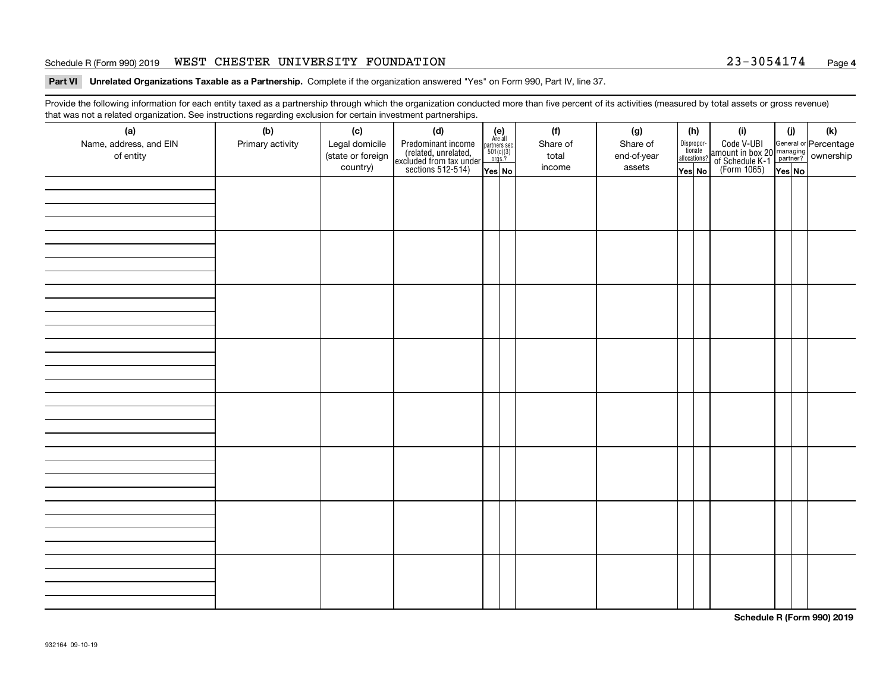#### Schedule R (Form 990) 2019 WEST CHESTER UNIVERSITY FOUNDATION 23-3054174 <sub>Page</sub>

#### **4**

**Part VI Unrelated Organizations Taxable as a Partnership. Complete if the organization answered "Yes" on Form 990, Part IV, line 37.** 

Provide the following information for each entity taxed as a partnership through which the organization conducted more than five percent of its activities (measured by total assets or gross revenue) that was not a related organization. See instructions regarding exclusion for certain investment partnerships.

| ັ                                   | ັ<br>ັ           |                                     |                                                                                            |                                                                                             |                   |                         |                                       |                                                                                                                                       |        |     |
|-------------------------------------|------------------|-------------------------------------|--------------------------------------------------------------------------------------------|---------------------------------------------------------------------------------------------|-------------------|-------------------------|---------------------------------------|---------------------------------------------------------------------------------------------------------------------------------------|--------|-----|
| (a)                                 | (b)              | (c)                                 | (d)                                                                                        | (e)<br>Are all                                                                              | (f)               | (g)                     | (h)                                   | (i)                                                                                                                                   | (i)    | (k) |
| Name, address, and EIN<br>of entity | Primary activity | Legal domicile<br>(state or foreign | Predominant income<br>(related, unrelated,<br>excluded from tax under<br>sections 512-514) | $\begin{array}{c}\n\text{partners} \text{ sec.} \\ 501(c)(3) \\ \text{orgs.?}\n\end{array}$ | Share of<br>total | Share of<br>end-of-year | Dispropor-<br>tionate<br>allocations? | Code V-UBI<br>  amount in box 20 managing<br>  of Schedule K-1 partner? ownership<br>  of Schedule K-1 partner? ownership<br>  Yes No |        |     |
|                                     |                  | country)                            |                                                                                            |                                                                                             | income            | assets                  |                                       |                                                                                                                                       |        |     |
|                                     |                  |                                     |                                                                                            | Yes No                                                                                      |                   |                         | Yes No                                |                                                                                                                                       | Yes No |     |
|                                     |                  |                                     |                                                                                            |                                                                                             |                   |                         |                                       |                                                                                                                                       |        |     |
|                                     |                  |                                     |                                                                                            |                                                                                             |                   |                         |                                       |                                                                                                                                       |        |     |
|                                     |                  |                                     |                                                                                            |                                                                                             |                   |                         |                                       |                                                                                                                                       |        |     |
|                                     |                  |                                     |                                                                                            |                                                                                             |                   |                         |                                       |                                                                                                                                       |        |     |
|                                     |                  |                                     |                                                                                            |                                                                                             |                   |                         |                                       |                                                                                                                                       |        |     |
|                                     |                  |                                     |                                                                                            |                                                                                             |                   |                         |                                       |                                                                                                                                       |        |     |
|                                     |                  |                                     |                                                                                            |                                                                                             |                   |                         |                                       |                                                                                                                                       |        |     |
|                                     |                  |                                     |                                                                                            |                                                                                             |                   |                         |                                       |                                                                                                                                       |        |     |
|                                     |                  |                                     |                                                                                            |                                                                                             |                   |                         |                                       |                                                                                                                                       |        |     |
|                                     |                  |                                     |                                                                                            |                                                                                             |                   |                         |                                       |                                                                                                                                       |        |     |
|                                     |                  |                                     |                                                                                            |                                                                                             |                   |                         |                                       |                                                                                                                                       |        |     |
|                                     |                  |                                     |                                                                                            |                                                                                             |                   |                         |                                       |                                                                                                                                       |        |     |
|                                     |                  |                                     |                                                                                            |                                                                                             |                   |                         |                                       |                                                                                                                                       |        |     |
|                                     |                  |                                     |                                                                                            |                                                                                             |                   |                         |                                       |                                                                                                                                       |        |     |
|                                     |                  |                                     |                                                                                            |                                                                                             |                   |                         |                                       |                                                                                                                                       |        |     |
|                                     |                  |                                     |                                                                                            |                                                                                             |                   |                         |                                       |                                                                                                                                       |        |     |
|                                     |                  |                                     |                                                                                            |                                                                                             |                   |                         |                                       |                                                                                                                                       |        |     |
|                                     |                  |                                     |                                                                                            |                                                                                             |                   |                         |                                       |                                                                                                                                       |        |     |
|                                     |                  |                                     |                                                                                            |                                                                                             |                   |                         |                                       |                                                                                                                                       |        |     |
|                                     |                  |                                     |                                                                                            |                                                                                             |                   |                         |                                       |                                                                                                                                       |        |     |
|                                     |                  |                                     |                                                                                            |                                                                                             |                   |                         |                                       |                                                                                                                                       |        |     |
|                                     |                  |                                     |                                                                                            |                                                                                             |                   |                         |                                       |                                                                                                                                       |        |     |
|                                     |                  |                                     |                                                                                            |                                                                                             |                   |                         |                                       |                                                                                                                                       |        |     |
|                                     |                  |                                     |                                                                                            |                                                                                             |                   |                         |                                       |                                                                                                                                       |        |     |
|                                     |                  |                                     |                                                                                            |                                                                                             |                   |                         |                                       |                                                                                                                                       |        |     |
|                                     |                  |                                     |                                                                                            |                                                                                             |                   |                         |                                       |                                                                                                                                       |        |     |
|                                     |                  |                                     |                                                                                            |                                                                                             |                   |                         |                                       |                                                                                                                                       |        |     |
|                                     |                  |                                     |                                                                                            |                                                                                             |                   |                         |                                       |                                                                                                                                       |        |     |
|                                     |                  |                                     |                                                                                            |                                                                                             |                   |                         |                                       |                                                                                                                                       |        |     |
|                                     |                  |                                     |                                                                                            |                                                                                             |                   |                         |                                       |                                                                                                                                       |        |     |
|                                     |                  |                                     |                                                                                            |                                                                                             |                   |                         |                                       |                                                                                                                                       |        |     |
|                                     |                  |                                     |                                                                                            |                                                                                             |                   |                         |                                       |                                                                                                                                       |        |     |
|                                     |                  |                                     |                                                                                            |                                                                                             |                   |                         |                                       |                                                                                                                                       |        |     |
|                                     |                  |                                     |                                                                                            |                                                                                             |                   |                         |                                       |                                                                                                                                       |        |     |
|                                     |                  |                                     |                                                                                            |                                                                                             |                   |                         |                                       |                                                                                                                                       |        |     |

**Schedule R (Form 990) 2019**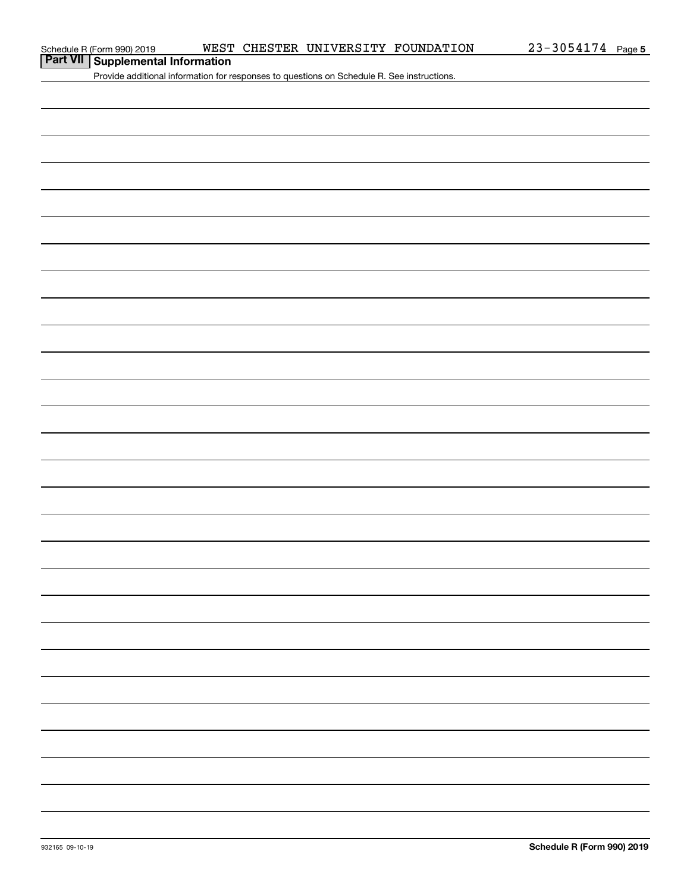# **Part VII Supplemental Information**

Provide additional information for responses to questions on Schedule R. See instructions.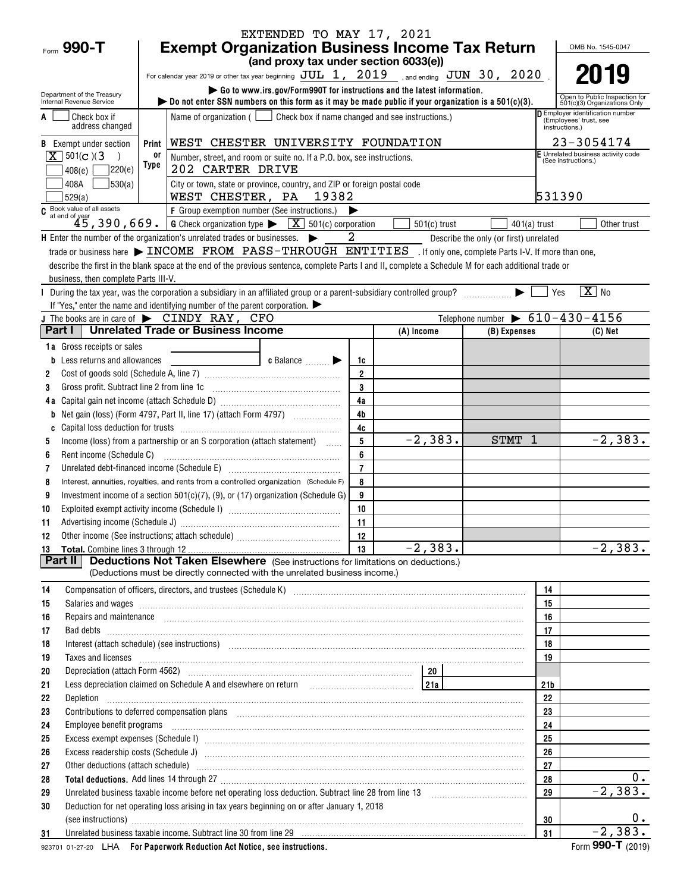| Form 990-T                                             | EXTENDED TO MAY 17, 2021<br><b>Exempt Organization Business Income Tax Return</b>                                                                                                                                                    |                |                                                               |                                        | OMB No. 1545-0047                                                          |    |
|--------------------------------------------------------|--------------------------------------------------------------------------------------------------------------------------------------------------------------------------------------------------------------------------------------|----------------|---------------------------------------------------------------|----------------------------------------|----------------------------------------------------------------------------|----|
|                                                        | (and proxy tax under section 6033(e))                                                                                                                                                                                                |                |                                                               |                                        |                                                                            |    |
|                                                        | For calendar year 2019 or other tax year beginning $JUL$ 1, $2019$ , and ending $JUN$ 30, $2020$                                                                                                                                     |                |                                                               |                                        | 2019                                                                       |    |
|                                                        | Go to www.irs.gov/Form990T for instructions and the latest information.                                                                                                                                                              |                |                                                               |                                        |                                                                            |    |
| Department of the Treasury<br>Internal Revenue Service | bo not enter SSN numbers on this form as it may be made public if your organization is a $501(c)(3)$ .                                                                                                                               |                | Open to Public Inspection for<br>501(c)(3) Organizations Only |                                        |                                                                            |    |
| Check box if<br>address changed                        | Name of organization $($ $\Box$ Check box if name changed and see instructions.)                                                                                                                                                     |                |                                                               |                                        | Employer identification number<br>(Employees' trust, see<br>instructions.) |    |
| <b>B</b> Exempt under section                          | WEST CHESTER UNIVERSITY FOUNDATION<br>Print                                                                                                                                                                                          |                |                                                               |                                        | 23-3054174                                                                 |    |
| $\boxed{\mathbf{X}}$ 501(c)(3                          | 0ľ<br>Number, street, and room or suite no. If a P.O. box, see instructions.<br>Type                                                                                                                                                 |                |                                                               |                                        | E Unrelated business activity code<br>(See instructions.)                  |    |
| 7220(e)<br>408(e)<br>530(a)<br>408A                    | 202 CARTER DRIVE<br>City or town, state or province, country, and ZIP or foreign postal code                                                                                                                                         |                |                                                               |                                        |                                                                            |    |
| 529(a)                                                 | WEST CHESTER, PA 19382                                                                                                                                                                                                               |                |                                                               |                                        | 531390                                                                     |    |
|                                                        | C Book value of all assets<br>$45,390,669$ .<br>$6$ Check organization type $\sqrt{\frac{X}{X}}$ 501(c) corporation                                                                                                                  |                |                                                               |                                        |                                                                            |    |
|                                                        |                                                                                                                                                                                                                                      |                | $501(c)$ trust                                                | $401(a)$ trust                         | Other trust                                                                |    |
|                                                        | $\mathsf H$ Enter the number of the organization's unrelated trades or businesses. $\blacktriangleright$                                                                                                                             | 2              |                                                               | Describe the only (or first) unrelated |                                                                            |    |
|                                                        | trade or business here > INCOME FROM PASS-THROUGH ENTITIES . If only one, complete Parts I-V. If more than one,                                                                                                                      |                |                                                               |                                        |                                                                            |    |
|                                                        | describe the first in the blank space at the end of the previous sentence, complete Parts I and II, complete a Schedule M for each additional trade or                                                                               |                |                                                               |                                        |                                                                            |    |
| business, then complete Parts III-V.                   |                                                                                                                                                                                                                                      |                |                                                               |                                        |                                                                            |    |
|                                                        | During the tax year, was the corporation a subsidiary in an affiliated group or a parent-subsidiary controlled group?<br>If "Yes," enter the name and identifying number of the parent corporation. $\blacktriangleright$            |                |                                                               |                                        | $\boxed{\text{X}}$ No<br>  Yes                                             |    |
|                                                        | J The books are in care of $\blacktriangleright$ CINDY RAY, CFO                                                                                                                                                                      |                |                                                               |                                        | Telephone number $\triangleright$ 610-430-4156                             |    |
| Part I I                                               | <b>Unrelated Trade or Business Income</b>                                                                                                                                                                                            |                | (A) Income                                                    | (B) Expenses                           | $(C)$ Net                                                                  |    |
| 1a Gross receipts or sales                             |                                                                                                                                                                                                                                      |                |                                                               |                                        |                                                                            |    |
| <b>b</b> Less returns and allowances                   | c Balance <b>Division</b>                                                                                                                                                                                                            | 1c             |                                                               |                                        |                                                                            |    |
| 2                                                      |                                                                                                                                                                                                                                      | $\overline{2}$ |                                                               |                                        |                                                                            |    |
| Gross profit. Subtract line 2 from line 1c<br>3        |                                                                                                                                                                                                                                      | $\mathbf 3$    |                                                               |                                        |                                                                            |    |
|                                                        |                                                                                                                                                                                                                                      | 4a             |                                                               |                                        |                                                                            |    |
| b                                                      |                                                                                                                                                                                                                                      | 4 <sub>b</sub> |                                                               |                                        |                                                                            |    |
|                                                        |                                                                                                                                                                                                                                      | 4c             |                                                               |                                        |                                                                            |    |
| 5                                                      | Income (loss) from a partnership or an S corporation (attach statement)                                                                                                                                                              | 5              | $-2,383.$                                                     | STMT 1                                 | $-2,383.$                                                                  |    |
| Rent income (Schedule C)<br>6                          |                                                                                                                                                                                                                                      | 6              |                                                               |                                        |                                                                            |    |
| 7                                                      | Unrelated debt-financed income (Schedule E) [11] [2010] [2010] [2010] [2010] [2010] [2010] [2010] [2010] [2010                                                                                                                       | $\overline{7}$ |                                                               |                                        |                                                                            |    |
| 8                                                      | Interest, annuities, royalties, and rents from a controlled organization (Schedule F)                                                                                                                                                | 8              |                                                               |                                        |                                                                            |    |
| 9<br>10                                                | Investment income of a section 501(c)(7), (9), or (17) organization (Schedule G)                                                                                                                                                     | 9<br>10        |                                                               |                                        |                                                                            |    |
| 11                                                     |                                                                                                                                                                                                                                      | 11             |                                                               |                                        |                                                                            |    |
| 12                                                     |                                                                                                                                                                                                                                      | 12             |                                                               |                                        |                                                                            |    |
|                                                        |                                                                                                                                                                                                                                      | 13             | $-2,383.$                                                     |                                        | $-2,383.$                                                                  |    |
| Part II                                                | <b>Deductions Not Taken Elsewhere</b> (See instructions for limitations on deductions.)                                                                                                                                              |                |                                                               |                                        |                                                                            |    |
|                                                        | (Deductions must be directly connected with the unrelated business income.)                                                                                                                                                          |                |                                                               |                                        |                                                                            |    |
| 14                                                     | Compensation of officers, directors, and trustees (Schedule K) [11] [2000] [2000] [2000] [2000] [2000] [2000] [                                                                                                                      |                |                                                               |                                        | 14                                                                         |    |
| 15                                                     | Salaries and wages information continuous contracts and wages in the same state of the state of the state of the state of the state of the state of the state of the state of the state of the state of the state of the state       |                |                                                               |                                        | 15                                                                         |    |
| 16                                                     | Repairs and maintenance <i>[1] [1] [1] [1] [1] [1] [1] [1] [1] [1]</i> [1] <b>[1]</b> [1] <b>[1]</b> [1] <b>[1] [1] [1] [1] [1] [1] [1] [1] [1] [1] [1] [1] [1] [1] [1] [1] [1] [1] [1] [1] [1] [1]</b>                              |                |                                                               |                                        | 16                                                                         |    |
| 17                                                     |                                                                                                                                                                                                                                      |                |                                                               |                                        | 17                                                                         |    |
| 18                                                     |                                                                                                                                                                                                                                      |                |                                                               |                                        | 18                                                                         |    |
| 19                                                     | Taxes and licenses <b>contract the contract of the contract of the contract of the contract of the contract of the contract of the contract of the contract of the contract of the contract of the contract of the contract of t</b> |                |                                                               |                                        | 19                                                                         |    |
| 20                                                     | Depreciation (attach Form 4562) 20 20                                                                                                                                                                                                |                |                                                               |                                        |                                                                            |    |
| 21<br>22                                               | Less depreciation claimed on Schedule A and elsewhere on return with all contains the settled and all all the s                                                                                                                      |                |                                                               |                                        | 21 <sub>b</sub><br>22                                                      |    |
| 23                                                     |                                                                                                                                                                                                                                      |                |                                                               |                                        | 23                                                                         |    |
| 24                                                     |                                                                                                                                                                                                                                      |                |                                                               |                                        | 24                                                                         |    |
| 25                                                     | Excess exempt expenses (Schedule I) manufactured and content and content and content and content and content and content and content and content and content and content and content and content and content and content and c       |                |                                                               |                                        | 25                                                                         |    |
| 26                                                     |                                                                                                                                                                                                                                      |                |                                                               |                                        | 26                                                                         |    |
| 27                                                     |                                                                                                                                                                                                                                      |                |                                                               |                                        | 27                                                                         |    |
| 28                                                     |                                                                                                                                                                                                                                      |                |                                                               |                                        | 28                                                                         | 0. |
| 29                                                     |                                                                                                                                                                                                                                      |                |                                                               |                                        | $-2, 383.$<br>29                                                           |    |
| 30                                                     | Deduction for net operating loss arising in tax years beginning on or after January 1, 2018                                                                                                                                          |                |                                                               |                                        |                                                                            |    |
|                                                        | (see instructions) www.communications.com/inductions/inductions/inductions/inductions/inductions/inductions/inductions/inductions/inductions/inductions/inductions/inductions/inductions/inductions/inductions/inductions/indu       |                |                                                               |                                        | 30                                                                         | 0. |
| 31                                                     | Unrelated business taxable income. Subtract line 30 from line 29 [11] Case and the manufacture in the state in the state of the state of the state in the state of the state of the state of the state of the state of the sta       |                |                                                               |                                        | $-2,383.$<br>31<br>000T                                                    |    |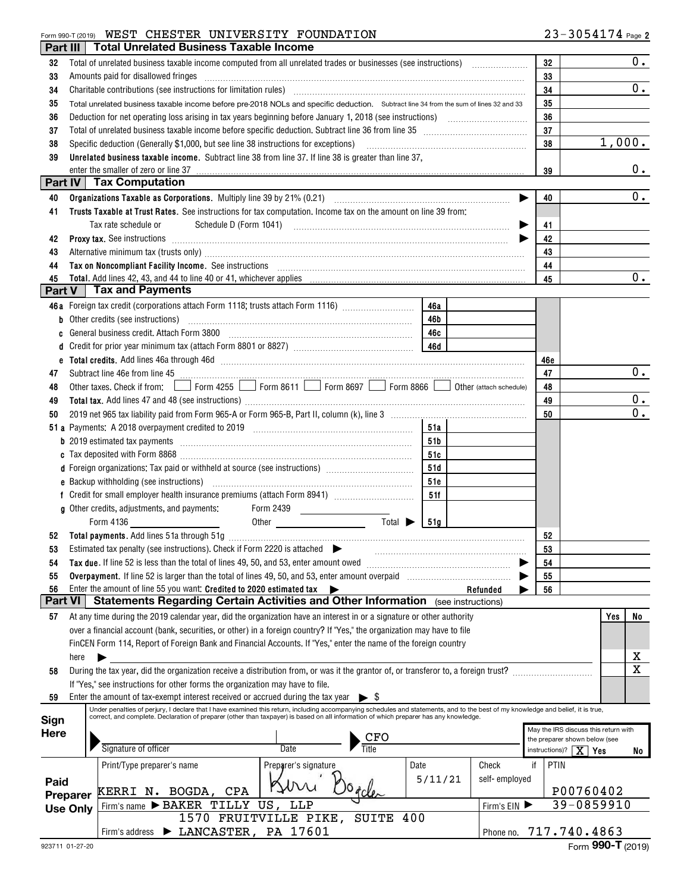#### Form 990-T (2019) Page WEST CHESTER UNIVERSITY FOUNDATION

| Part III       |                 | <b>Total Unrelated Business Taxable Income</b>                                                                                                                                                                                                                                                         |          |                                                                       |     |                                                  |
|----------------|-----------------|--------------------------------------------------------------------------------------------------------------------------------------------------------------------------------------------------------------------------------------------------------------------------------------------------------|----------|-----------------------------------------------------------------------|-----|--------------------------------------------------|
| 32             |                 |                                                                                                                                                                                                                                                                                                        | 32       |                                                                       |     | $0$ .                                            |
| 33             |                 | Amounts paid for disallowed fringes                                                                                                                                                                                                                                                                    | 33       |                                                                       |     |                                                  |
| 34             |                 | Charitable contributions (see instructions for limitation rules) [11] manufacture in the contributions (see instructions for limitation rules) [11] manufacture in the contributions (see instructions for limitation rules) [                                                                         | 34       |                                                                       |     | 0.                                               |
| 35             |                 | Total unrelated business taxable income before pre-2018 NOLs and specific deduction. Subtract line 34 from the sum of lines 32 and 33                                                                                                                                                                  | 35       |                                                                       |     |                                                  |
| 36             |                 |                                                                                                                                                                                                                                                                                                        | 36       |                                                                       |     |                                                  |
| 37             |                 |                                                                                                                                                                                                                                                                                                        | 37       |                                                                       |     |                                                  |
| 38             |                 | Specific deduction (Generally \$1,000, but see line 38 instructions for exceptions)                                                                                                                                                                                                                    | 38       |                                                                       |     | 1,000.                                           |
| 39             |                 | Unrelated business taxable income. Subtract line 38 from line 37. If line 38 is greater than line 37,                                                                                                                                                                                                  |          |                                                                       |     |                                                  |
|                |                 | enter the smaller of zero or line 37                                                                                                                                                                                                                                                                   | 39       |                                                                       |     | 0.                                               |
|                |                 | <b>Part IV Tax Computation</b>                                                                                                                                                                                                                                                                         |          |                                                                       |     |                                                  |
| 40             |                 |                                                                                                                                                                                                                                                                                                        | 40       |                                                                       |     | 0.                                               |
| 41             |                 | Trusts Taxable at Trust Rates. See instructions for tax computation. Income tax on the amount on line 39 from:                                                                                                                                                                                         |          |                                                                       |     |                                                  |
|                |                 | Tax rate schedule or                                                                                                                                                                                                                                                                                   | 41       |                                                                       |     |                                                  |
| 42             |                 | Proxy tax. See instructions <i>machines and contained a contained a contained a contained a contained a contained a</i>                                                                                                                                                                                | 42       |                                                                       |     |                                                  |
| 43             |                 | Alternative minimum tax (trusts only) manufactured and an according term of the state of the state of the state of the state of the state of the state of the state of the state of the state of the state of the state of the                                                                         | 43       |                                                                       |     |                                                  |
| 44             |                 | Tax on Noncompliant Facility Income. See instructions [11] All and the content of the set of Noncompliant Facility Income. See instructions [11] All and the set of Marian Section 1999 and the set of Marian Section 1999 and                                                                         | 44       |                                                                       |     |                                                  |
| 45             |                 | Total. Add lines 42, 43, and 44 to line 40 or 41, whichever applies                                                                                                                                                                                                                                    | 45       |                                                                       |     | $\overline{0}$ .                                 |
| Part V         |                 | Tax and Payments                                                                                                                                                                                                                                                                                       |          |                                                                       |     |                                                  |
|                |                 | 46a Foreign tax credit (corporations attach Form 1118; trusts attach Form 1116)<br>46a                                                                                                                                                                                                                 |          |                                                                       |     |                                                  |
|                |                 | Other credits (see instructions)<br>46b<br>General business credit. Attach Form 3800                                                                                                                                                                                                                   |          |                                                                       |     |                                                  |
|                |                 |                                                                                                                                                                                                                                                                                                        |          |                                                                       |     |                                                  |
|                |                 |                                                                                                                                                                                                                                                                                                        |          |                                                                       |     |                                                  |
| e              |                 |                                                                                                                                                                                                                                                                                                        | 46e      |                                                                       |     | 0.                                               |
| 47             |                 | Other taxes. Check if from: Form 4255 Form 8611 Form 8697 Form 8866 Other (attach schedule)                                                                                                                                                                                                            | 47<br>48 |                                                                       |     |                                                  |
| 48<br>49       |                 |                                                                                                                                                                                                                                                                                                        | 49       |                                                                       |     | 0.                                               |
| 50             |                 |                                                                                                                                                                                                                                                                                                        | 50       |                                                                       |     | $\overline{0}$ .                                 |
|                |                 | 51a                                                                                                                                                                                                                                                                                                    |          |                                                                       |     |                                                  |
|                |                 | <b>b</b> 2019 estimated tax payments<br>51 b                                                                                                                                                                                                                                                           |          |                                                                       |     |                                                  |
|                |                 | 51c                                                                                                                                                                                                                                                                                                    |          |                                                                       |     |                                                  |
|                |                 | d Foreign organizations: Tax paid or withheld at source (see instructions) [1000111111111111111111111111111111<br>51d                                                                                                                                                                                  |          |                                                                       |     |                                                  |
|                |                 | 51e                                                                                                                                                                                                                                                                                                    |          |                                                                       |     |                                                  |
|                |                 | 51f                                                                                                                                                                                                                                                                                                    |          |                                                                       |     |                                                  |
|                |                 | g Other credits, adjustments, and payments:<br>Form 2439<br>$\begin{array}{c} \begin{array}{c} \begin{array}{c} \begin{array}{c} \end{array} \\ \end{array} \end{array} \end{array} \end{array} \end{array} \begin{array}{c} \begin{array}{c} \begin{array}{c} \end{array} \\ \end{array} \end{array}$ |          |                                                                       |     |                                                  |
|                |                 | Total $\blacktriangleright$<br>Form 4136<br> 51g <br>Other <b>contracts</b>                                                                                                                                                                                                                            |          |                                                                       |     |                                                  |
|                |                 |                                                                                                                                                                                                                                                                                                        | 52       |                                                                       |     |                                                  |
| 53             |                 | Estimated tax penalty (see instructions). Check if Form 2220 is attached $\blacktriangleright$                                                                                                                                                                                                         | 53       |                                                                       |     |                                                  |
| 54             |                 | Tax due. If line 52 is less than the total of lines 49, 50, and 53, enter amount owed                                                                                                                                                                                                                  | 54       |                                                                       |     |                                                  |
| 55             |                 | Overpayment. If line 52 is larger than the total of lines 49, 50, and 53, enter amount overpaid                                                                                                                                                                                                        | 55       |                                                                       |     |                                                  |
| 56             |                 | Enter the amount of line 55 you want: Credited to 2020 estimated tax<br>Refunded                                                                                                                                                                                                                       | 56       |                                                                       |     |                                                  |
| <b>Part VI</b> |                 | Statements Regarding Certain Activities and Other Information (see instructions)                                                                                                                                                                                                                       |          |                                                                       |     |                                                  |
| 57             |                 | At any time during the 2019 calendar year, did the organization have an interest in or a signature or other authority                                                                                                                                                                                  |          |                                                                       | Yes | No                                               |
|                |                 | over a financial account (bank, securities, or other) in a foreign country? If "Yes," the organization may have to file                                                                                                                                                                                |          |                                                                       |     |                                                  |
|                |                 | FinCEN Form 114, Report of Foreign Bank and Financial Accounts. If "Yes," enter the name of the foreign country                                                                                                                                                                                        |          |                                                                       |     |                                                  |
|                | here            |                                                                                                                                                                                                                                                                                                        |          |                                                                       |     | $\overline{\mathbf{x}}$<br>$\overline{\text{x}}$ |
| 58             |                 | During the tax year, did the organization receive a distribution from, or was it the grantor of, or transferor to, a foreign trust?                                                                                                                                                                    |          |                                                                       |     |                                                  |
|                |                 | If "Yes," see instructions for other forms the organization may have to file.                                                                                                                                                                                                                          |          |                                                                       |     |                                                  |
| 59             |                 | Enter the amount of tax-exempt interest received or accrued during the tax year $\triangleright$ \$<br>Under penalties of perjury, I declare that I have examined this return, including accompanying schedules and statements, and to the best of my knowledge and belief, it is true,                |          |                                                                       |     |                                                  |
| Sign           |                 | correct, and complete. Declaration of preparer (other than taxpayer) is based on all information of which preparer has any knowledge.                                                                                                                                                                  |          |                                                                       |     |                                                  |
| Here           |                 | CFO                                                                                                                                                                                                                                                                                                    |          | May the IRS discuss this return with<br>the preparer shown below (see |     |                                                  |
|                |                 | Signature of officer<br>Date                                                                                                                                                                                                                                                                           |          | instructions)? $\mid X \mid Yes$                                      |     | No                                               |
|                |                 | Date<br>Check<br>Preparer's signature<br>Print/Type preparer's name                                                                                                                                                                                                                                    | if       | PTIN                                                                  |     |                                                  |
| Paid           |                 | 5/11/21<br>self-employed                                                                                                                                                                                                                                                                               |          |                                                                       |     |                                                  |
|                | Preparer        | KERRI N. BOGDA, CPA                                                                                                                                                                                                                                                                                    |          | P00760402                                                             |     |                                                  |
|                | <b>Use Only</b> | Firm's name > BAKER TILLY US, LLP<br>Firm's EIN                                                                                                                                                                                                                                                        |          | 39-0859910                                                            |     |                                                  |
|                |                 | 1570 FRUITVILLE PIKE, SUITE 400                                                                                                                                                                                                                                                                        |          |                                                                       |     |                                                  |
|                |                 | LANCASTER, PA 17601<br>Phone no.<br>Firm's address                                                                                                                                                                                                                                                     |          | 717.740.4863                                                          |     |                                                  |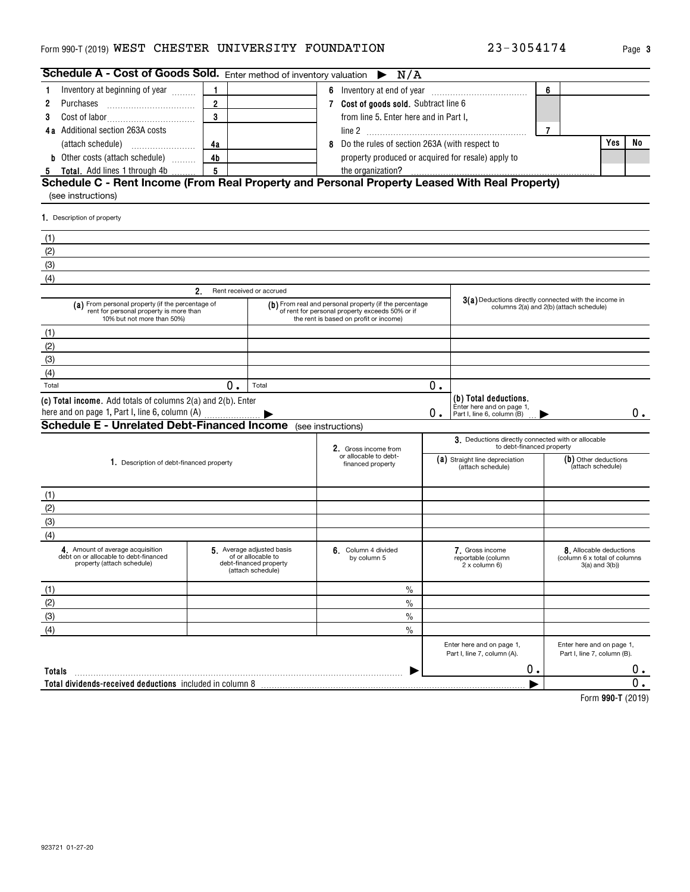#### <code>Form</code> 990-T (2019) <code>WEST CHESTER UNIVERSITY FOUNDATION  $23-3\,0\,5\,4\,1\,7\,4$  Page</code>

| Schedule A - Cost of Goods Sold. Enter method of inventory valuation $\triangleright N/A$                                                                                            |                |                          |                                                                                           |                                       |                                                                                 |                   |                                                                              |    |
|--------------------------------------------------------------------------------------------------------------------------------------------------------------------------------------|----------------|--------------------------|-------------------------------------------------------------------------------------------|---------------------------------------|---------------------------------------------------------------------------------|-------------------|------------------------------------------------------------------------------|----|
| Inventory at beginning of year<br>1                                                                                                                                                  | 1              |                          |                                                                                           |                                       |                                                                                 | 6                 |                                                                              |    |
| Purchases<br>2                                                                                                                                                                       | $\overline{2}$ |                          |                                                                                           | 7 Cost of goods sold. Subtract line 6 |                                                                                 |                   |                                                                              |    |
| 3                                                                                                                                                                                    | 3              |                          | from line 5. Enter here and in Part I,                                                    |                                       |                                                                                 |                   |                                                                              |    |
| 4a Additional section 263A costs                                                                                                                                                     |                |                          |                                                                                           |                                       |                                                                                 | $\overline{7}$    |                                                                              |    |
|                                                                                                                                                                                      | 4a             |                          | 8 Do the rules of section 263A (with respect to                                           |                                       |                                                                                 |                   | Yes                                                                          | No |
| <b>b</b> Other costs (attach schedule)                                                                                                                                               | 4 <sub>b</sub> |                          | property produced or acquired for resale) apply to                                        |                                       |                                                                                 |                   |                                                                              |    |
| <b>Total.</b> Add lines 1 through 4b                                                                                                                                                 | 5              |                          | the organization?                                                                         |                                       |                                                                                 |                   |                                                                              |    |
| Schedule C - Rent Income (From Real Property and Personal Property Leased With Real Property)<br>(see instructions)                                                                  |                |                          |                                                                                           |                                       |                                                                                 |                   |                                                                              |    |
| 1. Description of property                                                                                                                                                           |                |                          |                                                                                           |                                       |                                                                                 |                   |                                                                              |    |
|                                                                                                                                                                                      |                |                          |                                                                                           |                                       |                                                                                 |                   |                                                                              |    |
| (1)                                                                                                                                                                                  |                |                          |                                                                                           |                                       |                                                                                 |                   |                                                                              |    |
| (2)<br>(3)                                                                                                                                                                           |                |                          |                                                                                           |                                       |                                                                                 |                   |                                                                              |    |
| (4)                                                                                                                                                                                  |                |                          |                                                                                           |                                       |                                                                                 |                   |                                                                              |    |
|                                                                                                                                                                                      | 2.             | Rent received or accrued |                                                                                           |                                       |                                                                                 |                   |                                                                              |    |
| (a) From personal property (if the percentage of                                                                                                                                     |                |                          | (b) From real and personal property (if the percentage                                    |                                       | 3(a) Deductions directly connected with the income in                           |                   |                                                                              |    |
| rent for personal property is more than<br>10% but not more than 50%)                                                                                                                |                |                          | of rent for personal property exceeds 50% or if<br>the rent is based on profit or income) |                                       | columns 2(a) and 2(b) (attach schedule)                                         |                   |                                                                              |    |
| (1)                                                                                                                                                                                  |                |                          |                                                                                           |                                       |                                                                                 |                   |                                                                              |    |
| (2)                                                                                                                                                                                  |                |                          |                                                                                           |                                       |                                                                                 |                   |                                                                              |    |
| (3)                                                                                                                                                                                  |                |                          |                                                                                           |                                       |                                                                                 |                   |                                                                              |    |
| (4)                                                                                                                                                                                  |                |                          |                                                                                           |                                       |                                                                                 |                   |                                                                              |    |
| Total                                                                                                                                                                                | 0.             | Total                    |                                                                                           | 0.                                    |                                                                                 |                   |                                                                              |    |
| (c) Total income. Add totals of columns 2(a) and 2(b). Enter                                                                                                                         |                |                          |                                                                                           |                                       | (b) Total deductions.<br>Enter here and on page 1,                              |                   |                                                                              |    |
| here and on page 1, Part I, line 6, column (A)                                                                                                                                       |                |                          |                                                                                           | 0.                                    | Part I, line 6, column (B)                                                      |                   |                                                                              | 0. |
| <b>Schedule E - Unrelated Debt-Financed Income</b> (see instructions)                                                                                                                |                |                          |                                                                                           |                                       |                                                                                 |                   |                                                                              |    |
|                                                                                                                                                                                      |                |                          | 2. Gross income from                                                                      |                                       | 3. Deductions directly connected with or allocable<br>to debt-financed property |                   |                                                                              |    |
|                                                                                                                                                                                      |                |                          | or allocable to debt-                                                                     |                                       | (a) Straight line depreciation                                                  |                   | (b) Other deductions                                                         |    |
| 1. Description of debt-financed property                                                                                                                                             |                |                          | financed property                                                                         |                                       | (attach schedule)                                                               | (attach schedule) |                                                                              |    |
|                                                                                                                                                                                      |                |                          |                                                                                           |                                       |                                                                                 |                   |                                                                              |    |
| (1)                                                                                                                                                                                  |                |                          |                                                                                           |                                       |                                                                                 |                   |                                                                              |    |
| (2)                                                                                                                                                                                  |                |                          |                                                                                           |                                       |                                                                                 |                   |                                                                              |    |
| (3)                                                                                                                                                                                  |                |                          |                                                                                           |                                       |                                                                                 |                   |                                                                              |    |
| (4)                                                                                                                                                                                  |                |                          |                                                                                           |                                       |                                                                                 |                   |                                                                              |    |
| 4. Amount of average acquisition<br>5. Average adjusted basis<br>debt on or allocable to debt-financed<br>of or allocable to<br>property (attach schedule)<br>debt-financed property |                |                          | 6. Column 4 divided<br>by column 5                                                        |                                       | 7. Gross income<br>reportable (column<br>2 x column 6)                          |                   | 8. Allocable deductions<br>(column 6 x total of columns<br>$3(a)$ and $3(b)$ |    |
|                                                                                                                                                                                      |                | (attach schedule)        |                                                                                           |                                       |                                                                                 |                   |                                                                              |    |
| (1)                                                                                                                                                                                  |                |                          | $\%$                                                                                      |                                       |                                                                                 |                   |                                                                              |    |
| (2)                                                                                                                                                                                  |                |                          | $\frac{0}{0}$                                                                             |                                       |                                                                                 |                   |                                                                              |    |
| (3)                                                                                                                                                                                  |                |                          | $\frac{0}{0}$                                                                             |                                       |                                                                                 |                   |                                                                              |    |
| (4)                                                                                                                                                                                  |                |                          | $\frac{0}{0}$                                                                             |                                       |                                                                                 |                   |                                                                              |    |
|                                                                                                                                                                                      |                |                          |                                                                                           |                                       | Enter here and on page 1,<br>Part I, line 7, column (A).                        |                   | Enter here and on page 1,<br>Part I, line 7, column (B).                     |    |
| Totals                                                                                                                                                                               |                |                          |                                                                                           |                                       | 0.                                                                              |                   |                                                                              | 0. |
| Total dividends-received deductions included in column 8                                                                                                                             |                |                          |                                                                                           |                                       |                                                                                 |                   |                                                                              | Ω. |
|                                                                                                                                                                                      |                |                          |                                                                                           |                                       |                                                                                 |                   | $Lorm$ 000 T (9010)                                                          |    |

**990-T**  Form (2019)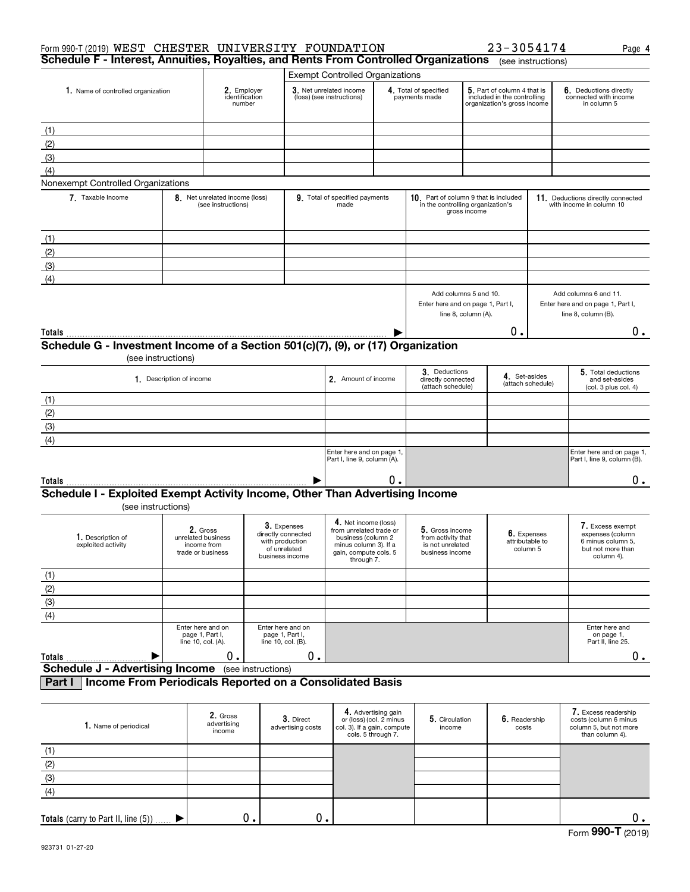| Form 990-T (2019) WEST CHESTER UNIVERSITY FOUNDATION<br>Schedule F - Interest, Annuities, Royalties, and Rents From Controlled Organizations |                                         |                                              |                    |                                                                                         |                                                                                                                                       |                                                |                                                                                                                            |                                                            | 23-3054174                                                                                   | (see instructions)                                                                | Page 4                                                        |
|----------------------------------------------------------------------------------------------------------------------------------------------|-----------------------------------------|----------------------------------------------|--------------------|-----------------------------------------------------------------------------------------|---------------------------------------------------------------------------------------------------------------------------------------|------------------------------------------------|----------------------------------------------------------------------------------------------------------------------------|------------------------------------------------------------|----------------------------------------------------------------------------------------------|-----------------------------------------------------------------------------------|---------------------------------------------------------------|
|                                                                                                                                              |                                         |                                              |                    |                                                                                         | <b>Exempt Controlled Organizations</b>                                                                                                |                                                |                                                                                                                            |                                                            |                                                                                              |                                                                                   |                                                               |
| 1. Name of controlled organization                                                                                                           |                                         | 2. Employer<br>identification                |                    | 3. Net unrelated income<br>(loss) (see instructions)                                    |                                                                                                                                       | 4. Total of specified<br>payments made         |                                                                                                                            | 5. Part of column 4 that is<br>included in the controlling |                                                                                              | 6. Deductions directly<br>connected with income                                   |                                                               |
|                                                                                                                                              |                                         | number                                       |                    |                                                                                         |                                                                                                                                       |                                                |                                                                                                                            |                                                            | organization's gross income                                                                  |                                                                                   | in column 5                                                   |
| (1)                                                                                                                                          |                                         |                                              |                    |                                                                                         |                                                                                                                                       |                                                |                                                                                                                            |                                                            |                                                                                              |                                                                                   |                                                               |
| (2)                                                                                                                                          |                                         |                                              |                    |                                                                                         |                                                                                                                                       |                                                |                                                                                                                            |                                                            |                                                                                              |                                                                                   |                                                               |
| (3)                                                                                                                                          |                                         |                                              |                    |                                                                                         |                                                                                                                                       |                                                |                                                                                                                            |                                                            |                                                                                              |                                                                                   |                                                               |
| (4)<br>Nonexempt Controlled Organizations                                                                                                    |                                         |                                              |                    |                                                                                         |                                                                                                                                       |                                                |                                                                                                                            |                                                            |                                                                                              |                                                                                   |                                                               |
| 7. Taxable Income                                                                                                                            |                                         | 8. Net unrelated income (loss)               |                    |                                                                                         | 9. Total of specified payments                                                                                                        |                                                | 10. Part of column 9 that is included                                                                                      |                                                            |                                                                                              |                                                                                   | 11. Deductions directly connected                             |
|                                                                                                                                              |                                         | (see instructions)                           |                    |                                                                                         | made                                                                                                                                  |                                                | in the controlling organization's                                                                                          | gross income                                               |                                                                                              |                                                                                   | with income in column 10                                      |
| (1)                                                                                                                                          |                                         |                                              |                    |                                                                                         |                                                                                                                                       |                                                |                                                                                                                            |                                                            |                                                                                              |                                                                                   |                                                               |
| (2)                                                                                                                                          |                                         |                                              |                    |                                                                                         |                                                                                                                                       |                                                |                                                                                                                            |                                                            |                                                                                              |                                                                                   |                                                               |
| (3)                                                                                                                                          |                                         |                                              |                    |                                                                                         |                                                                                                                                       |                                                |                                                                                                                            |                                                            |                                                                                              |                                                                                   |                                                               |
| (4)                                                                                                                                          |                                         |                                              |                    |                                                                                         |                                                                                                                                       |                                                |                                                                                                                            |                                                            |                                                                                              |                                                                                   |                                                               |
|                                                                                                                                              |                                         |                                              |                    |                                                                                         |                                                                                                                                       |                                                | Add columns 5 and 10.<br>Enter here and on page 1, Part I,<br>line 8, column (A).                                          |                                                            |                                                                                              | Add columns 6 and 11.<br>Enter here and on page 1, Part I,<br>line 8, column (B). |                                                               |
| Totals                                                                                                                                       |                                         |                                              |                    |                                                                                         |                                                                                                                                       |                                                |                                                                                                                            |                                                            | О.                                                                                           |                                                                                   | υ.                                                            |
| Schedule G - Investment Income of a Section 501(c)(7), (9), or (17) Organization                                                             | (see instructions)                      |                                              |                    |                                                                                         |                                                                                                                                       |                                                |                                                                                                                            |                                                            |                                                                                              |                                                                                   |                                                               |
|                                                                                                                                              | 1. Description of income                |                                              |                    |                                                                                         | 2. Amount of income                                                                                                                   |                                                | 3. Deductions<br>directly connected<br>(attach schedule)                                                                   |                                                            | 4. Set-asides                                                                                | (attach schedule)                                                                 | 5. Total deductions<br>and set-asides<br>(col. 3 plus col. 4) |
| (1)                                                                                                                                          |                                         |                                              |                    |                                                                                         |                                                                                                                                       |                                                |                                                                                                                            |                                                            |                                                                                              |                                                                                   |                                                               |
| (2)                                                                                                                                          |                                         |                                              |                    |                                                                                         |                                                                                                                                       |                                                |                                                                                                                            |                                                            |                                                                                              |                                                                                   |                                                               |
| (3)                                                                                                                                          |                                         |                                              |                    |                                                                                         |                                                                                                                                       |                                                |                                                                                                                            |                                                            |                                                                                              |                                                                                   |                                                               |
| (4)                                                                                                                                          |                                         |                                              |                    |                                                                                         |                                                                                                                                       |                                                |                                                                                                                            |                                                            |                                                                                              |                                                                                   |                                                               |
|                                                                                                                                              |                                         |                                              |                    |                                                                                         | Enter here and on page 1<br>Part I, line 9, column (A).                                                                               |                                                |                                                                                                                            |                                                            |                                                                                              |                                                                                   | Enter here and on page 1,<br>Part I, line 9, column (B).      |
| Totals                                                                                                                                       |                                         |                                              |                    |                                                                                         |                                                                                                                                       | О.                                             |                                                                                                                            |                                                            |                                                                                              |                                                                                   | $0$ .                                                         |
| Schedule I - Exploited Exempt Activity Income, Other Than Advertising Income<br>(see instructions)                                           |                                         |                                              |                    |                                                                                         |                                                                                                                                       |                                                |                                                                                                                            |                                                            |                                                                                              |                                                                                   |                                                               |
| 1. Description of<br>exploited activity                                                                                                      | unrelated business                      | 2. Gross<br>income from<br>trade or business |                    | 3. Expenses<br>directly connected<br>with production<br>of unrelated<br>business income | 4. Net income (loss)<br>from unrelated trade or<br>business (column 2<br>minus column 3). It a<br>gain, compute cols. 5<br>through 7. |                                                | 5. Gross income<br>6. Expenses<br>from activity that<br>attributable to<br>is not unrelated<br>column 5<br>business income |                                                            | 7. Excess exempt<br>expenses (column<br>6 minus column 5,<br>but not more than<br>column 4). |                                                                                   |                                                               |
| (1)                                                                                                                                          |                                         |                                              |                    |                                                                                         |                                                                                                                                       |                                                |                                                                                                                            |                                                            |                                                                                              |                                                                                   |                                                               |
| (2)                                                                                                                                          |                                         |                                              |                    |                                                                                         |                                                                                                                                       |                                                |                                                                                                                            |                                                            |                                                                                              |                                                                                   |                                                               |
| (3)                                                                                                                                          |                                         |                                              |                    |                                                                                         |                                                                                                                                       |                                                |                                                                                                                            |                                                            |                                                                                              |                                                                                   |                                                               |
| (4)                                                                                                                                          |                                         |                                              |                    |                                                                                         |                                                                                                                                       |                                                |                                                                                                                            |                                                            |                                                                                              |                                                                                   |                                                               |
|                                                                                                                                              | Enter here and on<br>line 10, col. (A). | page 1, Part I,                              |                    | Enter here and on<br>page 1, Part I,<br>line 10, col. (B).                              |                                                                                                                                       |                                                |                                                                                                                            |                                                            |                                                                                              |                                                                                   | Enter here and<br>on page 1,<br>Part II, line 25.             |
| <b>Totals</b>                                                                                                                                |                                         | 0.                                           |                    | 0.                                                                                      |                                                                                                                                       |                                                |                                                                                                                            |                                                            |                                                                                              |                                                                                   | 0.                                                            |
| <b>Schedule J - Advertising Income</b>                                                                                                       |                                         |                                              | (see instructions) |                                                                                         |                                                                                                                                       |                                                |                                                                                                                            |                                                            |                                                                                              |                                                                                   |                                                               |
| Income From Periodicals Reported on a Consolidated Basis<br>Part I                                                                           |                                         |                                              |                    |                                                                                         |                                                                                                                                       |                                                |                                                                                                                            |                                                            |                                                                                              |                                                                                   |                                                               |
| Nome of perio                                                                                                                                |                                         | 2. Gross<br>advertising                      |                    | 3. Direct                                                                               |                                                                                                                                       | 4. Advertising gain<br>or (loss) (col. 2 minus | 5. Circulation                                                                                                             |                                                            | $6.$ Readership                                                                              |                                                                                   | 7. Excess readership<br>costs (column 6 minus                 |

| Totals (carry to Part II, line (5)) | $0 \cdot$                         | О.                             |                                                                                                     |                          |                        | υ.                                                                                                |
|-------------------------------------|-----------------------------------|--------------------------------|-----------------------------------------------------------------------------------------------------|--------------------------|------------------------|---------------------------------------------------------------------------------------------------|
| (4)                                 |                                   |                                |                                                                                                     |                          |                        |                                                                                                   |
| (3)                                 |                                   |                                |                                                                                                     |                          |                        |                                                                                                   |
| (2)                                 |                                   |                                |                                                                                                     |                          |                        |                                                                                                   |
| (1)                                 |                                   |                                |                                                                                                     |                          |                        |                                                                                                   |
| 1. Name of periodical               | 2. Gross<br>advertising<br>income | 3. Direct<br>advertising costs | 4. Advertising gain<br>or (loss) (col. 2 minus<br>col. 3). If a gain, compute<br>cols. 5 through 7. | 5. Circulation<br>income | 6. Readership<br>costs | <b>I.</b> Excess readership<br>costs (column 6 minus<br>column 5, but not more<br>than column 4). |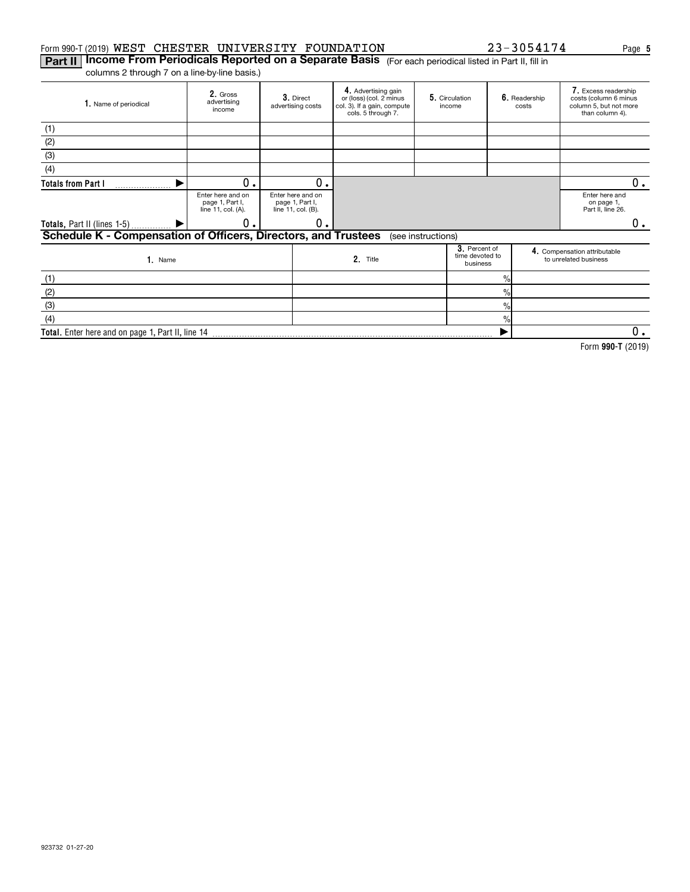#### Form 990-T (2019)  ${\tt WEST}$   ${\tt CHESTER}$   ${\tt UNIVERSITY}$   ${\tt FOUNDATION}$   ${\tt Z3-3054174}$   ${\tt Page}$ WEST CHESTER UNIVERSITY FOUNDATION 23-3054174

**Part II | Income From Periodicals Reported on a Separate Basis** (For each periodical listed in Part II, fill in columns 2 through 7 on a line-by-line basis.)

| 1. Name of periodical                                          | 2. Gross<br>advertising<br>income                          | 3. Direct<br>advertising costs                             | 4. Advertising gain<br>or (loss) (col. 2 minus<br>col. 3). If a gain, compute<br>cols. 5 through 7. |                    | 5. Circulation<br>income                     |               | 6. Readership<br>costs | 7. Excess readership<br>costs (column 6 minus<br>column 5, but not more<br>than column 4). |    |
|----------------------------------------------------------------|------------------------------------------------------------|------------------------------------------------------------|-----------------------------------------------------------------------------------------------------|--------------------|----------------------------------------------|---------------|------------------------|--------------------------------------------------------------------------------------------|----|
| (1)                                                            |                                                            |                                                            |                                                                                                     |                    |                                              |               |                        |                                                                                            |    |
| (2)                                                            |                                                            |                                                            |                                                                                                     |                    |                                              |               |                        |                                                                                            |    |
| (3)                                                            |                                                            |                                                            |                                                                                                     |                    |                                              |               |                        |                                                                                            |    |
| (4)                                                            |                                                            |                                                            |                                                                                                     |                    |                                              |               |                        |                                                                                            |    |
| <b>Totals from Part I</b>                                      | 0.                                                         | 0.                                                         |                                                                                                     |                    |                                              |               |                        |                                                                                            | 0. |
|                                                                | Enter here and on<br>page 1, Part I,<br>line 11, col. (A). | Enter here and on<br>page 1, Part I,<br>line 11, col. (B). |                                                                                                     |                    |                                              |               |                        | Enter here and<br>on page 1,<br>Part II, line 26.                                          |    |
|                                                                | 0.                                                         | 0.                                                         |                                                                                                     |                    |                                              |               |                        |                                                                                            | 0. |
| Schedule K - Compensation of Officers, Directors, and Trustees |                                                            |                                                            |                                                                                                     | (see instructions) |                                              |               |                        |                                                                                            |    |
| 1. Name                                                        |                                                            |                                                            | 2. Title                                                                                            |                    | 3. Percent of<br>time devoted to<br>business |               |                        | 4. Compensation attributable<br>to unrelated business                                      |    |
| (1)                                                            |                                                            |                                                            |                                                                                                     |                    |                                              | $\frac{0}{0}$ |                        |                                                                                            |    |
| (2)                                                            |                                                            |                                                            |                                                                                                     |                    |                                              | %             |                        |                                                                                            |    |
| (3)                                                            |                                                            |                                                            |                                                                                                     |                    |                                              | $\%$          |                        |                                                                                            |    |
| (4)                                                            |                                                            |                                                            |                                                                                                     |                    |                                              | $\%$          |                        |                                                                                            |    |
| Total. Enter here and on page 1, Part II, line 14              |                                                            |                                                            |                                                                                                     |                    |                                              |               |                        |                                                                                            | 0. |

**990-T**  Form (2019)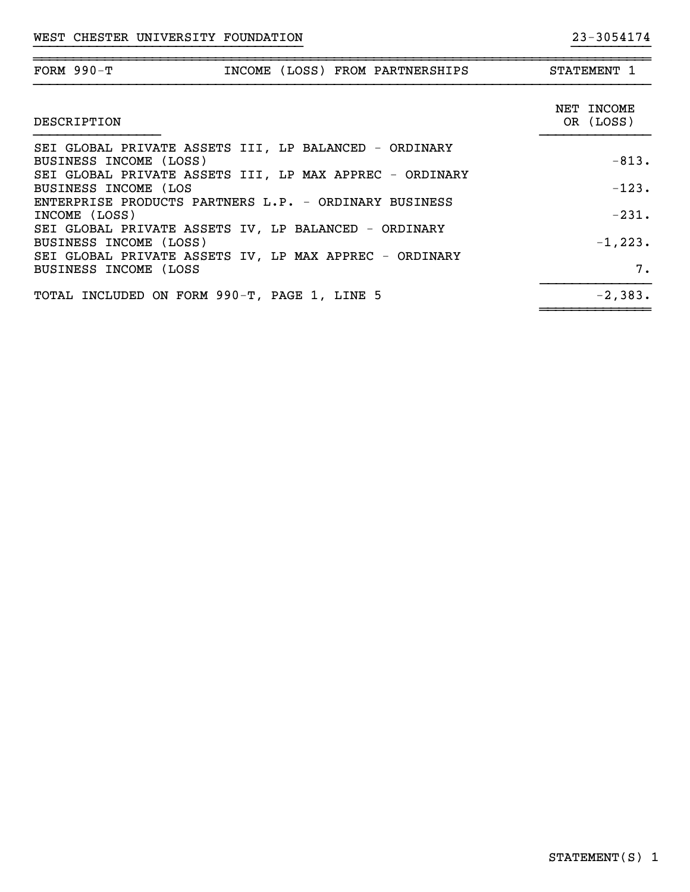| FORM $990-T$<br>INCOME (LOSS) FROM PARTNERSHIPS                                                                                | STATEMENT 1             |
|--------------------------------------------------------------------------------------------------------------------------------|-------------------------|
| DESCRIPTION                                                                                                                    | NET INCOME<br>OR (LOSS) |
| SEI GLOBAL PRIVATE ASSETS III, LP BALANCED - ORDINARY<br>BUSINESS INCOME (LOSS)                                                | $-813.$                 |
| SEI GLOBAL PRIVATE ASSETS III, LP MAX APPREC - ORDINARY<br>BUSINESS INCOME (LOS                                                | $-123.$                 |
| ENTERPRISE PRODUCTS PARTNERS L.P. - ORDINARY BUSINESS<br>INCOME (LOSS)<br>SEI GLOBAL PRIVATE ASSETS IV, LP BALANCED - ORDINARY | $-231.$                 |
| BUSINESS INCOME (LOSS)<br>SEI GLOBAL PRIVATE ASSETS IV, LP MAX APPREC - ORDINARY                                               | $-1, 223.$              |
| BUSINESS INCOME (LOSS                                                                                                          | 7.                      |
| TOTAL INCLUDED ON FORM 990-T, PAGE 1, LINE 5                                                                                   | $-2,383.$               |

~~~~~~~~~~~~~~

}}}}}}}}}}}}}}}}}}}}}}}}}}}}}}}}}} }}}}}}}}}}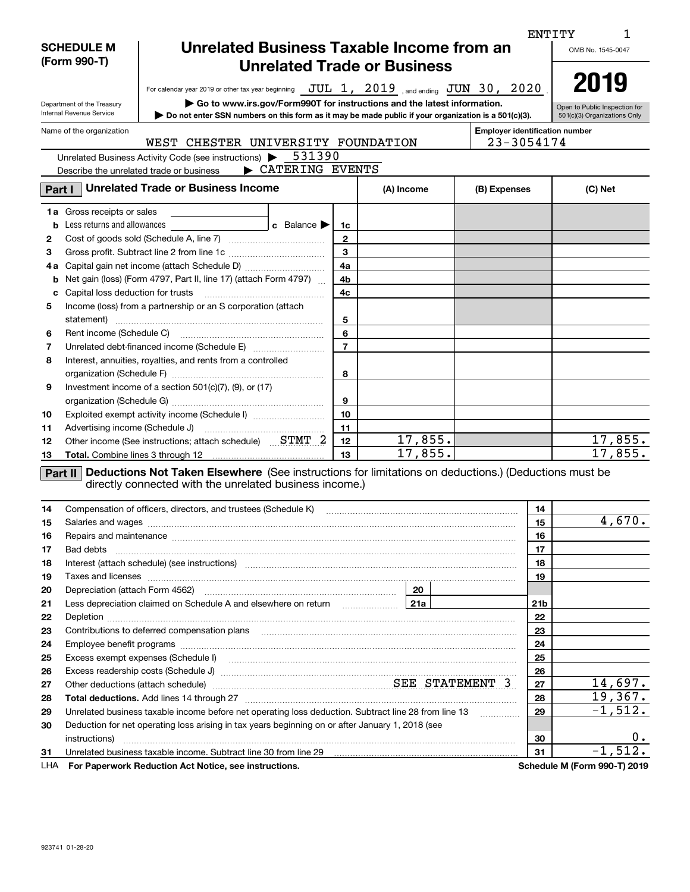|        |                                                                |                                                                                                                                                                                                                                                                                         |                               |            |  |                                       | ENTITY          |                              |  |  |
|--------|----------------------------------------------------------------|-----------------------------------------------------------------------------------------------------------------------------------------------------------------------------------------------------------------------------------------------------------------------------------------|-------------------------------|------------|--|---------------------------------------|-----------------|------------------------------|--|--|
|        | Unrelated Business Taxable Income from an<br><b>SCHEDULE M</b> |                                                                                                                                                                                                                                                                                         |                               |            |  |                                       |                 |                              |  |  |
|        | (Form 990-T)<br><b>Unrelated Trade or Business</b>             |                                                                                                                                                                                                                                                                                         |                               |            |  |                                       |                 |                              |  |  |
|        |                                                                |                                                                                                                                                                                                                                                                                         |                               |            |  |                                       |                 | 2019                         |  |  |
|        |                                                                | For calendar year 2019 or other tax year beginning $JUL$ 1, $2019$ and ending $JUN$ 30, $2020$                                                                                                                                                                                          |                               |            |  |                                       |                 |                              |  |  |
|        | Department of the Treasury                                     |                                                                                                                                                                                                                                                                                         | Open to Public Inspection for |            |  |                                       |                 |                              |  |  |
|        | Internal Revenue Service                                       | Do not enter SSN numbers on this form as it may be made public if your organization is a 501(c)(3).                                                                                                                                                                                     | 501(c)(3) Organizations Only  |            |  |                                       |                 |                              |  |  |
|        | Name of the organization                                       | WEST CHESTER UNIVERSITY FOUNDATION                                                                                                                                                                                                                                                      |                               |            |  | <b>Employer identification number</b> | 23-3054174      |                              |  |  |
|        |                                                                | 531390<br>Unrelated Business Activity Code (see instructions) >                                                                                                                                                                                                                         |                               |            |  |                                       |                 |                              |  |  |
|        |                                                                | CATERING EVENTS<br>Describe the unrelated trade or business                                                                                                                                                                                                                             |                               |            |  |                                       |                 |                              |  |  |
| Part I |                                                                | <b>Unrelated Trade or Business Income</b>                                                                                                                                                                                                                                               |                               | (A) Income |  | (B) Expenses                          |                 | (C) Net                      |  |  |
|        | 1a Gross receipts or sales                                     |                                                                                                                                                                                                                                                                                         |                               |            |  |                                       |                 |                              |  |  |
|        | <b>b</b> Less returns and allowances                           | c Balance $\blacktriangleright$                                                                                                                                                                                                                                                         | 1c                            |            |  |                                       |                 |                              |  |  |
| 2      |                                                                |                                                                                                                                                                                                                                                                                         | $\mathbf{2}$                  |            |  |                                       |                 |                              |  |  |
| З      |                                                                |                                                                                                                                                                                                                                                                                         | $\mathbf{3}$                  |            |  |                                       |                 |                              |  |  |
| 4а     |                                                                |                                                                                                                                                                                                                                                                                         | 4a                            |            |  |                                       |                 |                              |  |  |
| b      |                                                                | Net gain (loss) (Form 4797, Part II, line 17) (attach Form 4797)                                                                                                                                                                                                                        | 4b                            |            |  |                                       |                 |                              |  |  |
| c      |                                                                | Capital loss deduction for trusts [111] [12] Capital loss deduction for trusts [11] [12] [12] [12] [12] [12] [                                                                                                                                                                          | 4c                            |            |  |                                       |                 |                              |  |  |
| 5      |                                                                | Income (loss) from a partnership or an S corporation (attach                                                                                                                                                                                                                            |                               |            |  |                                       |                 |                              |  |  |
|        |                                                                |                                                                                                                                                                                                                                                                                         | 5                             |            |  |                                       |                 |                              |  |  |
| 6      |                                                                |                                                                                                                                                                                                                                                                                         | 6                             |            |  |                                       |                 |                              |  |  |
| 7      |                                                                |                                                                                                                                                                                                                                                                                         | $\overline{7}$                |            |  |                                       |                 |                              |  |  |
| 8      |                                                                | Interest, annuities, royalties, and rents from a controlled                                                                                                                                                                                                                             |                               |            |  |                                       |                 |                              |  |  |
|        |                                                                |                                                                                                                                                                                                                                                                                         | 8                             |            |  |                                       |                 |                              |  |  |
| 9      |                                                                | Investment income of a section $501(c)(7)$ , (9), or (17)                                                                                                                                                                                                                               |                               |            |  |                                       |                 |                              |  |  |
|        |                                                                |                                                                                                                                                                                                                                                                                         | 9                             |            |  |                                       |                 |                              |  |  |
| 10     |                                                                | Exploited exempt activity income (Schedule I)                                                                                                                                                                                                                                           | 10                            |            |  |                                       |                 |                              |  |  |
| 11     |                                                                |                                                                                                                                                                                                                                                                                         | 11                            |            |  |                                       |                 |                              |  |  |
| 12     |                                                                | Other income (See instructions; attach schedule) STMT 2                                                                                                                                                                                                                                 | 12                            | 17,855.    |  |                                       |                 | 17,855.                      |  |  |
| 13     |                                                                |                                                                                                                                                                                                                                                                                         | 13                            | 17,855.    |  |                                       |                 | 17,855.                      |  |  |
|        |                                                                | Part II Deductions Not Taken Elsewhere (See instructions for limitations on deductions.) (Deductions must be<br>directly connected with the unrelated business income.)                                                                                                                 |                               |            |  |                                       |                 |                              |  |  |
| 14     |                                                                | Compensation of officers, directors, and trustees (Schedule K)                                                                                                                                                                                                                          |                               |            |  |                                       | 14              |                              |  |  |
| 15     |                                                                |                                                                                                                                                                                                                                                                                         |                               |            |  |                                       | 15              | 4,670.                       |  |  |
| 16     |                                                                | Repairs and maintenance measurement contains and material contains and maintenance measurement of the state of                                                                                                                                                                          |                               |            |  |                                       | 16              |                              |  |  |
| 17     | Bad debts                                                      |                                                                                                                                                                                                                                                                                         |                               |            |  |                                       | 17              |                              |  |  |
| 18     |                                                                | Interest (attach schedule) (see instructions) material content in the content of the content of the content of                                                                                                                                                                          |                               |            |  |                                       | 18              |                              |  |  |
| 19     |                                                                | Taxes and licenses <b>communications</b> and interest contract the contract of the contract of the contract of the contract of the contract of the contract of the contract of the contract of the contract of the contract of the                                                      |                               |            |  |                                       | 19              |                              |  |  |
| 20     |                                                                |                                                                                                                                                                                                                                                                                         |                               | 20         |  |                                       |                 |                              |  |  |
| 21     |                                                                |                                                                                                                                                                                                                                                                                         |                               |            |  |                                       | 21 <sub>b</sub> |                              |  |  |
| 22     |                                                                | Depletion <b>construction and construction of the construction of the construction of the construction of the construction of the construction of the construction of the construction of the construction of the construction o</b>                                                    |                               |            |  |                                       | 22              |                              |  |  |
| 23     |                                                                |                                                                                                                                                                                                                                                                                         |                               |            |  |                                       | 23              |                              |  |  |
| 24     |                                                                |                                                                                                                                                                                                                                                                                         |                               |            |  |                                       | 24              |                              |  |  |
| 25     |                                                                | Excess exempt expenses (Schedule I) <b>macuition contract and contract and contract and contract and contract and contract and contract and contract and contract and contract and contract and contract and contract and contra</b>                                                    |                               |            |  |                                       | 25              |                              |  |  |
| 26     |                                                                |                                                                                                                                                                                                                                                                                         |                               |            |  |                                       | 26              |                              |  |  |
| 27     |                                                                | Other deductions (attach schedule) measurement material states STATEMENT 3                                                                                                                                                                                                              |                               |            |  |                                       | 27              | 14,697.                      |  |  |
| 28     |                                                                |                                                                                                                                                                                                                                                                                         |                               |            |  |                                       | 28              | 19,367.                      |  |  |
| 29     |                                                                | Unrelated business taxable income before net operating loss deduction. Subtract line 28 from line 13                                                                                                                                                                                    |                               |            |  | .                                     | 29              | $-1,512.$                    |  |  |
| 30     |                                                                | Deduction for net operating loss arising in tax years beginning on or after January 1, 2018 (see                                                                                                                                                                                        |                               |            |  |                                       |                 |                              |  |  |
|        |                                                                |                                                                                                                                                                                                                                                                                         |                               |            |  |                                       | 30              | 0.<br>$-1,512.$              |  |  |
| 31     |                                                                | Unrelated business taxable income. Subtract line 30 from line 29 [11] manuscription business taxable income. Subtract line 30 from line 29 [11] manuscription and the state of the state of the state of the state of the stat<br>For Paperwork Reduction Act Notice, see instructions. |                               |            |  |                                       | 31              | Schedule M (Form 990-T) 2019 |  |  |
| LHA    |                                                                |                                                                                                                                                                                                                                                                                         |                               |            |  |                                       |                 |                              |  |  |